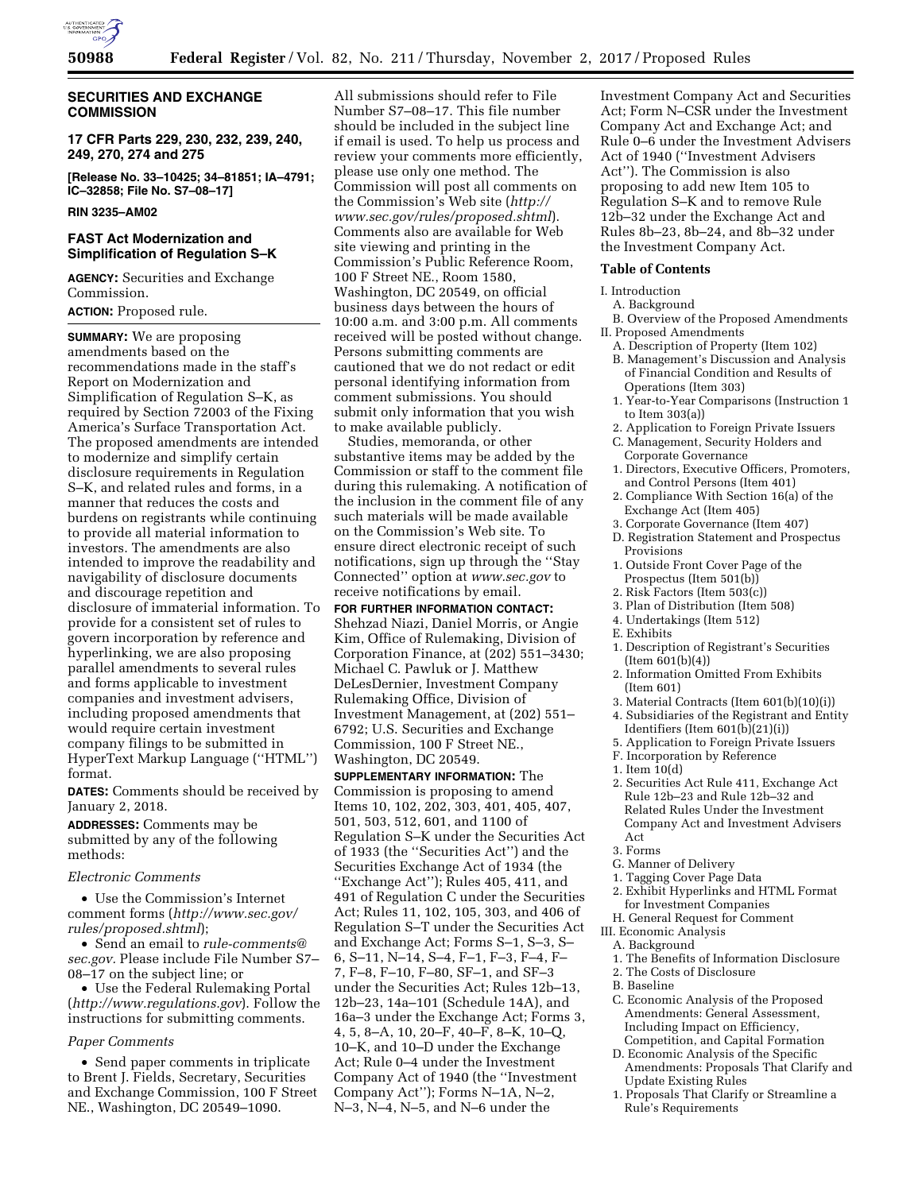

### **SECURITIES AND EXCHANGE COMMISSION**

**17 CFR Parts 229, 230, 232, 239, 240, 249, 270, 274 and 275** 

**[Release No. 33–10425; 34–81851; IA–4791; IC–32858; File No. S7–08–17]** 

**RIN 3235–AM02** 

# **FAST Act Modernization and Simplification of Regulation S–K**

**AGENCY:** Securities and Exchange Commission.

**ACTION:** Proposed rule.

**SUMMARY:** We are proposing amendments based on the recommendations made in the staff's Report on Modernization and Simplification of Regulation S–K, as required by Section 72003 of the Fixing America's Surface Transportation Act. The proposed amendments are intended to modernize and simplify certain disclosure requirements in Regulation S–K, and related rules and forms, in a manner that reduces the costs and burdens on registrants while continuing to provide all material information to investors. The amendments are also intended to improve the readability and navigability of disclosure documents and discourage repetition and disclosure of immaterial information. To provide for a consistent set of rules to govern incorporation by reference and hyperlinking, we are also proposing parallel amendments to several rules and forms applicable to investment companies and investment advisers, including proposed amendments that would require certain investment company filings to be submitted in HyperText Markup Language (''HTML'') format.

**DATES:** Comments should be received by January 2, 2018.

**ADDRESSES:** Comments may be submitted by any of the following methods:

#### *Electronic Comments*

• Use the Commission's Internet comment forms (*[http://www.sec.gov/](http://www.sec.gov/rules/proposed.shtml)  [rules/proposed.shtml](http://www.sec.gov/rules/proposed.shtml)*);

• Send an email to *[rule-comments@](mailto:rule-comments@sec.gov) [sec.gov.](mailto:rule-comments@sec.gov)* Please include File Number S7– 08–17 on the subject line; or

• Use the Federal Rulemaking Portal (*<http://www.regulations.gov>*). Follow the instructions for submitting comments.

# *Paper Comments*

• Send paper comments in triplicate to Brent J. Fields, Secretary, Securities and Exchange Commission, 100 F Street NE., Washington, DC 20549–1090.

All submissions should refer to File Number S7–08–17. This file number should be included in the subject line if email is used. To help us process and review your comments more efficiently, please use only one method. The Commission will post all comments on the Commission's Web site (*[http://](http://www.sec.gov/rules/proposed.shtml) [www.sec.gov/rules/proposed.shtml](http://www.sec.gov/rules/proposed.shtml)*). Comments also are available for Web site viewing and printing in the Commission's Public Reference Room, 100 F Street NE., Room 1580, Washington, DC 20549, on official business days between the hours of 10:00 a.m. and 3:00 p.m. All comments received will be posted without change. Persons submitting comments are cautioned that we do not redact or edit personal identifying information from comment submissions. You should submit only information that you wish to make available publicly.

Studies, memoranda, or other substantive items may be added by the Commission or staff to the comment file during this rulemaking. A notification of the inclusion in the comment file of any such materials will be made available on the Commission's Web site. To ensure direct electronic receipt of such notifications, sign up through the ''Stay Connected'' option at *[www.sec.gov](http://www.sec.gov)* to receive notifications by email.

**FOR FURTHER INFORMATION CONTACT:**  Shehzad Niazi, Daniel Morris, or Angie Kim, Office of Rulemaking, Division of Corporation Finance, at (202) 551–3430; Michael C. Pawluk or J. Matthew DeLesDernier, Investment Company Rulemaking Office, Division of Investment Management, at (202) 551– 6792; U.S. Securities and Exchange Commission, 100 F Street NE., Washington, DC 20549.

**SUPPLEMENTARY INFORMATION:** The Commission is proposing to amend Items 10, 102, 202, 303, 401, 405, 407, 501, 503, 512, 601, and 1100 of Regulation S–K under the Securities Act of 1933 (the ''Securities Act'') and the Securities Exchange Act of 1934 (the ''Exchange Act''); Rules 405, 411, and 491 of Regulation C under the Securities Act; Rules 11, 102, 105, 303, and 406 of Regulation S–T under the Securities Act and Exchange Act; Forms S–1, S–3, S– 6, S–11, N–14, S–4, F–1, F–3, F–4, F– 7, F–8, F–10, F–80, SF–1, and SF–3 under the Securities Act; Rules 12b–13, 12b–23, 14a–101 (Schedule 14A), and 16a–3 under the Exchange Act; Forms 3, 4, 5, 8–A, 10, 20–F, 40–F, 8–K, 10–Q, 10–K, and 10–D under the Exchange Act; Rule 0–4 under the Investment Company Act of 1940 (the ''Investment Company Act''); Forms N–1A, N–2, N–3, N–4, N–5, and N–6 under the

Investment Company Act and Securities Act; Form N–CSR under the Investment Company Act and Exchange Act; and Rule 0–6 under the Investment Advisers Act of 1940 (''Investment Advisers Act''). The Commission is also proposing to add new Item 105 to Regulation S–K and to remove Rule 12b–32 under the Exchange Act and Rules 8b–23, 8b–24, and 8b–32 under the Investment Company Act.

#### **Table of Contents**

- I. Introduction
- A. Background
- B. Overview of the Proposed Amendments II. Proposed Amendments
	- A. Description of Property (Item 102)
	- B. Management's Discussion and Analysis of Financial Condition and Results of Operations (Item 303)
	- 1. Year-to-Year Comparisons (Instruction 1 to Item 303(a))
	- 2. Application to Foreign Private Issuers
	- C. Management, Security Holders and Corporate Governance
	- 1. Directors, Executive Officers, Promoters, and Control Persons (Item 401)
	- 2. Compliance With Section 16(a) of the Exchange Act (Item 405)
	- 3. Corporate Governance (Item 407)
	- D. Registration Statement and Prospectus Provisions
	- 1. Outside Front Cover Page of the Prospectus (Item 501(b))
	- 2. Risk Factors (Item 503(c))
	- 3. Plan of Distribution (Item 508)
	- 4. Undertakings (Item 512)
- E. Exhibits
- 1. Description of Registrant's Securities (Item 601(b)(4))
- 2. Information Omitted From Exhibits (Item 601)
- 3. Material Contracts (Item 601(b)(10)(i))
- 4. Subsidiaries of the Registrant and Entity Identifiers (Item  $601(b)(21)(i)$ )
- 5. Application to Foreign Private Issuers
- F. Incorporation by Reference
- 1. Item 10(d)
- 2. Securities Act Rule 411, Exchange Act Rule 12b–23 and Rule 12b–32 and Related Rules Under the Investment Company Act and Investment Advisers Act
- 3. Forms
- G. Manner of Delivery
- 1. Tagging Cover Page Data
- 2. Exhibit Hyperlinks and HTML Format for Investment Companies
- H. General Request for Comment
- III. Economic Analysis
	- A. Background
	- 1. The Benefits of Information Disclosure
	- 2. The Costs of Disclosure
	- B. Baseline
	- C. Economic Analysis of the Proposed Amendments: General Assessment, Including Impact on Efficiency, Competition, and Capital Formation
	- D. Economic Analysis of the Specific Amendments: Proposals That Clarify and Update Existing Rules
	- 1. Proposals That Clarify or Streamline a Rule's Requirements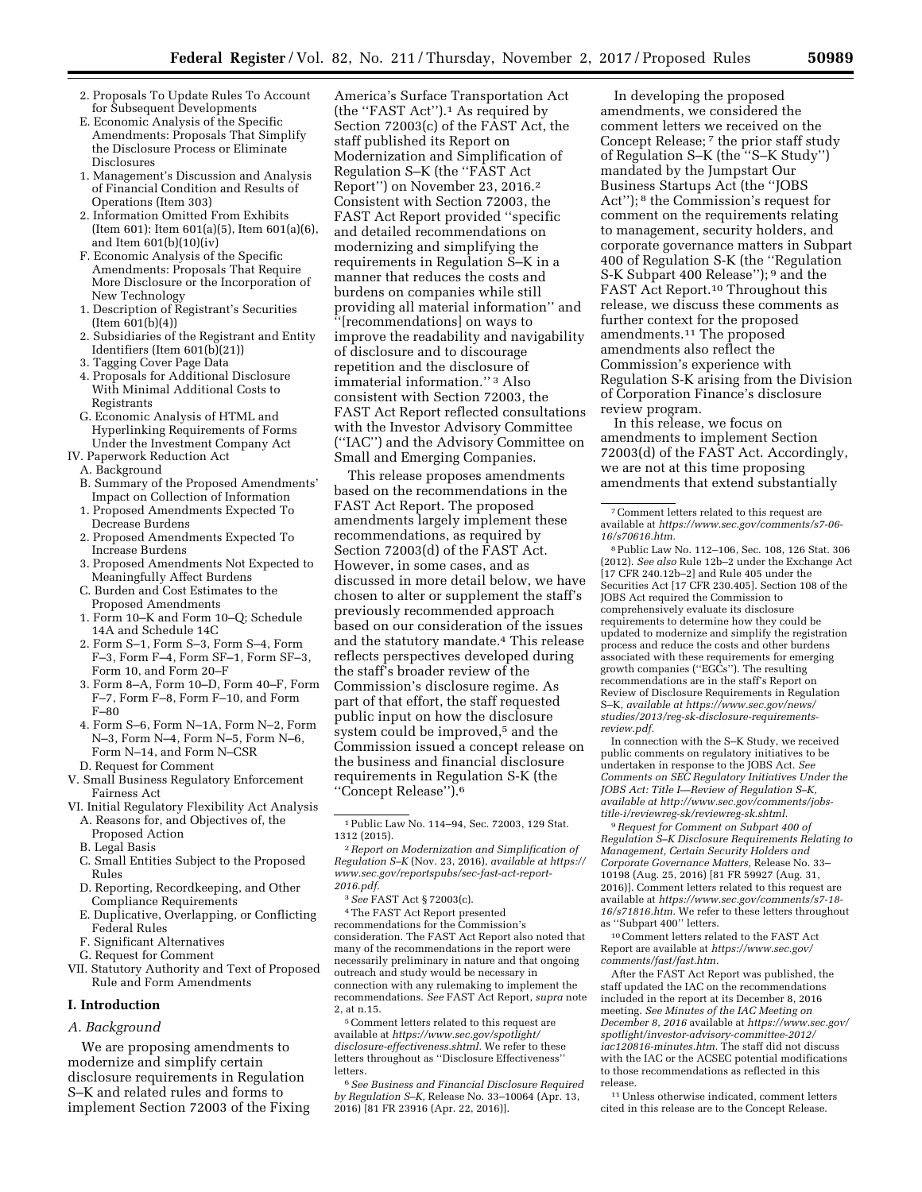- 2. Proposals To Update Rules To Account for Subsequent Developments
- E. Economic Analysis of the Specific Amendments: Proposals That Simplify the Disclosure Process or Eliminate Disclosures
- 1. Management's Discussion and Analysis of Financial Condition and Results of Operations (Item 303)
- 2. Information Omitted From Exhibits (Item 601): Item 601(a)(5), Item 601(a)(6), and Item 601(b)(10)(iv)
- F. Economic Analysis of the Specific Amendments: Proposals That Require More Disclosure or the Incorporation of New Technology
- 1. Description of Registrant's Securities (Item 601(b)(4))
- 2. Subsidiaries of the Registrant and Entity Identifiers (Item 601(b)(21))
- 3. Tagging Cover Page Data
- 4. Proposals for Additional Disclosure With Minimal Additional Costs to Registrants
- G. Economic Analysis of HTML and Hyperlinking Requirements of Forms Under the Investment Company Act
- IV. Paperwork Reduction Act
	- A. Background
	- B. Summary of the Proposed Amendments' Impact on Collection of Information
	- 1. Proposed Amendments Expected To Decrease Burdens
	- 2. Proposed Amendments Expected To Increase Burdens
	- 3. Proposed Amendments Not Expected to Meaningfully Affect Burdens
	- C. Burden and Cost Estimates to the Proposed Amendments
	- 1. Form 10–K and Form 10–Q; Schedule 14A and Schedule 14C
	- 2. Form S–1, Form S–3, Form S–4, Form F–3, Form F–4, Form SF–1, Form SF–3, Form 10, and Form 20–F
	- 3. Form 8–A, Form 10–D, Form 40–F, Form F–7, Form F–8, Form F–10, and Form F–80
	- 4. Form S–6, Form N–1A, Form N–2, Form N–3, Form N–4, Form N–5, Form N–6, Form N–14, and Form N–CSR
	- D. Request for Comment
- V. Small Business Regulatory Enforcement Fairness Act
- VI. Initial Regulatory Flexibility Act Analysis A. Reasons for, and Objectives of, the
	- Proposed Action
	- B. Legal Basis
	- C. Small Entities Subject to the Proposed Rules
	- D. Reporting, Recordkeeping, and Other Compliance Requirements
	- E. Duplicative, Overlapping, or Conflicting Federal Rules
	- F. Significant Alternatives
	- G. Request for Comment
- VII. Statutory Authority and Text of Proposed Rule and Form Amendments

### **I. Introduction**

*A. Background* 

We are proposing amendments to modernize and simplify certain disclosure requirements in Regulation S–K and related rules and forms to implement Section 72003 of the Fixing

America's Surface Transportation Act (the ''FAST Act'').1 As required by Section 72003(c) of the FAST Act, the staff published its Report on Modernization and Simplification of Regulation S–K (the ''FAST Act Report'') on November 23, 2016.2 Consistent with Section 72003, the FAST Act Report provided ''specific and detailed recommendations on modernizing and simplifying the requirements in Regulation S–K in a manner that reduces the costs and burdens on companies while still providing all material information'' and ''[recommendations] on ways to improve the readability and navigability of disclosure and to discourage repetition and the disclosure of immaterial information.'' 3 Also consistent with Section 72003, the FAST Act Report reflected consultations with the Investor Advisory Committee (''IAC'') and the Advisory Committee on Small and Emerging Companies.

This release proposes amendments based on the recommendations in the FAST Act Report. The proposed amendments largely implement these recommendations, as required by Section 72003(d) of the FAST Act. However, in some cases, and as discussed in more detail below, we have chosen to alter or supplement the staff's previously recommended approach based on our consideration of the issues and the statutory mandate.4 This release reflects perspectives developed during the staff's broader review of the Commission's disclosure regime. As part of that effort, the staff requested public input on how the disclosure system could be improved,<sup>5</sup> and the Commission issued a concept release on the business and financial disclosure requirements in Regulation S-K (the ''Concept Release'').6

4The FAST Act Report presented recommendations for the Commission's consideration. The FAST Act Report also noted that many of the recommendations in the report were necessarily preliminary in nature and that ongoing outreach and study would be necessary in connection with any rulemaking to implement the recommendations. *See* FAST Act Report, *supra* note 2, at n.15.

5Comment letters related to this request are available at *[https://www.sec.gov/spotlight/](https://www.sec.gov/spotlight/disclosure-effectiveness.shtml)  [disclosure-effectiveness.shtml.](https://www.sec.gov/spotlight/disclosure-effectiveness.shtml)* We refer to these letters throughout as ''Disclosure Effectiveness'' **letters** 

6*See Business and Financial Disclosure Required by Regulation S–K,* Release No. 33–10064 (Apr. 13, 2016) [81 FR 23916 (Apr. 22, 2016)].

In developing the proposed amendments, we considered the comment letters we received on the Concept Release; 7 the prior staff study of Regulation S–K (the ''S–K Study'') mandated by the Jumpstart Our Business Startups Act (the ''JOBS Act''); 8 the Commission's request for comment on the requirements relating to management, security holders, and corporate governance matters in Subpart 400 of Regulation S-K (the ''Regulation S-K Subpart 400 Release''); 9 and the FAST Act Report.10 Throughout this release, we discuss these comments as further context for the proposed amendments.11 The proposed amendments also reflect the Commission's experience with Regulation S-K arising from the Division of Corporation Finance's disclosure review program.

In this release, we focus on amendments to implement Section 72003(d) of the FAST Act. Accordingly, we are not at this time proposing amendments that extend substantially

8Public Law No. 112–106, Sec. 108, 126 Stat. 306 (2012). *See also* Rule 12b–2 under the Exchange Act [17 CFR 240.12b–2] and Rule 405 under the Securities Act [17 CFR 230.405]. Section 108 of the JOBS Act required the Commission to comprehensively evaluate its disclosure requirements to determine how they could be updated to modernize and simplify the registration process and reduce the costs and other burdens associated with these requirements for emerging growth companies (''EGCs''). The resulting recommendations are in the staff's Report on Review of Disclosure Requirements in Regulation S–K, *available at [https://www.sec.gov/news/](https://www.sec.gov/news/studies/2013/reg-sk-disclosure-requirements-review.pdf)  [studies/2013/reg-sk-disclosure-requirements](https://www.sec.gov/news/studies/2013/reg-sk-disclosure-requirements-review.pdf)[review.pdf.](https://www.sec.gov/news/studies/2013/reg-sk-disclosure-requirements-review.pdf)* 

In connection with the S–K Study, we received public comments on regulatory initiatives to be undertaken in response to the JOBS Act. *See Comments on SEC Regulatory Initiatives Under the JOBS Act: Title I—Review of Regulation S–K, available at [http://www.sec.gov/comments/jobs](http://www.sec.gov/comments/jobs-title-i/reviewreg-sk/reviewreg-sk.shtml)[title-i/reviewreg-sk/reviewreg-sk.shtml.](http://www.sec.gov/comments/jobs-title-i/reviewreg-sk/reviewreg-sk.shtml)* 

9*Request for Comment on Subpart 400 of Regulation S–K Disclosure Requirements Relating to Management, Certain Security Holders and Corporate Governance Matters,* Release No. 33– 10198 (Aug. 25, 2016) [81 FR 59927 (Aug. 31, 2016)]. Comment letters related to this request are available at *[https://www.sec.gov/comments/s7-18-](https://www.sec.gov/comments/s7-18-16/s71816.htm) [16/s71816.htm.](https://www.sec.gov/comments/s7-18-16/s71816.htm)* We refer to these letters throughout as ''Subpart 400'' letters.

10Comment letters related to the FAST Act Report are available at *[https://www.sec.gov/](https://www.sec.gov/comments/fast/fast.htm)  [comments/fast/fast.htm.](https://www.sec.gov/comments/fast/fast.htm)* 

After the FAST Act Report was published, the staff updated the IAC on the recommendations included in the report at its December 8, 2016 meeting. *See Minutes of the IAC Meeting on December 8, 2016* available at *[https://www.sec.gov/](https://www.sec.gov/spotlight/investor-advisory-committee-2012/iac120816-minutes.htm)  [spotlight/investor-advisory-committee-2012/](https://www.sec.gov/spotlight/investor-advisory-committee-2012/iac120816-minutes.htm)  [iac120816-minutes.htm.](https://www.sec.gov/spotlight/investor-advisory-committee-2012/iac120816-minutes.htm)* The staff did not discuss with the IAC or the ACSEC potential modifications to those recommendations as reflected in this release.

11Unless otherwise indicated, comment letters cited in this release are to the Concept Release.

<sup>1</sup>Public Law No. 114–94, Sec. 72003, 129 Stat. 1312 (2015).

<sup>2</sup>*Report on Modernization and Simplification of Regulation S–K* (Nov. 23, 2016), *available at [https://](https://www.sec.gov/reportspubs/sec-fast-act-report-2016.pdf) [www.sec.gov/reportspubs/sec-fast-act-report-](https://www.sec.gov/reportspubs/sec-fast-act-report-2016.pdf)[2016.pdf.](https://www.sec.gov/reportspubs/sec-fast-act-report-2016.pdf)* 

<sup>3</sup>*See* FAST Act § 72003(c).

<sup>7</sup>Comment letters related to this request are available at *[https://www.sec.gov/comments/s7-06-](https://www.sec.gov/comments/s7-06-16/s70616.htm) [16/s70616.htm.](https://www.sec.gov/comments/s7-06-16/s70616.htm)*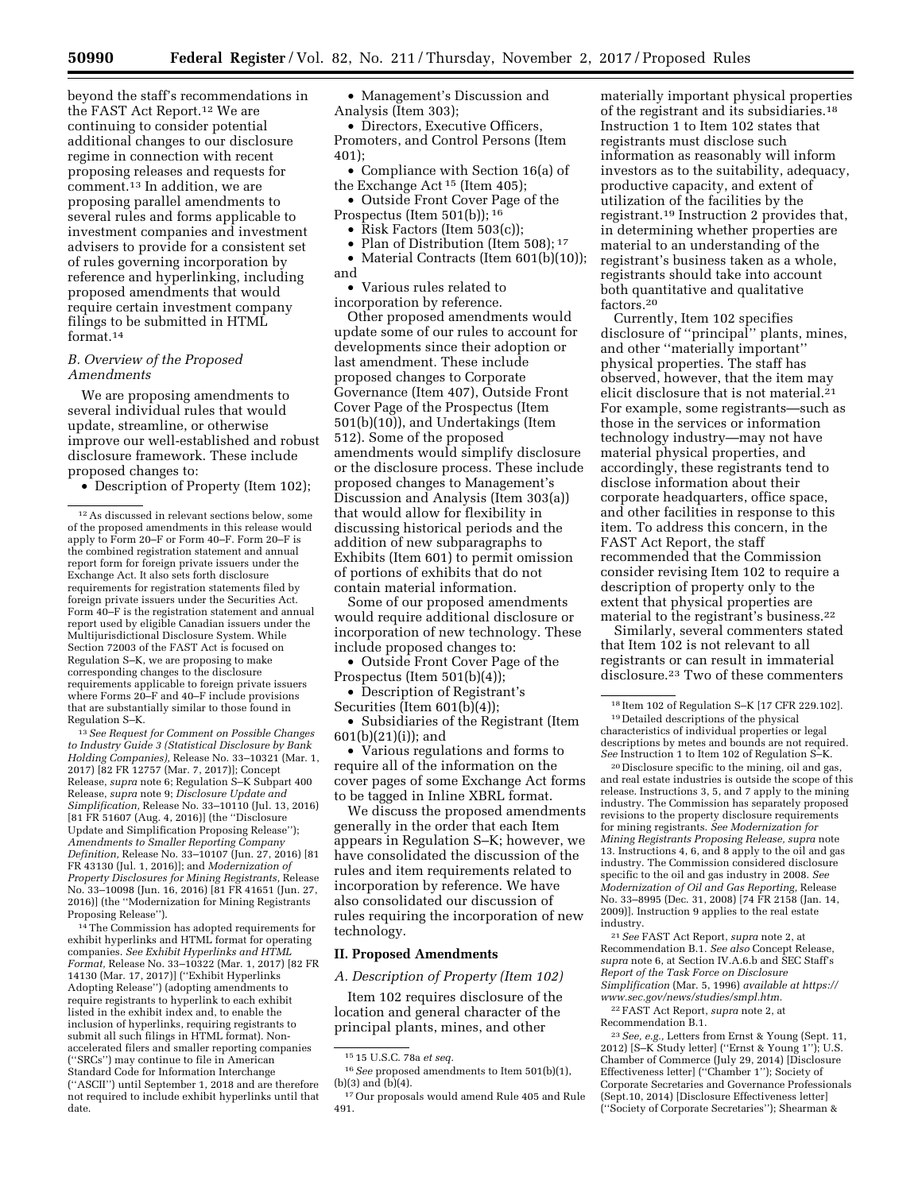beyond the staff's recommendations in the FAST Act Report.12 We are continuing to consider potential additional changes to our disclosure regime in connection with recent proposing releases and requests for comment.13 In addition, we are proposing parallel amendments to several rules and forms applicable to investment companies and investment advisers to provide for a consistent set of rules governing incorporation by reference and hyperlinking, including proposed amendments that would require certain investment company filings to be submitted in HTML format.14

#### *B. Overview of the Proposed Amendments*

We are proposing amendments to several individual rules that would update, streamline, or otherwise improve our well-established and robust disclosure framework. These include proposed changes to:

• Description of Property (Item 102);

13*See Request for Comment on Possible Changes to Industry Guide 3 (Statistical Disclosure by Bank Holding Companies),* Release No. 33–10321 (Mar. 1, 2017) [82 FR 12757 (Mar. 7, 2017)]; Concept Release, *supra* note 6; Regulation S–K Subpart 400 Release, *supra* note 9; *Disclosure Update and Simplification,* Release No. 33–10110 (Jul. 13, 2016) [81 FR 51607 (Aug. 4, 2016)] (the ''Disclosure Update and Simplification Proposing Release''); *Amendments to Smaller Reporting Company Definition,* Release No. 33–10107 (Jun. 27, 2016) [81 FR 43130 (Jul. 1, 2016)]; and *Modernization of Property Disclosures for Mining Registrants,* Release No. 33–10098 (Jun. 16, 2016) [81 FR 41651 (Jun. 27, 2016)] (the ''Modernization for Mining Registrants Proposing Release'').

14The Commission has adopted requirements for exhibit hyperlinks and HTML format for operating companies. *See Exhibit Hyperlinks and HTML Format,* Release No. 33–10322 (Mar. 1, 2017) [82 FR 14130 (Mar. 17, 2017)] (''Exhibit Hyperlinks Adopting Release'') (adopting amendments to require registrants to hyperlink to each exhibit listed in the exhibit index and, to enable the inclusion of hyperlinks, requiring registrants to submit all such filings in HTML format). Nonaccelerated filers and smaller reporting companies (''SRCs'') may continue to file in American Standard Code for Information Interchange (''ASCII'') until September 1, 2018 and are therefore not required to include exhibit hyperlinks until that date.

• Management's Discussion and Analysis (Item 303);

• Directors, Executive Officers, Promoters, and Control Persons (Item 401);

• Compliance with Section 16(a) of the Exchange Act 15 (Item 405);

• Outside Front Cover Page of the Prospectus (Item 501(b)); 16

• Risk Factors (Item 503(c));

• Plan of Distribution (Item 508); <sup>17</sup>

• Material Contracts (Item 601(b)(10)); and

• Various rules related to incorporation by reference.

Other proposed amendments would update some of our rules to account for developments since their adoption or last amendment. These include proposed changes to Corporate Governance (Item 407), Outside Front Cover Page of the Prospectus (Item 501(b)(10)), and Undertakings (Item 512). Some of the proposed amendments would simplify disclosure or the disclosure process. These include proposed changes to Management's Discussion and Analysis (Item 303(a)) that would allow for flexibility in discussing historical periods and the addition of new subparagraphs to Exhibits (Item 601) to permit omission of portions of exhibits that do not contain material information.

Some of our proposed amendments would require additional disclosure or incorporation of new technology. These include proposed changes to:

• Outside Front Cover Page of the Prospectus (Item 501(b)(4));

• Description of Registrant's Securities (Item 601(b)(4));

• Subsidiaries of the Registrant (Item 601(b)(21)(i)); and

• Various regulations and forms to require all of the information on the cover pages of some Exchange Act forms to be tagged in Inline XBRL format.

We discuss the proposed amendments generally in the order that each Item appears in Regulation S–K; however, we have consolidated the discussion of the rules and item requirements related to incorporation by reference. We have also consolidated our discussion of rules requiring the incorporation of new technology.

# **II. Proposed Amendments**

#### *A. Description of Property (Item 102)*

Item 102 requires disclosure of the location and general character of the principal plants, mines, and other

materially important physical properties of the registrant and its subsidiaries.18 Instruction 1 to Item 102 states that registrants must disclose such information as reasonably will inform investors as to the suitability, adequacy, productive capacity, and extent of utilization of the facilities by the registrant.19 Instruction 2 provides that, in determining whether properties are material to an understanding of the registrant's business taken as a whole, registrants should take into account both quantitative and qualitative factors.20

Currently, Item 102 specifies disclosure of ''principal'' plants, mines, and other ''materially important'' physical properties. The staff has observed, however, that the item may elicit disclosure that is not material.21 For example, some registrants—such as those in the services or information technology industry—may not have material physical properties, and accordingly, these registrants tend to disclose information about their corporate headquarters, office space, and other facilities in response to this item. To address this concern, in the FAST Act Report, the staff recommended that the Commission consider revising Item 102 to require a description of property only to the extent that physical properties are material to the registrant's business.22

Similarly, several commenters stated that Item 102 is not relevant to all registrants or can result in immaterial disclosure.23 Two of these commenters

19 Detailed descriptions of the physical characteristics of individual properties or legal descriptions by metes and bounds are not required. *See* Instruction 1 to Item 102 of Regulation S–K.

20 Disclosure specific to the mining, oil and gas, and real estate industries is outside the scope of this release. Instructions 3, 5, and 7 apply to the mining industry. The Commission has separately proposed revisions to the property disclosure requirements for mining registrants. *See Modernization for Mining Registrants Proposing Release, supra* note 13. Instructions 4, 6, and 8 apply to the oil and gas industry. The Commission considered disclosure specific to the oil and gas industry in 2008. *See Modernization of Oil and Gas Reporting,* Release No. 33–8995 (Dec. 31, 2008) [74 FR 2158 (Jan. 14, 2009)]. Instruction 9 applies to the real estate industry.

21*See* FAST Act Report, *supra* note 2, at Recommendation B.1. *See also* Concept Release, *supra* note 6, at Section IV.A.6.b and SEC Staff's *Report of the Task Force on Disclosure Simplification* (Mar. 5, 1996) *available at [https://](https://www.sec.gov/news/studies/smpl.htm)*

*[www.sec.gov/news/studies/smpl.htm.](https://www.sec.gov/news/studies/smpl.htm)*  22FAST Act Report, *supra* note 2, at

23*See, e.g.,* Letters from Ernst & Young (Sept. 11, 2012) [S–K Study letter] (''Ernst & Young 1''); U.S. Chamber of Commerce (July 29, 2014) [Disclosure Effectiveness letter] (''Chamber 1''); Society of Corporate Secretaries and Governance Professionals (Sept.10, 2014) [Disclosure Effectiveness letter] (''Society of Corporate Secretaries''); Shearman &

<sup>12</sup>As discussed in relevant sections below, some of the proposed amendments in this release would apply to Form 20–F or Form 40–F. Form 20–F is the combined registration statement and annual report form for foreign private issuers under the Exchange Act. It also sets forth disclosure requirements for registration statements filed by foreign private issuers under the Securities Act. Form 40–F is the registration statement and annual report used by eligible Canadian issuers under the Multijurisdictional Disclosure System. While Section 72003 of the FAST Act is focused on Regulation S–K, we are proposing to make corresponding changes to the disclosure requirements applicable to foreign private issuers where Forms 20–F and 40–F include provisions that are substantially similar to those found in Regulation S–K.

<sup>15</sup> 15 U.S.C. 78a *et seq.* 

<sup>16</sup>*See* proposed amendments to Item 501(b)(1), (b)(3) and  $(b)(4)$ .

<sup>17</sup>Our proposals would amend Rule 405 and Rule 491.

<sup>18</sup> Item 102 of Regulation S–K [17 CFR 229.102].

Recommendation B.1.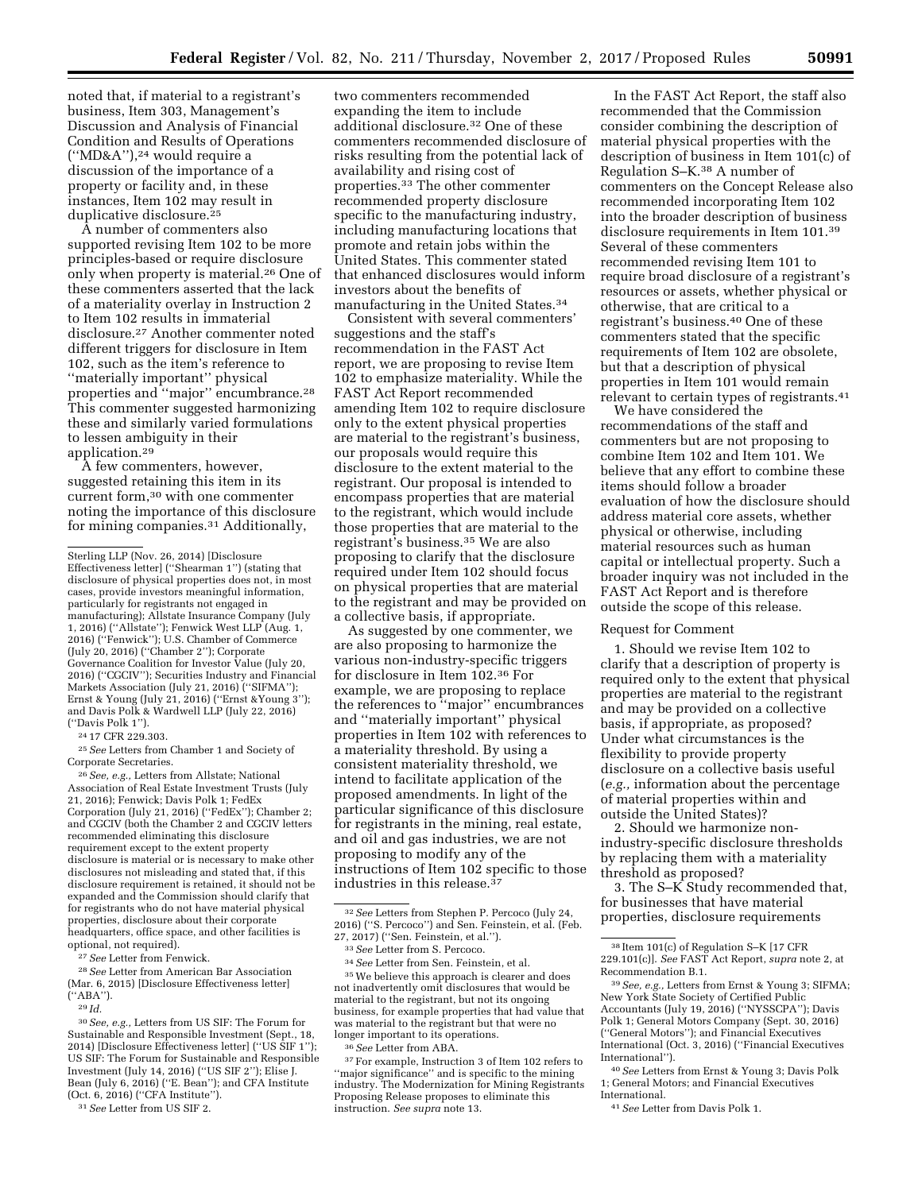noted that, if material to a registrant's business, Item 303, Management's Discussion and Analysis of Financial Condition and Results of Operations (''MD&A''),24 would require a discussion of the importance of a property or facility and, in these instances, Item 102 may result in duplicative disclosure.<sup>25</sup>

A number of commenters also supported revising Item 102 to be more principles-based or require disclosure only when property is material.26 One of these commenters asserted that the lack of a materiality overlay in Instruction 2 to Item 102 results in immaterial disclosure.27 Another commenter noted different triggers for disclosure in Item 102, such as the item's reference to ''materially important'' physical properties and ''major'' encumbrance.28 This commenter suggested harmonizing these and similarly varied formulations to lessen ambiguity in their application.29

A few commenters, however, suggested retaining this item in its current form,30 with one commenter noting the importance of this disclosure for mining companies.31 Additionally,

24 17 CFR 229.303.

25*See* Letters from Chamber 1 and Society of Corporate Secretaries.

26*See, e.g.,* Letters from Allstate; National Association of Real Estate Investment Trusts (July 21, 2016); Fenwick; Davis Polk 1; FedEx Corporation (July 21, 2016) (''FedEx''); Chamber 2; and CGCIV (both the Chamber 2 and CGCIV letters recommended eliminating this disclosure requirement except to the extent property disclosure is material or is necessary to make other disclosures not misleading and stated that, if this disclosure requirement is retained, it should not be expanded and the Commission should clarify that for registrants who do not have material physical properties, disclosure about their corporate headquarters, office space, and other facilities is optional, not required).

27*See* Letter from Fenwick.

28*See* Letter from American Bar Association (Mar. 6, 2015) [Disclosure Effectiveness letter] (''ABA'').

29 *Id.* 

30*See, e.g.,* Letters from US SIF: The Forum for Sustainable and Responsible Investment (Sept., 18, 2014) [Disclosure Effectiveness letter] (''US SIF 1''); US SIF: The Forum for Sustainable and Responsible Investment (July 14, 2016) (''US SIF 2''); Elise J. Bean (July 6, 2016) (''E. Bean''); and CFA Institute (Oct. 6, 2016) (''CFA Institute'').

two commenters recommended expanding the item to include additional disclosure.32 One of these commenters recommended disclosure of risks resulting from the potential lack of availability and rising cost of properties.33 The other commenter recommended property disclosure specific to the manufacturing industry, including manufacturing locations that promote and retain jobs within the United States. This commenter stated that enhanced disclosures would inform investors about the benefits of manufacturing in the United States.34

Consistent with several commenters' suggestions and the staff's recommendation in the FAST Act report, we are proposing to revise Item 102 to emphasize materiality. While the FAST Act Report recommended amending Item 102 to require disclosure only to the extent physical properties are material to the registrant's business, our proposals would require this disclosure to the extent material to the registrant. Our proposal is intended to encompass properties that are material to the registrant, which would include those properties that are material to the registrant's business.35 We are also proposing to clarify that the disclosure required under Item 102 should focus on physical properties that are material to the registrant and may be provided on a collective basis, if appropriate.

As suggested by one commenter, we are also proposing to harmonize the various non-industry-specific triggers for disclosure in Item 102.36 For example, we are proposing to replace the references to ''major'' encumbrances and ''materially important'' physical properties in Item 102 with references to a materiality threshold. By using a consistent materiality threshold, we intend to facilitate application of the proposed amendments. In light of the particular significance of this disclosure for registrants in the mining, real estate, and oil and gas industries, we are not proposing to modify any of the instructions of Item 102 specific to those industries in this release.37

<sup>34</sup> See Letter from S. Percoco.<br><sup>34</sup> See Letter from Sen. Feinstein, et al.<br><sup>35</sup> We believe this approach is clearer and does not inadvertently omit disclosures that would be material to the registrant, but not its ongoing business, for example properties that had value that was material to the registrant but that were no<br>longer important to its operations.

<sup>36</sup> See Letter from ABA. <sup>37</sup> For example, Instruction 3 of Item 102 refers to ''major significance'' and is specific to the mining industry. The Modernization for Mining Registrants Proposing Release proposes to eliminate this instruction. *See supra* note 13.

In the FAST Act Report, the staff also recommended that the Commission consider combining the description of material physical properties with the description of business in Item 101(c) of Regulation S–K.38 A number of commenters on the Concept Release also recommended incorporating Item 102 into the broader description of business disclosure requirements in Item 101.39 Several of these commenters recommended revising Item 101 to require broad disclosure of a registrant's resources or assets, whether physical or otherwise, that are critical to a registrant's business.40 One of these commenters stated that the specific requirements of Item 102 are obsolete, but that a description of physical properties in Item 101 would remain relevant to certain types of registrants.41

We have considered the recommendations of the staff and commenters but are not proposing to combine Item 102 and Item 101. We believe that any effort to combine these items should follow a broader evaluation of how the disclosure should address material core assets, whether physical or otherwise, including material resources such as human capital or intellectual property. Such a broader inquiry was not included in the FAST Act Report and is therefore outside the scope of this release.

### Request for Comment

1. Should we revise Item 102 to clarify that a description of property is required only to the extent that physical properties are material to the registrant and may be provided on a collective basis, if appropriate, as proposed? Under what circumstances is the flexibility to provide property disclosure on a collective basis useful (*e.g.,* information about the percentage of material properties within and outside the United States)?

2. Should we harmonize nonindustry-specific disclosure thresholds by replacing them with a materiality threshold as proposed?

3. The S–K Study recommended that, for businesses that have material properties, disclosure requirements

40*See* Letters from Ernst & Young 3; Davis Polk 1; General Motors; and Financial Executives International.

41*See* Letter from Davis Polk 1.

Sterling LLP (Nov. 26, 2014) [Disclosure Effectiveness letter] (''Shearman 1'') (stating that disclosure of physical properties does not, in most cases, provide investors meaningful information, particularly for registrants not engaged in manufacturing); Allstate Insurance Company (July 1, 2016) (''Allstate''); Fenwick West LLP (Aug. 1, 2016) (''Fenwick''); U.S. Chamber of Commerce (July 20, 2016) (''Chamber 2''); Corporate Governance Coalition for Investor Value (July 20, 2016) (''CGCIV''); Securities Industry and Financial Markets Association (July 21, 2016) (''SIFMA''); Ernst & Young (July 21, 2016) (''Ernst &Young 3''); and Davis Polk & Wardwell LLP (July 22, 2016) (''Davis Polk 1'').

<sup>31</sup>*See* Letter from US SIF 2.

<sup>32</sup>*See* Letters from Stephen P. Percoco (July 24, 2016) ("S. Percoco") and Sen. Feinstein, et al. (Feb.<br>27, 2017) ("Sen. Feinstein, et al.").

<sup>38</sup> Item 101(c) of Regulation S–K [17 CFR 229.101(c)]. *See* FAST Act Report, *supra* note 2, at Recommendation B.1.

<sup>39</sup>*See, e.g.,* Letters from Ernst & Young 3; SIFMA; New York State Society of Certified Public Accountants (July 19, 2016) (''NYSSCPA''); Davis Polk 1; General Motors Company (Sept. 30, 2016) (''General Motors''); and Financial Executives International (Oct. 3, 2016) (''Financial Executives International'').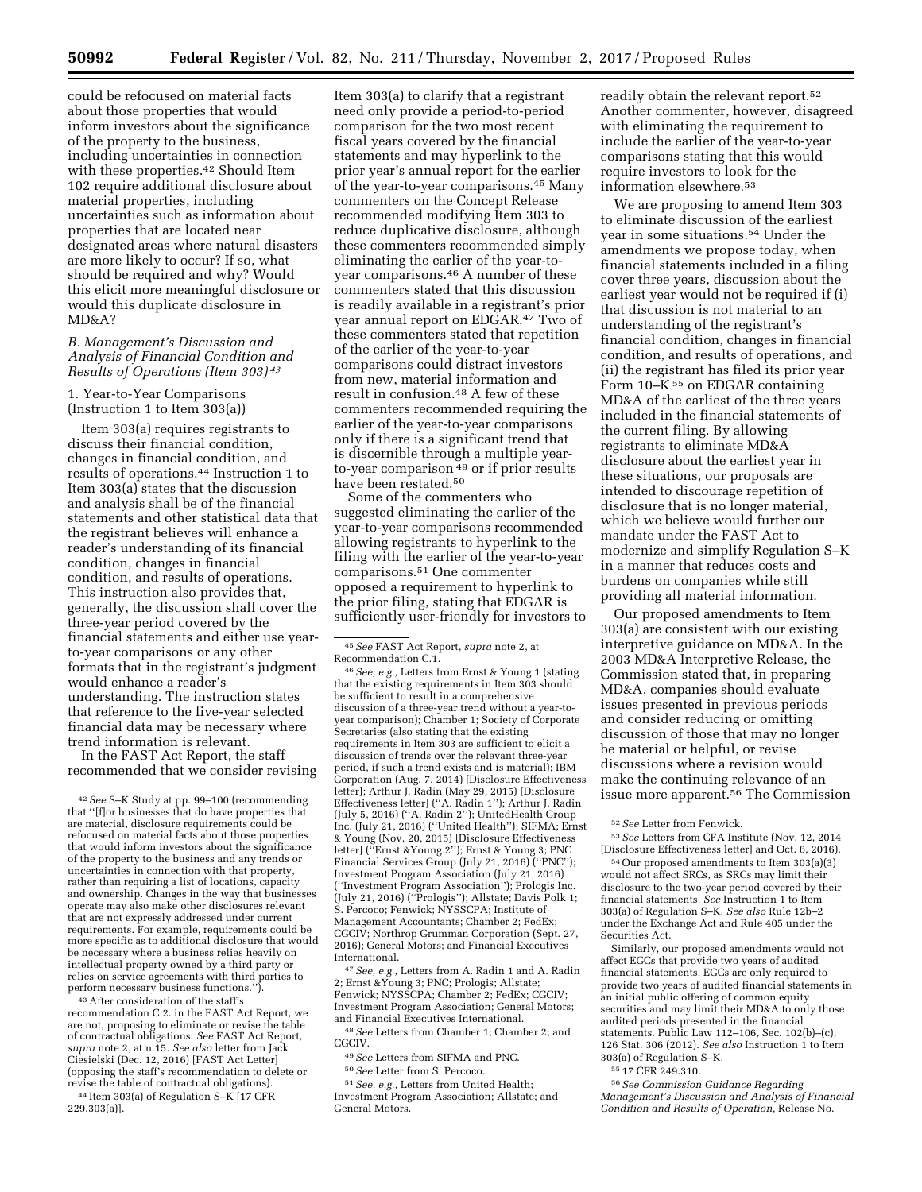could be refocused on material facts about those properties that would inform investors about the significance of the property to the business, including uncertainties in connection with these properties.<sup>42</sup> Should Item 102 require additional disclosure about material properties, including uncertainties such as information about properties that are located near designated areas where natural disasters are more likely to occur? If so, what should be required and why? Would this elicit more meaningful disclosure or would this duplicate disclosure in MD&A?

#### *B. Management's Discussion and Analysis of Financial Condition and Results of Operations (Item 303) 43*

## 1. Year-to-Year Comparisons (Instruction 1 to Item 303(a))

Item 303(a) requires registrants to discuss their financial condition, changes in financial condition, and results of operations.44 Instruction 1 to Item 303(a) states that the discussion and analysis shall be of the financial statements and other statistical data that the registrant believes will enhance a reader's understanding of its financial condition, changes in financial condition, and results of operations. This instruction also provides that, generally, the discussion shall cover the three-year period covered by the financial statements and either use yearto-year comparisons or any other formats that in the registrant's judgment would enhance a reader's understanding. The instruction states that reference to the five-year selected financial data may be necessary where trend information is relevant.

In the FAST Act Report, the staff recommended that we consider revising

43After consideration of the staff's recommendation C.2. in the FAST Act Report, we are not, proposing to eliminate or revise the table of contractual obligations. *See* FAST Act Report, *supra* note 2, at n.15. *See also* letter from Jack Ciesielski (Dec. 12, 2016) [FAST Act Letter] (opposing the staff's recommendation to delete or<br>revise the table of contractual obligations).

 $44$  Item 303(a) of Regulation S–K [17 CFR 229.303(a)].

Item 303(a) to clarify that a registrant need only provide a period-to-period comparison for the two most recent fiscal years covered by the financial statements and may hyperlink to the prior year's annual report for the earlier of the year-to-year comparisons.45 Many commenters on the Concept Release recommended modifying Item 303 to reduce duplicative disclosure, although these commenters recommended simply eliminating the earlier of the year-toyear comparisons.46 A number of these commenters stated that this discussion is readily available in a registrant's prior year annual report on EDGAR.47 Two of these commenters stated that repetition of the earlier of the year-to-year comparisons could distract investors from new, material information and result in confusion.48 A few of these commenters recommended requiring the earlier of the year-to-year comparisons only if there is a significant trend that is discernible through a multiple yearto-year comparison 49 or if prior results have been restated.50

Some of the commenters who suggested eliminating the earlier of the year-to-year comparisons recommended allowing registrants to hyperlink to the filing with the earlier of the year-to-year comparisons.51 One commenter opposed a requirement to hyperlink to the prior filing, stating that EDGAR is sufficiently user-friendly for investors to

46*See, e.g.,* Letters from Ernst & Young 1 (stating that the existing requirements in Item 303 should be sufficient to result in a comprehensive discussion of a three-year trend without a year-toyear comparison); Chamber 1; Society of Corporate Secretaries (also stating that the existing requirements in Item 303 are sufficient to elicit a discussion of trends over the relevant three-year period, if such a trend exists and is material); IBM Corporation (Aug. 7, 2014) [Disclosure Effectiveness letter]; Arthur J. Radin (May 29, 2015) [Disclosure Effectiveness letter] (''A. Radin 1''); Arthur J. Radin (July 5, 2016) (''A. Radin 2''); UnitedHealth Group Inc. (July 21, 2016) (''United Health''); SIFMA; Ernst & Young (Nov. 20, 2015) [Disclosure Effectiveness letter] (''Ernst &Young 2''); Ernst & Young 3; PNC Financial Services Group (July 21, 2016) ("PNC"); Investment Program Association (July 21, 2016) (''Investment Program Association''); Prologis Inc. (July 21, 2016) (''Prologis''); Allstate; Davis Polk 1; S. Percoco; Fenwick; NYSSCPA; Institute of Management Accountants; Chamber 2; FedEx; CGCIV; Northrop Grumman Corporation (Sept. 27, 2016); General Motors; and Financial Executives International.

47*See, e.g.,* Letters from A. Radin 1 and A. Radin 2; Ernst &Young 3; PNC; Prologis; Allstate; Fenwick; NYSSCPA; Chamber 2; FedEx; CGCIV; Investment Program Association; General Motors; and Financial Executives International.

48*See* Letters from Chamber 1; Chamber 2; and CGCIV.

49*See* Letters from SIFMA and PNC.

50*See* Letter from S. Percoco.

51*See, e.g.,* Letters from United Health; Investment Program Association; Allstate; and General Motors.

readily obtain the relevant report.52 Another commenter, however, disagreed with eliminating the requirement to include the earlier of the year-to-year comparisons stating that this would require investors to look for the information elsewhere.53

We are proposing to amend Item 303 to eliminate discussion of the earliest year in some situations.54 Under the amendments we propose today, when financial statements included in a filing cover three years, discussion about the earliest year would not be required if (i) that discussion is not material to an understanding of the registrant's financial condition, changes in financial condition, and results of operations, and (ii) the registrant has filed its prior year Form 10–K 55 on EDGAR containing MD&A of the earliest of the three years included in the financial statements of the current filing. By allowing registrants to eliminate MD&A disclosure about the earliest year in these situations, our proposals are intended to discourage repetition of disclosure that is no longer material, which we believe would further our mandate under the FAST Act to modernize and simplify Regulation S–K in a manner that reduces costs and burdens on companies while still providing all material information.

Our proposed amendments to Item 303(a) are consistent with our existing interpretive guidance on MD&A. In the 2003 MD&A Interpretive Release, the Commission stated that, in preparing MD&A, companies should evaluate issues presented in previous periods and consider reducing or omitting discussion of those that may no longer be material or helpful, or revise discussions where a revision would make the continuing relevance of an issue more apparent.56 The Commission

53*See* Letters from CFA Institute (Nov. 12, 2014 [Disclosure Effectiveness letter] and Oct. 6, 2016).

54Our proposed amendments to Item 303(a)(3) would not affect SRCs, as SRCs may limit their disclosure to the two-year period covered by their financial statements. *See* Instruction 1 to Item 303(a) of Regulation S–K. *See also* Rule 12b–2 under the Exchange Act and Rule 405 under the Securities Act.

Similarly, our proposed amendments would not affect EGCs that provide two years of audited financial statements. EGCs are only required to provide two years of audited financial statements in an initial public offering of common equity securities and may limit their MD&A to only those audited periods presented in the financial statements. Public Law 112–106, Sec. 102(b)–(c), 126 Stat. 306 (2012). *See also* Instruction 1 to Item 303(a) of Regulation S–K.

55 17 CFR 249.310.

56*See Commission Guidance Regarding Management's Discussion and Analysis of Financial Condition and Results of Operation,* Release No.

<sup>42</sup>*See* S–K Study at pp. 99–100 (recommending that ''[f]or businesses that do have properties that are material, disclosure requirements could be refocused on material facts about those properties that would inform investors about the significance of the property to the business and any trends or uncertainties in connection with that property, rather than requiring a list of locations, capacity and ownership. Changes in the way that businesses operate may also make other disclosures relevant that are not expressly addressed under current requirements. For example, requirements could be more specific as to additional disclosure that would be necessary where a business relies heavily on intellectual property owned by a third party or relies on service agreements with third perform necessary business functions.'').

<sup>45</sup>*See* FAST Act Report, *supra* note 2, at Recommendation C.1.

<sup>52</sup>*See* Letter from Fenwick.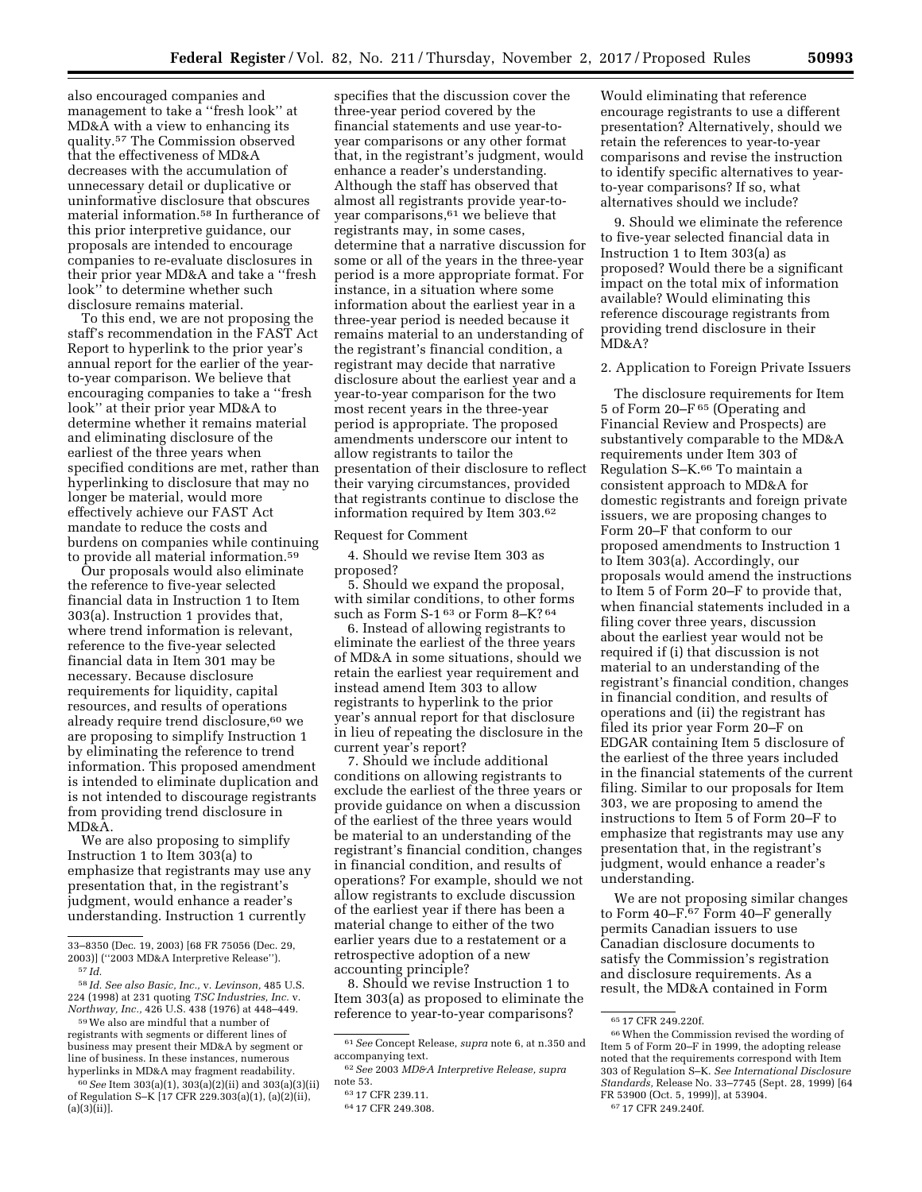also encouraged companies and management to take a ''fresh look'' at MD&A with a view to enhancing its quality.57 The Commission observed that the effectiveness of MD&A decreases with the accumulation of unnecessary detail or duplicative or uninformative disclosure that obscures material information.58 In furtherance of this prior interpretive guidance, our proposals are intended to encourage companies to re-evaluate disclosures in their prior year MD&A and take a ''fresh look'' to determine whether such disclosure remains material.

To this end, we are not proposing the staff's recommendation in the FAST Act Report to hyperlink to the prior year's annual report for the earlier of the yearto-year comparison. We believe that encouraging companies to take a ''fresh look'' at their prior year MD&A to determine whether it remains material and eliminating disclosure of the earliest of the three years when specified conditions are met, rather than hyperlinking to disclosure that may no longer be material, would more effectively achieve our FAST Act mandate to reduce the costs and burdens on companies while continuing to provide all material information.59

Our proposals would also eliminate the reference to five-year selected financial data in Instruction 1 to Item 303(a). Instruction 1 provides that, where trend information is relevant, reference to the five-year selected financial data in Item 301 may be necessary. Because disclosure requirements for liquidity, capital resources, and results of operations already require trend disclosure,60 we are proposing to simplify Instruction 1 by eliminating the reference to trend information. This proposed amendment is intended to eliminate duplication and is not intended to discourage registrants from providing trend disclosure in MD&A.

We are also proposing to simplify Instruction 1 to Item 303(a) to emphasize that registrants may use any presentation that, in the registrant's judgment, would enhance a reader's understanding. Instruction 1 currently

60*See* Item 303(a)(1), 303(a)(2)(ii) and 303(a)(3)(ii) of Regulation S–K [17 CFR 229.303(a)(1), (a)(2)(ii),  $(a)(3)$  $(i)$ ].

#### Request for Comment

4. Should we revise Item 303 as proposed?

5. Should we expand the proposal, with similar conditions, to other forms such as Form S-1 63 or Form 8–K? 64

6. Instead of allowing registrants to eliminate the earliest of the three years of MD&A in some situations, should we retain the earliest year requirement and instead amend Item 303 to allow registrants to hyperlink to the prior year's annual report for that disclosure in lieu of repeating the disclosure in the current year's report?

7. Should we include additional conditions on allowing registrants to exclude the earliest of the three years or provide guidance on when a discussion of the earliest of the three years would be material to an understanding of the registrant's financial condition, changes in financial condition, and results of operations? For example, should we not allow registrants to exclude discussion of the earliest year if there has been a material change to either of the two earlier years due to a restatement or a retrospective adoption of a new accounting principle?

8. Should we revise Instruction 1 to Item 303(a) as proposed to eliminate the reference to year-to-year comparisons?

Would eliminating that reference encourage registrants to use a different presentation? Alternatively, should we retain the references to year-to-year comparisons and revise the instruction to identify specific alternatives to yearto-year comparisons? If so, what alternatives should we include?

9. Should we eliminate the reference to five-year selected financial data in Instruction 1 to Item 303(a) as proposed? Would there be a significant impact on the total mix of information available? Would eliminating this reference discourage registrants from providing trend disclosure in their MD&A?

#### 2. Application to Foreign Private Issuers

The disclosure requirements for Item 5 of Form 20–F 65 (Operating and Financial Review and Prospects) are substantively comparable to the MD&A requirements under Item 303 of Regulation S–K.66 To maintain a consistent approach to MD&A for domestic registrants and foreign private issuers, we are proposing changes to Form 20–F that conform to our proposed amendments to Instruction 1 to Item 303(a). Accordingly, our proposals would amend the instructions to Item 5 of Form 20–F to provide that, when financial statements included in a filing cover three years, discussion about the earliest year would not be required if (i) that discussion is not material to an understanding of the registrant's financial condition, changes in financial condition, and results of operations and (ii) the registrant has filed its prior year Form 20–F on EDGAR containing Item 5 disclosure of the earliest of the three years included in the financial statements of the current filing. Similar to our proposals for Item 303, we are proposing to amend the instructions to Item 5 of Form 20–F to emphasize that registrants may use any presentation that, in the registrant's judgment, would enhance a reader's understanding.

We are not proposing similar changes to Form 40–F.67 Form 40–F generally permits Canadian issuers to use Canadian disclosure documents to satisfy the Commission's registration and disclosure requirements. As a result, the MD&A contained in Form

<sup>33–8350 (</sup>Dec. 19, 2003) [68 FR 75056 (Dec. 29, 2003)] (''2003 MD&A Interpretive Release''). 57 *Id.* 

<sup>58</sup> *Id. See also Basic, Inc.,* v. *Levinson,* 485 U.S. 224 (1998) at 231 quoting *TSC Industries, Inc.* v. *Northway, Inc.,* 426 U.S. 438 (1976) at 448–449.

<sup>59</sup>We also are mindful that a number of registrants with segments or different lines of business may present their MD&A by segment or line of business. In these instances, numerous hyperlinks in MD&A may fragment readability.

specifies that the discussion cover the three-year period covered by the financial statements and use year-toyear comparisons or any other format that, in the registrant's judgment, would enhance a reader's understanding. Although the staff has observed that almost all registrants provide year-toyear comparisons,61 we believe that registrants may, in some cases, determine that a narrative discussion for some or all of the years in the three-year period is a more appropriate format. For instance, in a situation where some information about the earliest year in a three-year period is needed because it remains material to an understanding of the registrant's financial condition, a registrant may decide that narrative disclosure about the earliest year and a year-to-year comparison for the two most recent years in the three-year period is appropriate. The proposed amendments underscore our intent to allow registrants to tailor the presentation of their disclosure to reflect their varying circumstances, provided that registrants continue to disclose the information required by Item 303.62

<sup>61</sup>*See* Concept Release, *supra* note 6, at n.350 and accompanying text.

<sup>62</sup>*See* 2003 *MD&A Interpretive Release, supra*  note 53.

<sup>63</sup> 17 CFR 239.11.

<sup>64</sup> 17 CFR 249.308.

<sup>65</sup> 17 CFR 249.220f.

<sup>66</sup>When the Commission revised the wording of Item 5 of Form 20–F in 1999, the adopting release noted that the requirements correspond with Item 303 of Regulation S–K. *See International Disclosure Standards,* Release No. 33–7745 (Sept. 28, 1999) [64 FR 53900 (Oct. 5, 1999)], at 53904. 67 17 CFR 249.240f.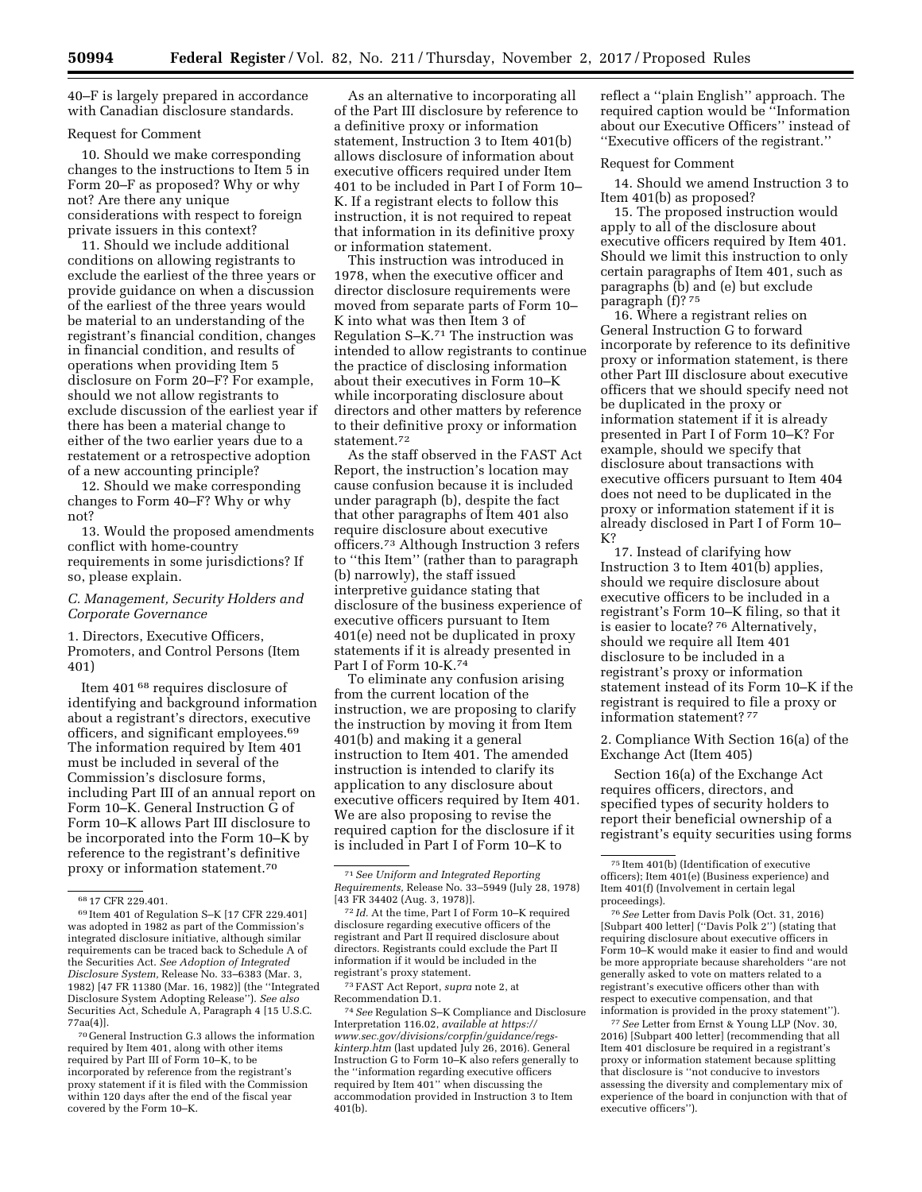40–F is largely prepared in accordance with Canadian disclosure standards.

### Request for Comment

10. Should we make corresponding changes to the instructions to Item 5 in Form 20–F as proposed? Why or why not? Are there any unique considerations with respect to foreign private issuers in this context?

11. Should we include additional conditions on allowing registrants to exclude the earliest of the three years or provide guidance on when a discussion of the earliest of the three years would be material to an understanding of the registrant's financial condition, changes in financial condition, and results of operations when providing Item 5 disclosure on Form 20–F? For example, should we not allow registrants to exclude discussion of the earliest year if there has been a material change to either of the two earlier years due to a restatement or a retrospective adoption of a new accounting principle?

12. Should we make corresponding changes to Form 40–F? Why or why not?

13. Would the proposed amendments conflict with home-country requirements in some jurisdictions? If so, please explain.

#### *C. Management, Security Holders and Corporate Governance*

1. Directors, Executive Officers, Promoters, and Control Persons (Item 401)

Item 401 68 requires disclosure of identifying and background information about a registrant's directors, executive officers, and significant employees.69 The information required by Item 401 must be included in several of the Commission's disclosure forms, including Part III of an annual report on Form 10–K. General Instruction G of Form 10–K allows Part III disclosure to be incorporated into the Form 10–K by reference to the registrant's definitive proxy or information statement.70

As an alternative to incorporating all of the Part III disclosure by reference to a definitive proxy or information statement, Instruction 3 to Item 401(b) allows disclosure of information about executive officers required under Item 401 to be included in Part I of Form 10– K. If a registrant elects to follow this instruction, it is not required to repeat that information in its definitive proxy or information statement.

This instruction was introduced in 1978, when the executive officer and director disclosure requirements were moved from separate parts of Form 10– K into what was then Item 3 of Regulation S–K.71 The instruction was intended to allow registrants to continue the practice of disclosing information about their executives in Form 10–K while incorporating disclosure about directors and other matters by reference to their definitive proxy or information statement.72

As the staff observed in the FAST Act Report, the instruction's location may cause confusion because it is included under paragraph (b), despite the fact that other paragraphs of Item 401 also require disclosure about executive officers.73 Although Instruction 3 refers to ''this Item'' (rather than to paragraph (b) narrowly), the staff issued interpretive guidance stating that disclosure of the business experience of executive officers pursuant to Item 401(e) need not be duplicated in proxy statements if it is already presented in Part I of Form 10-K.74

To eliminate any confusion arising from the current location of the instruction, we are proposing to clarify the instruction by moving it from Item 401(b) and making it a general instruction to Item 401. The amended instruction is intended to clarify its application to any disclosure about executive officers required by Item 401. We are also proposing to revise the required caption for the disclosure if it is included in Part I of Form 10–K to

73FAST Act Report, *supra* note 2, at Recommendation D.1.

74*See* Regulation S–K Compliance and Disclosure Interpretation 116.02, *available at [https://](https://www.sec.gov/divisions/corpfin/guidance/regs-kinterp.htm) [www.sec.gov/divisions/corpfin/guidance/regs](https://www.sec.gov/divisions/corpfin/guidance/regs-kinterp.htm)[kinterp.htm](https://www.sec.gov/divisions/corpfin/guidance/regs-kinterp.htm)* (last updated July 26, 2016). General Instruction G to Form 10–K also refers generally to the ''information regarding executive officers required by Item 401'' when discussing the accommodation provided in Instruction 3 to Item 401(b).

reflect a ''plain English'' approach. The required caption would be ''Information about our Executive Officers'' instead of ''Executive officers of the registrant.''

#### Request for Comment

14. Should we amend Instruction 3 to Item 401(b) as proposed?

15. The proposed instruction would apply to all of the disclosure about executive officers required by Item 401. Should we limit this instruction to only certain paragraphs of Item 401, such as paragraphs (b) and (e) but exclude paragraph (f)? 75

16. Where a registrant relies on General Instruction G to forward incorporate by reference to its definitive proxy or information statement, is there other Part III disclosure about executive officers that we should specify need not be duplicated in the proxy or information statement if it is already presented in Part I of Form 10–K? For example, should we specify that disclosure about transactions with executive officers pursuant to Item 404 does not need to be duplicated in the proxy or information statement if it is already disclosed in Part I of Form 10– K?

17. Instead of clarifying how Instruction 3 to Item 401(b) applies, should we require disclosure about executive officers to be included in a registrant's Form 10–K filing, so that it is easier to locate? 76 Alternatively, should we require all Item 401 disclosure to be included in a registrant's proxy or information statement instead of its Form 10–K if the registrant is required to file a proxy or information statement? 77

2. Compliance With Section 16(a) of the Exchange Act (Item 405)

Section 16(a) of the Exchange Act requires officers, directors, and specified types of security holders to report their beneficial ownership of a registrant's equity securities using forms

<sup>68</sup> 17 CFR 229.401.

<sup>69</sup> Item 401 of Regulation S–K [17 CFR 229.401] was adopted in 1982 as part of the Commission's integrated disclosure initiative, although similar requirements can be traced back to Schedule A of the Securities Act. *See Adoption of Integrated Disclosure System,* Release No. 33–6383 (Mar. 3, 1982) [47 FR 11380 (Mar. 16, 1982)] (the ''Integrated Disclosure System Adopting Release''). *See also*  Securities Act, Schedule A, Paragraph 4 [15 U.S.C. 77aa(4)].

<sup>70</sup> General Instruction G.3 allows the information required by Item 401, along with other items required by Part III of Form 10–K, to be incorporated by reference from the registrant's proxy statement if it is filed with the Commission within 120 days after the end of the fiscal year covered by the Form 10–K.

<sup>71</sup>*See Uniform and Integrated Reporting Requirements,* Release No. 33–5949 (July 28, 1978) [43 FR 34402 (Aug. 3, 1978)].

<sup>72</sup> *Id.* At the time, Part I of Form 10–K required disclosure regarding executive officers of the registrant and Part II required disclosure about directors. Registrants could exclude the Part II information if it would be included in the registrant's proxy statement.

<sup>75</sup> Item 401(b) (Identification of executive officers); Item 401(e) (Business experience) and Item 401(f) (Involvement in certain legal proceedings).

<sup>76</sup>*See* Letter from Davis Polk (Oct. 31, 2016) [Subpart 400 letter] (''Davis Polk 2'') (stating that requiring disclosure about executive officers in Form 10–K would make it easier to find and would be more appropriate because shareholders ''are not generally asked to vote on matters related to a registrant's executive officers other than with respect to executive compensation, and that information is provided in the proxy statement'').

<sup>77</sup>*See* Letter from Ernst & Young LLP (Nov. 30, 2016) [Subpart 400 letter] (recommending that all Item 401 disclosure be required in a registrant's proxy or information statement because splitting that disclosure is ''not conducive to investors assessing the diversity and complementary mix of experience of the board in conjunction with that of executive officers'').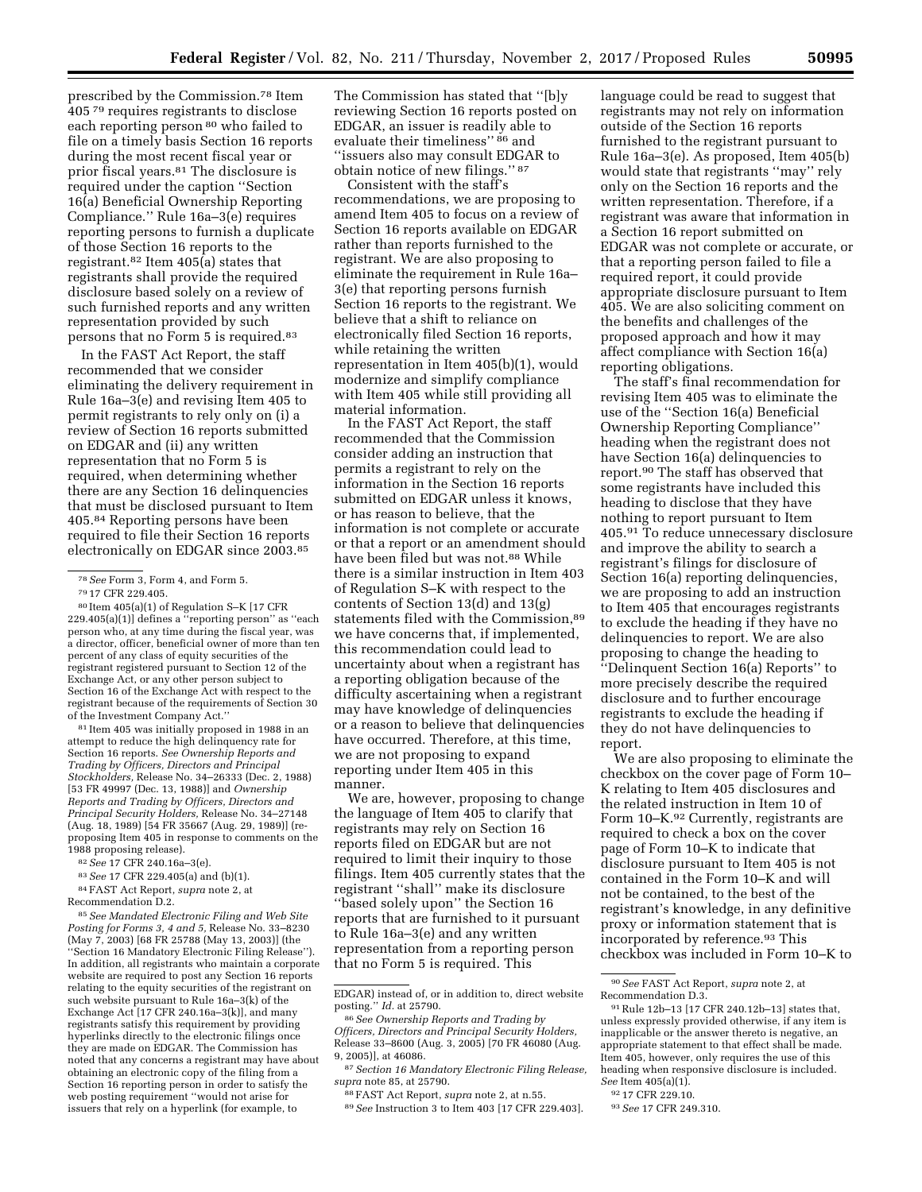prescribed by the Commission.78 Item 405 79 requires registrants to disclose each reporting person 80 who failed to file on a timely basis Section 16 reports during the most recent fiscal year or prior fiscal years.81 The disclosure is required under the caption ''Section 16(a) Beneficial Ownership Reporting Compliance.'' Rule 16a–3(e) requires reporting persons to furnish a duplicate of those Section 16 reports to the registrant.82 Item 405(a) states that registrants shall provide the required disclosure based solely on a review of such furnished reports and any written representation provided by such persons that no Form 5 is required.83

In the FAST Act Report, the staff recommended that we consider eliminating the delivery requirement in Rule 16a–3(e) and revising Item 405 to permit registrants to rely only on (i) a review of Section 16 reports submitted on EDGAR and (ii) any written representation that no Form 5 is required, when determining whether there are any Section 16 delinquencies that must be disclosed pursuant to Item 405.84 Reporting persons have been required to file their Section 16 reports electronically on EDGAR since 2003.85

80 Item 405(a)(1) of Regulation S–K [17 CFR 229.405(a)(1)] defines a ''reporting person'' as ''each person who, at any time during the fiscal year, was a director, officer, beneficial owner of more than ten percent of any class of equity securities of the registrant registered pursuant to Section 12 of the Exchange Act, or any other person subject to Section 16 of the Exchange Act with respect to the registrant because of the requirements of Section 30 of the Investment Company Act.''

81 Item 405 was initially proposed in 1988 in an attempt to reduce the high delinquency rate for Section 16 reports. *See Ownership Reports and Trading by Officers, Directors and Principal Stockholders,* Release No. 34–26333 (Dec. 2, 1988) [53 FR 49997 (Dec. 13, 1988)] and *Ownership Reports and Trading by Officers, Directors and Principal Security Holders,* Release No. 34–27148 (Aug. 18, 1989) [54 FR 35667 (Aug. 29, 1989)] (reproposing Item 405 in response to comments on the 1988 proposing release).

82*See* 17 CFR 240.16a–3(e).

83*See* 17 CFR 229.405(a) and (b)(1).

84FAST Act Report, *supra* note 2, at

Recommendation D.2.

85*See Mandated Electronic Filing and Web Site Posting for Forms 3, 4 and 5,* Release No. 33–8230 (May 7, 2003) [68 FR 25788 (May 13, 2003)] (the ''Section 16 Mandatory Electronic Filing Release''). In addition, all registrants who maintain a corporate website are required to post any Section 16 reports relating to the equity securities of the registrant on such website pursuant to Rule 16a–3(k) of the Exchange Act [17 CFR 240.16a–3(k)], and many registrants satisfy this requirement by providing hyperlinks directly to the electronic filings once they are made on EDGAR. The Commission has noted that any concerns a registrant may have about obtaining an electronic copy of the filing from a Section 16 reporting person in order to satisfy the web posting requirement ''would not arise for issuers that rely on a hyperlink (for example, to

The Commission has stated that ''[b]y reviewing Section 16 reports posted on EDGAR, an issuer is readily able to evaluate their timeliness"<sup>86</sup> and ''issuers also may consult EDGAR to obtain notice of new filings.'' 87

Consistent with the staff's recommendations, we are proposing to amend Item 405 to focus on a review of Section 16 reports available on EDGAR rather than reports furnished to the registrant. We are also proposing to eliminate the requirement in Rule 16a– 3(e) that reporting persons furnish Section 16 reports to the registrant. We believe that a shift to reliance on electronically filed Section 16 reports, while retaining the written representation in Item 405(b)(1), would modernize and simplify compliance with Item 405 while still providing all material information.

In the FAST Act Report, the staff recommended that the Commission consider adding an instruction that permits a registrant to rely on the information in the Section 16 reports submitted on EDGAR unless it knows, or has reason to believe, that the information is not complete or accurate or that a report or an amendment should have been filed but was not.88 While there is a similar instruction in Item 403 of Regulation S–K with respect to the contents of Section 13(d) and 13(g) statements filed with the Commission,89 we have concerns that, if implemented, this recommendation could lead to uncertainty about when a registrant has a reporting obligation because of the difficulty ascertaining when a registrant may have knowledge of delinquencies or a reason to believe that delinquencies have occurred. Therefore, at this time, we are not proposing to expand reporting under Item 405 in this manner.

We are, however, proposing to change the language of Item 405 to clarify that registrants may rely on Section 16 reports filed on EDGAR but are not required to limit their inquiry to those filings. Item 405 currently states that the registrant ''shall'' make its disclosure ''based solely upon'' the Section 16 reports that are furnished to it pursuant to Rule 16a–3(e) and any written representation from a reporting person that no Form 5 is required. This

88FAST Act Report, *supra* note 2, at n.55.

89*See* Instruction 3 to Item 403 [17 CFR 229.403].

language could be read to suggest that registrants may not rely on information outside of the Section 16 reports furnished to the registrant pursuant to Rule 16a–3(e). As proposed, Item 405(b) would state that registrants ''may'' rely only on the Section 16 reports and the written representation. Therefore, if a registrant was aware that information in a Section 16 report submitted on EDGAR was not complete or accurate, or that a reporting person failed to file a required report, it could provide appropriate disclosure pursuant to Item 405. We are also soliciting comment on the benefits and challenges of the proposed approach and how it may affect compliance with Section 16(a) reporting obligations.

The staff's final recommendation for revising Item 405 was to eliminate the use of the ''Section 16(a) Beneficial Ownership Reporting Compliance'' heading when the registrant does not have Section 16(a) delinquencies to report.90 The staff has observed that some registrants have included this heading to disclose that they have nothing to report pursuant to Item 405.91 To reduce unnecessary disclosure and improve the ability to search a registrant's filings for disclosure of Section 16(a) reporting delinquencies, we are proposing to add an instruction to Item 405 that encourages registrants to exclude the heading if they have no delinquencies to report. We are also proposing to change the heading to ''Delinquent Section 16(a) Reports'' to more precisely describe the required disclosure and to further encourage registrants to exclude the heading if they do not have delinquencies to report.

We are also proposing to eliminate the checkbox on the cover page of Form 10– K relating to Item 405 disclosures and the related instruction in Item 10 of Form 10–K.<sup>92</sup> Currently, registrants are required to check a box on the cover page of Form 10–K to indicate that disclosure pursuant to Item 405 is not contained in the Form 10–K and will not be contained, to the best of the registrant's knowledge, in any definitive proxy or information statement that is incorporated by reference.93 This checkbox was included in Form 10–K to

92 17 CFR 229.10.

<sup>78</sup>*See* Form 3, Form 4, and Form 5.

<sup>79</sup> 17 CFR 229.405.

EDGAR) instead of, or in addition to, direct website posting.'' *Id.* at 25790.

<sup>86</sup>*See Ownership Reports and Trading by Officers, Directors and Principal Security Holders,*  Release 33–8600 (Aug. 3, 2005) [70 FR 46080 (Aug. 9, 2005)], at 46086.

<sup>87</sup>*Section 16 Mandatory Electronic Filing Release, supra* note 85, at 25790.

<sup>90</sup>*See* FAST Act Report, *supra* note 2, at Recommendation D.3.

<sup>91</sup>Rule 12b–13 [17 CFR 240.12b–13] states that, unless expressly provided otherwise, if any item is inapplicable or the answer thereto is negative, an appropriate statement to that effect shall be made. Item 405, however, only requires the use of this heading when responsive disclosure is included. *See* Item 405(a)(1).

<sup>93</sup>*See* 17 CFR 249.310.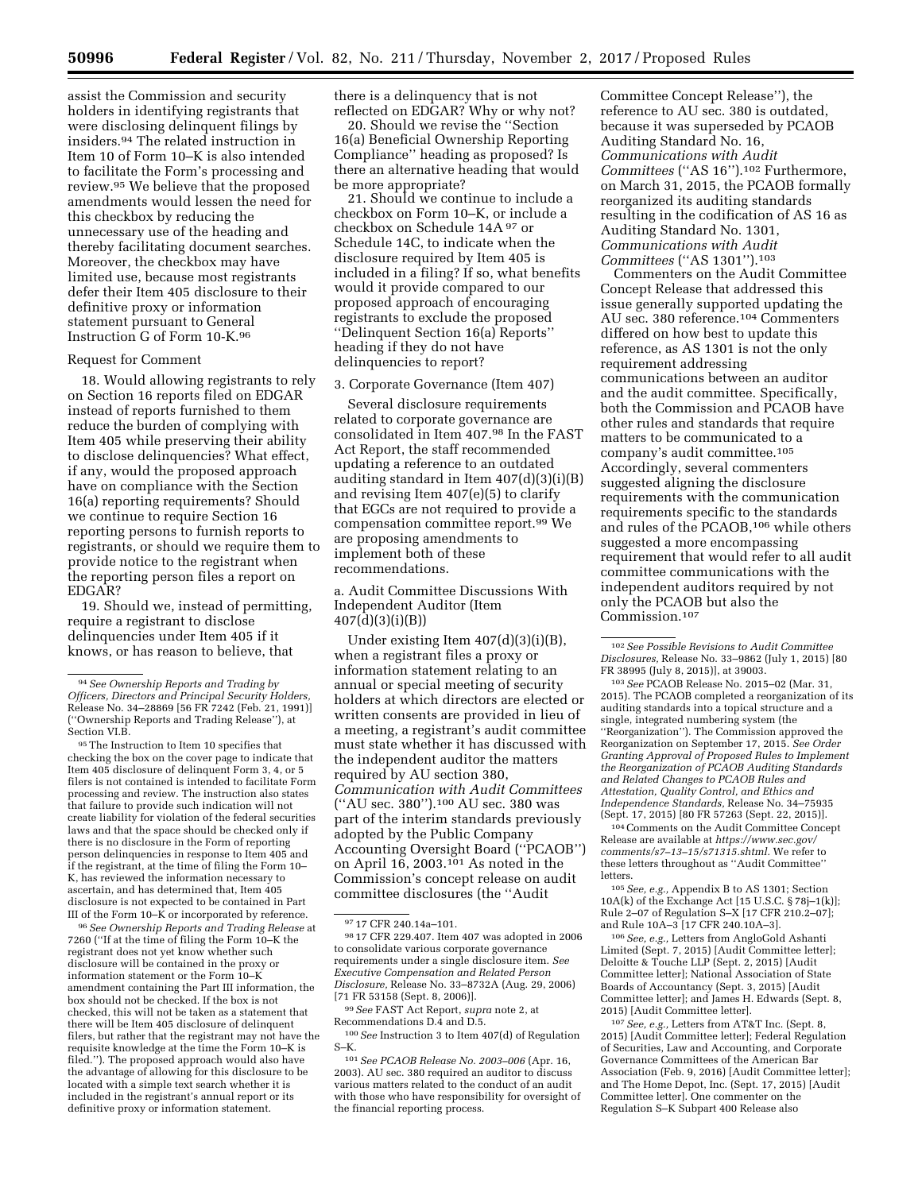assist the Commission and security holders in identifying registrants that were disclosing delinquent filings by insiders.94 The related instruction in Item 10 of Form 10–K is also intended to facilitate the Form's processing and review.95 We believe that the proposed amendments would lessen the need for this checkbox by reducing the unnecessary use of the heading and thereby facilitating document searches. Moreover, the checkbox may have limited use, because most registrants defer their Item 405 disclosure to their definitive proxy or information statement pursuant to General Instruction G of Form 10-K.96

#### Request for Comment

18. Would allowing registrants to rely on Section 16 reports filed on EDGAR instead of reports furnished to them reduce the burden of complying with Item 405 while preserving their ability to disclose delinquencies? What effect, if any, would the proposed approach have on compliance with the Section 16(a) reporting requirements? Should we continue to require Section 16 reporting persons to furnish reports to registrants, or should we require them to provide notice to the registrant when the reporting person files a report on EDGAR?

19. Should we, instead of permitting, require a registrant to disclose delinquencies under Item 405 if it knows, or has reason to believe, that

95 The Instruction to Item 10 specifies that checking the box on the cover page to indicate that Item 405 disclosure of delinquent Form 3, 4, or 5 filers is not contained is intended to facilitate Form processing and review. The instruction also states that failure to provide such indication will not create liability for violation of the federal securities laws and that the space should be checked only if there is no disclosure in the Form of reporting person delinquencies in response to Item 405 and if the registrant, at the time of filing the Form 10– K, has reviewed the information necessary to ascertain, and has determined that, Item 405 disclosure is not expected to be contained in Part III of the Form  $10-\hat{K}$  or incorporated by reference.

96*See Ownership Reports and Trading Release* at 7260 (''If at the time of filing the Form 10–K the registrant does not yet know whether such disclosure will be contained in the proxy or information statement or the Form 10–K amendment containing the Part III information, the box should not be checked. If the box is not checked, this will not be taken as a statement that there will be Item 405 disclosure of delinquent filers, but rather that the registrant may not have the requisite knowledge at the time the Form 10–K is filed.''). The proposed approach would also have the advantage of allowing for this disclosure to be located with a simple text search whether it is included in the registrant's annual report or its definitive proxy or information statement.

there is a delinquency that is not reflected on EDGAR? Why or why not?

20. Should we revise the ''Section 16(a) Beneficial Ownership Reporting Compliance'' heading as proposed? Is there an alternative heading that would be more appropriate?

21. Should we continue to include a checkbox on Form 10–K, or include a checkbox on Schedule 14A 97 or Schedule 14C, to indicate when the disclosure required by Item 405 is included in a filing? If so, what benefits would it provide compared to our proposed approach of encouraging registrants to exclude the proposed ''Delinquent Section 16(a) Reports'' heading if they do not have delinquencies to report?

#### 3. Corporate Governance (Item 407)

Several disclosure requirements related to corporate governance are consolidated in Item 407.98 In the FAST Act Report, the staff recommended updating a reference to an outdated auditing standard in Item 407(d)(3)(i)(B) and revising Item 407(e)(5) to clarify that EGCs are not required to provide a compensation committee report.99 We are proposing amendments to implement both of these recommendations.

a. Audit Committee Discussions With Independent Auditor (Item 407(d)(3)(i)(B))

Under existing Item 407(d)(3)(i)(B), when a registrant files a proxy or information statement relating to an annual or special meeting of security holders at which directors are elected or written consents are provided in lieu of a meeting, a registrant's audit committee must state whether it has discussed with the independent auditor the matters required by AU section 380, *Communication with Audit Committees*  (''AU sec. 380'').100 AU sec. 380 was part of the interim standards previously adopted by the Public Company Accounting Oversight Board (''PCAOB'') on April  $16$ , 2003.<sup>101</sup> As noted in the Commission's concept release on audit committee disclosures (the ''Audit

99*See* FAST Act Report, *supra* note 2, at Recommendations D.4 and D.5.

Committee Concept Release''), the reference to AU sec. 380 is outdated, because it was superseded by PCAOB Auditing Standard No. 16, *Communications with Audit Committees* (''AS 16'').102 Furthermore, on March 31, 2015, the PCAOB formally reorganized its auditing standards resulting in the codification of AS 16 as Auditing Standard No. 1301, *Communications with Audit Committees* (''AS 1301'').103

Commenters on the Audit Committee Concept Release that addressed this issue generally supported updating the AU sec. 380 reference.104 Commenters differed on how best to update this reference, as AS 1301 is not the only requirement addressing communications between an auditor and the audit committee. Specifically, both the Commission and PCAOB have other rules and standards that require matters to be communicated to a company's audit committee.105 Accordingly, several commenters suggested aligning the disclosure requirements with the communication requirements specific to the standards and rules of the PCAOB,106 while others suggested a more encompassing requirement that would refer to all audit committee communications with the independent auditors required by not only the PCAOB but also the Commission.107

103*See* PCAOB Release No. 2015–02 (Mar. 31, 2015). The PCAOB completed a reorganization of its auditing standards into a topical structure and a single, integrated numbering system (the ''Reorganization''). The Commission approved the Reorganization on September 17, 2015. *See Order Granting Approval of Proposed Rules to Implement the Reorganization of PCAOB Auditing Standards and Related Changes to PCAOB Rules and Attestation, Quality Control, and Ethics and Independence Standards,* Release No. 34–75935 (Sept. 17, 2015) [80 FR 57263 (Sept. 22, 2015)].

104Comments on the Audit Committee Concept Release are available at *[https://www.sec.gov/](https://www.sec.gov/comments/s7-13-15/s71315.shtml)  [comments/s7–13–15/s71315.shtml.](https://www.sec.gov/comments/s7-13-15/s71315.shtml)* We refer to these letters throughout as ''Audit Committee'' letters.

105*See, e.g.,* Appendix B to AS 1301; Section 10A(k) of the Exchange Act [15 U.S.C. § 78j–1(k)]; Rule 2–07 of Regulation S–X [17 CFR 210.2–07]; and Rule 10A–3 [17 CFR 240.10A–3].

106*See, e.g.,* Letters from AngloGold Ashanti Limited (Sept. 7, 2015) [Audit Committee letter]; Deloitte & Touche LLP (Sept. 2, 2015) [Audit Committee letter]; National Association of State Boards of Accountancy (Sept. 3, 2015) [Audit Committee letter]; and James H. Edwards (Sept. 8, 2015) [Audit Committee letter].

<sup>94</sup>*See Ownership Reports and Trading by Officers, Directors and Principal Security Holders,*  Release No. 34–28869 [56 FR 7242 (Feb. 21, 1991)] (''Ownership Reports and Trading Release''), at Section VI.B.

<sup>97</sup> 17 CFR 240.14a–101.

<sup>98</sup> 17 CFR 229.407. Item 407 was adopted in 2006 to consolidate various corporate governance requirements under a single disclosure item. *See Executive Compensation and Related Person Disclosure,* Release No. 33–8732A (Aug. 29, 2006) [71 FR 53158 (Sept. 8, 2006)].

<sup>100</sup>*See* Instruction 3 to Item 407(d) of Regulation S–K.

<sup>101</sup>*See PCAOB Release No. 2003–006* (Apr. 16, 2003). AU sec. 380 required an auditor to discuss various matters related to the conduct of an audit with those who have responsibility for oversight of the financial reporting process.

<sup>102</sup>*See Possible Revisions to Audit Committee Disclosures,* Release No. 33–9862 (July 1, 2015) [80 FR 38995 (July 8, 2015)], at 39003.

<sup>107</sup>*See, e.g.,* Letters from AT&T Inc. (Sept. 8, 2015) [Audit Committee letter]; Federal Regulation of Securities, Law and Accounting, and Corporate Governance Committees of the American Bar Association (Feb. 9, 2016) [Audit Committee letter]; and The Home Depot, Inc. (Sept. 17, 2015) [Audit Committee letter]. One commenter on the Regulation S–K Subpart 400 Release also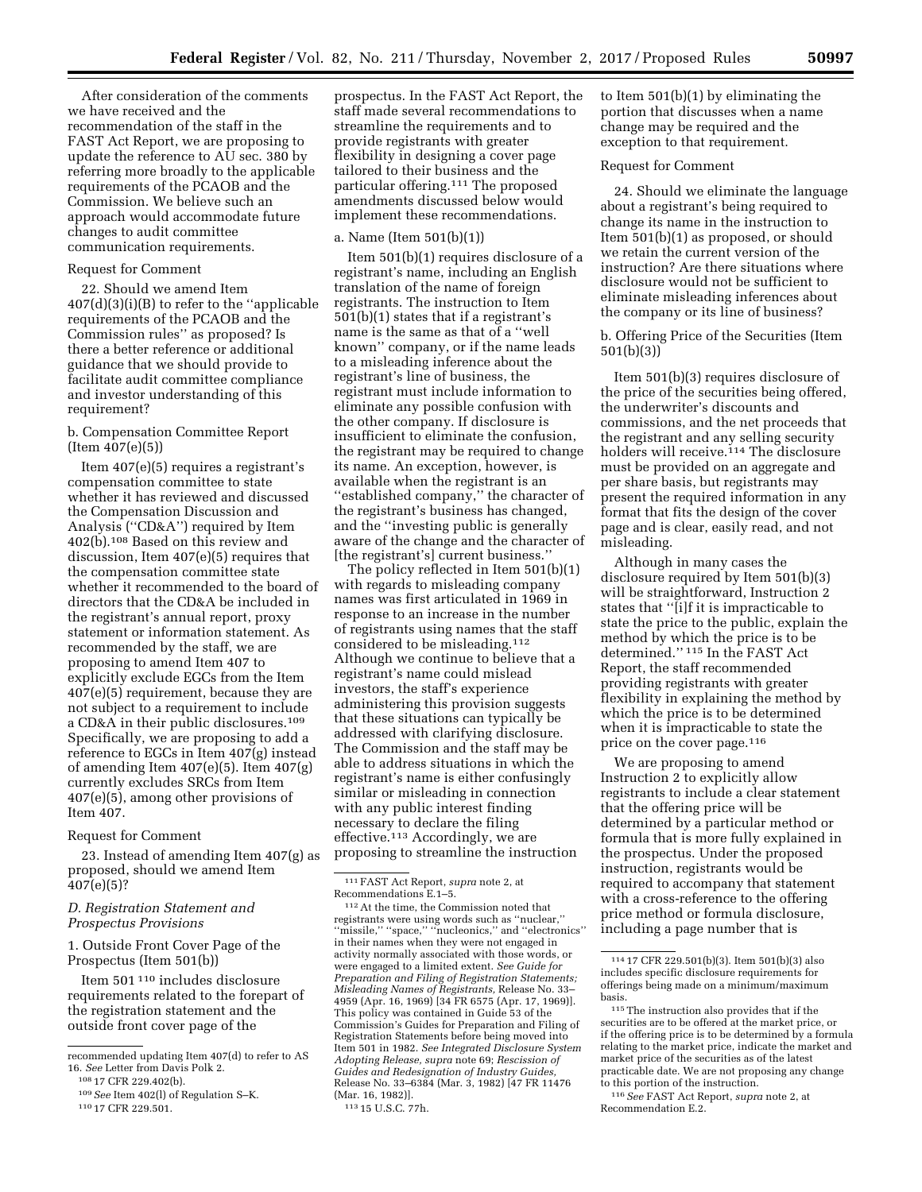After consideration of the comments we have received and the recommendation of the staff in the FAST Act Report, we are proposing to update the reference to AU sec. 380 by referring more broadly to the applicable requirements of the PCAOB and the Commission. We believe such an approach would accommodate future changes to audit committee communication requirements.

### Request for Comment

22. Should we amend Item 407(d)(3)(i)(B) to refer to the ''applicable requirements of the PCAOB and the Commission rules'' as proposed? Is there a better reference or additional guidance that we should provide to facilitate audit committee compliance and investor understanding of this requirement?

### b. Compensation Committee Report (Item 407(e)(5))

Item 407(e)(5) requires a registrant's compensation committee to state whether it has reviewed and discussed the Compensation Discussion and Analysis (''CD&A'') required by Item 402(b).108 Based on this review and discussion, Item 407(e)(5) requires that the compensation committee state whether it recommended to the board of directors that the CD&A be included in the registrant's annual report, proxy statement or information statement. As recommended by the staff, we are proposing to amend Item 407 to explicitly exclude EGCs from the Item 407(e)(5) requirement, because they are not subject to a requirement to include a CD&A in their public disclosures.109 Specifically, we are proposing to add a reference to EGCs in Item 407(g) instead of amending Item 407(e)(5). Item 407(g) currently excludes SRCs from Item 407(e)(5), among other provisions of Item 407.

#### Request for Comment

23. Instead of amending Item 407(g) as proposed, should we amend Item 407(e)(5)?

# *D. Registration Statement and Prospectus Provisions*

1. Outside Front Cover Page of the Prospectus (Item 501(b))

Item 501 110 includes disclosure requirements related to the forepart of the registration statement and the outside front cover page of the

prospectus. In the FAST Act Report, the staff made several recommendations to streamline the requirements and to provide registrants with greater flexibility in designing a cover page tailored to their business and the particular offering.111 The proposed amendments discussed below would implement these recommendations.

#### a. Name (Item 501(b)(1))

Item 501(b)(1) requires disclosure of a registrant's name, including an English translation of the name of foreign registrants. The instruction to Item 501(b)(1) states that if a registrant's name is the same as that of a ''well known'' company, or if the name leads to a misleading inference about the registrant's line of business, the registrant must include information to eliminate any possible confusion with the other company. If disclosure is insufficient to eliminate the confusion, the registrant may be required to change its name. An exception, however, is available when the registrant is an ''established company,'' the character of the registrant's business has changed, and the ''investing public is generally aware of the change and the character of [the registrant's] current business.''

The policy reflected in Item 501(b)(1) with regards to misleading company names was first articulated in 1969 in response to an increase in the number of registrants using names that the staff considered to be misleading.112 Although we continue to believe that a registrant's name could mislead investors, the staff's experience administering this provision suggests that these situations can typically be addressed with clarifying disclosure. The Commission and the staff may be able to address situations in which the registrant's name is either confusingly similar or misleading in connection with any public interest finding necessary to declare the filing effective.113 Accordingly, we are proposing to streamline the instruction

113 15 U.S.C. 77h.

to Item 501(b)(1) by eliminating the portion that discusses when a name change may be required and the exception to that requirement.

### Request for Comment

24. Should we eliminate the language about a registrant's being required to change its name in the instruction to Item 501(b)(1) as proposed, or should we retain the current version of the instruction? Are there situations where disclosure would not be sufficient to eliminate misleading inferences about the company or its line of business?

# b. Offering Price of the Securities (Item 501(b)(3))

Item 501(b)(3) requires disclosure of the price of the securities being offered, the underwriter's discounts and commissions, and the net proceeds that the registrant and any selling security holders will receive.<sup>114</sup> The disclosure must be provided on an aggregate and per share basis, but registrants may present the required information in any format that fits the design of the cover page and is clear, easily read, and not misleading.

Although in many cases the disclosure required by Item 501(b)(3) will be straightforward, Instruction 2 states that ''[i]f it is impracticable to state the price to the public, explain the method by which the price is to be determined.'' 115 In the FAST Act Report, the staff recommended providing registrants with greater flexibility in explaining the method by which the price is to be determined when it is impracticable to state the price on the cover page.116

We are proposing to amend Instruction 2 to explicitly allow registrants to include a clear statement that the offering price will be determined by a particular method or formula that is more fully explained in the prospectus. Under the proposed instruction, registrants would be required to accompany that statement with a cross-reference to the offering price method or formula disclosure, including a page number that is

recommended updating Item 407(d) to refer to AS 16. *See* Letter from Davis Polk 2.

<sup>108</sup> 17 CFR 229.402(b).

<sup>109</sup>*See* Item 402(l) of Regulation S–K. 110 17 CFR 229.501.

<sup>111</sup>FAST Act Report, *supra* note 2, at

<sup>&</sup>lt;sup>112</sup> At the time, the Commission noted that registrants were using words such as ''nuclear,'' ''missile,'' ''space,'' ''nucleonics,'' and ''electronics'' in their names when they were not engaged in activity normally associated with those words, or were engaged to a limited extent. *See Guide for Preparation and Filing of Registration Statements; Misleading Names of Registrants,* Release No. 33– 4959 (Apr. 16, 1969) [34 FR 6575 (Apr. 17, 1969)]. This policy was contained in Guide 53 of the Commission's Guides for Preparation and Filing of Registration Statements before being moved into Item 501 in 1982. *See Integrated Disclosure System Adopting Release, supra* note 69; *Rescission of Guides and Redesignation of Industry Guides,*  Release No. 33–6384 (Mar. 3, 1982) [47 FR 11476 (Mar. 16, 1982)].

<sup>114</sup> 17 CFR 229.501(b)(3). Item 501(b)(3) also includes specific disclosure requirements for offerings being made on a minimum/maximum basis.

<sup>115</sup>The instruction also provides that if the securities are to be offered at the market price, or if the offering price is to be determined by a formula relating to the market price, indicate the market and market price of the securities as of the latest practicable date. We are not proposing any change to this portion of the instruction.

<sup>116</sup>*See* FAST Act Report, *supra* note 2, at Recommendation E.2.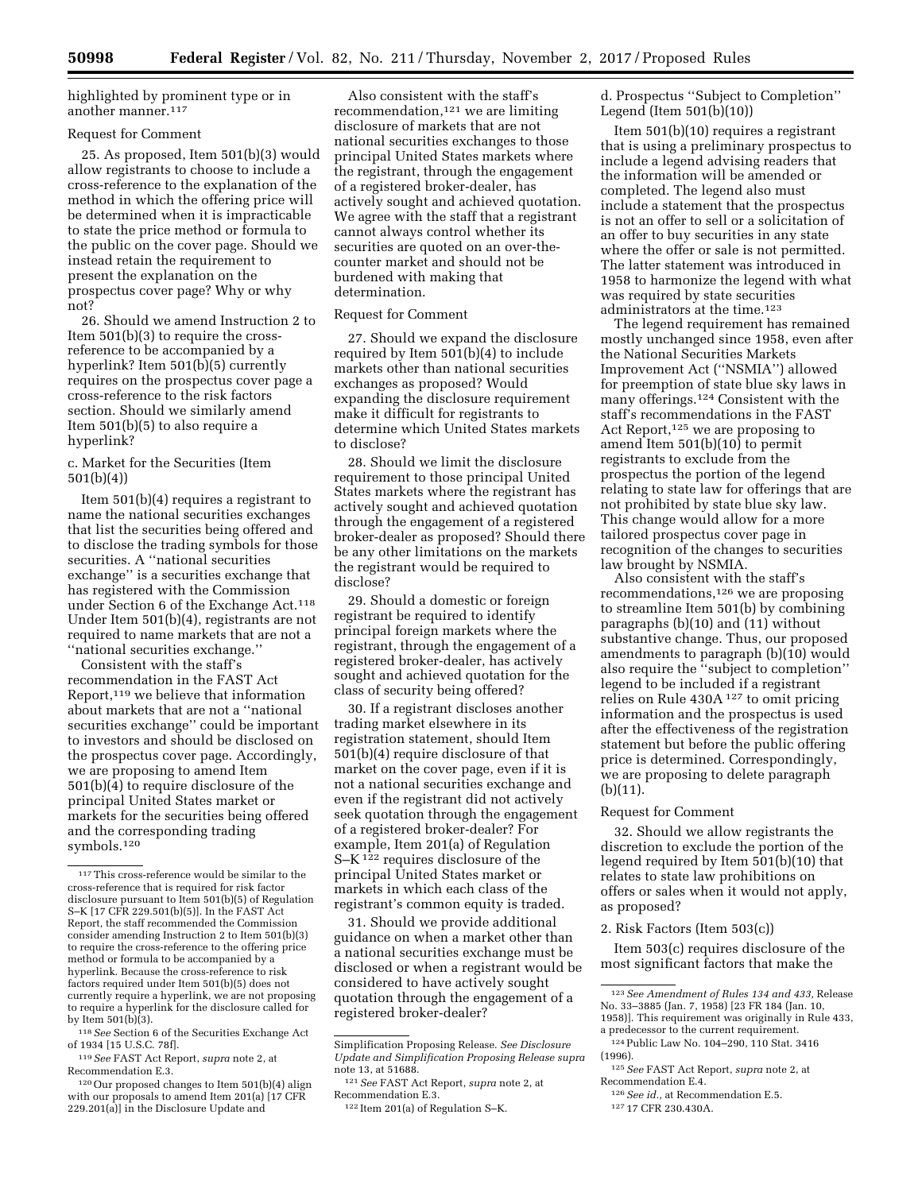highlighted by prominent type or in another manner.117

### Request for Comment

25. As proposed, Item 501(b)(3) would allow registrants to choose to include a cross-reference to the explanation of the method in which the offering price will be determined when it is impracticable to state the price method or formula to the public on the cover page. Should we instead retain the requirement to present the explanation on the prospectus cover page? Why or why not?

26. Should we amend Instruction 2 to Item 501(b)(3) to require the crossreference to be accompanied by a hyperlink? Item 501(b)(5) currently requires on the prospectus cover page a cross-reference to the risk factors section. Should we similarly amend Item 501(b)(5) to also require a hyperlink?

c. Market for the Securities (Item 501(b)(4))

Item 501(b)(4) requires a registrant to name the national securities exchanges that list the securities being offered and to disclose the trading symbols for those securities. A ''national securities exchange'' is a securities exchange that has registered with the Commission under Section 6 of the Exchange Act.118 Under Item 501(b)(4), registrants are not required to name markets that are not a ''national securities exchange.''

Consistent with the staff's recommendation in the FAST Act Report,119 we believe that information about markets that are not a ''national securities exchange'' could be important to investors and should be disclosed on the prospectus cover page. Accordingly, we are proposing to amend Item 501(b)(4) to require disclosure of the principal United States market or markets for the securities being offered and the corresponding trading symbols.120

118*See* Section 6 of the Securities Exchange Act of 1934 [15 U.S.C. 78f].

119*See* FAST Act Report, *supra* note 2, at Recommendation E.3.

120Our proposed changes to Item 501(b)(4) align with our proposals to amend Item 201(a) [17 CFR 229.201(a)] in the Disclosure Update and

Also consistent with the staff's recommendation,121 we are limiting disclosure of markets that are not national securities exchanges to those principal United States markets where the registrant, through the engagement of a registered broker-dealer, has actively sought and achieved quotation. We agree with the staff that a registrant cannot always control whether its securities are quoted on an over-thecounter market and should not be burdened with making that determination.

# Request for Comment

27. Should we expand the disclosure required by Item 501(b)(4) to include markets other than national securities exchanges as proposed? Would expanding the disclosure requirement make it difficult for registrants to determine which United States markets to disclose?

28. Should we limit the disclosure requirement to those principal United States markets where the registrant has actively sought and achieved quotation through the engagement of a registered broker-dealer as proposed? Should there be any other limitations on the markets the registrant would be required to disclose?

29. Should a domestic or foreign registrant be required to identify principal foreign markets where the registrant, through the engagement of a registered broker-dealer, has actively sought and achieved quotation for the class of security being offered?

30. If a registrant discloses another trading market elsewhere in its registration statement, should Item 501(b)(4) require disclosure of that market on the cover page, even if it is not a national securities exchange and even if the registrant did not actively seek quotation through the engagement of a registered broker-dealer? For example, Item 201(a) of Regulation S–K $122$  requires disclosure of the principal United States market or markets in which each class of the registrant's common equity is traded.

31. Should we provide additional guidance on when a market other than a national securities exchange must be disclosed or when a registrant would be considered to have actively sought quotation through the engagement of a registered broker-dealer?

d. Prospectus ''Subject to Completion'' Legend (Item 501(b)(10))

Item 501(b)(10) requires a registrant that is using a preliminary prospectus to include a legend advising readers that the information will be amended or completed. The legend also must include a statement that the prospectus is not an offer to sell or a solicitation of an offer to buy securities in any state where the offer or sale is not permitted. The latter statement was introduced in 1958 to harmonize the legend with what was required by state securities administrators at the time.<sup>123</sup>

The legend requirement has remained mostly unchanged since 1958, even after the National Securities Markets Improvement Act (''NSMIA'') allowed for preemption of state blue sky laws in many offerings.124 Consistent with the staff's recommendations in the FAST Act Report,<sup>125</sup> we are proposing to amend Item 501(b)(10) to permit registrants to exclude from the prospectus the portion of the legend relating to state law for offerings that are not prohibited by state blue sky law. This change would allow for a more tailored prospectus cover page in recognition of the changes to securities law brought by NSMIA.

Also consistent with the staff's recommendations,126 we are proposing to streamline Item 501(b) by combining paragraphs (b)(10) and (11) without substantive change. Thus, our proposed amendments to paragraph (b)(10) would also require the ''subject to completion'' legend to be included if a registrant relies on Rule 430A 127 to omit pricing information and the prospectus is used after the effectiveness of the registration statement but before the public offering price is determined. Correspondingly, we are proposing to delete paragraph  $(b)(11)$ .

### Request for Comment

32. Should we allow registrants the discretion to exclude the portion of the legend required by Item 501(b)(10) that relates to state law prohibitions on offers or sales when it would not apply, as proposed?

#### 2. Risk Factors (Item 503(c))

Item 503(c) requires disclosure of the most significant factors that make the

125*See* FAST Act Report, *supra* note 2, at Recommendation E.4.

127 17 CFR 230.430A.

 $^{\rm 117}\rm{This}$  cross-reference would be similar to the cross-reference that is required for risk factor disclosure pursuant to Item 501(b)(5) of Regulation S–K [17 CFR 229.501(b)(5)]. In the FAST Act Report, the staff recommended the Commission consider amending Instruction 2 to Item 501(b)(3) to require the cross-reference to the offering price method or formula to be accompanied by a hyperlink. Because the cross-reference to risk factors required under Item 501(b)(5) does not currently require a hyperlink, we are not proposing to require a hyperlink for the disclosure called for by Item  $501(b)(3)$ .

Simplification Proposing Release. *See Disclosure Update and Simplification Proposing Release supra*  note 13, at 51688.

<sup>121</sup>*See* FAST Act Report, *supra* note 2, at

Recommendation E.3. 122 Item 201(a) of Regulation S–K.

<sup>123</sup>*See Amendment of Rules 134 and 433,* Release No. 33–3885 (Jan. 7, 1958) [23 FR 184 (Jan. 10, 1958)]. This requirement was originally in Rule 433,

a predecessor to the current requirement. 124Public Law No. 104–290, 110 Stat. 3416

<sup>(1996).</sup> 

<sup>126</sup>*See id.,* at Recommendation E.5.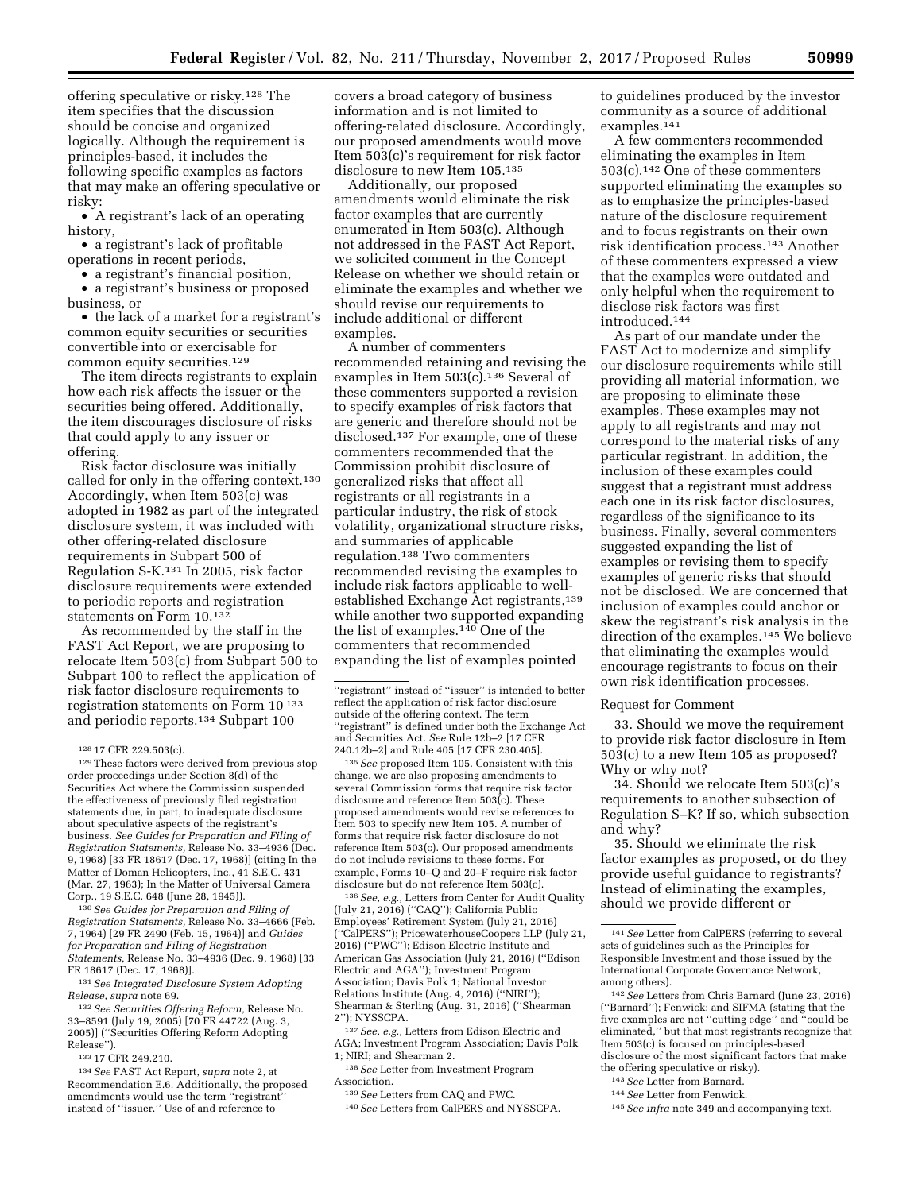offering speculative or risky.128 The item specifies that the discussion should be concise and organized logically. Although the requirement is principles-based, it includes the following specific examples as factors that may make an offering speculative or risky:

• A registrant's lack of an operating history,

• a registrant's lack of profitable operations in recent periods,

• a registrant's financial position,

• a registrant's business or proposed business, or

• the lack of a market for a registrant's common equity securities or securities convertible into or exercisable for common equity securities.129

The item directs registrants to explain how each risk affects the issuer or the securities being offered. Additionally, the item discourages disclosure of risks that could apply to any issuer or offering.

Risk factor disclosure was initially called for only in the offering context.130 Accordingly, when Item 503(c) was adopted in 1982 as part of the integrated disclosure system, it was included with other offering-related disclosure requirements in Subpart 500 of Regulation S-K.131 In 2005, risk factor disclosure requirements were extended to periodic reports and registration statements on Form 10.132

As recommended by the staff in the FAST Act Report, we are proposing to relocate Item 503(c) from Subpart 500 to Subpart 100 to reflect the application of risk factor disclosure requirements to registration statements on Form 10 133 and periodic reports.134 Subpart 100

130*See Guides for Preparation and Filing of Registration Statements,* Release No. 33–4666 (Feb. 7, 1964) [29 FR 2490 (Feb. 15, 1964)] and *Guides for Preparation and Filing of Registration Statements,* Release No. 33–4936 (Dec. 9, 1968) [33 FR 18617 (Dec. 17, 1968)].

131*See Integrated Disclosure System Adopting Release, supra* note 69.

132*See Securities Offering Reform,* Release No. 33–8591 (July 19, 2005) [70 FR 44722 (Aug. 3, 2005)] (''Securities Offering Reform Adopting Release'').

133 17 CFR 249.210.

134*See* FAST Act Report, *supra* note 2, at Recommendation E.6. Additionally, the proposed amendments would use the term ''registrant'' instead of ''issuer.'' Use of and reference to

covers a broad category of business information and is not limited to offering-related disclosure. Accordingly, our proposed amendments would move Item 503(c)'s requirement for risk factor disclosure to new Item 105.135

Additionally, our proposed amendments would eliminate the risk factor examples that are currently enumerated in Item 503(c). Although not addressed in the FAST Act Report, we solicited comment in the Concept Release on whether we should retain or eliminate the examples and whether we should revise our requirements to include additional or different examples.

A number of commenters recommended retaining and revising the examples in Item 503(c).136 Several of these commenters supported a revision to specify examples of risk factors that are generic and therefore should not be disclosed.137 For example, one of these commenters recommended that the Commission prohibit disclosure of generalized risks that affect all registrants or all registrants in a particular industry, the risk of stock volatility, organizational structure risks, and summaries of applicable regulation.138 Two commenters recommended revising the examples to include risk factors applicable to wellestablished Exchange Act registrants,<sup>139</sup> while another two supported expanding the list of examples.140 One of the commenters that recommended expanding the list of examples pointed

135*See* proposed Item 105. Consistent with this change, we are also proposing amendments to several Commission forms that require risk factor disclosure and reference Item 503(c). These proposed amendments would revise references to Item 503 to specify new Item 105. A number of forms that require risk factor disclosure do not reference Item 503(c). Our proposed amendments do not include revisions to these forms. For example, Forms 10–Q and 20–F require risk factor disclosure but do not reference Item 503(c).

136*See, e.g.,* Letters from Center for Audit Quality (July 21, 2016) (''CAQ''); California Public Employees' Retirement System (July 21, 2016) (''CalPERS''); PricewaterhouseCoopers LLP (July 21, 2016) (''PWC''); Edison Electric Institute and American Gas Association (July 21, 2016) (''Edison Electric and AGA''); Investment Program Association; Davis Polk 1; National Investor Relations Institute (Aug. 4, 2016) (''NIRI''); Shearman & Sterling (Aug. 31, 2016) (''Shearman 2''); NYSSCPA.

137*See, e.g.,* Letters from Edison Electric and AGA; Investment Program Association; Davis Polk 1; NIRI; and Shearman 2.

138*See* Letter from Investment Program Association.

139*See* Letters from CAQ and PWC.

140*See* Letters from CalPERS and NYSSCPA.

to guidelines produced by the investor community as a source of additional examples.141

A few commenters recommended eliminating the examples in Item 503(c).142 One of these commenters supported eliminating the examples so as to emphasize the principles-based nature of the disclosure requirement and to focus registrants on their own risk identification process.143 Another of these commenters expressed a view that the examples were outdated and only helpful when the requirement to disclose risk factors was first introduced.144

As part of our mandate under the FAST Act to modernize and simplify our disclosure requirements while still providing all material information, we are proposing to eliminate these examples. These examples may not apply to all registrants and may not correspond to the material risks of any particular registrant. In addition, the inclusion of these examples could suggest that a registrant must address each one in its risk factor disclosures, regardless of the significance to its business. Finally, several commenters suggested expanding the list of examples or revising them to specify examples of generic risks that should not be disclosed. We are concerned that inclusion of examples could anchor or skew the registrant's risk analysis in the direction of the examples.145 We believe that eliminating the examples would encourage registrants to focus on their own risk identification processes.

#### Request for Comment

33. Should we move the requirement to provide risk factor disclosure in Item 503(c) to a new Item 105 as proposed? Why or why not?

34. Should we relocate Item 503(c)'s requirements to another subsection of Regulation S–K? If so, which subsection and why?

35. Should we eliminate the risk factor examples as proposed, or do they provide useful guidance to registrants? Instead of eliminating the examples, should we provide different or

142*See* Letters from Chris Barnard (June 23, 2016) (''Barnard''); Fenwick; and SIFMA (stating that the five examples are not ''cutting edge'' and ''could be eliminated,'' but that most registrants recognize that Item 503(c) is focused on principles-based disclosure of the most significant factors that make the offering speculative or risky).

- 143*See* Letter from Barnard.
- 144*See* Letter from Fenwick.

<sup>128</sup> 17 CFR 229.503(c).

<sup>129</sup>These factors were derived from previous stop order proceedings under Section 8(d) of the Securities Act where the Commission suspended the effectiveness of previously filed registration statements due, in part, to inadequate disclosure about speculative aspects of the registrant's business. *See Guides for Preparation and Filing of Registration Statements,* Release No. 33–4936 (Dec. 9, 1968) [33 FR 18617 (Dec. 17, 1968)] (citing In the Matter of Doman Helicopters, Inc., 41 S.E.C. 431 (Mar. 27, 1963); In the Matter of Universal Camera Corp., 19 S.E.C. 648 (June 28, 1945)).

<sup>&</sup>quot;registrant" instead of "issuer" is intended to better reflect the application of risk factor disclosure outside of the offering context. The term ''registrant'' is defined under both the Exchange Act and Securities Act. *See* Rule 12b–2 [17 CFR 240.12b–2] and Rule 405 [17 CFR 230.405].

<sup>141</sup>*See* Letter from CalPERS (referring to several sets of guidelines such as the Principles for Responsible Investment and those issued by the International Corporate Governance Network, among others).

<sup>145</sup>*See infra* note 349 and accompanying text.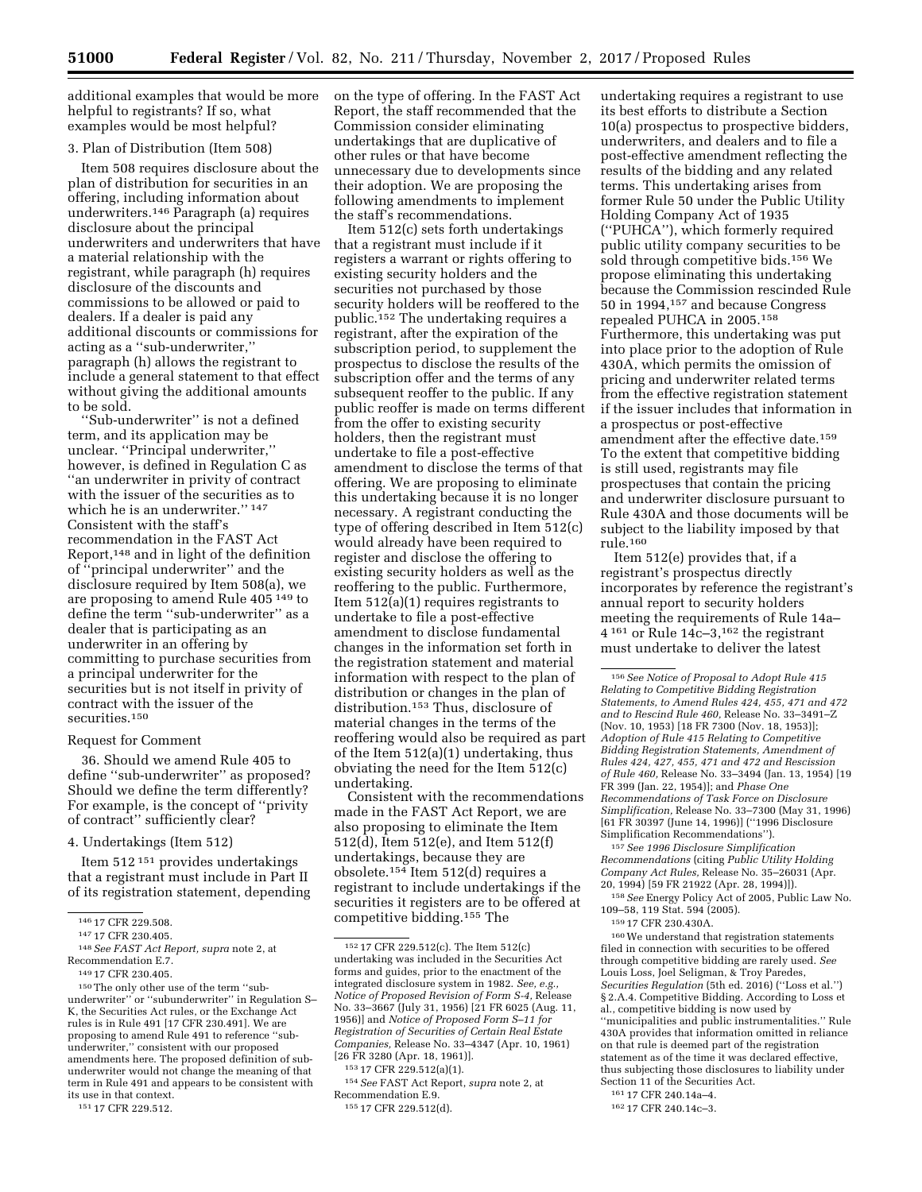additional examples that would be more helpful to registrants? If so, what examples would be most helpful?

# 3. Plan of Distribution (Item 508)

Item 508 requires disclosure about the plan of distribution for securities in an offering, including information about underwriters.146 Paragraph (a) requires disclosure about the principal underwriters and underwriters that have a material relationship with the registrant, while paragraph (h) requires disclosure of the discounts and commissions to be allowed or paid to dealers. If a dealer is paid any additional discounts or commissions for acting as a ''sub-underwriter,'' paragraph (h) allows the registrant to include a general statement to that effect without giving the additional amounts to be sold.

'Sub-underwriter'' is not a defined term, and its application may be unclear. ''Principal underwriter,'' however, is defined in Regulation C as ''an underwriter in privity of contract with the issuer of the securities as to which he is an underwriter.'' 147 Consistent with the staff's recommendation in the FAST Act Report,148 and in light of the definition of ''principal underwriter'' and the disclosure required by Item 508(a), we are proposing to amend Rule 405 149 to define the term ''sub-underwriter'' as a dealer that is participating as an underwriter in an offering by committing to purchase securities from a principal underwriter for the securities but is not itself in privity of contract with the issuer of the securities.150

#### Request for Comment

36. Should we amend Rule 405 to define ''sub-underwriter'' as proposed? Should we define the term differently? For example, is the concept of ''privity of contract'' sufficiently clear?

# 4. Undertakings (Item 512)

Item 512 151 provides undertakings that a registrant must include in Part II of its registration statement, depending

150The only other use of the term ''subunderwriter'' or ''subunderwriter'' in Regulation S– K, the Securities Act rules, or the Exchange Act rules is in Rule 491 [17 CFR 230.491]. We are proposing to amend Rule 491 to reference ''subunderwriter,'' consistent with our proposed amendments here. The proposed definition of subunderwriter would not change the meaning of that term in Rule 491 and appears to be consistent with its use in that context.

151 17 CFR 229.512.

on the type of offering. In the FAST Act Report, the staff recommended that the Commission consider eliminating undertakings that are duplicative of other rules or that have become unnecessary due to developments since their adoption. We are proposing the following amendments to implement the staff's recommendations.

Item 512(c) sets forth undertakings that a registrant must include if it registers a warrant or rights offering to existing security holders and the securities not purchased by those security holders will be reoffered to the public.152 The undertaking requires a registrant, after the expiration of the subscription period, to supplement the prospectus to disclose the results of the subscription offer and the terms of any subsequent reoffer to the public. If any public reoffer is made on terms different from the offer to existing security holders, then the registrant must undertake to file a post-effective amendment to disclose the terms of that offering. We are proposing to eliminate this undertaking because it is no longer necessary. A registrant conducting the type of offering described in Item 512(c) would already have been required to register and disclose the offering to existing security holders as well as the reoffering to the public. Furthermore, Item 512(a)(1) requires registrants to undertake to file a post-effective amendment to disclose fundamental changes in the information set forth in the registration statement and material information with respect to the plan of distribution or changes in the plan of distribution.153 Thus, disclosure of material changes in the terms of the reoffering would also be required as part of the Item 512(a)(1) undertaking, thus obviating the need for the Item 512(c) undertaking.

Consistent with the recommendations made in the FAST Act Report, we are also proposing to eliminate the Item 512(d), Item 512(e), and Item 512(f) undertakings, because they are obsolete.154 Item 512(d) requires a registrant to include undertakings if the securities it registers are to be offered at competitive bidding.155 The

154*See* FAST Act Report, *supra* note 2, at Recommendation E.9.

155 17 CFR 229.512(d).

undertaking requires a registrant to use its best efforts to distribute a Section 10(a) prospectus to prospective bidders, underwriters, and dealers and to file a post-effective amendment reflecting the results of the bidding and any related terms. This undertaking arises from former Rule 50 under the Public Utility Holding Company Act of 1935 (''PUHCA''), which formerly required public utility company securities to be sold through competitive bids.156 We propose eliminating this undertaking because the Commission rescinded Rule 50 in 1994,157 and because Congress repealed PUHCA in 2005.158 Furthermore, this undertaking was put into place prior to the adoption of Rule 430A, which permits the omission of pricing and underwriter related terms from the effective registration statement if the issuer includes that information in a prospectus or post-effective amendment after the effective date.159 To the extent that competitive bidding is still used, registrants may file prospectuses that contain the pricing and underwriter disclosure pursuant to Rule 430A and those documents will be subject to the liability imposed by that rule.160

Item 512(e) provides that, if a registrant's prospectus directly incorporates by reference the registrant's annual report to security holders meeting the requirements of Rule 14a– 4 161 or Rule 14c–3,162 the registrant must undertake to deliver the latest

157*See 1996 Disclosure Simplification Recommendations* (citing *Public Utility Holding Company Act Rules,* Release No. 35–26031 (Apr. 20, 1994) [59 FR 21922 (Apr. 28, 1994)]).

158*See* Energy Policy Act of 2005, Public Law No. 109–58, 119 Stat. 594 (2005).

159 17 CFR 230.430A.

160We understand that registration statements filed in connection with securities to be offered through competitive bidding are rarely used. *See*  Louis Loss, Joel Seligman, & Troy Paredes, *Securities Regulation* (5th ed. 2016) (''Loss et al.'') § 2.A.4. Competitive Bidding. According to Loss et al., competitive bidding is now used by ''municipalities and public instrumentalities.'' Rule 430A provides that information omitted in reliance on that rule is deemed part of the registration statement as of the time it was declared effective, thus subjecting those disclosures to liability under Section 11 of the Securities Act.

161 17 CFR 240.14a–4.

<sup>146</sup> 17 CFR 229.508.

<sup>147</sup> 17 CFR 230.405.

<sup>148</sup>*See FAST Act Report, supra* note 2, at Recommendation E.7.

<sup>149</sup> 17 CFR 230.405.

<sup>152</sup> 17 CFR 229.512(c). The Item 512(c) undertaking was included in the Securities Act forms and guides, prior to the enactment of the integrated disclosure system in 1982. *See, e.g., Notice of Proposed Revision of Form S-4,* Release No. 33–3667 (July 31, 1956) [21 FR 6025 (Aug. 11, 1956)] and *Notice of Proposed Form S–11 for Registration of Securities of Certain Real Estate Companies,* Release No. 33–4347 (Apr. 10, 1961) [26 FR 3280 (Apr. 18, 1961)].

<sup>153</sup> 17 CFR 229.512(a)(1).

<sup>156</sup>*See Notice of Proposal to Adopt Rule 415 Relating to Competitive Bidding Registration Statements, to Amend Rules 424, 455, 471 and 472 and to Rescind Rule 460,* Release No. 33–3491–Z (Nov. 10, 1953) [18 FR 7300 (Nov. 18, 1953)]; *Adoption of Rule 415 Relating to Competitive Bidding Registration Statements, Amendment of Rules 424, 427, 455, 471 and 472 and Rescission of Rule 460,* Release No. 33–3494 (Jan. 13, 1954) [19 FR 399 (Jan. 22, 1954)]; and *Phase One Recommendations of Task Force on Disclosure Simplification,* Release No. 33–7300 (May 31, 1996) [61 FR 30397 (June 14, 1996)] (''1996 Disclosure Simplification Recommendations'').

<sup>162</sup> 17 CFR 240.14c–3.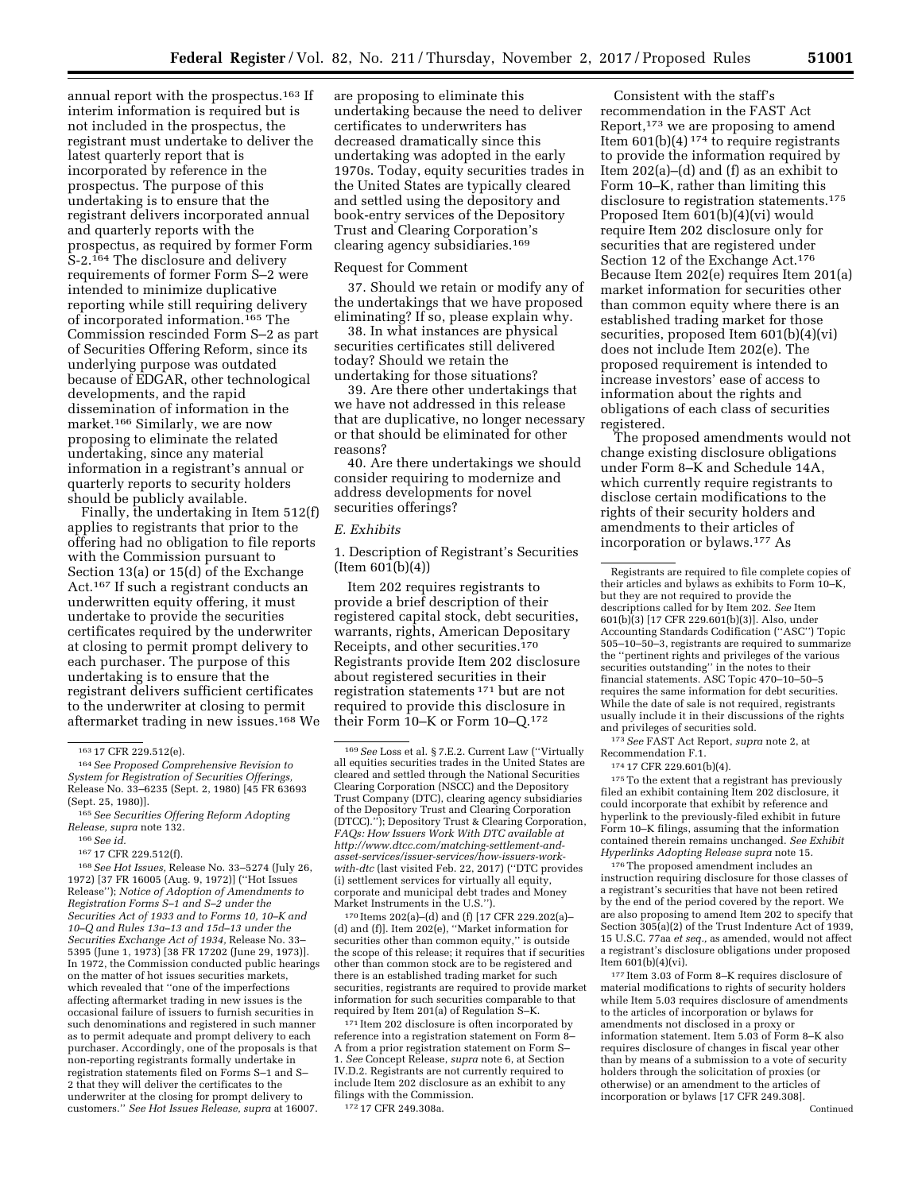annual report with the prospectus.163 If interim information is required but is not included in the prospectus, the registrant must undertake to deliver the latest quarterly report that is incorporated by reference in the prospectus. The purpose of this undertaking is to ensure that the registrant delivers incorporated annual and quarterly reports with the prospectus, as required by former Form S-2.164 The disclosure and delivery requirements of former Form S–2 were intended to minimize duplicative reporting while still requiring delivery of incorporated information.165 The Commission rescinded Form S–2 as part of Securities Offering Reform, since its underlying purpose was outdated because of EDGAR, other technological developments, and the rapid dissemination of information in the market.166 Similarly, we are now proposing to eliminate the related undertaking, since any material information in a registrant's annual or quarterly reports to security holders should be publicly available.

Finally, the undertaking in Item 512(f) applies to registrants that prior to the offering had no obligation to file reports with the Commission pursuant to Section 13(a) or 15(d) of the Exchange Act.167 If such a registrant conducts an underwritten equity offering, it must undertake to provide the securities certificates required by the underwriter at closing to permit prompt delivery to each purchaser. The purpose of this undertaking is to ensure that the registrant delivers sufficient certificates to the underwriter at closing to permit aftermarket trading in new issues.168 We

165*See Securities Offering Reform Adopting Release, supra* note 132.

167 17 CFR 229.512(f).

168*See Hot Issues,* Release No. 33–5274 (July 26, 1972) [37 FR 16005 (Aug. 9, 1972)] (''Hot Issues Release''); *Notice of Adoption of Amendments to Registration Forms S–1 and S–2 under the Securities Act of 1933 and to Forms 10, 10–K and 10–Q and Rules 13a–13 and 15d–13 under the Securities Exchange Act of 1934,* Release No. 33– 5395 (June 1, 1973) [38 FR 17202 (June 29, 1973)]. In 1972, the Commission conducted public hearings on the matter of hot issues securities markets, which revealed that ''one of the imperfections affecting aftermarket trading in new issues is the occasional failure of issuers to furnish securities in such denominations and registered in such manner as to permit adequate and prompt delivery to each purchaser. Accordingly, one of the proposals is that non-reporting registrants formally undertake in registration statements filed on Forms S–1 and S– 2 that they will deliver the certificates to the underwriter at the closing for prompt delivery to customers.'' *See Hot Issues Release, supra* at 16007.

are proposing to eliminate this undertaking because the need to deliver certificates to underwriters has decreased dramatically since this undertaking was adopted in the early 1970s. Today, equity securities trades in the United States are typically cleared and settled using the depository and book-entry services of the Depository Trust and Clearing Corporation's clearing agency subsidiaries.169

#### Request for Comment

37. Should we retain or modify any of the undertakings that we have proposed eliminating? If so, please explain why.

38. In what instances are physical securities certificates still delivered today? Should we retain the undertaking for those situations?

39. Are there other undertakings that we have not addressed in this release that are duplicative, no longer necessary or that should be eliminated for other reasons?

40. Are there undertakings we should consider requiring to modernize and address developments for novel securities offerings?

#### *E. Exhibits*

1. Description of Registrant's Securities  $($ Item 601 $(b)(4)$  $)$ 

Item 202 requires registrants to provide a brief description of their registered capital stock, debt securities, warrants, rights, American Depositary Receipts, and other securities.170 Registrants provide Item 202 disclosure about registered securities in their registration statements 171 but are not required to provide this disclosure in their Form 10–K or Form 10–Q.172

170 Items 202(a)–(d) and (f) [17 CFR 229.202(a)– (d) and (f)]. Item 202(e), ''Market information for securities other than common equity," is outside the scope of this release; it requires that if securities other than common stock are to be registered and there is an established trading market for such securities, registrants are required to provide market information for such securities comparable to that required by Item 201(a) of Regulation S–K.

<sup>171</sup> Item 202 disclosure is often incorporated by reference into a registration statement on Form 8– A from a prior registration statement on Form S– 1. *See* Concept Release, *supra* note 6, at Section IV.D.2. Registrants are not currently required to include Item 202 disclosure as an exhibit to any filings with the Commission.

172 17 CFR 249.308a.

Consistent with the staff's recommendation in the FAST Act Report,173 we are proposing to amend Item  $601(b)(4)$ <sup>174</sup> to require registrants to provide the information required by Item 202(a)–(d) and (f) as an exhibit to Form 10–K, rather than limiting this disclosure to registration statements.175 Proposed Item 601(b)(4)(vi) would require Item 202 disclosure only for securities that are registered under Section 12 of the Exchange Act.176 Because Item 202(e) requires Item 201(a) market information for securities other than common equity where there is an established trading market for those securities, proposed Item 601(b)(4)(vi) does not include Item 202(e). The proposed requirement is intended to increase investors' ease of access to information about the rights and obligations of each class of securities registered.

The proposed amendments would not change existing disclosure obligations under Form 8–K and Schedule 14A, which currently require registrants to disclose certain modifications to the rights of their security holders and amendments to their articles of incorporation or bylaws.177 As

173*See* FAST Act Report, *supra* note 2, at Recommendation F.1.

174 17 CFR 229.601(b)(4).

<sup>175</sup> To the extent that a registrant has previously filed an exhibit containing Item 202 disclosure, it could incorporate that exhibit by reference and hyperlink to the previously-filed exhibit in future Form 10–K filings, assuming that the information contained therein remains unchanged. *See Exhibit Hyperlinks Adopting Release supra* note 15.

176The proposed amendment includes an instruction requiring disclosure for those classes of a registrant's securities that have not been retired by the end of the period covered by the report. We are also proposing to amend Item 202 to specify that Section  $305(a)(2)$  of the Trust Indenture Act of 1939, 15 U.S.C. 77aa *et seq.,* as amended, would not affect a registrant's disclosure obligations under proposed Item 601(b)(4)(vi).

177 Item 3.03 of Form 8–K requires disclosure of material modifications to rights of security holders while Item 5.03 requires disclosure of amendments to the articles of incorporation or bylaws for amendments not disclosed in a proxy or information statement. Item 5.03 of Form 8–K also requires disclosure of changes in fiscal year other than by means of a submission to a vote of security holders through the solicitation of proxies (or otherwise) or an amendment to the articles of incorporation or bylaws [17 CFR 249.308].

Continued

<sup>163</sup> 17 CFR 229.512(e).

<sup>164</sup>*See Proposed Comprehensive Revision to System for Registration of Securities Offerings,*  Release No. 33–6235 (Sept. 2, 1980) [45 FR 63693 (Sept. 25, 1980)].

<sup>166</sup>*See id.* 

<sup>169</sup>*See* Loss et al. § 7.E.2. Current Law (''Virtually all equities securities trades in the United States are cleared and settled through the National Securities Clearing Corporation (NSCC) and the Depository Trust Company (DTC), clearing agency subsidiaries of the Depository Trust and Clearing Corporation (DTCC).''); Depository Trust & Clearing Corporation, *FAQs: How Issuers Work With DTC available at [http://www.dtcc.com/matching-settlement-and](http://www.dtcc.com/matching-settlement-and-asset-services/issuer-services/how-issuers-work-with-dtc)[asset-services/issuer-services/how-issuers-work](http://www.dtcc.com/matching-settlement-and-asset-services/issuer-services/how-issuers-work-with-dtc)[with-dtc](http://www.dtcc.com/matching-settlement-and-asset-services/issuer-services/how-issuers-work-with-dtc)* (last visited Feb. 22, 2017) (''DTC provides (i) settlement services for virtually all equity, corporate and municipal debt trades and Money Market Instruments in the U.S.'').

Registrants are required to file complete copies of their articles and bylaws as exhibits to Form 10–K, but they are not required to provide the descriptions called for by Item 202. *See* Item 601(b)(3) [17 CFR 229.601(b)(3)]. Also, under Accounting Standards Codification (''ASC'') Topic 505–10–50–3, registrants are required to summarize the ''pertinent rights and privileges of the various securities outstanding'' in the notes to their financial statements. ASC Topic 470–10–50–5 requires the same information for debt securities. While the date of sale is not required, registrants usually include it in their discussions of the rights and privileges of securities sold.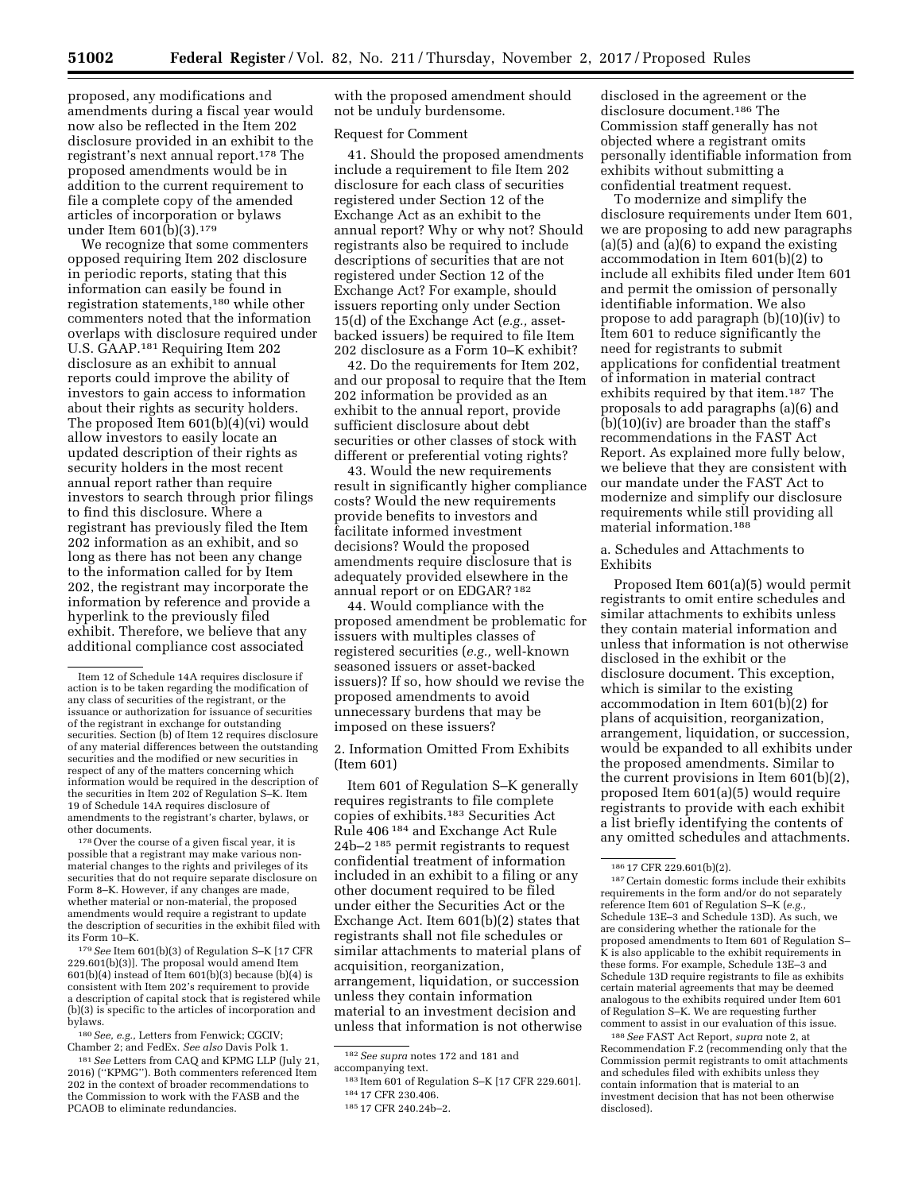proposed, any modifications and amendments during a fiscal year would now also be reflected in the Item 202 disclosure provided in an exhibit to the registrant's next annual report.178 The proposed amendments would be in addition to the current requirement to file a complete copy of the amended articles of incorporation or bylaws under Item 601(b)(3).<sup>179</sup>

We recognize that some commenters opposed requiring Item 202 disclosure in periodic reports, stating that this information can easily be found in registration statements,180 while other commenters noted that the information overlaps with disclosure required under U.S. GAAP.181 Requiring Item 202 disclosure as an exhibit to annual reports could improve the ability of investors to gain access to information about their rights as security holders. The proposed Item 601(b)(4)(vi) would allow investors to easily locate an updated description of their rights as security holders in the most recent annual report rather than require investors to search through prior filings to find this disclosure. Where a registrant has previously filed the Item 202 information as an exhibit, and so long as there has not been any change to the information called for by Item 202, the registrant may incorporate the information by reference and provide a hyperlink to the previously filed exhibit. Therefore, we believe that any additional compliance cost associated

178Over the course of a given fiscal year, it is possible that a registrant may make various nonmaterial changes to the rights and privileges of its securities that do not require separate disclosure on Form 8–K. However, if any changes are made, whether material or non-material, the proposed amendments would require a registrant to update the description of securities in the exhibit filed with its Form 10–K.

179*See* Item 601(b)(3) of Regulation S–K [17 CFR 229.601(b)(3)]. The proposal would amend Item  $601(b)(4)$  instead of Item  $601(b)(3)$  because  $(b)(4)$  is consistent with Item 202's requirement to provide a description of capital stock that is registered while (b)(3) is specific to the articles of incorporation and bylaws.

180*See, e.g.,* Letters from Fenwick; CGCIV; Chamber 2; and FedEx. *See also* Davis Polk 1.

with the proposed amendment should not be unduly burdensome.

### Request for Comment

41. Should the proposed amendments include a requirement to file Item 202 disclosure for each class of securities registered under Section 12 of the Exchange Act as an exhibit to the annual report? Why or why not? Should registrants also be required to include descriptions of securities that are not registered under Section 12 of the Exchange Act? For example, should issuers reporting only under Section 15(d) of the Exchange Act (*e.g.,* assetbacked issuers) be required to file Item 202 disclosure as a Form 10–K exhibit?

42. Do the requirements for Item 202, and our proposal to require that the Item 202 information be provided as an exhibit to the annual report, provide sufficient disclosure about debt securities or other classes of stock with different or preferential voting rights?

43. Would the new requirements result in significantly higher compliance costs? Would the new requirements provide benefits to investors and facilitate informed investment decisions? Would the proposed amendments require disclosure that is adequately provided elsewhere in the annual report or on EDGAR? 182

44. Would compliance with the proposed amendment be problematic for issuers with multiples classes of registered securities (*e.g.,* well-known seasoned issuers or asset-backed issuers)? If so, how should we revise the proposed amendments to avoid unnecessary burdens that may be imposed on these issuers?

2. Information Omitted From Exhibits (Item 601)

Item 601 of Regulation S–K generally requires registrants to file complete copies of exhibits.183 Securities Act Rule 406 184 and Exchange Act Rule 24b–2 185 permit registrants to request confidential treatment of information included in an exhibit to a filing or any other document required to be filed under either the Securities Act or the Exchange Act. Item 601(b)(2) states that registrants shall not file schedules or similar attachments to material plans of acquisition, reorganization, arrangement, liquidation, or succession unless they contain information material to an investment decision and unless that information is not otherwise

182*See supra* notes 172 and 181 and accompanying text.

183 Item 601 of Regulation S–K [17 CFR 229.601]. 184 17 CFR 230.406.

disclosed in the agreement or the disclosure document.186 The Commission staff generally has not objected where a registrant omits personally identifiable information from exhibits without submitting a confidential treatment request.

To modernize and simplify the disclosure requirements under Item 601, we are proposing to add new paragraphs (a)(5) and (a)(6) to expand the existing accommodation in Item 601(b)(2) to include all exhibits filed under Item 601 and permit the omission of personally identifiable information. We also propose to add paragraph (b)(10)(iv) to Item 601 to reduce significantly the need for registrants to submit applications for confidential treatment of information in material contract exhibits required by that item.187 The proposals to add paragraphs (a)(6) and (b)(10)(iv) are broader than the staff's recommendations in the FAST Act Report. As explained more fully below, we believe that they are consistent with our mandate under the FAST Act to modernize and simplify our disclosure requirements while still providing all material information.188

a. Schedules and Attachments to Exhibits

Proposed Item 601(a)(5) would permit registrants to omit entire schedules and similar attachments to exhibits unless they contain material information and unless that information is not otherwise disclosed in the exhibit or the disclosure document. This exception, which is similar to the existing accommodation in Item 601(b)(2) for plans of acquisition, reorganization, arrangement, liquidation, or succession, would be expanded to all exhibits under the proposed amendments. Similar to the current provisions in Item 601(b)(2), proposed Item 601(a)(5) would require registrants to provide with each exhibit a list briefly identifying the contents of any omitted schedules and attachments.

Item 12 of Schedule 14A requires disclosure if action is to be taken regarding the modification of any class of securities of the registrant, or the issuance or authorization for issuance of securities of the registrant in exchange for outstanding securities. Section (b) of Item 12 requires disclosure of any material differences between the outstanding securities and the modified or new securities in respect of any of the matters concerning which information would be required in the description of the securities in Item 202 of Regulation S–K. Item 19 of Schedule 14A requires disclosure of amendments to the registrant's charter, bylaws, or other documents.

<sup>181</sup>*See* Letters from CAQ and KPMG LLP (July 21, 2016) (''KPMG''). Both commenters referenced Item 202 in the context of broader recommendations to the Commission to work with the FASB and the PCAOB to eliminate redundancies.

<sup>185</sup> 17 CFR 240.24b–2.

 $^{186}\,$  17 CFR 229.601(b)(2).  $^{187}\,$  Certain domestic forms include their exhibits requirements in the form and/or do not separately reference Item 601 of Regulation S–K (*e.g.,*  Schedule 13E–3 and Schedule 13D). As such, we are considering whether the rationale for the proposed amendments to Item 601 of Regulation S– K is also applicable to the exhibit requirements in these forms. For example, Schedule 13E–3 and Schedule 13D require registrants to file as exhibits certain material agreements that may be deemed analogous to the exhibits required under Item 601 of Regulation S–K. We are requesting further comment to assist in our evaluation of this issue.

<sup>188</sup>*See* FAST Act Report, *supra* note 2, at Recommendation F.2 (recommending only that the Commission permit registrants to omit attachments and schedules filed with exhibits unless they contain information that is material to an investment decision that has not been otherwise disclosed).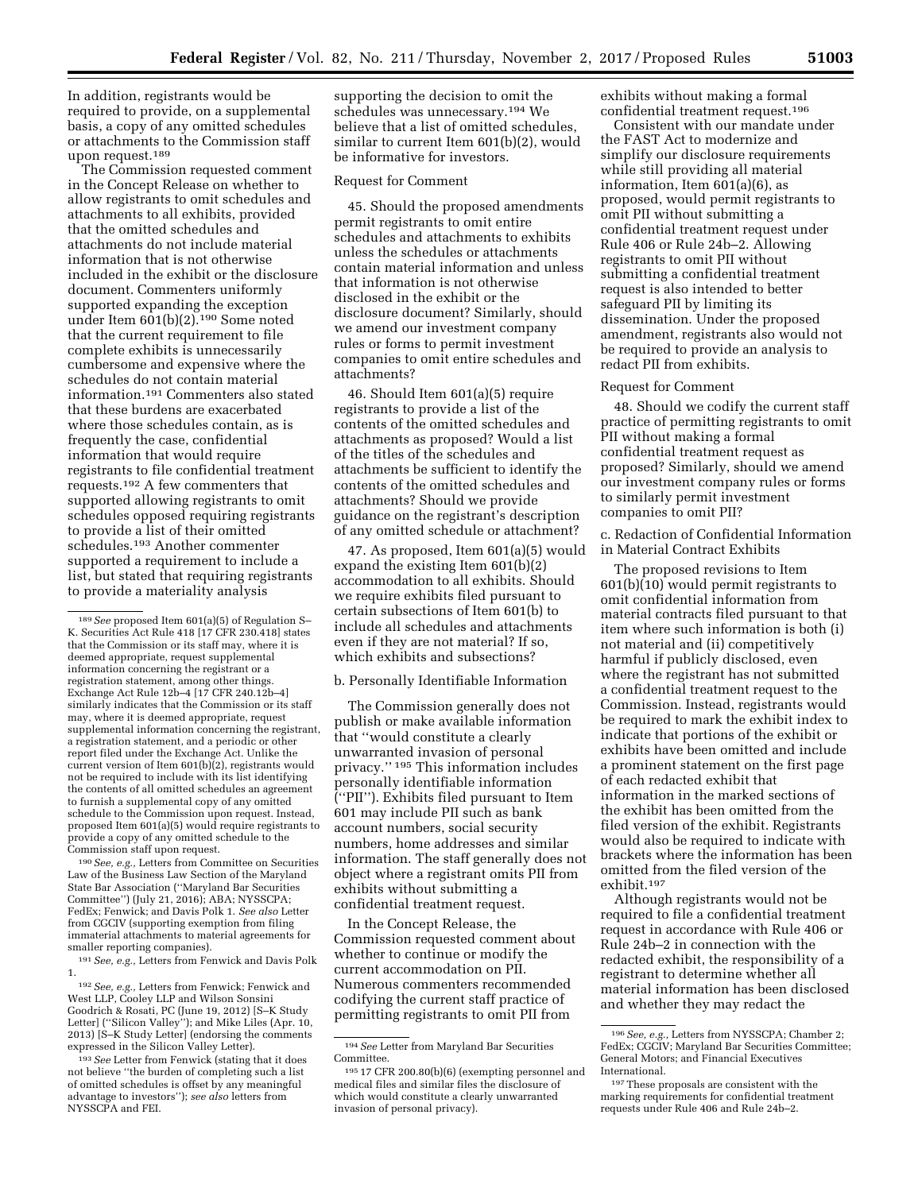In addition, registrants would be required to provide, on a supplemental basis, a copy of any omitted schedules or attachments to the Commission staff upon request.189

The Commission requested comment in the Concept Release on whether to allow registrants to omit schedules and attachments to all exhibits, provided that the omitted schedules and attachments do not include material information that is not otherwise included in the exhibit or the disclosure document. Commenters uniformly supported expanding the exception under Item 601(b)(2).190 Some noted that the current requirement to file complete exhibits is unnecessarily cumbersome and expensive where the schedules do not contain material information.191 Commenters also stated that these burdens are exacerbated where those schedules contain, as is frequently the case, confidential information that would require registrants to file confidential treatment requests.192 A few commenters that supported allowing registrants to omit schedules opposed requiring registrants to provide a list of their omitted schedules.193 Another commenter supported a requirement to include a list, but stated that requiring registrants to provide a materiality analysis

190*See, e.g.,* Letters from Committee on Securities Law of the Business Law Section of the Maryland State Bar Association (''Maryland Bar Securities Committee'') (July 21, 2016); ABA; NYSSCPA; FedEx; Fenwick; and Davis Polk 1. *See also* Letter from CGCIV (supporting exemption from filing immaterial attachments to material agreements for smaller reporting companies).

191*See, e.g.,* Letters from Fenwick and Davis Polk 1.

192*See, e.g.,* Letters from Fenwick; Fenwick and West LLP, Cooley LLP and Wilson Sonsini Goodrich & Rosati, PC (June 19, 2012) [S–K Study Letter] (''Silicon Valley''); and Mike Liles (Apr. 10, 2013) [S–K Study Letter] (endorsing the comments expressed in the Silicon Valley Letter).

193*See* Letter from Fenwick (stating that it does not believe ''the burden of completing such a list of omitted schedules is offset by any meaningful advantage to investors''); *see also* letters from NYSSCPA and FEI.

supporting the decision to omit the schedules was unnecessary.194 We believe that a list of omitted schedules, similar to current Item 601(b)(2), would be informative for investors.

#### Request for Comment

45. Should the proposed amendments permit registrants to omit entire schedules and attachments to exhibits unless the schedules or attachments contain material information and unless that information is not otherwise disclosed in the exhibit or the disclosure document? Similarly, should we amend our investment company rules or forms to permit investment companies to omit entire schedules and attachments?

46. Should Item 601(a)(5) require registrants to provide a list of the contents of the omitted schedules and attachments as proposed? Would a list of the titles of the schedules and attachments be sufficient to identify the contents of the omitted schedules and attachments? Should we provide guidance on the registrant's description of any omitted schedule or attachment?

47. As proposed, Item 601(a)(5) would expand the existing Item 601(b)(2) accommodation to all exhibits. Should we require exhibits filed pursuant to certain subsections of Item 601(b) to include all schedules and attachments even if they are not material? If so, which exhibits and subsections?

b. Personally Identifiable Information

The Commission generally does not publish or make available information that ''would constitute a clearly unwarranted invasion of personal privacy.'' 195 This information includes personally identifiable information (''PII''). Exhibits filed pursuant to Item 601 may include PII such as bank account numbers, social security numbers, home addresses and similar information. The staff generally does not object where a registrant omits PII from exhibits without submitting a confidential treatment request.

In the Concept Release, the Commission requested comment about whether to continue or modify the current accommodation on PII. Numerous commenters recommended codifying the current staff practice of permitting registrants to omit PII from

exhibits without making a formal confidential treatment request.196

Consistent with our mandate under the FAST Act to modernize and simplify our disclosure requirements while still providing all material information, Item 601(a)(6), as proposed, would permit registrants to omit PII without submitting a confidential treatment request under Rule 406 or Rule 24b–2. Allowing registrants to omit PII without submitting a confidential treatment request is also intended to better safeguard PII by limiting its dissemination. Under the proposed amendment, registrants also would not be required to provide an analysis to redact PII from exhibits.

#### Request for Comment

48. Should we codify the current staff practice of permitting registrants to omit PII without making a formal confidential treatment request as proposed? Similarly, should we amend our investment company rules or forms to similarly permit investment companies to omit PII?

c. Redaction of Confidential Information in Material Contract Exhibits

The proposed revisions to Item 601(b)(10) would permit registrants to omit confidential information from material contracts filed pursuant to that item where such information is both (i) not material and (ii) competitively harmful if publicly disclosed, even where the registrant has not submitted a confidential treatment request to the Commission. Instead, registrants would be required to mark the exhibit index to indicate that portions of the exhibit or exhibits have been omitted and include a prominent statement on the first page of each redacted exhibit that information in the marked sections of the exhibit has been omitted from the filed version of the exhibit. Registrants would also be required to indicate with brackets where the information has been omitted from the filed version of the exhibit.197

Although registrants would not be required to file a confidential treatment request in accordance with Rule 406 or Rule 24b–2 in connection with the redacted exhibit, the responsibility of a registrant to determine whether all material information has been disclosed and whether they may redact the

<sup>189</sup>*See* proposed Item 601(a)(5) of Regulation S– K. Securities Act Rule 418 [17 CFR 230.418] states that the Commission or its staff may, where it is deemed appropriate, request supplemental information concerning the registrant or a registration statement, among other things. Exchange Act Rule 12b–4 [17 CFR 240.12b–4] similarly indicates that the Commission or its staff may, where it is deemed appropriate, request supplemental information concerning the registrant, a registration statement, and a periodic or other report filed under the Exchange Act. Unlike the current version of Item 601(b)(2), registrants would not be required to include with its list identifying the contents of all omitted schedules an agreement to furnish a supplemental copy of any omitted schedule to the Commission upon request. Instead, proposed Item 601(a)(5) would require registrants to provide a copy of any omitted schedule to the Commission staff upon request.

<sup>194</sup>*See* Letter from Maryland Bar Securities Committee.

<sup>195</sup> 17 CFR 200.80(b)(6) (exempting personnel and medical files and similar files the disclosure of which would constitute a clearly unwarranted invasion of personal privacy).

<sup>196</sup>*See, e.g.,* Letters from NYSSCPA; Chamber 2; FedEx; CGCIV; Maryland Bar Securities Committee; General Motors; and Financial Executives International.

<sup>197</sup>These proposals are consistent with the marking requirements for confidential treatment requests under Rule 406 and Rule 24b–2.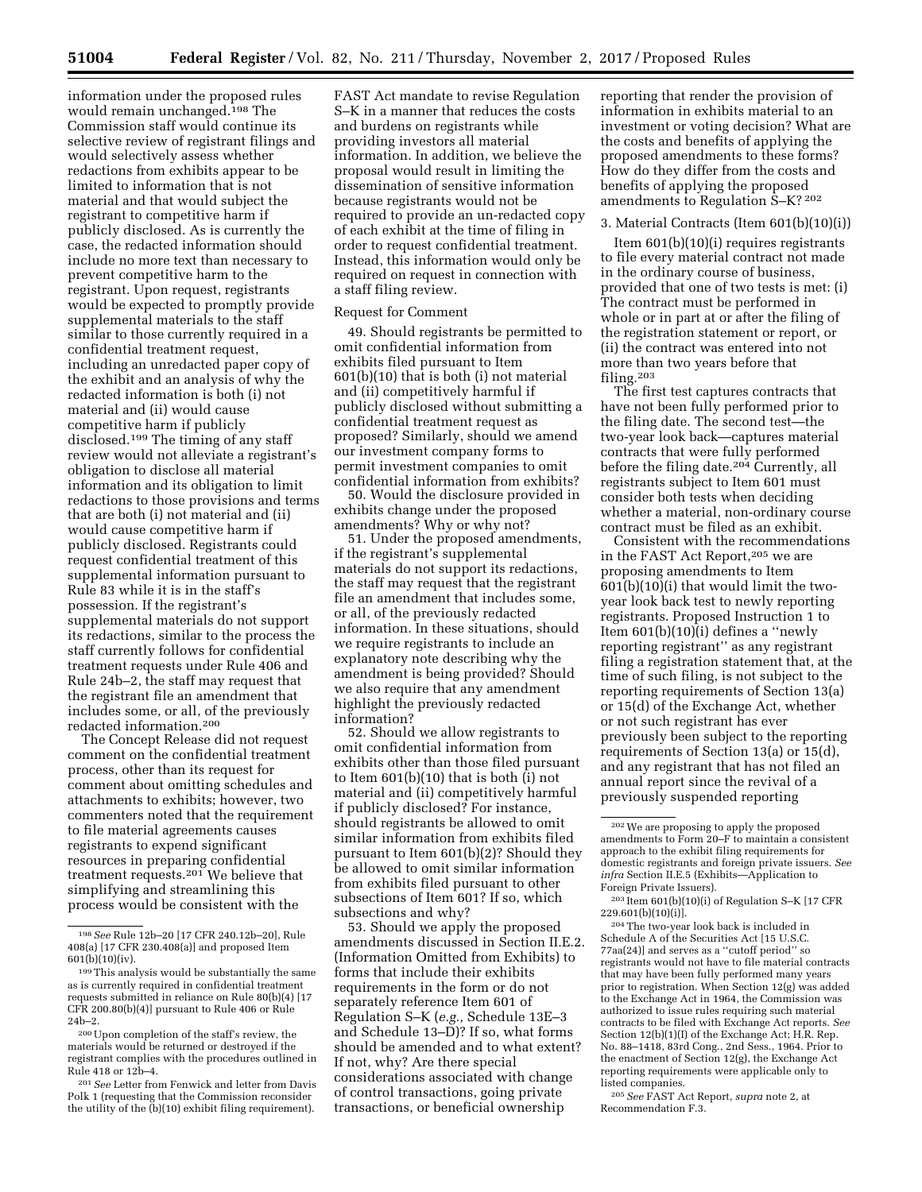information under the proposed rules would remain unchanged.198 The Commission staff would continue its selective review of registrant filings and would selectively assess whether redactions from exhibits appear to be limited to information that is not material and that would subject the registrant to competitive harm if publicly disclosed. As is currently the case, the redacted information should include no more text than necessary to prevent competitive harm to the registrant. Upon request, registrants would be expected to promptly provide supplemental materials to the staff similar to those currently required in a confidential treatment request, including an unredacted paper copy of the exhibit and an analysis of why the redacted information is both (i) not material and (ii) would cause competitive harm if publicly disclosed.199 The timing of any staff review would not alleviate a registrant's obligation to disclose all material information and its obligation to limit redactions to those provisions and terms that are both (i) not material and (ii) would cause competitive harm if publicly disclosed. Registrants could request confidential treatment of this supplemental information pursuant to Rule 83 while it is in the staff's possession. If the registrant's supplemental materials do not support its redactions, similar to the process the staff currently follows for confidential treatment requests under Rule 406 and Rule 24b–2, the staff may request that the registrant file an amendment that includes some, or all, of the previously redacted information.200

The Concept Release did not request comment on the confidential treatment process, other than its request for comment about omitting schedules and attachments to exhibits; however, two commenters noted that the requirement to file material agreements causes registrants to expend significant resources in preparing confidential treatment requests.201 We believe that simplifying and streamlining this process would be consistent with the

201*See* Letter from Fenwick and letter from Davis Polk 1 (requesting that the Commission reconsider the utility of the (b)(10) exhibit filing requirement).

FAST Act mandate to revise Regulation S–K in a manner that reduces the costs and burdens on registrants while providing investors all material information. In addition, we believe the proposal would result in limiting the dissemination of sensitive information because registrants would not be required to provide an un-redacted copy of each exhibit at the time of filing in order to request confidential treatment. Instead, this information would only be required on request in connection with a staff filing review.

#### Request for Comment

49. Should registrants be permitted to omit confidential information from exhibits filed pursuant to Item 601(b)(10) that is both (i) not material and (ii) competitively harmful if publicly disclosed without submitting a confidential treatment request as proposed? Similarly, should we amend our investment company forms to permit investment companies to omit confidential information from exhibits?

50. Would the disclosure provided in exhibits change under the proposed amendments? Why or why not?

51. Under the proposed amendments, if the registrant's supplemental materials do not support its redactions, the staff may request that the registrant file an amendment that includes some, or all, of the previously redacted information. In these situations, should we require registrants to include an explanatory note describing why the amendment is being provided? Should we also require that any amendment highlight the previously redacted information?

52. Should we allow registrants to omit confidential information from exhibits other than those filed pursuant to Item 601(b)(10) that is both (i) not material and (ii) competitively harmful if publicly disclosed? For instance, should registrants be allowed to omit similar information from exhibits filed pursuant to Item 601(b)(2)? Should they be allowed to omit similar information from exhibits filed pursuant to other subsections of Item 601? If so, which subsections and why?

53. Should we apply the proposed amendments discussed in Section II.E.2. (Information Omitted from Exhibits) to forms that include their exhibits requirements in the form or do not separately reference Item 601 of Regulation S–K (*e.g.,* Schedule 13E–3 and Schedule 13–D)? If so, what forms should be amended and to what extent? If not, why? Are there special considerations associated with change of control transactions, going private transactions, or beneficial ownership

reporting that render the provision of information in exhibits material to an investment or voting decision? What are the costs and benefits of applying the proposed amendments to these forms? How do they differ from the costs and benefits of applying the proposed amendments to Regulation S–K? 202

### 3. Material Contracts (Item 601(b)(10)(i))

Item 601(b)(10)(i) requires registrants to file every material contract not made in the ordinary course of business, provided that one of two tests is met: (i) The contract must be performed in whole or in part at or after the filing of the registration statement or report, or (ii) the contract was entered into not more than two years before that filing.203

The first test captures contracts that have not been fully performed prior to the filing date. The second test—the two-year look back—captures material contracts that were fully performed before the filing date.204 Currently, all registrants subject to Item 601 must consider both tests when deciding whether a material, non-ordinary course contract must be filed as an exhibit.

Consistent with the recommendations in the FAST Act Report,<sup>205</sup> we are proposing amendments to Item 601(b)(10)(i) that would limit the twoyear look back test to newly reporting registrants. Proposed Instruction 1 to Item 601(b)(10)(i) defines a ''newly reporting registrant'' as any registrant filing a registration statement that, at the time of such filing, is not subject to the reporting requirements of Section 13(a) or 15(d) of the Exchange Act, whether or not such registrant has ever previously been subject to the reporting requirements of Section 13(a) or 15(d), and any registrant that has not filed an annual report since the revival of a previously suspended reporting

204The two-year look back is included in Schedule A of the Securities Act [15 U.S.C. 77aa(24)] and serves as a ''cutoff period'' so registrants would not have to file material contracts that may have been fully performed many years prior to registration. When Section 12(g) was added to the Exchange Act in 1964, the Commission was authorized to issue rules requiring such material contracts to be filed with Exchange Act reports. *See*  Section 12(b)(1)(I) of the Exchange Act; H.R. Rep. No. 88–1418, 83rd Cong., 2nd Sess., 1964. Prior to the enactment of Section 12(g), the Exchange Act reporting requirements were applicable only to listed companies.

205*See* FAST Act Report, *supra* note 2, at Recommendation F.3.

<sup>198</sup>*See* Rule 12b–20 [17 CFR 240.12b–20], Rule 408(a) [17 CFR 230.408(a)] and proposed Item 601(b)(10)(iv).

<sup>199</sup>This analysis would be substantially the same as is currently required in confidential treatment requests submitted in reliance on Rule 80(b)(4) [17 CFR 200.80(b)(4)] pursuant to Rule 406 or Rule 24b–2.

<sup>200</sup>Upon completion of the staff's review, the materials would be returned or destroyed if the registrant complies with the procedures outlined in Rule 418 or 12b–4.

<sup>202</sup>We are proposing to apply the proposed amendments to Form 20–F to maintain a consistent approach to the exhibit filing requirements for domestic registrants and foreign private issuers. *See infra* Section II.E.5 (Exhibits—Application to Foreign Private Issuers).

<sup>203</sup> Item 601(b)(10)(i) of Regulation S–K [17 CFR 229.601(b)(10)(i)].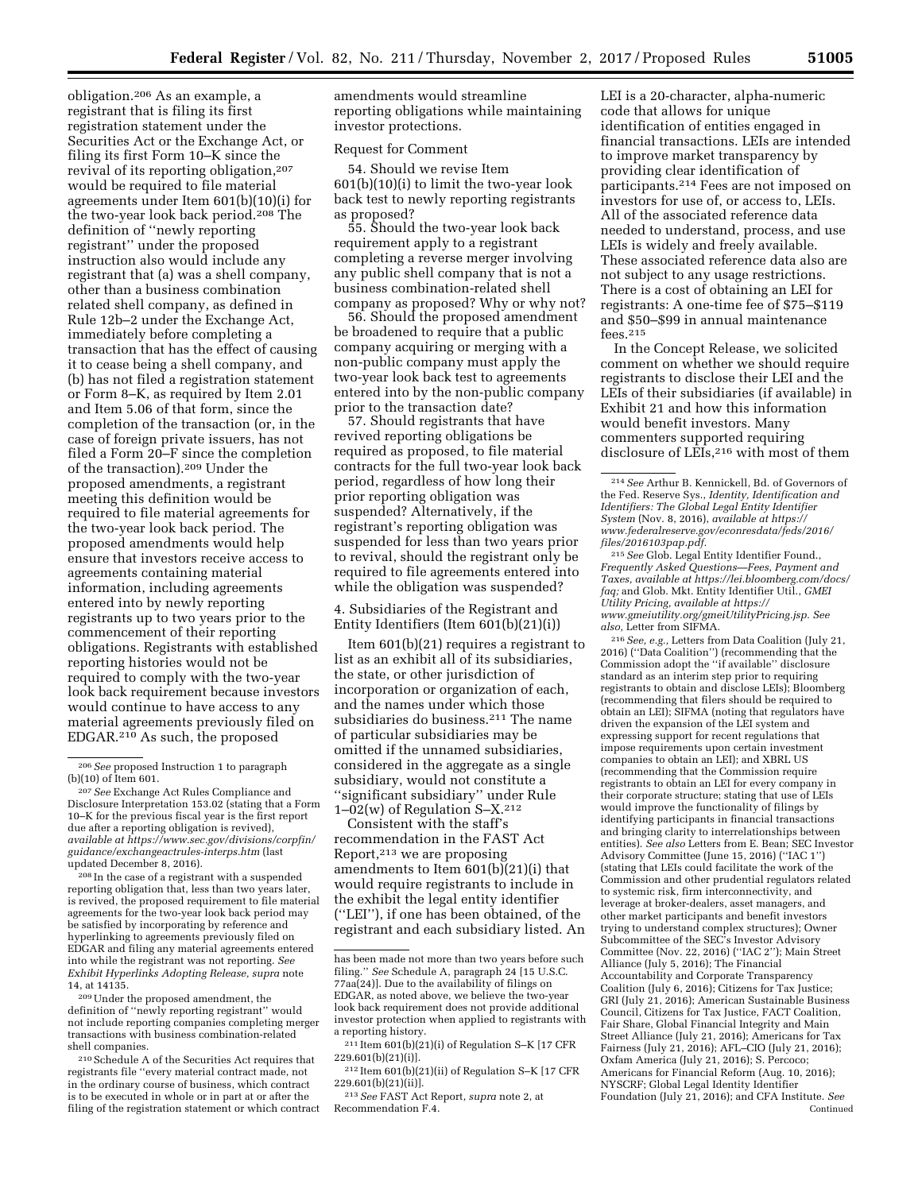obligation.206 As an example, a registrant that is filing its first registration statement under the Securities Act or the Exchange Act, or filing its first Form 10–K since the revival of its reporting obligation,<sup>207</sup> would be required to file material agreements under Item 601(b)(10)(i) for the two-year look back period.208 The definition of ''newly reporting registrant'' under the proposed instruction also would include any registrant that (a) was a shell company, other than a business combination related shell company, as defined in Rule 12b–2 under the Exchange Act, immediately before completing a transaction that has the effect of causing it to cease being a shell company, and (b) has not filed a registration statement or Form 8–K, as required by Item 2.01 and Item 5.06 of that form, since the completion of the transaction (or, in the case of foreign private issuers, has not filed a Form 20–F since the completion of the transaction).209 Under the proposed amendments, a registrant meeting this definition would be required to file material agreements for the two-year look back period. The proposed amendments would help ensure that investors receive access to agreements containing material information, including agreements entered into by newly reporting registrants up to two years prior to the commencement of their reporting obligations. Registrants with established reporting histories would not be required to comply with the two-year look back requirement because investors would continue to have access to any material agreements previously filed on EDGAR.210 As such, the proposed

208 In the case of a registrant with a suspended reporting obligation that, less than two years later, is revived, the proposed requirement to file material agreements for the two-year look back period may be satisfied by incorporating by reference and hyperlinking to agreements previously filed on EDGAR and filing any material agreements entered into while the registrant was not reporting. *See Exhibit Hyperlinks Adopting Release, supra* note 14, at 14135.

209Under the proposed amendment, the definition of ''newly reporting registrant'' would not include reporting companies completing merger transactions with business combination-related shell companies.

210Schedule A of the Securities Act requires that registrants file ''every material contract made, not in the ordinary course of business, which contract is to be executed in whole or in part at or after the filing of the registration statement or which contract amendments would streamline reporting obligations while maintaining investor protections.

### Request for Comment

54. Should we revise Item 601(b)(10)(i) to limit the two-year look back test to newly reporting registrants as proposed?

55. Should the two-year look back requirement apply to a registrant completing a reverse merger involving any public shell company that is not a business combination-related shell company as proposed? Why or why not?

56. Should the proposed amendment be broadened to require that a public company acquiring or merging with a non-public company must apply the two-year look back test to agreements entered into by the non-public company prior to the transaction date?

57. Should registrants that have revived reporting obligations be required as proposed, to file material contracts for the full two-year look back period, regardless of how long their prior reporting obligation was suspended? Alternatively, if the registrant's reporting obligation was suspended for less than two years prior to revival, should the registrant only be required to file agreements entered into while the obligation was suspended?

4. Subsidiaries of the Registrant and Entity Identifiers (Item 601(b)(21)(i))

Item 601(b)(21) requires a registrant to list as an exhibit all of its subsidiaries, the state, or other jurisdiction of incorporation or organization of each, and the names under which those subsidiaries do business.211 The name of particular subsidiaries may be omitted if the unnamed subsidiaries, considered in the aggregate as a single subsidiary, would not constitute a ''significant subsidiary'' under Rule 1–02(w) of Regulation S–X.212

Consistent with the staff's recommendation in the FAST Act Report,213 we are proposing amendments to Item 601(b)(21)(i) that would require registrants to include in the exhibit the legal entity identifier (''LEI''), if one has been obtained, of the registrant and each subsidiary listed. An

LEI is a 20-character, alpha-numeric code that allows for unique identification of entities engaged in financial transactions. LEIs are intended to improve market transparency by providing clear identification of participants.214 Fees are not imposed on investors for use of, or access to, LEIs. All of the associated reference data needed to understand, process, and use LEIs is widely and freely available. These associated reference data also are not subject to any usage restrictions. There is a cost of obtaining an LEI for registrants: A one-time fee of \$75–\$119 and \$50–\$99 in annual maintenance fees.215

In the Concept Release, we solicited comment on whether we should require registrants to disclose their LEI and the LEIs of their subsidiaries (if available) in Exhibit 21 and how this information would benefit investors. Many commenters supported requiring disclosure of LEIs,<sup>216</sup> with most of them

215*See* Glob. Legal Entity Identifier Found., *Frequently Asked Questions—Fees, Payment and Taxes, available at [https://lei.bloomberg.com/docs/](https://lei.bloomberg.com/docs/faq) [faq;](https://lei.bloomberg.com/docs/faq)* and Glob. Mkt. Entity Identifier Util., *GMEI Utility Pricing, available at [https://](https://www.gmeiutility.org/gmeiUtilityPricing.jsp) [www.gmeiutility.org/gmeiUtilityPricing.jsp.](https://www.gmeiutility.org/gmeiUtilityPricing.jsp) See also,* Letter from SIFMA.

216*See, e.g.,* Letters from Data Coalition (July 21, 2016) (''Data Coalition'') (recommending that the Commission adopt the ''if available'' disclosure standard as an interim step prior to requiring registrants to obtain and disclose LEIs); Bloomberg (recommending that filers should be required to obtain an LEI); SIFMA (noting that regulators have driven the expansion of the LEI system and expressing support for recent regulations that impose requirements upon certain investment companies to obtain an LEI); and XBRL US (recommending that the Commission require registrants to obtain an LEI for every company in their corporate structure; stating that use of LEIs would improve the functionality of filings by identifying participants in financial transactions and bringing clarity to interrelationships between entities). *See also* Letters from E. Bean; SEC Investor Advisory Committee (June 15, 2016) (''IAC 1'') (stating that LEIs could facilitate the work of the Commission and other prudential regulators related to systemic risk, firm interconnectivity, and leverage at broker-dealers, asset managers, and other market participants and benefit investors trying to understand complex structures); Owner Subcommittee of the SEC's Investor Advisory Committee (Nov. 22, 2016) (''IAC 2''); Main Street Alliance (July 5, 2016); The Financial Accountability and Corporate Transparency Coalition (July 6, 2016); Citizens for Tax Justice; GRI (July 21, 2016); American Sustainable Business Council, Citizens for Tax Justice, FACT Coalition, Fair Share, Global Financial Integrity and Main Street Alliance (July 21, 2016); Americans for Tax Fairness (July 21, 2016); AFL–CIO (July 21, 2016); Oxfam America (July 21, 2016); S. Percoco; Americans for Financial Reform (Aug. 10, 2016); NYSCRF; Global Legal Identity Identifier Foundation (July 21, 2016); and CFA Institute. *See*  Continued

<sup>206</sup>*See* proposed Instruction 1 to paragraph (b)(10) of Item 601.

<sup>207</sup>*See* Exchange Act Rules Compliance and Disclosure Interpretation 153.02 (stating that a Form 10–K for the previous fiscal year is the first report due after a reporting obligation is revived), *available at [https://www.sec.gov/divisions/corpfin/](https://www.sec.gov/divisions/corpfin/guidance/exchangeactrules-interps.htm) [guidance/exchangeactrules-interps.htm](https://www.sec.gov/divisions/corpfin/guidance/exchangeactrules-interps.htm)* (last updated December 8, 2016).

has been made not more than two years before such filing.'' *See* Schedule A, paragraph 24 [15 U.S.C. 77aa(24)]. Due to the availability of filings on EDGAR, as noted above, we believe the two-year look back requirement does not provide additional investor protection when applied to registrants with a reporting history.

<sup>211</sup> Item 601(b)(21)(i) of Regulation S–K [17 CFR  $229.601(b)(21)(i)$ ].

 $^{\rm 212}\!\!$  Item 601(b)(21)(ii) of Regulation S–K [17 CFR 229.601(b)(21)(ii)].

<sup>213</sup>*See* FAST Act Report, *supra* note 2, at Recommendation F.4.

<sup>214</sup>*See* Arthur B. Kennickell, Bd. of Governors of the Fed. Reserve Sys., *Identity, Identification and Identifiers: The Global Legal Entity Identifier System* (Nov. 8, 2016), *available at [https://](https://www.federalreserve.gov/econresdata/feds/2016/files/2016103pap.pdf) [www.federalreserve.gov/econresdata/feds/2016/](https://www.federalreserve.gov/econresdata/feds/2016/files/2016103pap.pdf)  [files/2016103pap.pdf.](https://www.federalreserve.gov/econresdata/feds/2016/files/2016103pap.pdf)*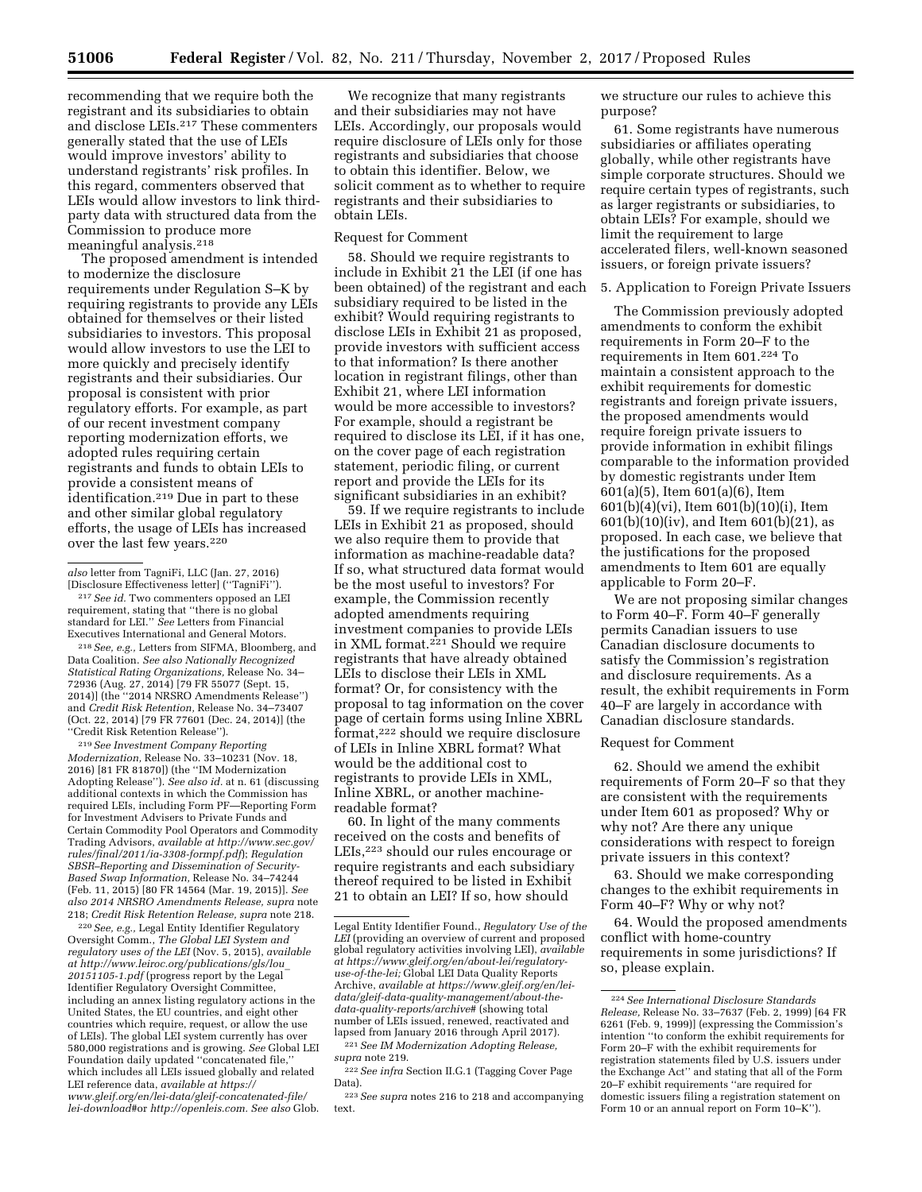recommending that we require both the registrant and its subsidiaries to obtain and disclose LEIs.217 These commenters generally stated that the use of LEIs would improve investors' ability to understand registrants' risk profiles. In this regard, commenters observed that LEIs would allow investors to link thirdparty data with structured data from the Commission to produce more meaningful analysis.218

The proposed amendment is intended to modernize the disclosure requirements under Regulation S–K by requiring registrants to provide any LEIs obtained for themselves or their listed subsidiaries to investors. This proposal would allow investors to use the LEI to more quickly and precisely identify registrants and their subsidiaries. Our proposal is consistent with prior regulatory efforts. For example, as part of our recent investment company reporting modernization efforts, we adopted rules requiring certain registrants and funds to obtain LEIs to provide a consistent means of identification.<sup>219</sup> Due in part to these and other similar global regulatory efforts, the usage of LEIs has increased over the last few years.<sup>220</sup>

217*See id.* Two commenters opposed an LEI requirement, stating that ''there is no global standard for LEI.'' *See* Letters from Financial Executives International and General Motors.

218*See, e.g.,* Letters from SIFMA, Bloomberg, and Data Coalition. *See also Nationally Recognized Statistical Rating Organizations,* Release No. 34– 72936 (Aug. 27, 2014) [79 FR 55077 (Sept. 15, 2014)] (the ''2014 NRSRO Amendments Release'') and *Credit Risk Retention,* Release No. 34–73407 (Oct. 22, 2014) [79 FR 77601 (Dec. 24, 2014)] (the ''Credit Risk Retention Release'').

219*See Investment Company Reporting Modernization,* Release No. 33–10231 (Nov. 18, 2016) [81 FR 81870]) (the ''IM Modernization Adopting Release''). *See also id.* at n. 61 (discussing additional contexts in which the Commission has required LEIs, including Form PF—Reporting Form for Investment Advisers to Private Funds and Certain Commodity Pool Operators and Commodity Trading Advisors, *available at [http://www.sec.gov/](http://www.sec.gov/rules/final/2011/ia-3308-formpf.pdf)  [rules/final/2011/ia-3308-formpf.pdf](http://www.sec.gov/rules/final/2011/ia-3308-formpf.pdf)*); *Regulation SBSR–Reporting and Dissemination of Security-Based Swap Information,* Release No. 34–74244 (Feb. 11, 2015) [80 FR 14564 (Mar. 19, 2015)]. *See also 2014 NRSRO Amendments Release, supra* note 218; *Credit Risk Retention Release, supra* note 218.

220*See, e.g.,* Legal Entity Identifier Regulatory Oversight Comm., *The Global LEI System and regulatory uses of the LEI* (Nov. 5, 2015), *available at [http://www.leiroc.org/publications/gls/lou](http://www.leiroc.org/publications/gls/lou_20151105-1.pdf)*\_ *[20151105-1.pdf](http://www.leiroc.org/publications/gls/lou_20151105-1.pdf)* (progress report by the Legal Identifier Regulatory Oversight Committee, including an annex listing regulatory actions in the United States, the EU countries, and eight other countries which require, request, or allow the use of LEIs). The global LEI system currently has over 580,000 registrations and is growing. *See* Global LEI Foundation daily updated "concatenated file, which includes all LEIs issued globally and related LEI reference data, *available a[t https://](https://www.gleif.org/en/lei-data/gleif-concatenated-file/lei-download#) [www.gleif.org/en/lei-data/gleif-concatenated-file/](https://www.gleif.org/en/lei-data/gleif-concatenated-file/lei-download#)  [lei-download#](https://www.gleif.org/en/lei-data/gleif-concatenated-file/lei-download#)*or *[http://openleis.com.](http://openleis.com) See also* Glob.

We recognize that many registrants and their subsidiaries may not have LEIs. Accordingly, our proposals would require disclosure of LEIs only for those registrants and subsidiaries that choose to obtain this identifier. Below, we solicit comment as to whether to require registrants and their subsidiaries to obtain LEIs.

### Request for Comment

58. Should we require registrants to include in Exhibit 21 the LEI (if one has been obtained) of the registrant and each subsidiary required to be listed in the exhibit? Would requiring registrants to disclose LEIs in Exhibit 21 as proposed, provide investors with sufficient access to that information? Is there another location in registrant filings, other than Exhibit 21, where LEI information would be more accessible to investors? For example, should a registrant be required to disclose its LEI, if it has one, on the cover page of each registration statement, periodic filing, or current report and provide the LEIs for its significant subsidiaries in an exhibit?

59. If we require registrants to include LEIs in Exhibit 21 as proposed, should we also require them to provide that information as machine-readable data? If so, what structured data format would be the most useful to investors? For example, the Commission recently adopted amendments requiring investment companies to provide LEIs in XML format.<sup>221</sup> Should we require registrants that have already obtained LEIs to disclose their LEIs in XML format? Or, for consistency with the proposal to tag information on the cover page of certain forms using Inline XBRL format,222 should we require disclosure of LEIs in Inline XBRL format? What would be the additional cost to registrants to provide LEIs in XML, Inline XBRL, or another machinereadable format?

60. In light of the many comments received on the costs and benefits of LEIs,223 should our rules encourage or require registrants and each subsidiary thereof required to be listed in Exhibit 21 to obtain an LEI? If so, how should

221*See IM Modernization Adopting Release, supra* note 219.

we structure our rules to achieve this purpose?

61. Some registrants have numerous subsidiaries or affiliates operating globally, while other registrants have simple corporate structures. Should we require certain types of registrants, such as larger registrants or subsidiaries, to obtain LEIs? For example, should we limit the requirement to large accelerated filers, well-known seasoned issuers, or foreign private issuers?

5. Application to Foreign Private Issuers

The Commission previously adopted amendments to conform the exhibit requirements in Form 20–F to the requirements in Item 601.224 To maintain a consistent approach to the exhibit requirements for domestic registrants and foreign private issuers, the proposed amendments would require foreign private issuers to provide information in exhibit filings comparable to the information provided by domestic registrants under Item 601(a)(5), Item 601(a)(6), Item 601(b)(4)(vi), Item 601(b)(10)(i), Item 601(b)(10)(iv), and Item 601(b)(21), as proposed. In each case, we believe that the justifications for the proposed amendments to Item 601 are equally applicable to Form 20–F.

We are not proposing similar changes to Form 40–F. Form 40–F generally permits Canadian issuers to use Canadian disclosure documents to satisfy the Commission's registration and disclosure requirements. As a result, the exhibit requirements in Form 40–F are largely in accordance with Canadian disclosure standards.

## Request for Comment

62. Should we amend the exhibit requirements of Form 20–F so that they are consistent with the requirements under Item 601 as proposed? Why or why not? Are there any unique considerations with respect to foreign private issuers in this context?

63. Should we make corresponding changes to the exhibit requirements in Form 40–F? Why or why not?

64. Would the proposed amendments conflict with home-country requirements in some jurisdictions? If so, please explain.

*also* letter from TagniFi, LLC (Jan. 27, 2016) [Disclosure Effectiveness letter] (''TagniFi'').

Legal Entity Identifier Found., *Regulatory Use of the*  LEI (providing an overview of current and proposed global regulatory activities involving LEI), *available at [https://www.gleif.org/en/about-lei/regulatory](https://www.gleif.org/en/about-lei/regulatory-use-of-the-lei)[use-of-the-lei;](https://www.gleif.org/en/about-lei/regulatory-use-of-the-lei)* Global LEI Data Quality Reports Archive, *available at [https://www.gleif.org/en/lei](https://www.gleif.org/en/lei-data/gleif-data-quality-management/about-the-data-quality-reports/archive#)[data/gleif-data-quality-management/about-the](https://www.gleif.org/en/lei-data/gleif-data-quality-management/about-the-data-quality-reports/archive#)[data-quality-reports/archive#](https://www.gleif.org/en/lei-data/gleif-data-quality-management/about-the-data-quality-reports/archive#)* (showing total number of LEIs issued, renewed, reactivated and lapsed from January 2016 through April 2017).

<sup>222</sup>*See infra* Section II.G.1 (Tagging Cover Page Data).

<sup>223</sup>*See supra* notes 216 to 218 and accompanying text.

<sup>224</sup>*See International Disclosure Standards Release,* Release No. 33–7637 (Feb. 2, 1999) [64 FR 6261 (Feb. 9, 1999)] (expressing the Commission's intention ''to conform the exhibit requirements for Form 20–F with the exhibit requirements for registration statements filed by U.S. issuers under the Exchange Act'' and stating that all of the Form 20–F exhibit requirements ''are required for domestic issuers filing a registration statement on Form 10 or an annual report on Form 10–K'').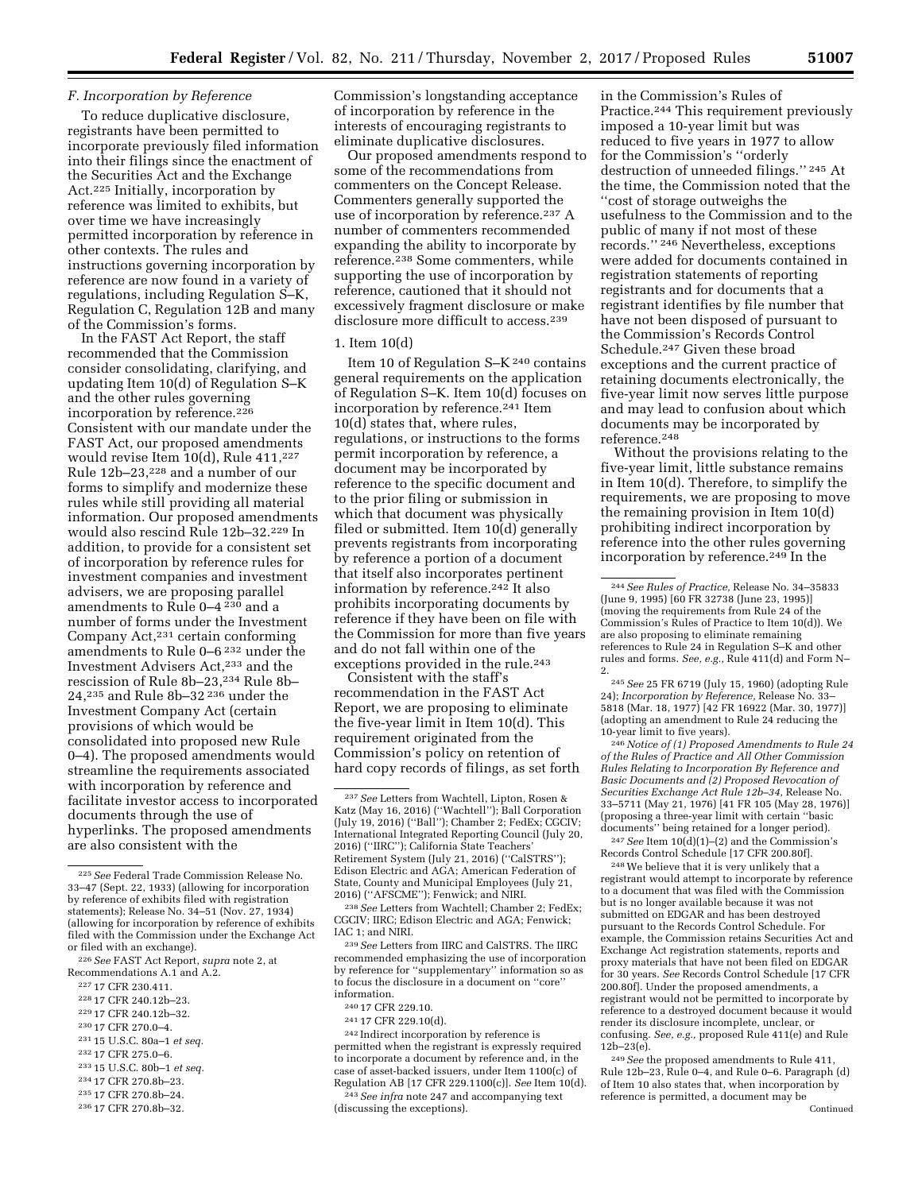#### *F. Incorporation by Reference*

To reduce duplicative disclosure, registrants have been permitted to incorporate previously filed information into their filings since the enactment of the Securities Act and the Exchange Act.225 Initially, incorporation by reference was limited to exhibits, but over time we have increasingly permitted incorporation by reference in other contexts. The rules and instructions governing incorporation by reference are now found in a variety of regulations, including Regulation S–K, Regulation C, Regulation 12B and many of the Commission's forms.

In the FAST Act Report, the staff recommended that the Commission consider consolidating, clarifying, and updating Item 10(d) of Regulation S–K and the other rules governing incorporation by reference.<sup>226</sup> Consistent with our mandate under the FAST Act, our proposed amendments would revise Item 10(d), Rule 411,227 Rule 12b–23,228 and a number of our forms to simplify and modernize these rules while still providing all material information. Our proposed amendments would also rescind Rule 12b–32.229 In addition, to provide for a consistent set of incorporation by reference rules for investment companies and investment advisers, we are proposing parallel amendments to Rule 0–4 230 and a number of forms under the Investment Company Act,231 certain conforming amendments to Rule 0–6 232 under the Investment Advisers Act,233 and the rescission of Rule 8b–23,234 Rule 8b– 24,235 and Rule 8b–32 236 under the Investment Company Act (certain provisions of which would be consolidated into proposed new Rule 0–4). The proposed amendments would streamline the requirements associated with incorporation by reference and facilitate investor access to incorporated documents through the use of hyperlinks. The proposed amendments are also consistent with the

- 228 17 CFR 240.12b–23.
- 229 17 CFR 240.12b–32.
- 230 17 CFR 270.0–4.
- 231 15 U.S.C. 80a–1 *et seq.*
- 232 17 CFR 275.0–6.
- 233 15 U.S.C. 80b–1 *et seq.*
- 234 17 CFR 270.8b–23.
- 235 17 CFR 270.8b–24.
- 236 17 CFR 270.8b–32.

Commission's longstanding acceptance of incorporation by reference in the interests of encouraging registrants to eliminate duplicative disclosures.

Our proposed amendments respond to some of the recommendations from commenters on the Concept Release. Commenters generally supported the use of incorporation by reference.<sup>237</sup> A number of commenters recommended expanding the ability to incorporate by reference.238 Some commenters, while supporting the use of incorporation by reference, cautioned that it should not excessively fragment disclosure or make disclosure more difficult to access.239

#### 1. Item 10(d)

Item 10 of Regulation S–K 240 contains general requirements on the application of Regulation S–K. Item 10(d) focuses on incorporation by reference.241 Item 10(d) states that, where rules, regulations, or instructions to the forms permit incorporation by reference, a document may be incorporated by reference to the specific document and to the prior filing or submission in which that document was physically filed or submitted. Item 10(d) generally prevents registrants from incorporating by reference a portion of a document that itself also incorporates pertinent information by reference.242 It also prohibits incorporating documents by reference if they have been on file with the Commission for more than five years and do not fall within one of the exceptions provided in the rule.<sup>243</sup>

Consistent with the staff's recommendation in the FAST Act Report, we are proposing to eliminate the five-year limit in Item 10(d). This requirement originated from the Commission's policy on retention of hard copy records of filings, as set forth

238*See* Letters from Wachtell; Chamber 2; FedEx; CGCIV; IIRC; Edison Electric and AGA; Fenwick; IAC 1; and NIRI.

239*See* Letters from IIRC and CalSTRS. The IIRC recommended emphasizing the use of incorporation by reference for ''supplementary'' information so as to focus the disclosure in a document on ''core'' information.

- 240 17 CFR 229.10.
- 241 17 CFR 229.10(d).

242 Indirect incorporation by reference is permitted when the registrant is expressly required to incorporate a document by reference and, in the case of asset-backed issuers, under Item 1100(c) of Regulation AB [17 CFR 229.1100(c)]. *See* Item 10(d). 243*See infra* note 247 and accompanying text

(discussing the exceptions).

in the Commission's Rules of Practice.<sup>244</sup> This requirement previously imposed a 10-year limit but was reduced to five years in 1977 to allow for the Commission's ''orderly destruction of unneeded filings.'' 245 At the time, the Commission noted that the ''cost of storage outweighs the usefulness to the Commission and to the public of many if not most of these records.'' 246 Nevertheless, exceptions were added for documents contained in registration statements of reporting registrants and for documents that a registrant identifies by file number that have not been disposed of pursuant to the Commission's Records Control Schedule.247 Given these broad exceptions and the current practice of retaining documents electronically, the five-year limit now serves little purpose and may lead to confusion about which documents may be incorporated by reference.248

Without the provisions relating to the five-year limit, little substance remains in Item 10(d). Therefore, to simplify the requirements, we are proposing to move the remaining provision in Item 10(d) prohibiting indirect incorporation by reference into the other rules governing incorporation by reference.249 In the

245*See* 25 FR 6719 (July 15, 1960) (adopting Rule 24); *Incorporation by Reference,* Release No. 33– 5818 (Mar. 18, 1977) [42 FR 16922 (Mar. 30, 1977)] (adopting an amendment to Rule 24 reducing the 10-year limit to five years).

246*Notice of (1) Proposed Amendments to Rule 24 of the Rules of Practice and All Other Commission Rules Relating to Incorporation By Reference and Basic Documents and (2) Proposed Revocation of Securities Exchange Act Rule 12b–34,* Release No. 33–5711 (May 21, 1976) [41 FR 105 (May 28, 1976)] (proposing a three-year limit with certain ''basic documents'' being retained for a longer period).

247*See* Item 10(d)(1)–(2) and the Commission's Records Control Schedule [17 CFR 200.80f].

248We believe that it is very unlikely that a registrant would attempt to incorporate by reference to a document that was filed with the Commission but is no longer available because it was not submitted on EDGAR and has been destroyed pursuant to the Records Control Schedule. For example, the Commission retains Securities Act and Exchange Act registration statements, reports and proxy materials that have not been filed on EDGAR for 30 years. *See* Records Control Schedule [17 CFR 200.80f]. Under the proposed amendments, a registrant would not be permitted to incorporate by reference to a destroyed document because it would render its disclosure incomplete, unclear, or confusing. *See, e.g.,* proposed Rule 411(e) and Rule 12b–23(e).

249*See* the proposed amendments to Rule 411, Rule 12b–23, Rule 0–4, and Rule 0–6. Paragraph (d) of Item 10 also states that, when incorporation by reference is permitted, a document may be Continued

<sup>225</sup>*See* Federal Trade Commission Release No. 33–47 (Sept. 22, 1933) (allowing for incorporation by reference of exhibits filed with registration statements); Release No. 34–51 (Nov. 27, 1934) (allowing for incorporation by reference of exhibits filed with the Commission under the Exchange Act or filed with an exchange).

<sup>226</sup>*See* FAST Act Report, *supra* note 2, at Recommendations A.1 and A.2.

<sup>227</sup> 17 CFR 230.411.

<sup>237</sup>*See* Letters from Wachtell, Lipton, Rosen & Katz (May 16, 2016) (''Wachtell''); Ball Corporation (July 19, 2016) (''Ball''); Chamber 2; FedEx; CGCIV; International Integrated Reporting Council (July 20, 2016) (''IIRC''); California State Teachers' Retirement System (July 21, 2016) (''CalSTRS''); Edison Electric and AGA; American Federation of State, County and Municipal Employees (July 21, 2016) (''AFSCME''); Fenwick; and NIRI.

<sup>244</sup>*See Rules of Practice,* Release No. 34–35833 (June 9, 1995) [60 FR 32738 (June 23, 1995)] (moving the requirements from Rule 24 of the Commission's Rules of Practice to Item 10(d)). We are also proposing to eliminate remaining references to Rule 24 in Regulation S–K and other rules and forms. *See, e.g.,* Rule 411(d) and Form N– 2.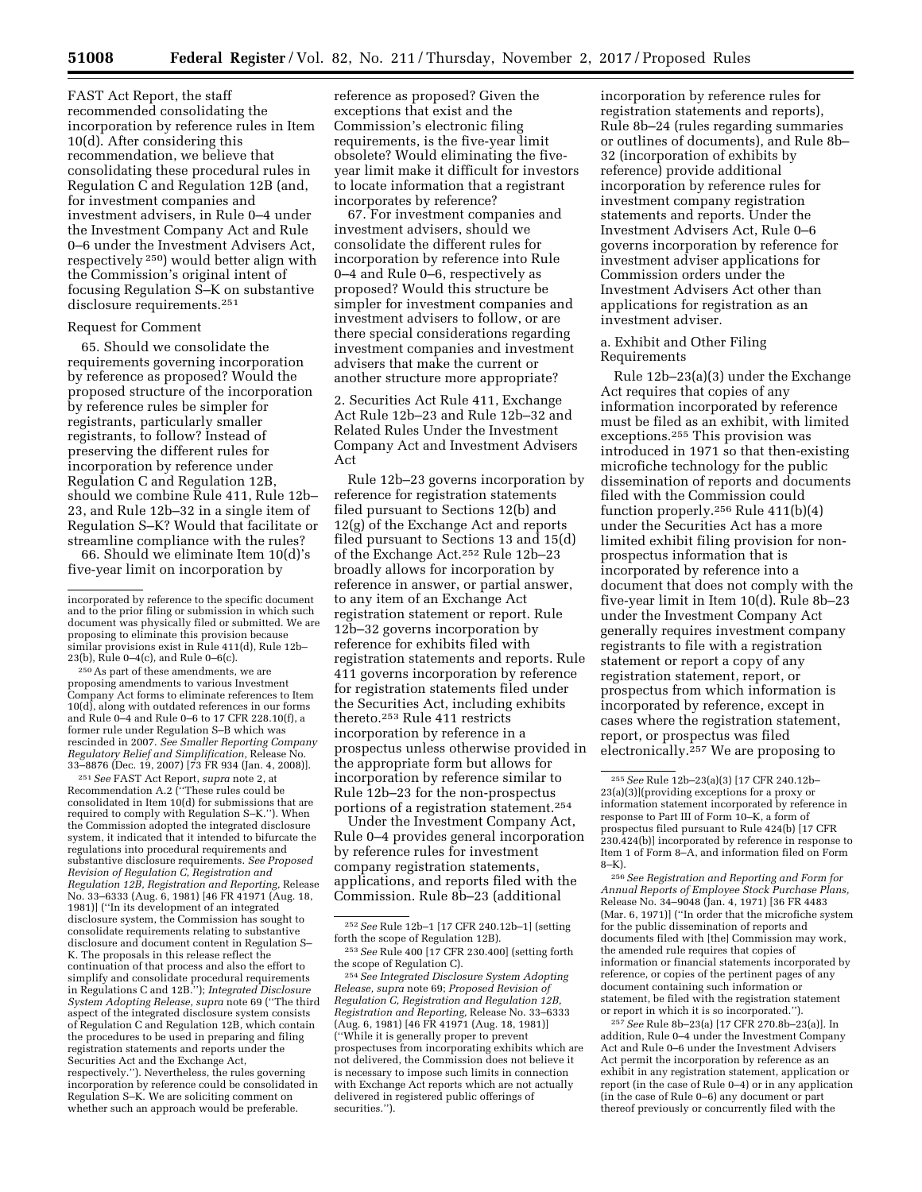FAST Act Report, the staff recommended consolidating the incorporation by reference rules in Item 10(d). After considering this recommendation, we believe that consolidating these procedural rules in Regulation C and Regulation 12B (and, for investment companies and investment advisers, in Rule 0–4 under the Investment Company Act and Rule 0–6 under the Investment Advisers Act, respectively 250) would better align with the Commission's original intent of focusing Regulation S–K on substantive disclosure requirements.251

#### Request for Comment

65. Should we consolidate the requirements governing incorporation by reference as proposed? Would the proposed structure of the incorporation by reference rules be simpler for registrants, particularly smaller registrants, to follow? Instead of preserving the different rules for incorporation by reference under Regulation C and Regulation 12B, should we combine Rule 411, Rule 12b– 23, and Rule 12b–32 in a single item of Regulation S–K? Would that facilitate or streamline compliance with the rules?

66. Should we eliminate Item 10(d)'s five-year limit on incorporation by

incorporated by reference to the specific document and to the prior filing or submission in which such document was physically filed or submitted. We are proposing to eliminate this provision because similar provisions exist in Rule 411(d), Rule 12b–<br>23(b), Rule  $0-4(c)$ , and Rule  $0-6(c)$ .

<sup>250</sup> As part of these amendments, we are proposing amendments to various Investment Company Act forms to eliminate references to Item 10(d), along with outdated references in our forms and Rule 0–4 and Rule 0–6 to 17 CFR 228.10(f), a former rule under Regulation S–B which was rescinded in 2007. *See Smaller Reporting Company Regulatory Relief and Simplification,* Release No. 33–8876 (Dec. 19, 2007) [73 FR 934 (Jan. 4, 2008)].

251*See* FAST Act Report, *supra* note 2, at Recommendation A.2 (''These rules could be consolidated in Item 10(d) for submissions that are required to comply with Regulation S–K.''). When the Commission adopted the integrated disclosure system, it indicated that it intended to bifurcate the regulations into procedural requirements and substantive disclosure requirements. *See Proposed Revision of Regulation C, Registration and Regulation 12B, Registration and Reporting,* Release No. 33–6333 (Aug. 6, 1981) [46 FR 41971 (Aug. 18, 1981)] (''In its development of an integrated disclosure system, the Commission has sought to consolidate requirements relating to substantive disclosure and document content in Regulation S– K. The proposals in this release reflect the continuation of that process and also the effort to simplify and consolidate procedural requirements in Regulations C and 12B.''); *Integrated Disclosure System Adopting Release, supra* note 69 (''The third aspect of the integrated disclosure system consists of Regulation C and Regulation 12B, which contain the procedures to be used in preparing and filing registration statements and reports under the Securities Act and the Exchange Act, respectively.''). Nevertheless, the rules governing incorporation by reference could be consolidated in Regulation S–K. We are soliciting comment on whether such an approach would be preferable.

reference as proposed? Given the exceptions that exist and the Commission's electronic filing requirements, is the five-year limit obsolete? Would eliminating the fiveyear limit make it difficult for investors to locate information that a registrant incorporates by reference?

67. For investment companies and investment advisers, should we consolidate the different rules for incorporation by reference into Rule 0–4 and Rule 0–6, respectively as proposed? Would this structure be simpler for investment companies and investment advisers to follow, or are there special considerations regarding investment companies and investment advisers that make the current or another structure more appropriate?

2. Securities Act Rule 411, Exchange Act Rule 12b–23 and Rule 12b–32 and Related Rules Under the Investment Company Act and Investment Advisers Act

Rule 12b–23 governs incorporation by reference for registration statements filed pursuant to Sections 12(b) and 12(g) of the Exchange Act and reports filed pursuant to Sections 13 and 15(d) of the Exchange Act.252 Rule 12b–23 broadly allows for incorporation by reference in answer, or partial answer, to any item of an Exchange Act registration statement or report. Rule 12b–32 governs incorporation by reference for exhibits filed with registration statements and reports. Rule 411 governs incorporation by reference for registration statements filed under the Securities Act, including exhibits thereto.253 Rule 411 restricts incorporation by reference in a prospectus unless otherwise provided in the appropriate form but allows for incorporation by reference similar to Rule 12b–23 for the non-prospectus portions of a registration statement.254

Under the Investment Company Act, Rule 0–4 provides general incorporation by reference rules for investment company registration statements, applications, and reports filed with the Commission. Rule 8b–23 (additional

254*See Integrated Disclosure System Adopting Release, supra* note 69; *Proposed Revision of Regulation C, Registration and Regulation 12B, Registration and Reporting,* Release No. 33–6333 (Aug. 6, 1981) [46 FR 41971 (Aug. 18, 1981)] (''While it is generally proper to prevent prospectuses from incorporating exhibits which are not delivered, the Commission does not believe it is necessary to impose such limits in connection with Exchange Act reports which are not actually delivered in registered public offerings of securities.'').

incorporation by reference rules for registration statements and reports), Rule 8b–24 (rules regarding summaries or outlines of documents), and Rule 8b– 32 (incorporation of exhibits by reference) provide additional incorporation by reference rules for investment company registration statements and reports. Under the Investment Advisers Act, Rule 0–6 governs incorporation by reference for investment adviser applications for Commission orders under the Investment Advisers Act other than applications for registration as an investment adviser.

#### a. Exhibit and Other Filing Requirements

Rule 12b–23(a)(3) under the Exchange Act requires that copies of any information incorporated by reference must be filed as an exhibit, with limited exceptions.255 This provision was introduced in 1971 so that then-existing microfiche technology for the public dissemination of reports and documents filed with the Commission could function properly.256 Rule 411(b)(4) under the Securities Act has a more limited exhibit filing provision for nonprospectus information that is incorporated by reference into a document that does not comply with the five-year limit in Item 10(d). Rule 8b–23 under the Investment Company Act generally requires investment company registrants to file with a registration statement or report a copy of any registration statement, report, or prospectus from which information is incorporated by reference, except in cases where the registration statement, report, or prospectus was filed electronically.257 We are proposing to

256*See Registration and Reporting and Form for Annual Reports of Employee Stock Purchase Plans,*  Release No. 34–9048 (Jan. 4, 1971) [36 FR 4483 (Mar. 6, 1971)] (''In order that the microfiche system for the public dissemination of reports and documents filed with [the] Commission may work, the amended rule requires that copies of information or financial statements incorporated by reference, or copies of the pertinent pages of any document containing such information or statement, be filed with the registration statement or report in which it is so incorporated.'').

257*See* Rule 8b–23(a) [17 CFR 270.8b–23(a)]. In addition, Rule 0–4 under the Investment Company Act and Rule 0–6 under the Investment Advisers Act permit the incorporation by reference as an exhibit in any registration statement, application or report (in the case of Rule 0–4) or in any application (in the case of Rule 0–6) any document or part thereof previously or concurrently filed with the

<sup>252</sup>*See* Rule 12b–1 [17 CFR 240.12b–1] (setting forth the scope of Regulation 12B).

<sup>253</sup>*See* Rule 400 [17 CFR 230.400] (setting forth the scope of Regulation C).

<sup>255</sup>*See* Rule 12b–23(a)(3) [17 CFR 240.12b– 23(a)(3)](providing exceptions for a proxy or information statement incorporated by reference in response to Part III of Form 10–K, a form of prospectus filed pursuant to Rule 424(b) [17 CFR 230.424(b)] incorporated by reference in response to Item 1 of Form 8–A, and information filed on Form 8–K).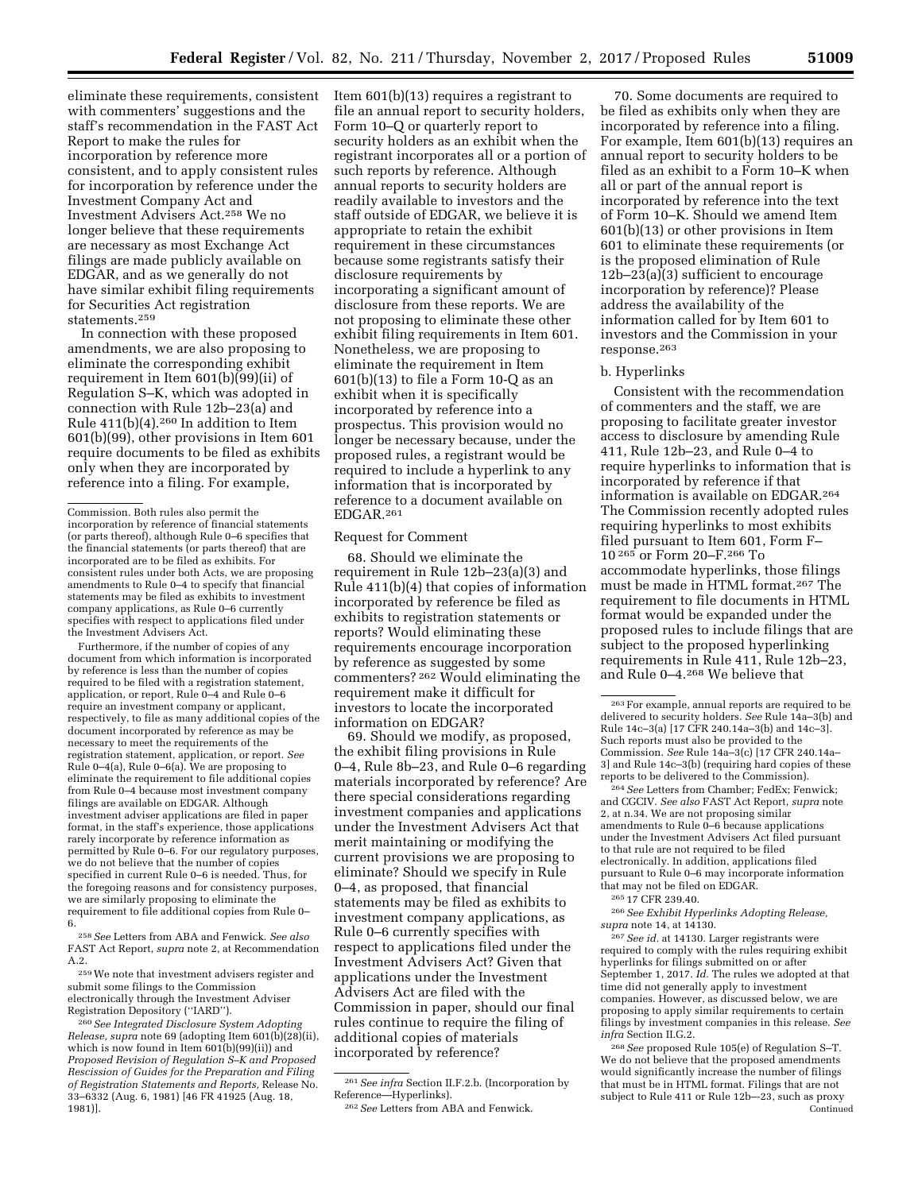staff's recommendation in the FAST Act Report to make the rules for incorporation by reference more consistent, and to apply consistent rules for incorporation by reference under the Investment Company Act and Investment Advisers Act.258 We no longer believe that these requirements are necessary as most Exchange Act filings are made publicly available on EDGAR, and as we generally do not have similar exhibit filing requirements for Securities Act registration statements.259

In connection with these proposed amendments, we are also proposing to eliminate the corresponding exhibit requirement in Item 601(b)(99)(ii) of Regulation S–K, which was adopted in connection with Rule 12b–23(a) and Rule 411(b)(4).260 In addition to Item 601(b)(99), other provisions in Item 601 require documents to be filed as exhibits only when they are incorporated by reference into a filing. For example,

Furthermore, if the number of copies of any document from which information is incorporated by reference is less than the number of copies required to be filed with a registration statement, application, or report, Rule 0–4 and Rule 0–6 require an investment company or applicant, respectively, to file as many additional copies of the document incorporated by reference as may be necessary to meet the requirements of the registration statement, application, or report. *See*  Rule 0–4(a), Rule 0–6(a). We are proposing to eliminate the requirement to file additional copies from Rule 0–4 because most investment company filings are available on EDGAR. Although investment adviser applications are filed in paper format, in the staff's experience, those applications rarely incorporate by reference information as permitted by Rule 0–6. For our regulatory purposes, we do not believe that the number of copies specified in current Rule 0–6 is needed. Thus, for the foregoing reasons and for consistency purposes, we are similarly proposing to eliminate the requirement to file additional copies from Rule 0– 6.

258*See* Letters from ABA and Fenwick. *See also*  FAST Act Report, *supra* note 2, at Recommendation A.2.

259We note that investment advisers register and submit some filings to the Commission electronically through the Investment Adviser Registration Depository (''IARD'').

260*See Integrated Disclosure System Adopting Release, supra* note 69 (adopting Item 601(b)(28)(ii), which is now found in Item 601(b)(99)(ii)) and *Proposed Revision of Regulation S–K and Proposed Rescission of Guides for the Preparation and Filing of Registration Statements and Reports,* Release No. 33–6332 (Aug. 6, 1981) [46 FR 41925 (Aug. 18, 1981)].

file an annual report to security holders, Form 10–Q or quarterly report to security holders as an exhibit when the registrant incorporates all or a portion of such reports by reference. Although annual reports to security holders are readily available to investors and the staff outside of EDGAR, we believe it is appropriate to retain the exhibit requirement in these circumstances because some registrants satisfy their disclosure requirements by incorporating a significant amount of disclosure from these reports. We are not proposing to eliminate these other exhibit filing requirements in Item 601. Nonetheless, we are proposing to eliminate the requirement in Item  $601(b)(13)$  to file a Form 10-Q as an exhibit when it is specifically incorporated by reference into a prospectus. This provision would no longer be necessary because, under the proposed rules, a registrant would be required to include a hyperlink to any information that is incorporated by reference to a document available on EDGAR.261

#### Request for Comment

68. Should we eliminate the requirement in Rule 12b–23(a)(3) and Rule 411(b)(4) that copies of information incorporated by reference be filed as exhibits to registration statements or reports? Would eliminating these requirements encourage incorporation by reference as suggested by some commenters? 262 Would eliminating the requirement make it difficult for investors to locate the incorporated information on EDGAR?

69. Should we modify, as proposed, the exhibit filing provisions in Rule 0–4, Rule 8b–23, and Rule 0–6 regarding materials incorporated by reference? Are there special considerations regarding investment companies and applications under the Investment Advisers Act that merit maintaining or modifying the current provisions we are proposing to eliminate? Should we specify in Rule 0–4, as proposed, that financial statements may be filed as exhibits to investment company applications, as Rule 0–6 currently specifies with respect to applications filed under the Investment Advisers Act? Given that applications under the Investment Advisers Act are filed with the Commission in paper, should our final rules continue to require the filing of additional copies of materials incorporated by reference?

70. Some documents are required to be filed as exhibits only when they are incorporated by reference into a filing. For example, Item 601(b)(13) requires an annual report to security holders to be filed as an exhibit to a Form 10–K when all or part of the annual report is incorporated by reference into the text of Form 10–K. Should we amend Item 601(b)(13) or other provisions in Item 601 to eliminate these requirements (or is the proposed elimination of Rule 12b–23(a)(3) sufficient to encourage incorporation by reference)? Please address the availability of the information called for by Item 601 to investors and the Commission in your response.263

#### b. Hyperlinks

Consistent with the recommendation of commenters and the staff, we are proposing to facilitate greater investor access to disclosure by amending Rule 411, Rule 12b–23, and Rule 0–4 to require hyperlinks to information that is incorporated by reference if that information is available on EDGAR.264 The Commission recently adopted rules requiring hyperlinks to most exhibits filed pursuant to Item 601, Form F– 10 265 or Form 20–F.266 To accommodate hyperlinks, those filings must be made in HTML format.267 The requirement to file documents in HTML format would be expanded under the proposed rules to include filings that are subject to the proposed hyperlinking requirements in Rule 411, Rule 12b–23, and Rule 0–4.268 We believe that

264*See* Letters from Chamber; FedEx; Fenwick; and CGCIV. *See also* FAST Act Report, *supra* note 2, at n.34. We are not proposing similar amendments to Rule 0-6 because applications under the Investment Advisers Act filed pursuant to that rule are not required to be filed electronically. In addition, applications filed pursuant to Rule 0–6 may incorporate information that may not be filed on EDGAR.

266*See Exhibit Hyperlinks Adopting Release, supra* note 14, at 14130.

267*See id.* at 14130*.* Larger registrants were required to comply with the rules requiring exhibit hyperlinks for filings submitted on or after September 1, 2017. *Id.* The rules we adopted at that time did not generally apply to investment companies. However, as discussed below, we are proposing to apply similar requirements to certain filings by investment companies in this release. *See infra* Section II.G.2.

268*See* proposed Rule 105(e) of Regulation S–T. We do not believe that the proposed amendments would significantly increase the number of filings that must be in HTML format. Filings that are not subject to Rule 411 or Rule 12b–-23, such as proxy Continued

eliminate these requirements, consistent with commenters' suggestions and the Item 601(b)(13) requires a registrant to

Commission. Both rules also permit the incorporation by reference of financial statements (or parts thereof), although Rule 0–6 specifies that the financial statements (or parts thereof) that are incorporated are to be filed as exhibits. For consistent rules under both Acts, we are proposing amendments to Rule 0–4 to specify that financial statements may be filed as exhibits to investment company applications, as Rule 0–6 currently specifies with respect to applications filed under the Investment Advisers Act.

<sup>261</sup>*See infra* Section II.F.2.b. (Incorporation by Reference—Hyperlinks).

<sup>262</sup>*See* Letters from ABA and Fenwick.

<sup>263</sup>For example, annual reports are required to be delivered to security holders. *See* Rule 14a–3(b) and Rule 14c–3(a) [17 CFR 240.14a–3(b) and 14c–3]. Such reports must also be provided to the Commission. *See* Rule 14a–3(c) [17 CFR 240.14a– 3] and Rule 14c–3(b) (requiring hard copies of these reports to be delivered to the Commission).

<sup>265</sup> 17 CFR 239.40.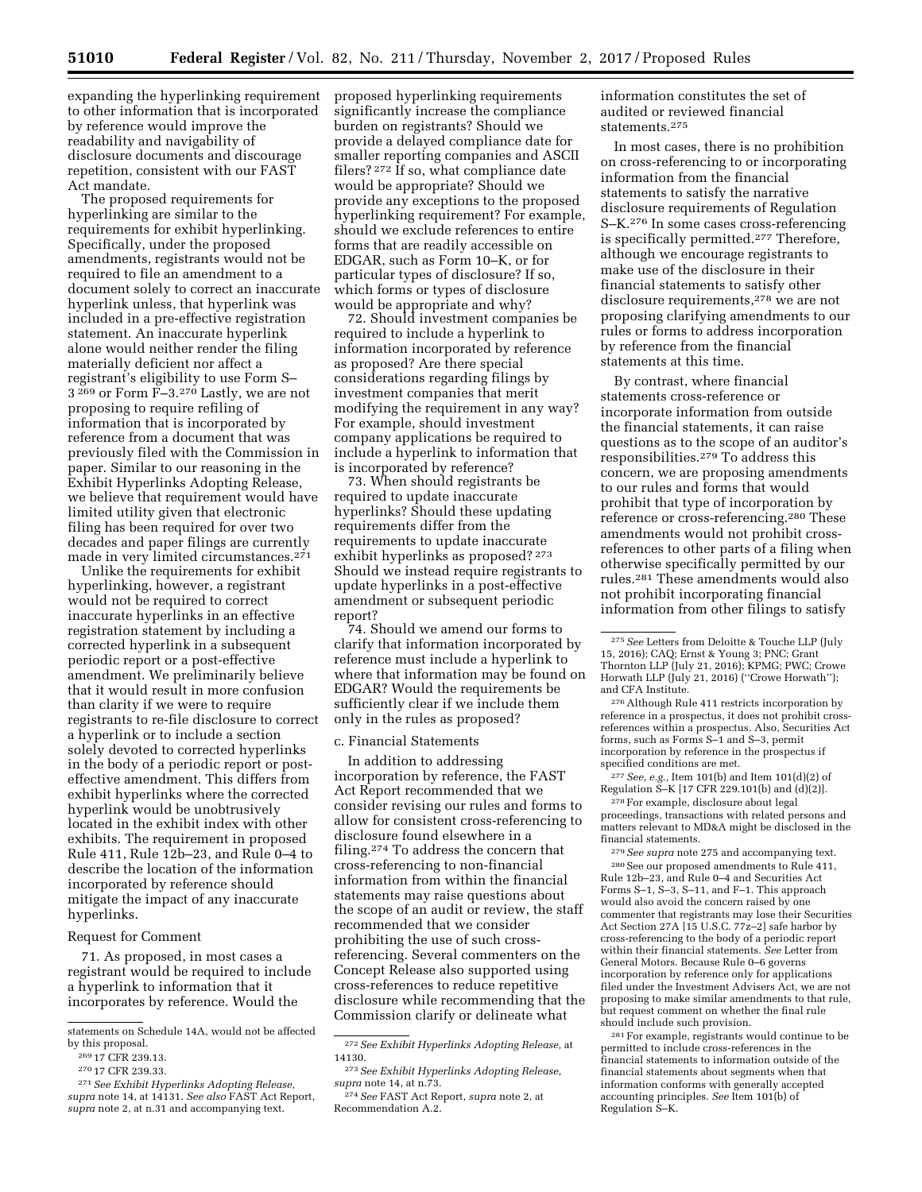expanding the hyperlinking requirement to other information that is incorporated by reference would improve the readability and navigability of disclosure documents and discourage repetition, consistent with our FAST Act mandate.

The proposed requirements for hyperlinking are similar to the requirements for exhibit hyperlinking. Specifically, under the proposed amendments, registrants would not be required to file an amendment to a document solely to correct an inaccurate hyperlink unless, that hyperlink was included in a pre-effective registration statement. An inaccurate hyperlink alone would neither render the filing materially deficient nor affect a registrant's eligibility to use Form S– 3 269 or Form F–3.270 Lastly, we are not proposing to require refiling of information that is incorporated by reference from a document that was previously filed with the Commission in paper. Similar to our reasoning in the Exhibit Hyperlinks Adopting Release, we believe that requirement would have limited utility given that electronic filing has been required for over two decades and paper filings are currently made in very limited circumstances.<sup>271</sup>

Unlike the requirements for exhibit hyperlinking, however, a registrant would not be required to correct inaccurate hyperlinks in an effective registration statement by including a corrected hyperlink in a subsequent periodic report or a post-effective amendment. We preliminarily believe that it would result in more confusion than clarity if we were to require registrants to re-file disclosure to correct a hyperlink or to include a section solely devoted to corrected hyperlinks in the body of a periodic report or posteffective amendment. This differs from exhibit hyperlinks where the corrected hyperlink would be unobtrusively located in the exhibit index with other exhibits. The requirement in proposed Rule 411, Rule 12b–23, and Rule 0–4 to describe the location of the information incorporated by reference should mitigate the impact of any inaccurate hyperlinks.

#### Request for Comment

71. As proposed, in most cases a registrant would be required to include a hyperlink to information that it incorporates by reference. Would the

proposed hyperlinking requirements significantly increase the compliance burden on registrants? Should we provide a delayed compliance date for smaller reporting companies and ASCII filers? 272 If so, what compliance date would be appropriate? Should we provide any exceptions to the proposed hyperlinking requirement? For example, should we exclude references to entire forms that are readily accessible on EDGAR, such as Form 10–K, or for particular types of disclosure? If so, which forms or types of disclosure would be appropriate and why?

72. Should investment companies be required to include a hyperlink to information incorporated by reference as proposed? Are there special considerations regarding filings by investment companies that merit modifying the requirement in any way? For example, should investment company applications be required to include a hyperlink to information that is incorporated by reference?

73. When should registrants be required to update inaccurate hyperlinks? Should these updating requirements differ from the requirements to update inaccurate exhibit hyperlinks as proposed? 273 Should we instead require registrants to update hyperlinks in a post-effective amendment or subsequent periodic report?

74. Should we amend our forms to clarify that information incorporated by reference must include a hyperlink to where that information may be found on EDGAR? Would the requirements be sufficiently clear if we include them only in the rules as proposed?

#### c. Financial Statements

In addition to addressing incorporation by reference, the FAST Act Report recommended that we consider revising our rules and forms to allow for consistent cross-referencing to disclosure found elsewhere in a filing.274 To address the concern that cross-referencing to non-financial information from within the financial statements may raise questions about the scope of an audit or review, the staff recommended that we consider prohibiting the use of such crossreferencing. Several commenters on the Concept Release also supported using cross-references to reduce repetitive disclosure while recommending that the Commission clarify or delineate what

information constitutes the set of audited or reviewed financial statements.275

In most cases, there is no prohibition on cross-referencing to or incorporating information from the financial statements to satisfy the narrative disclosure requirements of Regulation S–K.276 In some cases cross-referencing is specifically permitted.277 Therefore, although we encourage registrants to make use of the disclosure in their financial statements to satisfy other disclosure requirements,278 we are not proposing clarifying amendments to our rules or forms to address incorporation by reference from the financial statements at this time.

By contrast, where financial statements cross-reference or incorporate information from outside the financial statements, it can raise questions as to the scope of an auditor's responsibilities.279 To address this concern, we are proposing amendments to our rules and forms that would prohibit that type of incorporation by reference or cross-referencing.280 These amendments would not prohibit crossreferences to other parts of a filing when otherwise specifically permitted by our rules.281 These amendments would also not prohibit incorporating financial information from other filings to satisfy

277*See, e.g.,* Item 101(b) and Item 101(d)(2) of Regulation S–K [17 CFR 229.101(b) and (d)(2)].

278For example, disclosure about legal proceedings, transactions with related persons and matters relevant to MD&A might be disclosed in the financial statements.

279*See supra* note 275 and accompanying text. 280See our proposed amendments to Rule 411, Rule 12b–23, and Rule 0–4 and Securities Act Forms S–1, S–3, S–11, and F–1. This approach would also avoid the concern raised by one commenter that registrants may lose their Securities Act Section 27A [15 U.S.C. 77z–2] safe harbor by cross-referencing to the body of a periodic report within their financial statements. *See* Letter from General Motors. Because Rule 0–6 governs incorporation by reference only for applications filed under the Investment Advisers Act, we are not proposing to make similar amendments to that rule, but request comment on whether the final rule should include such provision.

281For example, registrants would continue to be permitted to include cross-references in the financial statements to information outside of the financial statements about segments when that information conforms with generally accepted accounting principles. *See* Item 101(b) of Regulation S–K.

statements on Schedule 14A, would not be affected by this proposal.

<sup>269</sup> 17 CFR 239.13.

<sup>270</sup> 17 CFR 239.33.

<sup>271</sup>*See Exhibit Hyperlinks Adopting Release, supra* note 14, at 14131. *See also* FAST Act Report, *supra* note 2, at n.31 and accompanying text.

<sup>272</sup>*See Exhibit Hyperlinks Adopting Release,* at 14130.

<sup>273</sup>*See Exhibit Hyperlinks Adopting Release, supra* note 14, at n.73.

<sup>274</sup>*See* FAST Act Report, *supra* note 2, at Recommendation A.2.

<sup>275</sup>*See* Letters from Deloitte & Touche LLP (July 15, 2016); CAQ; Ernst & Young 3; PNC; Grant Thornton LLP (July 21, 2016); KPMG; PWC; Crowe Horwath LLP (July 21, 2016) (''Crowe Horwath''); and CFA Institute.

<sup>276</sup>Although Rule 411 restricts incorporation by reference in a prospectus, it does not prohibit crossreferences within a prospectus. Also, Securities Act forms, such as Forms S–1 and S–3, permit incorporation by reference in the prospectus if specified conditions are met.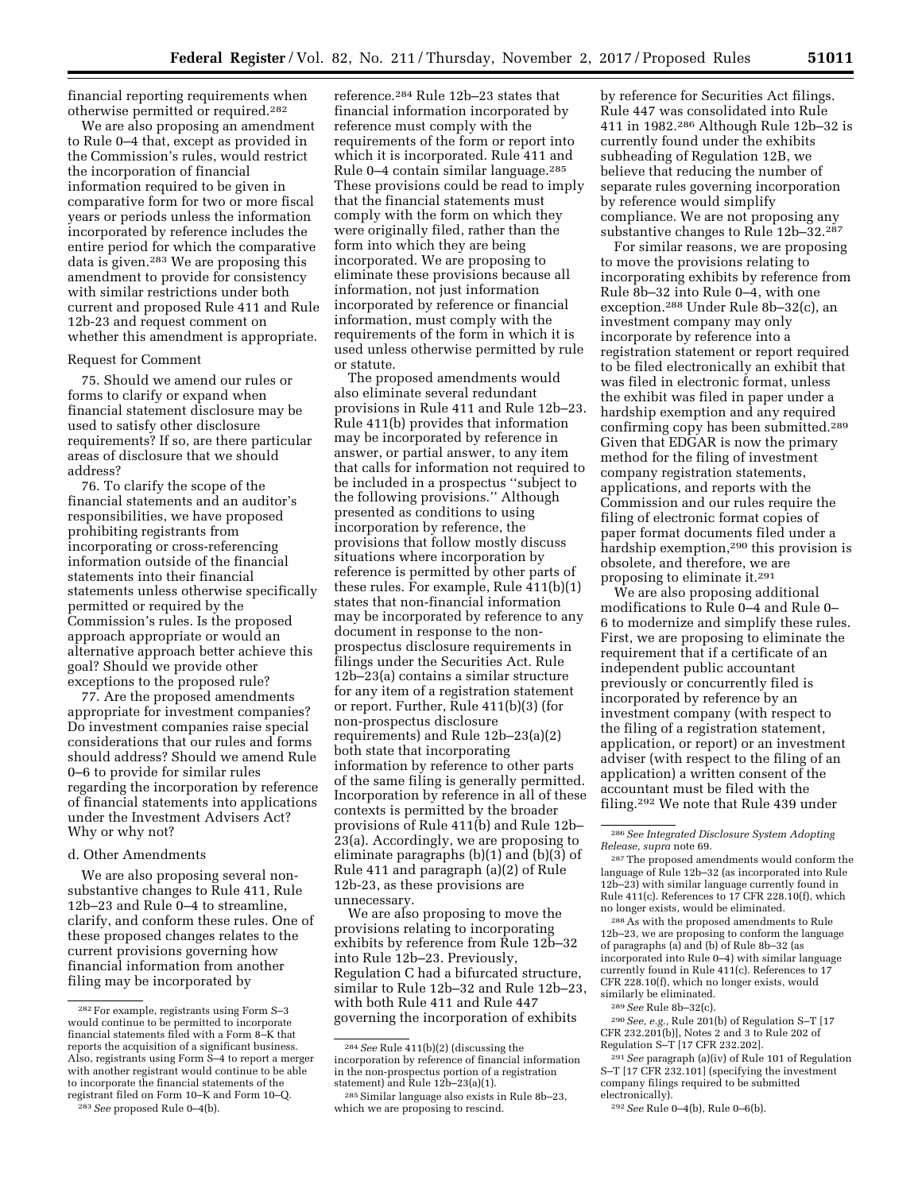financial reporting requirements when otherwise permitted or required.282

We are also proposing an amendment to Rule 0–4 that, except as provided in the Commission's rules, would restrict the incorporation of financial information required to be given in comparative form for two or more fiscal years or periods unless the information incorporated by reference includes the entire period for which the comparative data is given.283 We are proposing this amendment to provide for consistency with similar restrictions under both current and proposed Rule 411 and Rule 12b-23 and request comment on whether this amendment is appropriate.

#### Request for Comment

75. Should we amend our rules or forms to clarify or expand when financial statement disclosure may be used to satisfy other disclosure requirements? If so, are there particular areas of disclosure that we should address?

76. To clarify the scope of the financial statements and an auditor's responsibilities, we have proposed prohibiting registrants from incorporating or cross-referencing information outside of the financial statements into their financial statements unless otherwise specifically permitted or required by the Commission's rules. Is the proposed approach appropriate or would an alternative approach better achieve this goal? Should we provide other exceptions to the proposed rule?

77. Are the proposed amendments appropriate for investment companies? Do investment companies raise special considerations that our rules and forms should address? Should we amend Rule 0–6 to provide for similar rules regarding the incorporation by reference of financial statements into applications under the Investment Advisers Act? Why or why not?

#### d. Other Amendments

We are also proposing several nonsubstantive changes to Rule 411, Rule 12b–23 and Rule 0–4 to streamline, clarify, and conform these rules. One of these proposed changes relates to the current provisions governing how financial information from another filing may be incorporated by

reference.284 Rule 12b–23 states that financial information incorporated by reference must comply with the requirements of the form or report into which it is incorporated. Rule 411 and Rule 0–4 contain similar language.285 These provisions could be read to imply that the financial statements must comply with the form on which they were originally filed, rather than the form into which they are being incorporated. We are proposing to eliminate these provisions because all information, not just information incorporated by reference or financial information, must comply with the requirements of the form in which it is used unless otherwise permitted by rule or statute.

The proposed amendments would also eliminate several redundant provisions in Rule 411 and Rule 12b–23. Rule 411(b) provides that information may be incorporated by reference in answer, or partial answer, to any item that calls for information not required to be included in a prospectus ''subject to the following provisions.'' Although presented as conditions to using incorporation by reference, the provisions that follow mostly discuss situations where incorporation by reference is permitted by other parts of these rules. For example, Rule 411(b)(1) states that non-financial information may be incorporated by reference to any document in response to the nonprospectus disclosure requirements in filings under the Securities Act. Rule 12b–23(a) contains a similar structure for any item of a registration statement or report. Further, Rule 411(b)(3) (for non-prospectus disclosure requirements) and Rule 12b–23(a)(2) both state that incorporating information by reference to other parts of the same filing is generally permitted. Incorporation by reference in all of these contexts is permitted by the broader provisions of Rule 411(b) and Rule 12b– 23(a). Accordingly, we are proposing to eliminate paragraphs (b)(1) and (b)(3) of Rule 411 and paragraph (a)(2) of Rule 12b-23, as these provisions are unnecessary.

We are also proposing to move the provisions relating to incorporating exhibits by reference from Rule 12b–32 into Rule 12b–23. Previously, Regulation C had a bifurcated structure, similar to Rule 12b–32 and Rule 12b–23, with both Rule 411 and Rule 447 governing the incorporation of exhibits

by reference for Securities Act filings. Rule 447 was consolidated into Rule 411 in 1982.286 Although Rule 12b–32 is currently found under the exhibits subheading of Regulation 12B, we believe that reducing the number of separate rules governing incorporation by reference would simplify compliance. We are not proposing any substantive changes to Rule 12b-32.<sup>287</sup>

For similar reasons, we are proposing to move the provisions relating to incorporating exhibits by reference from Rule 8b–32 into Rule 0–4, with one exception.288 Under Rule 8b–32(c), an investment company may only incorporate by reference into a registration statement or report required to be filed electronically an exhibit that was filed in electronic format, unless the exhibit was filed in paper under a hardship exemption and any required confirming copy has been submitted.289 Given that EDGAR is now the primary method for the filing of investment company registration statements, applications, and reports with the Commission and our rules require the filing of electronic format copies of paper format documents filed under a hardship exemption,<sup>290</sup> this provision is obsolete, and therefore, we are proposing to eliminate it.291

We are also proposing additional modifications to Rule 0–4 and Rule 0– 6 to modernize and simplify these rules. First, we are proposing to eliminate the requirement that if a certificate of an independent public accountant previously or concurrently filed is incorporated by reference by an investment company (with respect to the filing of a registration statement, application, or report) or an investment adviser (with respect to the filing of an application) a written consent of the accountant must be filed with the filing.292 We note that Rule 439 under

288As with the proposed amendments to Rule 12b–23, we are proposing to conform the language of paragraphs (a) and (b) of Rule 8b–32 (as incorporated into Rule 0–4) with similar language currently found in Rule 411(c). References to 17 CFR 228.10(f), which no longer exists, would similarly be eliminated.

290*See, e.g.,* Rule 201(b) of Regulation S–T [17 CFR 232.201(b)], Notes 2 and 3 to Rule 202 of Regulation S–T [17 CFR 232.202].

291*See* paragraph (a)(iv) of Rule 101 of Regulation S–T [17 CFR 232.101] (specifying the investment company filings required to be submitted electronically).

292*See* Rule 0–4(b), Rule 0–6(b).

<sup>282</sup>For example, registrants using Form S–3 would continue to be permitted to incorporate financial statements filed with a Form 8–K that reports the acquisition of a significant business. Also, registrants using Form S–4 to report a merger with another registrant would continue to be able to incorporate the financial statements of the registrant filed on Form 10–K and Form 10–Q.

<sup>283</sup>*See* proposed Rule 0–4(b).

<sup>284</sup>*See* Rule 411(b)(2) (discussing the incorporation by reference of financial information in the non-prospectus portion of a registration

<sup>&</sup>lt;sup>285</sup> Similar language also exists in Rule 8b–23, which we are proposing to rescind.

<sup>286</sup>*See Integrated Disclosure System Adopting Release, supra* note 69.

<sup>287</sup>The proposed amendments would conform the language of Rule 12b–32 (as incorporated into Rule 12b–23) with similar language currently found in Rule 411(c). References to 17 CFR 228.10(f), which no longer exists, would be eliminated.

<sup>289</sup>*See* Rule 8b–32(c).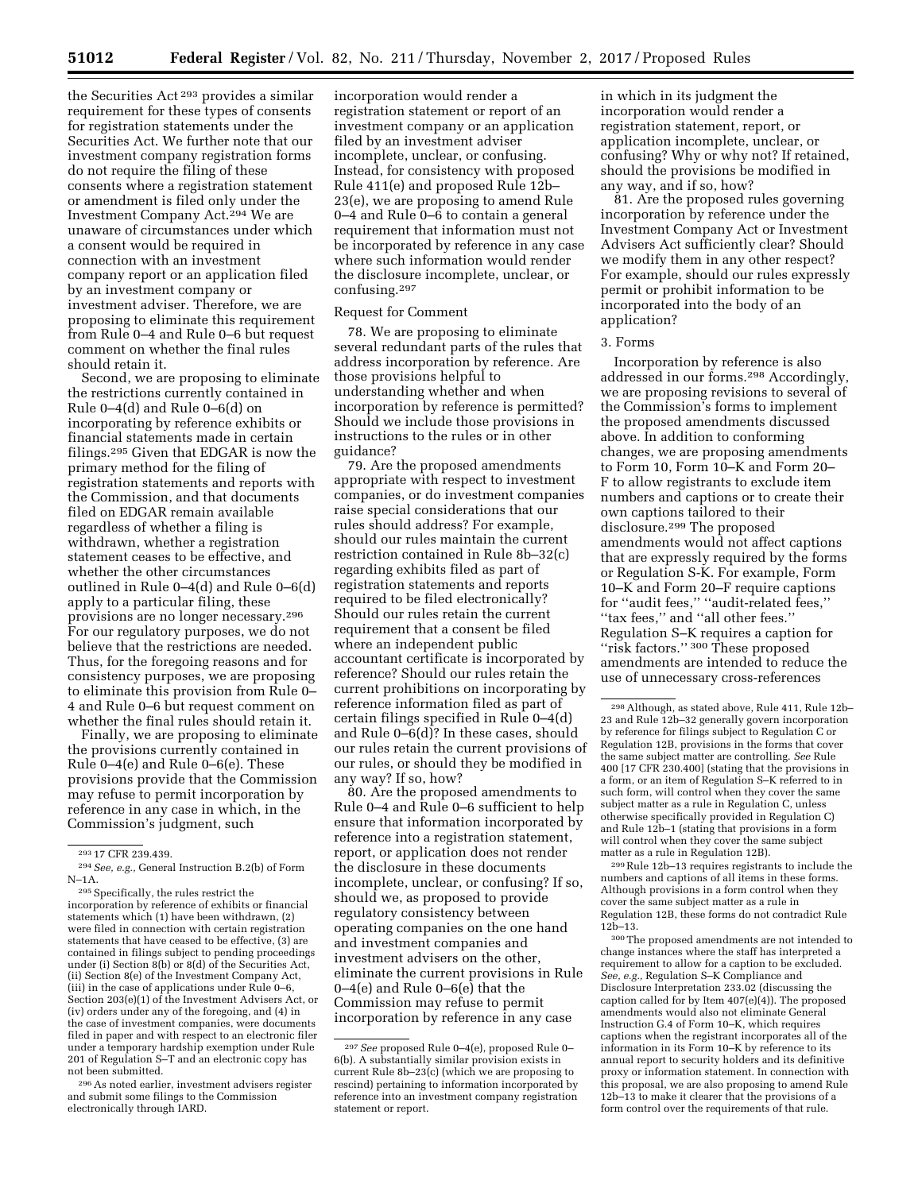the Securities Act 293 provides a similar requirement for these types of consents for registration statements under the Securities Act. We further note that our investment company registration forms do not require the filing of these consents where a registration statement or amendment is filed only under the Investment Company Act.294 We are unaware of circumstances under which a consent would be required in connection with an investment company report or an application filed by an investment company or investment adviser. Therefore, we are proposing to eliminate this requirement from Rule 0–4 and Rule 0–6 but request comment on whether the final rules should retain it.

Second, we are proposing to eliminate the restrictions currently contained in Rule 0–4(d) and Rule 0–6(d) on incorporating by reference exhibits or financial statements made in certain filings.295 Given that EDGAR is now the primary method for the filing of registration statements and reports with the Commission, and that documents filed on EDGAR remain available regardless of whether a filing is withdrawn, whether a registration statement ceases to be effective, and whether the other circumstances outlined in Rule 0–4(d) and Rule 0–6(d) apply to a particular filing, these provisions are no longer necessary.296 For our regulatory purposes, we do not believe that the restrictions are needed. Thus, for the foregoing reasons and for consistency purposes, we are proposing to eliminate this provision from Rule 0– 4 and Rule 0–6 but request comment on whether the final rules should retain it.

Finally, we are proposing to eliminate the provisions currently contained in Rule 0–4(e) and Rule 0–6(e). These provisions provide that the Commission may refuse to permit incorporation by reference in any case in which, in the Commission's judgment, such

295Specifically, the rules restrict the incorporation by reference of exhibits or financial statements which (1) have been withdrawn, (2) were filed in connection with certain registration statements that have ceased to be effective, (3) are contained in filings subject to pending proceedings under (i) Section 8(b) or 8(d) of the Securities Act, (ii) Section 8(e) of the Investment Company Act, (iii) in the case of applications under Rule 0–6, Section 203(e)(1) of the Investment Advisers Act, or (iv) orders under any of the foregoing, and (4) in the case of investment companies, were documents filed in paper and with respect to an electronic filer under a temporary hardship exemption under Rule 201 of Regulation S–T and an electronic copy has not been submitted.

296As noted earlier, investment advisers register and submit some filings to the Commission electronically through IARD.

incorporation would render a registration statement or report of an investment company or an application filed by an investment adviser incomplete, unclear, or confusing. Instead, for consistency with proposed Rule 411(e) and proposed Rule 12b– 23(e), we are proposing to amend Rule 0–4 and Rule 0–6 to contain a general requirement that information must not be incorporated by reference in any case where such information would render the disclosure incomplete, unclear, or confusing.297

#### Request for Comment

78. We are proposing to eliminate several redundant parts of the rules that address incorporation by reference. Are those provisions helpful to understanding whether and when incorporation by reference is permitted? Should we include those provisions in instructions to the rules or in other guidance?

79. Are the proposed amendments appropriate with respect to investment companies, or do investment companies raise special considerations that our rules should address? For example, should our rules maintain the current restriction contained in Rule 8b–32(c) regarding exhibits filed as part of registration statements and reports required to be filed electronically? Should our rules retain the current requirement that a consent be filed where an independent public accountant certificate is incorporated by reference? Should our rules retain the current prohibitions on incorporating by reference information filed as part of certain filings specified in Rule 0–4(d) and Rule 0–6(d)? In these cases, should our rules retain the current provisions of our rules, or should they be modified in any way? If so, how?

80. Are the proposed amendments to Rule 0–4 and Rule 0–6 sufficient to help ensure that information incorporated by reference into a registration statement, report, or application does not render the disclosure in these documents incomplete, unclear, or confusing? If so, should we, as proposed to provide regulatory consistency between operating companies on the one hand and investment companies and investment advisers on the other, eliminate the current provisions in Rule 0–4(e) and Rule 0–6(e) that the Commission may refuse to permit incorporation by reference in any case

in which in its judgment the incorporation would render a registration statement, report, or application incomplete, unclear, or confusing? Why or why not? If retained, should the provisions be modified in any way, and if so, how?

81. Are the proposed rules governing incorporation by reference under the Investment Company Act or Investment Advisers Act sufficiently clear? Should we modify them in any other respect? For example, should our rules expressly permit or prohibit information to be incorporated into the body of an application?

#### 3. Forms

Incorporation by reference is also addressed in our forms.298 Accordingly, we are proposing revisions to several of the Commission's forms to implement the proposed amendments discussed above. In addition to conforming changes, we are proposing amendments to Form 10, Form 10–K and Form 20– F to allow registrants to exclude item numbers and captions or to create their own captions tailored to their disclosure.<sup>299</sup> The proposed amendments would not affect captions that are expressly required by the forms or Regulation S-K. For example, Form 10–K and Form 20–F require captions for ''audit fees,'' ''audit-related fees,'' ''tax fees,'' and ''all other fees.'' Regulation S–K requires a caption for ''risk factors.'' 300 These proposed amendments are intended to reduce the use of unnecessary cross-references

299Rule 12b–13 requires registrants to include the numbers and captions of all items in these forms. Although provisions in a form control when they cover the same subject matter as a rule in Regulation 12B, these forms do not contradict Rule 12b–13.

300The proposed amendments are not intended to change instances where the staff has interpreted a requirement to allow for a caption to be excluded. *See, e.g.,* Regulation S–K Compliance and Disclosure Interpretation 233.02 (discussing the caption called for by Item 407(e)(4)). The proposed amendments would also not eliminate General Instruction G.4 of Form 10–K, which requires captions when the registrant incorporates all of the information in its Form 10–K by reference to its annual report to security holders and its definitive proxy or information statement. In connection with this proposal, we are also proposing to amend Rule 12b–13 to make it clearer that the provisions of a form control over the requirements of that rule.

<sup>293</sup> 17 CFR 239.439. 294*See, e.g.,* General Instruction B.2(b) of Form N–1A.

<sup>297</sup>*See* proposed Rule 0–4(e), proposed Rule 0– 6(b). A substantially similar provision exists in current Rule 8b–23(c) (which we are proposing to rescind) pertaining to information incorporated by reference into an investment company registration statement or report.

<sup>298</sup>Although, as stated above, Rule 411, Rule 12b– 23 and Rule 12b–32 generally govern incorporation by reference for filings subject to Regulation C or Regulation 12B, provisions in the forms that cover the same subject matter are controlling. *See* Rule 400 [17 CFR 230.400] (stating that the provisions in a form, or an item of Regulation S–K referred to in such form, will control when they cover the same subject matter as a rule in Regulation C, unless otherwise specifically provided in Regulation C) and Rule 12b–1 (stating that provisions in a form will control when they cover the same subject matter as a rule in Regulation 12B).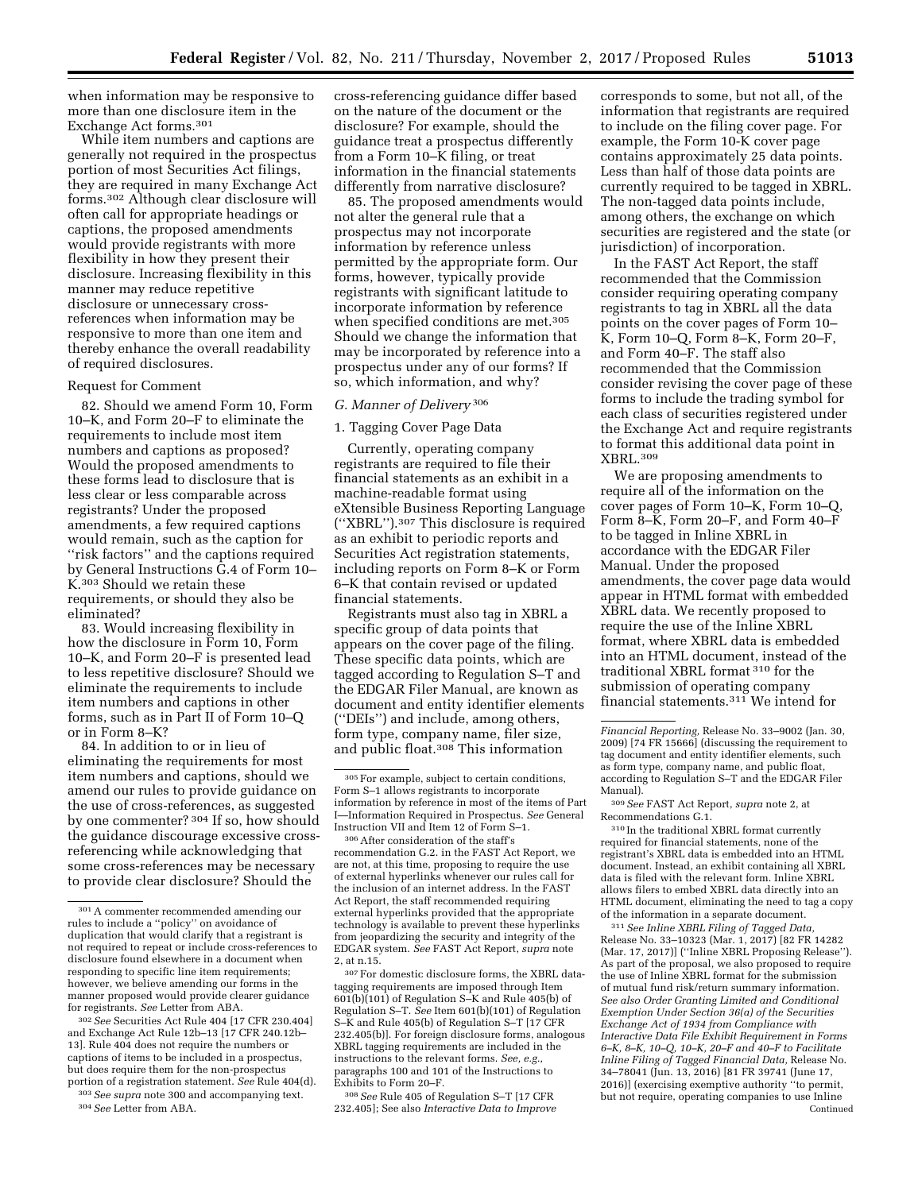when information may be responsive to more than one disclosure item in the Exchange Act forms.301

While item numbers and captions are generally not required in the prospectus portion of most Securities Act filings, they are required in many Exchange Act forms.302 Although clear disclosure will often call for appropriate headings or captions, the proposed amendments would provide registrants with more flexibility in how they present their disclosure. Increasing flexibility in this manner may reduce repetitive disclosure or unnecessary crossreferences when information may be responsive to more than one item and thereby enhance the overall readability of required disclosures.

#### Request for Comment

82. Should we amend Form 10, Form 10–K, and Form 20–F to eliminate the requirements to include most item numbers and captions as proposed? Would the proposed amendments to these forms lead to disclosure that is less clear or less comparable across registrants? Under the proposed amendments, a few required captions would remain, such as the caption for ''risk factors'' and the captions required by General Instructions G.4 of Form 10– K.303 Should we retain these requirements, or should they also be eliminated?

83. Would increasing flexibility in how the disclosure in Form 10, Form 10–K, and Form 20–F is presented lead to less repetitive disclosure? Should we eliminate the requirements to include item numbers and captions in other forms, such as in Part II of Form 10–Q or in Form 8–K?

84. In addition to or in lieu of eliminating the requirements for most item numbers and captions, should we amend our rules to provide guidance on the use of cross-references, as suggested by one commenter? 304 If so, how should the guidance discourage excessive crossreferencing while acknowledging that some cross-references may be necessary to provide clear disclosure? Should the

303*See supra* note 300 and accompanying text. 304*See* Letter from ABA.

cross-referencing guidance differ based on the nature of the document or the disclosure? For example, should the guidance treat a prospectus differently from a Form 10–K filing, or treat information in the financial statements differently from narrative disclosure?

85. The proposed amendments would not alter the general rule that a prospectus may not incorporate information by reference unless permitted by the appropriate form. Our forms, however, typically provide registrants with significant latitude to incorporate information by reference when specified conditions are met.<sup>305</sup> Should we change the information that may be incorporated by reference into a prospectus under any of our forms? If so, which information, and why?

# *G. Manner of Delivery* 306

### 1. Tagging Cover Page Data

Currently, operating company registrants are required to file their financial statements as an exhibit in a machine-readable format using eXtensible Business Reporting Language (''XBRL'').307 This disclosure is required as an exhibit to periodic reports and Securities Act registration statements, including reports on Form 8–K or Form 6–K that contain revised or updated financial statements.

Registrants must also tag in XBRL a specific group of data points that appears on the cover page of the filing. These specific data points, which are tagged according to Regulation S–T and the EDGAR Filer Manual, are known as document and entity identifier elements (''DEIs'') and include, among others, form type, company name, filer size, and public float.308 This information

306After consideration of the staff's recommendation G.2. in the FAST Act Report, we are not, at this time, proposing to require the use of external hyperlinks whenever our rules call for the inclusion of an internet address. In the FAST Act Report, the staff recommended requiring external hyperlinks provided that the appropriate technology is available to prevent these hyperlinks from jeopardizing the security and integrity of the EDGAR system. *See* FAST Act Report, *supra* note 2, at n.15.

307For domestic disclosure forms, the XBRL datatagging requirements are imposed through Item 601(b)(101) of Regulation S–K and Rule 405(b) of Regulation S–T. *See* Item 601(b)(101) of Regulation S–K and Rule 405(b) of Regulation S–T [17 CFR 232.405(b)]. For foreign disclosure forms, analogous XBRL tagging requirements are included in the instructions to the relevant forms. *See, e.g.,*  paragraphs 100 and 101 of the Instructions to Exhibits to Form 20–F.

308*See* Rule 405 of Regulation S–T [17 CFR 232.405]; See also *Interactive Data to Improve* 

corresponds to some, but not all, of the information that registrants are required to include on the filing cover page. For example, the Form 10-K cover page contains approximately 25 data points. Less than half of those data points are currently required to be tagged in XBRL. The non-tagged data points include, among others, the exchange on which securities are registered and the state (or jurisdiction) of incorporation.

In the FAST Act Report, the staff recommended that the Commission consider requiring operating company registrants to tag in XBRL all the data points on the cover pages of Form 10– K, Form 10–Q, Form 8–K, Form 20–F, and Form 40–F. The staff also recommended that the Commission consider revising the cover page of these forms to include the trading symbol for each class of securities registered under the Exchange Act and require registrants to format this additional data point in XBRL.309

We are proposing amendments to require all of the information on the cover pages of Form 10–K, Form 10–Q, Form 8–K, Form 20–F, and Form 40–F to be tagged in Inline XBRL in accordance with the EDGAR Filer Manual. Under the proposed amendments, the cover page data would appear in HTML format with embedded XBRL data. We recently proposed to require the use of the Inline XBRL format, where XBRL data is embedded into an HTML document, instead of the traditional XBRL format 310 for the submission of operating company financial statements.311 We intend for

309*See* FAST Act Report, *supra* note 2, at Recommendations G.1.

310 In the traditional XBRL format currently required for financial statements, none of the registrant's XBRL data is embedded into an HTML document. Instead, an exhibit containing all XBRL data is filed with the relevant form. Inline XBRL allows filers to embed XBRL data directly into an HTML document, eliminating the need to tag a copy of the information in a separate document.

311*See Inline XBRL Filing of Tagged Data,*  Release No. 33–10323 (Mar. 1, 2017) [82 FR 14282 (Mar. 17, 2017)] (''Inline XBRL Proposing Release''). As part of the proposal, we also proposed to require the use of Inline XBRL format for the submission of mutual fund risk/return summary information. *See also Order Granting Limited and Conditional Exemption Under Section 36(a) of the Securities Exchange Act of 1934 from Compliance with Interactive Data File Exhibit Requirement in Forms 6–K, 8–K, 10–Q, 10–K, 20–F and 40–F to Facilitate Inline Filing of Tagged Financial Data,* Release No. 34–78041 (Jun. 13, 2016) [81 FR 39741 (June 17, 2016)] (exercising exemptive authority ''to permit, but not require, operating companies to use Inline Continued

<sup>301</sup>A commenter recommended amending our rules to include a ''policy'' on avoidance of duplication that would clarify that a registrant is not required to repeat or include cross-references to disclosure found elsewhere in a document when responding to specific line item requirements; however, we believe amending our forms in the manner proposed would provide clearer guidance for registrants. *See* Letter from ABA.

<sup>302</sup>*See* Securities Act Rule 404 [17 CFR 230.404] and Exchange Act Rule 12b–13 [17 CFR 240.12b– 13]. Rule 404 does not require the numbers or captions of items to be included in a prospectus, but does require them for the non-prospectus portion of a registration statement. *See* Rule 404(d).

<sup>305</sup>For example, subject to certain conditions, Form S–1 allows registrants to incorporate information by reference in most of the items of Part I—Information Required in Prospectus. *See* General Instruction VII and Item 12 of Form S–1.

*Financial Reporting,* Release No. 33–9002 (Jan. 30, 2009) [74 FR 15666] (discussing the requirement to tag document and entity identifier elements, such as form type, company name, and public float, according to Regulation S–T and the EDGAR Filer Manual).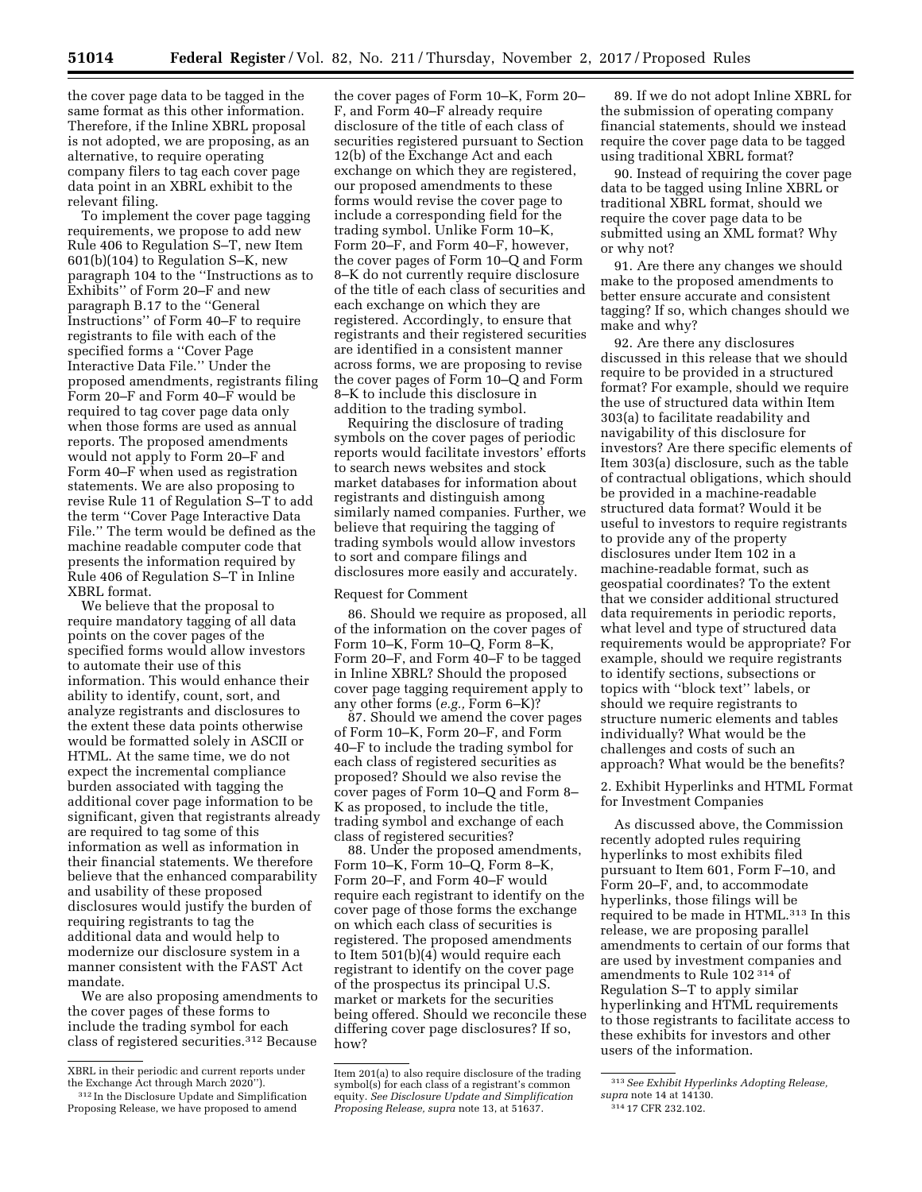the cover page data to be tagged in the same format as this other information. Therefore, if the Inline XBRL proposal is not adopted, we are proposing, as an alternative, to require operating company filers to tag each cover page data point in an XBRL exhibit to the relevant filing.

To implement the cover page tagging requirements, we propose to add new Rule 406 to Regulation S–T, new Item 601(b)(104) to Regulation S–K, new paragraph 104 to the ''Instructions as to Exhibits'' of Form 20–F and new paragraph B.17 to the ''General Instructions'' of Form 40–F to require registrants to file with each of the specified forms a ''Cover Page Interactive Data File.'' Under the proposed amendments, registrants filing Form 20–F and Form 40–F would be required to tag cover page data only when those forms are used as annual reports. The proposed amendments would not apply to Form 20–F and Form 40–F when used as registration statements. We are also proposing to revise Rule 11 of Regulation S–T to add the term ''Cover Page Interactive Data File.'' The term would be defined as the machine readable computer code that presents the information required by Rule 406 of Regulation S–T in Inline XBRL format.

We believe that the proposal to require mandatory tagging of all data points on the cover pages of the specified forms would allow investors to automate their use of this information. This would enhance their ability to identify, count, sort, and analyze registrants and disclosures to the extent these data points otherwise would be formatted solely in ASCII or HTML. At the same time, we do not expect the incremental compliance burden associated with tagging the additional cover page information to be significant, given that registrants already are required to tag some of this information as well as information in their financial statements. We therefore believe that the enhanced comparability and usability of these proposed disclosures would justify the burden of requiring registrants to tag the additional data and would help to modernize our disclosure system in a manner consistent with the FAST Act mandate.

We are also proposing amendments to the cover pages of these forms to include the trading symbol for each class of registered securities.312 Because

the cover pages of Form 10–K, Form 20– F, and Form 40–F already require disclosure of the title of each class of securities registered pursuant to Section 12(b) of the Exchange Act and each exchange on which they are registered, our proposed amendments to these forms would revise the cover page to include a corresponding field for the trading symbol. Unlike Form 10–K, Form 20–F, and Form 40–F, however, the cover pages of Form 10–Q and Form 8–K do not currently require disclosure of the title of each class of securities and each exchange on which they are registered. Accordingly, to ensure that registrants and their registered securities are identified in a consistent manner across forms, we are proposing to revise the cover pages of Form 10–Q and Form 8–K to include this disclosure in addition to the trading symbol.

Requiring the disclosure of trading symbols on the cover pages of periodic reports would facilitate investors' efforts to search news websites and stock market databases for information about registrants and distinguish among similarly named companies. Further, we believe that requiring the tagging of trading symbols would allow investors to sort and compare filings and disclosures more easily and accurately.

### Request for Comment

86. Should we require as proposed, all of the information on the cover pages of Form 10–K, Form 10–Q, Form 8–K, Form 20–F, and Form 40–F to be tagged in Inline XBRL? Should the proposed cover page tagging requirement apply to any other forms (*e.g.,* Form 6–K)?

87. Should we amend the cover pages of Form 10–K, Form 20–F, and Form 40–F to include the trading symbol for each class of registered securities as proposed? Should we also revise the cover pages of Form 10–Q and Form 8– K as proposed, to include the title, trading symbol and exchange of each class of registered securities?

88. Under the proposed amendments, Form 10–K, Form 10–Q, Form 8–K, Form 20–F, and Form 40–F would require each registrant to identify on the cover page of those forms the exchange on which each class of securities is registered. The proposed amendments to Item 501(b)(4) would require each registrant to identify on the cover page of the prospectus its principal U.S. market or markets for the securities being offered. Should we reconcile these differing cover page disclosures? If so, how?

89. If we do not adopt Inline XBRL for the submission of operating company financial statements, should we instead require the cover page data to be tagged using traditional XBRL format?

90. Instead of requiring the cover page data to be tagged using Inline XBRL or traditional XBRL format, should we require the cover page data to be submitted using an XML format? Why or why not?

91. Are there any changes we should make to the proposed amendments to better ensure accurate and consistent tagging? If so, which changes should we make and why?

92. Are there any disclosures discussed in this release that we should require to be provided in a structured format? For example, should we require the use of structured data within Item 303(a) to facilitate readability and navigability of this disclosure for investors? Are there specific elements of Item 303(a) disclosure, such as the table of contractual obligations, which should be provided in a machine-readable structured data format? Would it be useful to investors to require registrants to provide any of the property disclosures under Item 102 in a machine-readable format, such as geospatial coordinates? To the extent that we consider additional structured data requirements in periodic reports, what level and type of structured data requirements would be appropriate? For example, should we require registrants to identify sections, subsections or topics with ''block text'' labels, or should we require registrants to structure numeric elements and tables individually? What would be the challenges and costs of such an approach? What would be the benefits?

### 2. Exhibit Hyperlinks and HTML Format for Investment Companies

As discussed above, the Commission recently adopted rules requiring hyperlinks to most exhibits filed pursuant to Item 601, Form F–10, and Form 20–F, and, to accommodate hyperlinks, those filings will be required to be made in HTML.313 In this release, we are proposing parallel amendments to certain of our forms that are used by investment companies and amendments to Rule 102 314 of Regulation S–T to apply similar hyperlinking and HTML requirements to those registrants to facilitate access to these exhibits for investors and other users of the information.

XBRL in their periodic and current reports under the Exchange Act through March 2020'').

<sup>312</sup> In the Disclosure Update and Simplification Proposing Release, we have proposed to amend

Item 201(a) to also require disclosure of the trading symbol(s) for each class of a registrant's common equity. *See Disclosure Update and Simplification Proposing Release, supra* note 13, at 51637.

<sup>313</sup>*See Exhibit Hyperlinks Adopting Release, supra* note 14 at 14130.

<sup>314</sup> 17 CFR 232.102.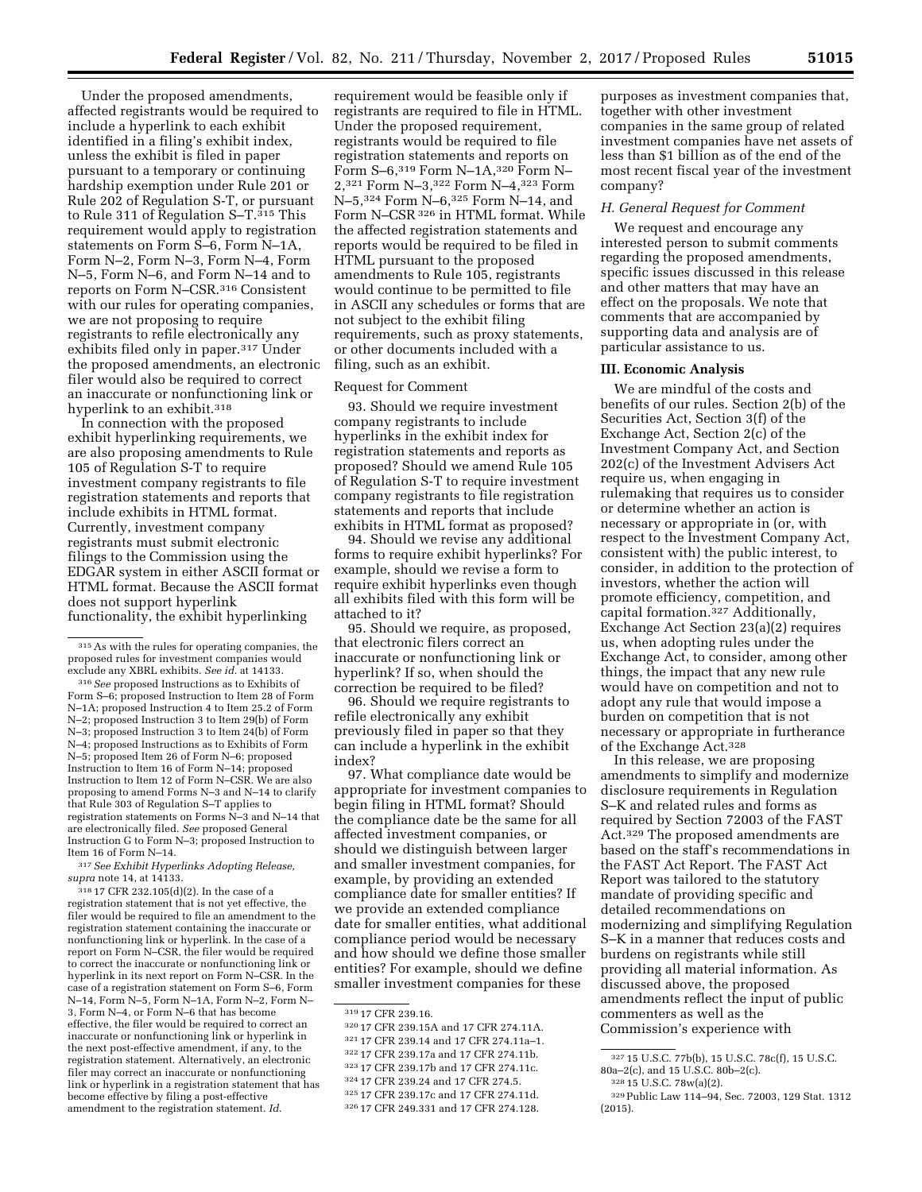Under the proposed amendments, affected registrants would be required to include a hyperlink to each exhibit identified in a filing's exhibit index, unless the exhibit is filed in paper pursuant to a temporary or continuing hardship exemption under Rule 201 or Rule 202 of Regulation S-T, or pursuant to Rule 311 of Regulation S–T.315 This requirement would apply to registration statements on Form S–6, Form N–1A, Form N–2, Form N–3, Form N–4, Form N–5, Form N–6, and Form N–14 and to reports on Form N–CSR.316 Consistent with our rules for operating companies, we are not proposing to require registrants to refile electronically any exhibits filed only in paper.317 Under the proposed amendments, an electronic filer would also be required to correct an inaccurate or nonfunctioning link or hyperlink to an exhibit.<sup>318</sup>

In connection with the proposed exhibit hyperlinking requirements, we are also proposing amendments to Rule 105 of Regulation S-T to require investment company registrants to file registration statements and reports that include exhibits in HTML format. Currently, investment company registrants must submit electronic filings to the Commission using the EDGAR system in either ASCII format or HTML format. Because the ASCII format does not support hyperlink functionality, the exhibit hyperlinking

316*See* proposed Instructions as to Exhibits of Form S–6; proposed Instruction to Item 28 of Form N–1A; proposed Instruction 4 to Item 25.2 of Form N–2; proposed Instruction 3 to Item 29(b) of Form N–3; proposed Instruction 3 to Item 24(b) of Form N–4; proposed Instructions as to Exhibits of Form N–5; proposed Item 26 of Form N–6; proposed Instruction to Item 16 of Form N–14; proposed Instruction to Item 12 of Form N–CSR. We are also proposing to amend Forms N–3 and N–14 to clarify that Rule 303 of Regulation S–T applies to registration statements on Forms N–3 and N–14 that are electronically filed. *See* proposed General Instruction G to Form N–3; proposed Instruction to Item 16 of Form N–14.

317*See Exhibit Hyperlinks Adopting Release, supra* note 14, at 14133.

318 17 CFR 232.105(d)(2). In the case of a registration statement that is not yet effective, the filer would be required to file an amendment to the registration statement containing the inaccurate or nonfunctioning link or hyperlink. In the case of a report on Form N–CSR, the filer would be required to correct the inaccurate or nonfunctioning link or hyperlink in its next report on Form N–CSR. In the case of a registration statement on Form S–6, Form N–14, Form N–5, Form N–1A, Form N–2, Form N– 3, Form N–4, or Form N–6 that has become effective, the filer would be required to correct an inaccurate or nonfunctioning link or hyperlink in the next post-effective amendment, if any, to the registration statement. Alternatively, an electronic filer may correct an inaccurate or nonfunctioning link or hyperlink in a registration statement that has become effective by filing a post-effective amendment to the registration statement. *Id.* 

requirement would be feasible only if registrants are required to file in HTML. Under the proposed requirement, registrants would be required to file registration statements and reports on Form S–6,319 Form N–1A,320 Form N– 2,321 Form N–3,322 Form N–4,323 Form N–5,324 Form N–6,325 Form N–14, and Form N–CSR 326 in HTML format. While the affected registration statements and reports would be required to be filed in HTML pursuant to the proposed amendments to Rule 105, registrants would continue to be permitted to file in ASCII any schedules or forms that are not subject to the exhibit filing requirements, such as proxy statements, or other documents included with a filing, such as an exhibit.

#### Request for Comment

93. Should we require investment company registrants to include hyperlinks in the exhibit index for registration statements and reports as proposed? Should we amend Rule 105 of Regulation S-T to require investment company registrants to file registration statements and reports that include exhibits in HTML format as proposed?

94. Should we revise any additional forms to require exhibit hyperlinks? For example, should we revise a form to require exhibit hyperlinks even though all exhibits filed with this form will be attached to it?

95. Should we require, as proposed, that electronic filers correct an inaccurate or nonfunctioning link or hyperlink? If so, when should the correction be required to be filed?

96. Should we require registrants to refile electronically any exhibit previously filed in paper so that they can include a hyperlink in the exhibit index?

97. What compliance date would be appropriate for investment companies to begin filing in HTML format? Should the compliance date be the same for all affected investment companies, or should we distinguish between larger and smaller investment companies, for example, by providing an extended compliance date for smaller entities? If we provide an extended compliance date for smaller entities, what additional compliance period would be necessary and how should we define those smaller entities? For example, should we define smaller investment companies for these

323 17 CFR 239.17b and 17 CFR 274.11c. 324 17 CFR 239.24 and 17 CFR 274.5.

purposes as investment companies that, together with other investment companies in the same group of related investment companies have net assets of less than \$1 billion as of the end of the most recent fiscal year of the investment company?

#### *H. General Request for Comment*

We request and encourage any interested person to submit comments regarding the proposed amendments, specific issues discussed in this release and other matters that may have an effect on the proposals. We note that comments that are accompanied by supporting data and analysis are of particular assistance to us.

#### **III. Economic Analysis**

We are mindful of the costs and benefits of our rules. Section 2(b) of the Securities Act, Section 3(f) of the Exchange Act, Section 2(c) of the Investment Company Act, and Section 202(c) of the Investment Advisers Act require us, when engaging in rulemaking that requires us to consider or determine whether an action is necessary or appropriate in (or, with respect to the Investment Company Act, consistent with) the public interest, to consider, in addition to the protection of investors, whether the action will promote efficiency, competition, and capital formation.327 Additionally, Exchange Act Section 23(a)(2) requires us, when adopting rules under the Exchange Act, to consider, among other things, the impact that any new rule would have on competition and not to adopt any rule that would impose a burden on competition that is not necessary or appropriate in furtherance of the Exchange Act.328

In this release, we are proposing amendments to simplify and modernize disclosure requirements in Regulation S–K and related rules and forms as required by Section 72003 of the FAST Act.329 The proposed amendments are based on the staff's recommendations in the FAST Act Report. The FAST Act Report was tailored to the statutory mandate of providing specific and detailed recommendations on modernizing and simplifying Regulation S–K in a manner that reduces costs and burdens on registrants while still providing all material information. As discussed above, the proposed amendments reflect the input of public commenters as well as the Commission's experience with

<sup>315</sup>As with the rules for operating companies, the proposed rules for investment companies would exclude any XBRL exhibits. *See id.* at 14133.

<sup>319</sup> 17 CFR 239.16.

<sup>320</sup> 17 CFR 239.15A and 17 CFR 274.11A.

<sup>321</sup> 17 CFR 239.14 and 17 CFR 274.11a–1.

<sup>322</sup> 17 CFR 239.17a and 17 CFR 274.11b.

<sup>325</sup> 17 CFR 239.17c and 17 CFR 274.11d.

<sup>326</sup> 17 CFR 249.331 and 17 CFR 274.128.

<sup>327 15</sup> U.S.C. 77b(b), 15 U.S.C. 78c(f), 15 U.S.C. 80a-2(c), and 15 U.S.C. 80b-2(c).

 $32815$  U.S.C. 78w(a)(2).<br> $329$  Public Law 114–94, Sec. 72003, 129 Stat. 1312 (2015).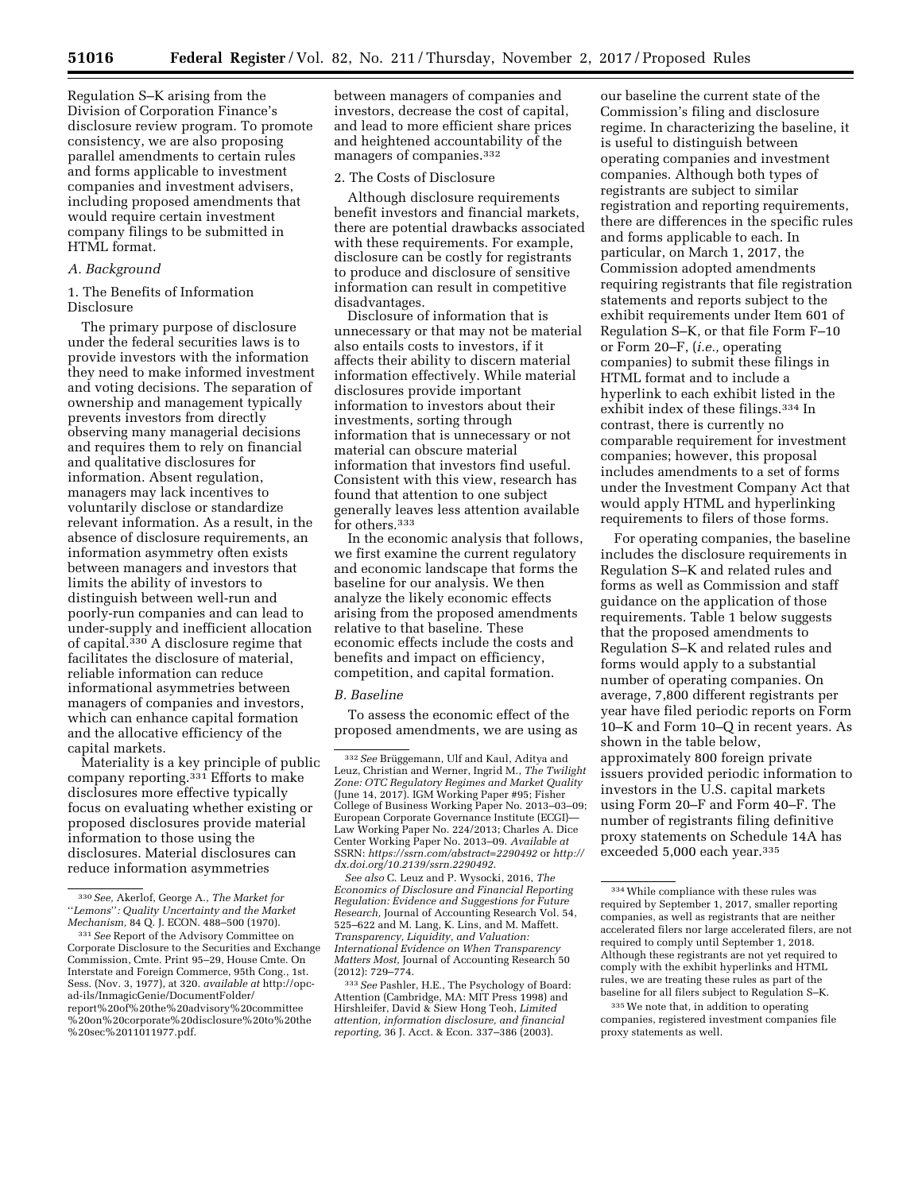Regulation S–K arising from the Division of Corporation Finance's disclosure review program. To promote consistency, we are also proposing parallel amendments to certain rules and forms applicable to investment companies and investment advisers, including proposed amendments that would require certain investment company filings to be submitted in HTML format.

#### *A. Background*

1. The Benefits of Information Disclosure

The primary purpose of disclosure under the federal securities laws is to provide investors with the information they need to make informed investment and voting decisions. The separation of ownership and management typically prevents investors from directly observing many managerial decisions and requires them to rely on financial and qualitative disclosures for information. Absent regulation, managers may lack incentives to voluntarily disclose or standardize relevant information. As a result, in the absence of disclosure requirements, an information asymmetry often exists between managers and investors that limits the ability of investors to distinguish between well-run and poorly-run companies and can lead to under-supply and inefficient allocation of capital.330 A disclosure regime that facilitates the disclosure of material, reliable information can reduce informational asymmetries between managers of companies and investors, which can enhance capital formation and the allocative efficiency of the capital markets.

Materiality is a key principle of public company reporting.331 Efforts to make disclosures more effective typically focus on evaluating whether existing or proposed disclosures provide material information to those using the disclosures. Material disclosures can reduce information asymmetries

between managers of companies and investors, decrease the cost of capital, and lead to more efficient share prices and heightened accountability of the managers of companies.332

#### 2. The Costs of Disclosure

Although disclosure requirements benefit investors and financial markets, there are potential drawbacks associated with these requirements. For example, disclosure can be costly for registrants to produce and disclosure of sensitive information can result in competitive disadvantages.

Disclosure of information that is unnecessary or that may not be material also entails costs to investors, if it affects their ability to discern material information effectively. While material disclosures provide important information to investors about their investments, sorting through information that is unnecessary or not material can obscure material information that investors find useful. Consistent with this view, research has found that attention to one subject generally leaves less attention available for others.333

In the economic analysis that follows, we first examine the current regulatory and economic landscape that forms the baseline for our analysis. We then analyze the likely economic effects arising from the proposed amendments relative to that baseline. These economic effects include the costs and benefits and impact on efficiency, competition, and capital formation.

#### *B. Baseline*

To assess the economic effect of the proposed amendments, we are using as

*See also* C. Leuz and P. Wysocki, 2016, *The Economics of Disclosure and Financial Reporting Regulation: Evidence and Suggestions for Future Research,* Journal of Accounting Research Vol. 54, 525–622 and M. Lang, K. Lins, and M. Maffett. *Transparency, Liquidity, and Valuation: International Evidence on When Transparency Matters Most,* Journal of Accounting Research 50 (2012): 729–774.

our baseline the current state of the Commission's filing and disclosure regime. In characterizing the baseline, it is useful to distinguish between operating companies and investment companies. Although both types of registrants are subject to similar registration and reporting requirements, there are differences in the specific rules and forms applicable to each. In particular, on March 1, 2017, the Commission adopted amendments requiring registrants that file registration statements and reports subject to the exhibit requirements under Item 601 of Regulation S–K, or that file Form F–10 or Form 20–F, (*i.e.,* operating companies) to submit these filings in HTML format and to include a hyperlink to each exhibit listed in the exhibit index of these filings.334 In contrast, there is currently no comparable requirement for investment companies; however, this proposal includes amendments to a set of forms under the Investment Company Act that would apply HTML and hyperlinking requirements to filers of those forms.

For operating companies, the baseline includes the disclosure requirements in Regulation S–K and related rules and forms as well as Commission and staff guidance on the application of those requirements. Table 1 below suggests that the proposed amendments to Regulation S–K and related rules and forms would apply to a substantial number of operating companies. On average, 7,800 different registrants per year have filed periodic reports on Form 10–K and Form 10–Q in recent years. As shown in the table below, approximately 800 foreign private issuers provided periodic information to investors in the U.S. capital markets using Form 20–F and Form 40–F. The number of registrants filing definitive proxy statements on Schedule 14A has exceeded 5,000 each year.335

335We note that, in addition to operating companies, registered investment companies file proxy statements as well.

<sup>330</sup>*See,* Akerlof, George A., *The Market for*  ''*Lemons*''*: Quality Uncertainty and the Market Mechanism,* 84 Q. J. ECON. 488–500 (1970).

<sup>331</sup>*See* Report of the Advisory Committee on Corporate Disclosure to the Securities and Exchange Commission, Cmte. Print 95–29, House Cmte. On Interstate and Foreign Commerce, 95th Cong., 1st. Sess. (Nov. 3, 1977), at 320. *available at* [http://opc](http://opc-ad-ils/InmagicGenie/DocumentFolder/report%20of%20the%20advisory%20committee%20on%20corporate%20disclosure%20to%20the%20sec%2011011977.pdf)[ad-ils/InmagicGenie/DocumentFolder/](http://opc-ad-ils/InmagicGenie/DocumentFolder/report%20of%20the%20advisory%20committee%20on%20corporate%20disclosure%20to%20the%20sec%2011011977.pdf) [report%20of%20the%20advisory%20committee](http://opc-ad-ils/InmagicGenie/DocumentFolder/report%20of%20the%20advisory%20committee%20on%20corporate%20disclosure%20to%20the%20sec%2011011977.pdf) [%20on%20corporate%20disclosure%20to%20the](http://opc-ad-ils/InmagicGenie/DocumentFolder/report%20of%20the%20advisory%20committee%20on%20corporate%20disclosure%20to%20the%20sec%2011011977.pdf) [%20sec%2011011977.pdf.](http://opc-ad-ils/InmagicGenie/DocumentFolder/report%20of%20the%20advisory%20committee%20on%20corporate%20disclosure%20to%20the%20sec%2011011977.pdf) 

<sup>332</sup> See Brüggemann, Ulf and Kaul, Aditya and Leuz, Christian and Werner, Ingrid M., *The Twilight Zone: OTC Regulatory Regimes and Market Quality*  (June 14, 2017). IGM Working Paper #95; Fisher College of Business Working Paper No. 2013–03–09; European Corporate Governance Institute (ECGI)— Law Working Paper No. 224/2013; Charles A. Dice Center Working Paper No. 2013–09. *Available at*  SSRN: *<https://ssrn.com/abstract=2290492>*or *[http://](http://dx.doi.org/10.2139/ssrn.2290492) [dx.doi.org/10.2139/ssrn.2290492](http://dx.doi.org/10.2139/ssrn.2290492)*.

<sup>333</sup>*See* Pashler, H.E., The Psychology of Board: Attention (Cambridge, MA: MIT Press 1998) and Hirshleifer, David & Siew Hong Teoh, *Limited attention, information disclosure, and financial reporting,* 36 J. Acct. & Econ. 337–386 (2003).

<sup>334</sup>While compliance with these rules was required by September 1, 2017, smaller reporting companies, as well as registrants that are neither accelerated filers nor large accelerated filers, are not required to comply until September 1, 2018. Although these registrants are not yet required to comply with the exhibit hyperlinks and HTML rules, we are treating these rules as part of the baseline for all filers subject to Regulation S–K.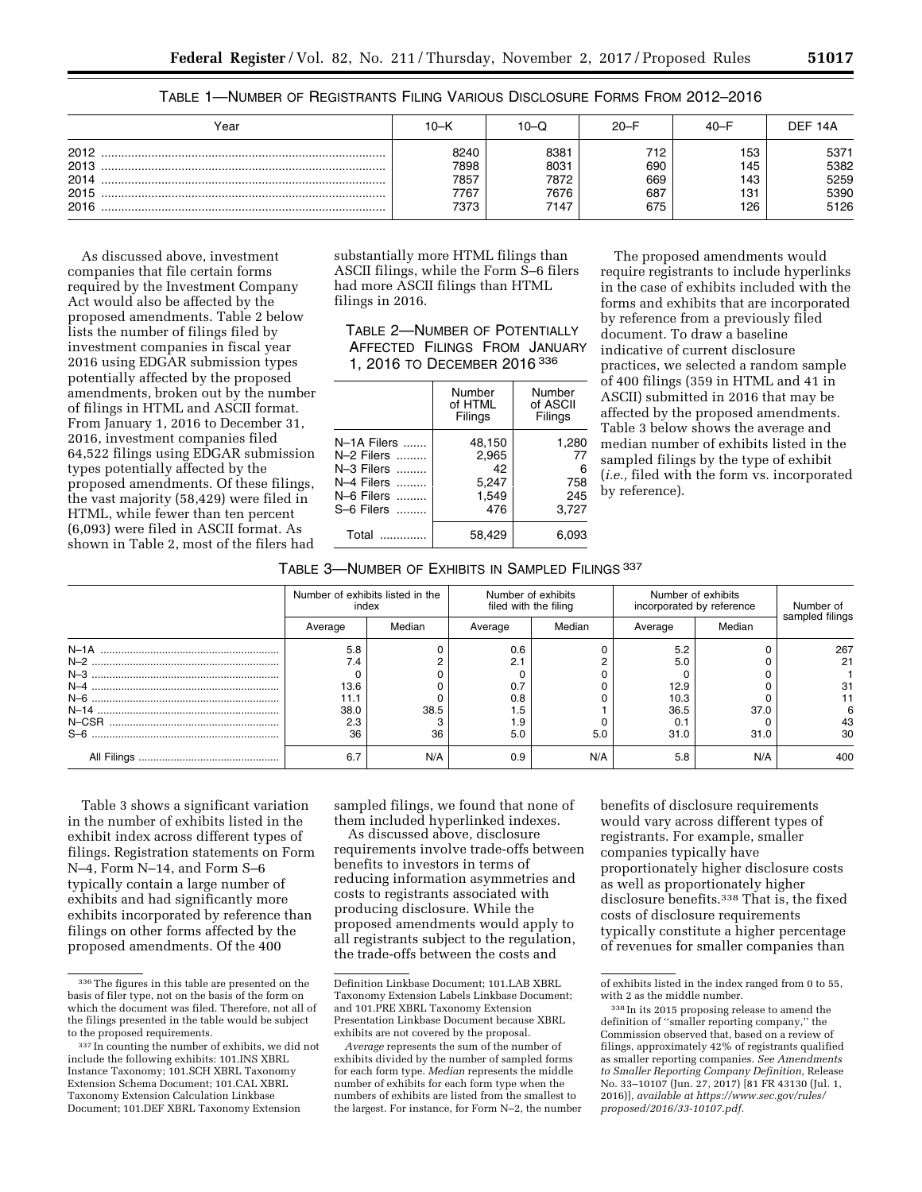| Year                                 | $10-K$                               | 10–Q                                 | $20-F$                          | $40-F$                          | DEF 14A                              |
|--------------------------------------|--------------------------------------|--------------------------------------|---------------------------------|---------------------------------|--------------------------------------|
| 2012<br>2013<br>2014<br>2015<br>2016 | 8240<br>7898<br>7857<br>7767<br>7373 | 8381<br>8031<br>7872<br>7676<br>7147 | 712<br>690<br>669<br>687<br>675 | 153<br>145<br>143<br>131<br>126 | 5371<br>5382<br>5259<br>5390<br>5126 |

TABLE 1—NUMBER OF REGISTRANTS FILING VARIOUS DISCLOSURE FORMS FROM 2012–2016

As discussed above, investment companies that file certain forms required by the Investment Company Act would also be affected by the proposed amendments. Table 2 below lists the number of filings filed by investment companies in fiscal year 2016 using EDGAR submission types potentially affected by the proposed amendments, broken out by the number of filings in HTML and ASCII format. From January 1, 2016 to December 31, 2016, investment companies filed 64,522 filings using EDGAR submission types potentially affected by the proposed amendments. Of these filings, the vast majority (58,429) were filed in HTML, while fewer than ten percent (6,093) were filed in ASCII format. As shown in Table 2, most of the filers had substantially more HTML filings than ASCII filings, while the Form S–6 filers had more ASCII filings than HTML filings in 2016.

TABLE 2—NUMBER OF POTENTIALLY AFFECTED FILINGS FROM JANUARY 1, 2016 TO DECEMBER 2016 336

|             | Number<br>of HTML<br>Filings | Number<br>of ASCII<br>Filings |
|-------------|------------------------------|-------------------------------|
| N-1A Filers | 48,150                       | 1,280                         |
| N-2 Filers  | 2,965                        | 77                            |
| N-3 Filers  | 42                           | 6                             |
| N-4 Filers  | 5,247                        | 758                           |
| N-6 Filers  | 1.549                        | 245                           |
| S-6 Filers  | 476                          | 3,727                         |
| Total<br>.  | 58.429                       | 6,093                         |

The proposed amendments would require registrants to include hyperlinks in the case of exhibits included with the forms and exhibits that are incorporated by reference from a previously filed document. To draw a baseline indicative of current disclosure practices, we selected a random sample of 400 filings (359 in HTML and 41 in ASCII) submitted in 2016 that may be affected by the proposed amendments. Table 3 below shows the average and median number of exhibits listed in the sampled filings by the type of exhibit (*i.e.,* filed with the form vs. incorporated by reference).

| TABLE 3—NUMBER OF EXHIBITS IN SAMPLED FILINGS 337 |  |  |  |
|---------------------------------------------------|--|--|--|
|---------------------------------------------------|--|--|--|

|       | Number of exhibits listed in the<br>index |        | filed with the filing | Number of exhibits | Number of exhibits<br>incorporated by reference | Number of |                 |
|-------|-------------------------------------------|--------|-----------------------|--------------------|-------------------------------------------------|-----------|-----------------|
|       | Average                                   | Median | Average               | Median             | Average                                         | Median    | sampled filings |
|       | 5.8                                       |        | 0.6                   |                    | 5.2                                             |           | 267             |
|       | 7.4                                       |        | 2.1                   |                    | 5.0                                             |           | 21              |
| $N-3$ |                                           |        |                       |                    |                                                 |           |                 |
|       | 13.6                                      |        | 0.7                   |                    | 12.9                                            |           | 31              |
|       | 11.1                                      |        | 0.8                   |                    | 10.3                                            |           |                 |
|       | 38.0                                      | 38.5   | 1.5                   |                    | 36.5                                            | 37.0      |                 |
|       | 2.3                                       |        | 9. ا                  |                    | 0.1                                             |           | 43              |
| $S-A$ | 36                                        | 36     | 5.0                   | 5.0                | 31.0                                            | 31.0      | 30              |
|       | 6.7                                       | N/A    | 0.9                   | N/A                | 5.8                                             | N/A       | 400             |

Table 3 shows a significant variation in the number of exhibits listed in the exhibit index across different types of filings. Registration statements on Form N–4, Form N–14, and Form S–6 typically contain a large number of exhibits and had significantly more exhibits incorporated by reference than filings on other forms affected by the proposed amendments. Of the 400

sampled filings, we found that none of them included hyperlinked indexes.

As discussed above, disclosure requirements involve trade-offs between benefits to investors in terms of reducing information asymmetries and costs to registrants associated with producing disclosure. While the proposed amendments would apply to all registrants subject to the regulation, the trade-offs between the costs and

benefits of disclosure requirements would vary across different types of registrants. For example, smaller companies typically have proportionately higher disclosure costs as well as proportionately higher disclosure benefits.338 That is, the fixed costs of disclosure requirements typically constitute a higher percentage of revenues for smaller companies than

<sup>336</sup>The figures in this table are presented on the basis of filer type, not on the basis of the form on which the document was filed. Therefore, not all of the filings presented in the table would be subject to the proposed requirements.

<sup>337</sup> In counting the number of exhibits, we did not include the following exhibits: 101.INS XBRL Instance Taxonomy; 101.SCH XBRL Taxonomy Extension Schema Document; 101.CAL XBRL Taxonomy Extension Calculation Linkbase Document; 101.DEF XBRL Taxonomy Extension

Definition Linkbase Document; 101.LAB XBRL Taxonomy Extension Labels Linkbase Document; and 101.PRE XBRL Taxonomy Extension Presentation Linkbase Document because XBRL exhibits are not covered by the proposal.

*Average* represents the sum of the number of exhibits divided by the number of sampled forms for each form type. *Median* represents the middle number of exhibits for each form type when the numbers of exhibits are listed from the smallest to the largest. For instance, for Form N–2, the number

of exhibits listed in the index ranged from 0 to 55, with 2 as the middle number.

<sup>338</sup> In its 2015 proposing release to amend the definition of ''smaller reporting company,'' the Commission observed that, based on a review of filings, approximately 42% of registrants qualified as smaller reporting companies. *See Amendments to Smaller Reporting Company Definition,* Release No. 33–10107 (Jun. 27, 2017) [81 FR 43130 (Jul. 1, 2016)], *available at [https://www.sec.gov/rules/](https://www.sec.gov/rules/proposed/2016/33-10107.pdf) [proposed/2016/33-10107.pdf.](https://www.sec.gov/rules/proposed/2016/33-10107.pdf)*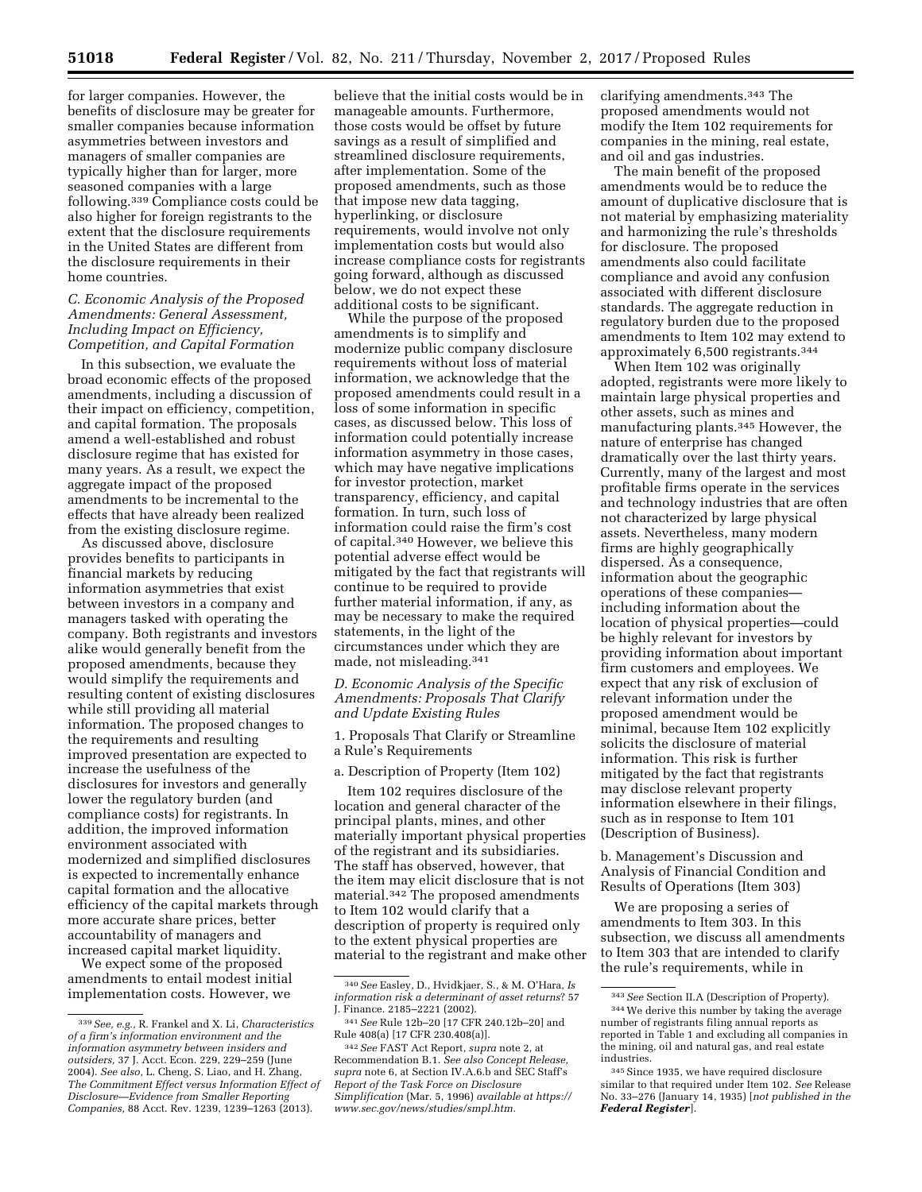for larger companies. However, the benefits of disclosure may be greater for smaller companies because information asymmetries between investors and managers of smaller companies are typically higher than for larger, more seasoned companies with a large following.339 Compliance costs could be also higher for foreign registrants to the extent that the disclosure requirements in the United States are different from the disclosure requirements in their home countries.

### *C. Economic Analysis of the Proposed Amendments: General Assessment, Including Impact on Efficiency, Competition, and Capital Formation*

In this subsection, we evaluate the broad economic effects of the proposed amendments, including a discussion of their impact on efficiency, competition, and capital formation. The proposals amend a well-established and robust disclosure regime that has existed for many years. As a result, we expect the aggregate impact of the proposed amendments to be incremental to the effects that have already been realized from the existing disclosure regime.

As discussed above, disclosure provides benefits to participants in financial markets by reducing information asymmetries that exist between investors in a company and managers tasked with operating the company. Both registrants and investors alike would generally benefit from the proposed amendments, because they would simplify the requirements and resulting content of existing disclosures while still providing all material information. The proposed changes to the requirements and resulting improved presentation are expected to increase the usefulness of the disclosures for investors and generally lower the regulatory burden (and compliance costs) for registrants. In addition, the improved information environment associated with modernized and simplified disclosures is expected to incrementally enhance capital formation and the allocative efficiency of the capital markets through more accurate share prices, better accountability of managers and increased capital market liquidity.

We expect some of the proposed amendments to entail modest initial implementation costs. However, we

believe that the initial costs would be in manageable amounts. Furthermore, those costs would be offset by future savings as a result of simplified and streamlined disclosure requirements, after implementation. Some of the proposed amendments, such as those that impose new data tagging, hyperlinking, or disclosure requirements, would involve not only implementation costs but would also increase compliance costs for registrants going forward, although as discussed below, we do not expect these additional costs to be significant.

While the purpose of the proposed amendments is to simplify and modernize public company disclosure requirements without loss of material information, we acknowledge that the proposed amendments could result in a loss of some information in specific cases, as discussed below. This loss of information could potentially increase information asymmetry in those cases, which may have negative implications for investor protection, market transparency, efficiency, and capital formation. In turn, such loss of information could raise the firm's cost of capital.340 However, we believe this potential adverse effect would be mitigated by the fact that registrants will continue to be required to provide further material information, if any, as may be necessary to make the required statements, in the light of the circumstances under which they are made, not misleading.341

### *D. Economic Analysis of the Specific Amendments: Proposals That Clarify and Update Existing Rules*

1. Proposals That Clarify or Streamline a Rule's Requirements

a. Description of Property (Item 102)

Item 102 requires disclosure of the location and general character of the principal plants, mines, and other materially important physical properties of the registrant and its subsidiaries. The staff has observed, however, that the item may elicit disclosure that is not material.342 The proposed amendments to Item 102 would clarify that a description of property is required only to the extent physical properties are material to the registrant and make other clarifying amendments.343 The proposed amendments would not modify the Item 102 requirements for companies in the mining, real estate, and oil and gas industries.

The main benefit of the proposed amendments would be to reduce the amount of duplicative disclosure that is not material by emphasizing materiality and harmonizing the rule's thresholds for disclosure. The proposed amendments also could facilitate compliance and avoid any confusion associated with different disclosure standards. The aggregate reduction in regulatory burden due to the proposed amendments to Item 102 may extend to approximately 6,500 registrants.344

When Item 102 was originally adopted, registrants were more likely to maintain large physical properties and other assets, such as mines and manufacturing plants.345 However, the nature of enterprise has changed dramatically over the last thirty years. Currently, many of the largest and most profitable firms operate in the services and technology industries that are often not characterized by large physical assets. Nevertheless, many modern firms are highly geographically dispersed. As a consequence, information about the geographic operations of these companies including information about the location of physical properties—could be highly relevant for investors by providing information about important firm customers and employees. We expect that any risk of exclusion of relevant information under the proposed amendment would be minimal, because Item 102 explicitly solicits the disclosure of material information. This risk is further mitigated by the fact that registrants may disclose relevant property information elsewhere in their filings, such as in response to Item 101 (Description of Business).

b. Management's Discussion and Analysis of Financial Condition and Results of Operations (Item 303)

We are proposing a series of amendments to Item 303. In this subsection, we discuss all amendments to Item 303 that are intended to clarify the rule's requirements, while in

<sup>339</sup>*See, e.g.,* R. Frankel and X. Li, *Characteristics of a firm's information environment and the information asymmetry between insiders and outsiders,* 37 J. Acct. Econ. 229, 229–259 (June 2004). *See also,* L. Cheng, S. Liao, and H. Zhang, *The Commitment Effect versus Information Effect of Disclosure—Evidence from Smaller Reporting Companies,* 88 Acct. Rev. 1239, 1239–1263 (2013).

<sup>340</sup>*See* Easley, D., Hvidkjaer, S., & M. O'Hara, *Is information risk a determinant of asset returns*? 57 J. Finance. 2185–2221 (2002).

<sup>341</sup>*See* Rule 12b–20 [17 CFR 240.12b–20] and Rule 408(a) [17 CFR 230.408(a)].

<sup>342</sup>*See* FAST Act Report, *supra* note 2, at Recommendation B.1. *See also Concept Release, supra* note 6, at Section IV.A.6.b and SEC Staff's *Report of the Task Force on Disclosure Simplification* (Mar. 5, 1996) *available at [https://](https://www.sec.gov/news/studies/smpl.htm) [www.sec.gov/news/studies/smpl.htm.](https://www.sec.gov/news/studies/smpl.htm)* 

<sup>343</sup>*See* Section II.A (Description of Property). 344We derive this number by taking the average number of registrants filing annual reports as reported in Table 1 and excluding all companies in the mining, oil and natural gas, and real estate industries.

<sup>345</sup>Since 1935, we have required disclosure similar to that required under Item 102. *See* Release No. 33–276 (January 14, 1935) [*not published in the Federal Register*].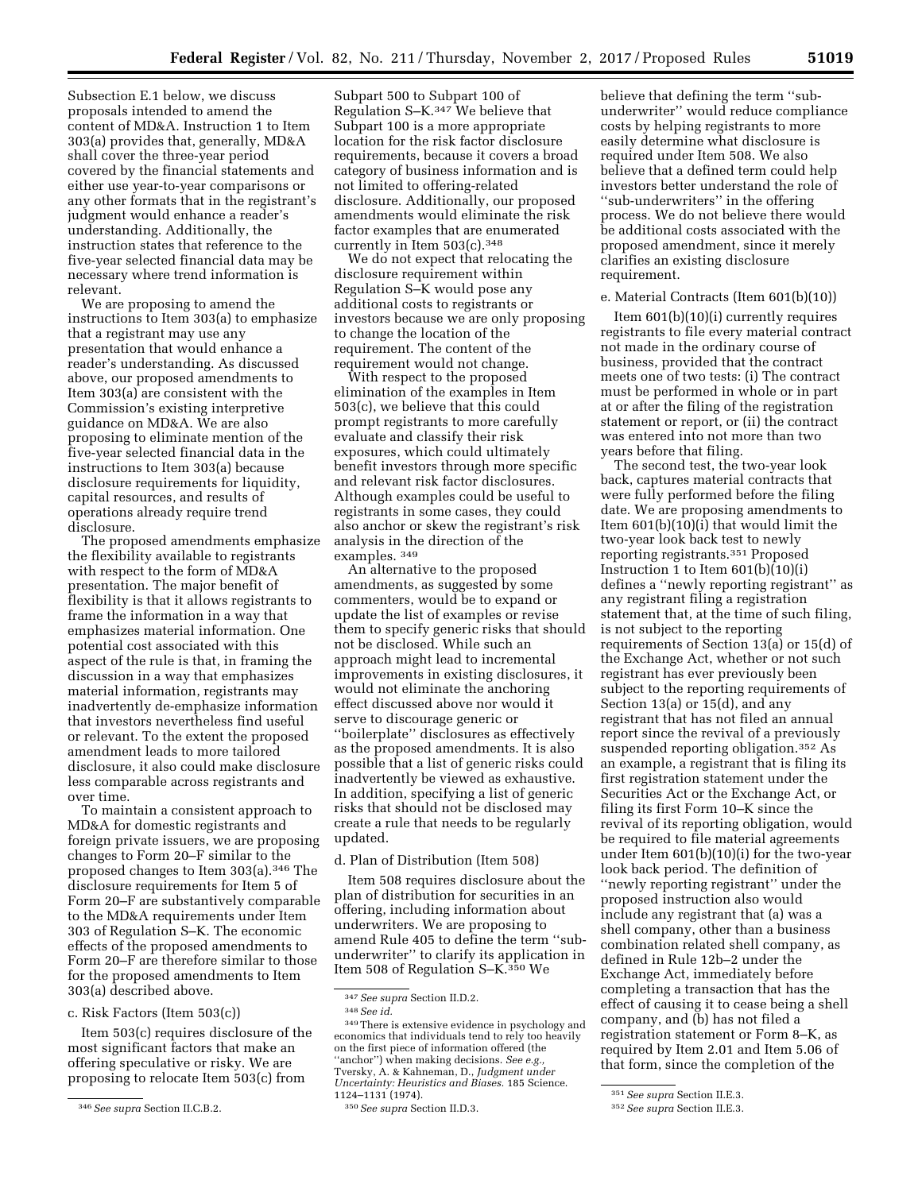Subsection E.1 below, we discuss proposals intended to amend the content of MD&A. Instruction 1 to Item 303(a) provides that, generally, MD&A shall cover the three-year period covered by the financial statements and either use year-to-year comparisons or any other formats that in the registrant's judgment would enhance a reader's understanding. Additionally, the instruction states that reference to the five-year selected financial data may be necessary where trend information is relevant.

We are proposing to amend the instructions to Item 303(a) to emphasize that a registrant may use any presentation that would enhance a reader's understanding. As discussed above, our proposed amendments to Item 303(a) are consistent with the Commission's existing interpretive guidance on MD&A. We are also proposing to eliminate mention of the five-year selected financial data in the instructions to Item 303(a) because disclosure requirements for liquidity, capital resources, and results of operations already require trend disclosure.

The proposed amendments emphasize the flexibility available to registrants with respect to the form of MD&A presentation. The major benefit of flexibility is that it allows registrants to frame the information in a way that emphasizes material information. One potential cost associated with this aspect of the rule is that, in framing the discussion in a way that emphasizes material information, registrants may inadvertently de-emphasize information that investors nevertheless find useful or relevant. To the extent the proposed amendment leads to more tailored disclosure, it also could make disclosure less comparable across registrants and over time.

To maintain a consistent approach to MD&A for domestic registrants and foreign private issuers, we are proposing changes to Form 20–F similar to the proposed changes to Item 303(a).346 The disclosure requirements for Item 5 of Form 20–F are substantively comparable to the MD&A requirements under Item 303 of Regulation S–K. The economic effects of the proposed amendments to Form 20–F are therefore similar to those for the proposed amendments to Item 303(a) described above.

c. Risk Factors (Item 503(c))

Item 503(c) requires disclosure of the most significant factors that make an offering speculative or risky. We are proposing to relocate Item 503(c) from

Subpart 500 to Subpart 100 of Regulation S–K.347 We believe that Subpart 100 is a more appropriate location for the risk factor disclosure requirements, because it covers a broad category of business information and is not limited to offering-related disclosure. Additionally, our proposed amendments would eliminate the risk factor examples that are enumerated currently in Item 503(c).348

We do not expect that relocating the disclosure requirement within Regulation S–K would pose any additional costs to registrants or investors because we are only proposing to change the location of the requirement. The content of the requirement would not change.

With respect to the proposed elimination of the examples in Item 503(c), we believe that this could prompt registrants to more carefully evaluate and classify their risk exposures, which could ultimately benefit investors through more specific and relevant risk factor disclosures. Although examples could be useful to registrants in some cases, they could also anchor or skew the registrant's risk analysis in the direction of the examples. 349

An alternative to the proposed amendments, as suggested by some commenters, would be to expand or update the list of examples or revise them to specify generic risks that should not be disclosed. While such an approach might lead to incremental improvements in existing disclosures, it would not eliminate the anchoring effect discussed above nor would it serve to discourage generic or ''boilerplate'' disclosures as effectively as the proposed amendments. It is also possible that a list of generic risks could inadvertently be viewed as exhaustive. In addition, specifying a list of generic risks that should not be disclosed may create a rule that needs to be regularly updated.

d. Plan of Distribution (Item 508)

Item 508 requires disclosure about the plan of distribution for securities in an offering, including information about underwriters. We are proposing to amend Rule 405 to define the term ''subunderwriter'' to clarify its application in Item 508 of Regulation S–K.350 We

<sup>347</sup>*See supra* Section II.D.2. 348*See id.* 

349There is extensive evidence in psychology and economics that individuals tend to rely too heavily on the first piece of information offered (the ''anchor'') when making decisions. *See e.g.,*  Tversky, A. & Kahneman, D., *Judgment under Uncertainty: Heuristics and Biases.* 185 Science.

believe that defining the term ''subunderwriter'' would reduce compliance costs by helping registrants to more easily determine what disclosure is required under Item 508. We also believe that a defined term could help investors better understand the role of ''sub-underwriters'' in the offering process. We do not believe there would be additional costs associated with the proposed amendment, since it merely clarifies an existing disclosure requirement.

#### e. Material Contracts (Item 601(b)(10))

Item 601(b)(10)(i) currently requires registrants to file every material contract not made in the ordinary course of business, provided that the contract meets one of two tests: (i) The contract must be performed in whole or in part at or after the filing of the registration statement or report, or (ii) the contract was entered into not more than two years before that filing.

The second test, the two-year look back, captures material contracts that were fully performed before the filing date. We are proposing amendments to Item 601(b)(10)(i) that would limit the two-year look back test to newly reporting registrants.351 Proposed Instruction 1 to Item  $601(b)(10)(i)$ defines a ''newly reporting registrant'' as any registrant filing a registration statement that, at the time of such filing, is not subject to the reporting requirements of Section 13(a) or 15(d) of the Exchange Act, whether or not such registrant has ever previously been subject to the reporting requirements of Section 13(a) or 15(d), and any registrant that has not filed an annual report since the revival of a previously suspended reporting obligation.352 As an example, a registrant that is filing its first registration statement under the Securities Act or the Exchange Act, or filing its first Form 10–K since the revival of its reporting obligation, would be required to file material agreements under Item 601(b)(10)(i) for the two-year look back period. The definition of ''newly reporting registrant'' under the proposed instruction also would include any registrant that (a) was a shell company, other than a business combination related shell company, as defined in Rule 12b–2 under the Exchange Act, immediately before completing a transaction that has the effect of causing it to cease being a shell company, and (b) has not filed a registration statement or Form 8–K, as required by Item 2.01 and Item 5.06 of that form, since the completion of the

<sup>346</sup>*See supra* Section II.C.B.2.

<sup>1124–1131 (1974). 350</sup>*See supra* Section II.D.3.

<sup>351</sup>*See supra* Section II.E.3.

<sup>352</sup>*See supra* Section II.E.3.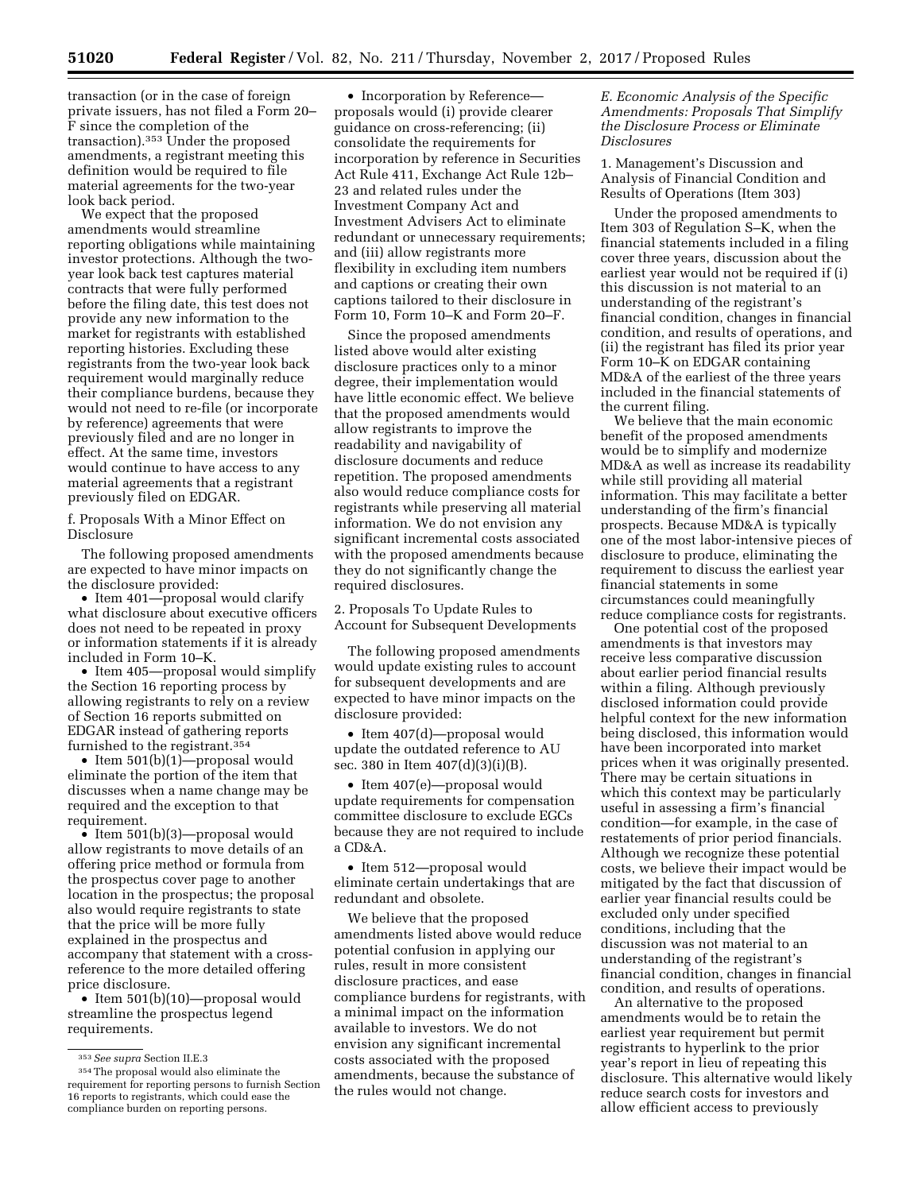transaction (or in the case of foreign private issuers, has not filed a Form 20– F since the completion of the transaction).353 Under the proposed amendments, a registrant meeting this definition would be required to file material agreements for the two-year look back period.

We expect that the proposed amendments would streamline reporting obligations while maintaining investor protections. Although the twoyear look back test captures material contracts that were fully performed before the filing date, this test does not provide any new information to the market for registrants with established reporting histories. Excluding these registrants from the two-year look back requirement would marginally reduce their compliance burdens, because they would not need to re-file (or incorporate by reference) agreements that were previously filed and are no longer in effect. At the same time, investors would continue to have access to any material agreements that a registrant previously filed on EDGAR.

f. Proposals With a Minor Effect on Disclosure

The following proposed amendments are expected to have minor impacts on the disclosure provided:

• Item 401—proposal would clarify what disclosure about executive officers does not need to be repeated in proxy or information statements if it is already included in Form 10–K.

• Item 405—proposal would simplify the Section 16 reporting process by allowing registrants to rely on a review of Section 16 reports submitted on EDGAR instead of gathering reports furnished to the registrant.354

• Item 501(b)(1)—proposal would eliminate the portion of the item that discusses when a name change may be required and the exception to that requirement.

• Item 501(b)(3)—proposal would allow registrants to move details of an offering price method or formula from the prospectus cover page to another location in the prospectus; the proposal also would require registrants to state that the price will be more fully explained in the prospectus and accompany that statement with a crossreference to the more detailed offering price disclosure.

• Item 501(b)(10)—proposal would streamline the prospectus legend requirements.

• Incorporation by Reference proposals would (i) provide clearer guidance on cross-referencing; (ii) consolidate the requirements for incorporation by reference in Securities Act Rule 411, Exchange Act Rule 12b– 23 and related rules under the Investment Company Act and Investment Advisers Act to eliminate redundant or unnecessary requirements; and (iii) allow registrants more flexibility in excluding item numbers and captions or creating their own captions tailored to their disclosure in Form 10, Form 10–K and Form 20–F.

Since the proposed amendments listed above would alter existing disclosure practices only to a minor degree, their implementation would have little economic effect. We believe that the proposed amendments would allow registrants to improve the readability and navigability of disclosure documents and reduce repetition. The proposed amendments also would reduce compliance costs for registrants while preserving all material information. We do not envision any significant incremental costs associated with the proposed amendments because they do not significantly change the required disclosures.

2. Proposals To Update Rules to Account for Subsequent Developments

The following proposed amendments would update existing rules to account for subsequent developments and are expected to have minor impacts on the disclosure provided:

• Item 407(d)—proposal would update the outdated reference to AU sec. 380 in Item 407(d)(3)(i)(B).

• Item 407(e)—proposal would update requirements for compensation committee disclosure to exclude EGCs because they are not required to include a CD&A.

• Item 512—proposal would eliminate certain undertakings that are redundant and obsolete.

We believe that the proposed amendments listed above would reduce potential confusion in applying our rules, result in more consistent disclosure practices, and ease compliance burdens for registrants, with a minimal impact on the information available to investors. We do not envision any significant incremental costs associated with the proposed amendments, because the substance of the rules would not change.

*E. Economic Analysis of the Specific Amendments: Proposals That Simplify the Disclosure Process or Eliminate Disclosures* 

1. Management's Discussion and Analysis of Financial Condition and Results of Operations (Item 303)

Under the proposed amendments to Item 303 of Regulation S–K, when the financial statements included in a filing cover three years, discussion about the earliest year would not be required if (i) this discussion is not material to an understanding of the registrant's financial condition, changes in financial condition, and results of operations, and (ii) the registrant has filed its prior year Form 10–K on EDGAR containing MD&A of the earliest of the three years included in the financial statements of the current filing.

We believe that the main economic benefit of the proposed amendments would be to simplify and modernize MD&A as well as increase its readability while still providing all material information. This may facilitate a better understanding of the firm's financial prospects. Because MD&A is typically one of the most labor-intensive pieces of disclosure to produce, eliminating the requirement to discuss the earliest year financial statements in some circumstances could meaningfully reduce compliance costs for registrants.

One potential cost of the proposed amendments is that investors may receive less comparative discussion about earlier period financial results within a filing. Although previously disclosed information could provide helpful context for the new information being disclosed, this information would have been incorporated into market prices when it was originally presented. There may be certain situations in which this context may be particularly useful in assessing a firm's financial condition—for example, in the case of restatements of prior period financials. Although we recognize these potential costs, we believe their impact would be mitigated by the fact that discussion of earlier year financial results could be excluded only under specified conditions, including that the discussion was not material to an understanding of the registrant's financial condition, changes in financial condition, and results of operations.

An alternative to the proposed amendments would be to retain the earliest year requirement but permit registrants to hyperlink to the prior year's report in lieu of repeating this disclosure. This alternative would likely reduce search costs for investors and allow efficient access to previously

<sup>353</sup>*See supra* Section II.E.3

<sup>354</sup>The proposal would also eliminate the requirement for reporting persons to furnish Section 16 reports to registrants, which could ease the compliance burden on reporting persons.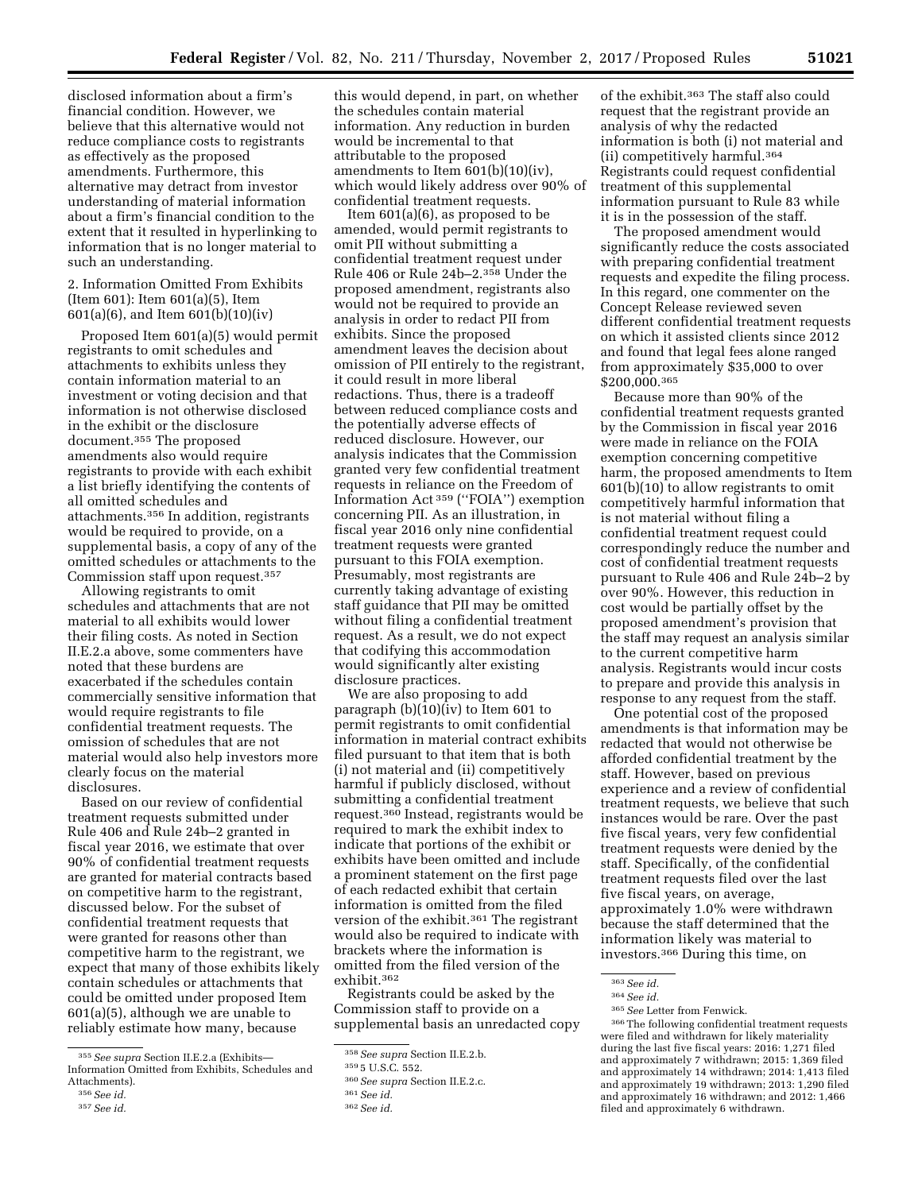disclosed information about a firm's financial condition. However, we believe that this alternative would not reduce compliance costs to registrants as effectively as the proposed amendments. Furthermore, this alternative may detract from investor understanding of material information about a firm's financial condition to the extent that it resulted in hyperlinking to information that is no longer material to such an understanding.

2. Information Omitted From Exhibits (Item 601): Item 601(a)(5), Item 601(a)(6), and Item 601(b)(10)(iv)

Proposed Item 601(a)(5) would permit registrants to omit schedules and attachments to exhibits unless they contain information material to an investment or voting decision and that information is not otherwise disclosed in the exhibit or the disclosure document.355 The proposed amendments also would require registrants to provide with each exhibit a list briefly identifying the contents of all omitted schedules and attachments.356 In addition, registrants would be required to provide, on a supplemental basis, a copy of any of the omitted schedules or attachments to the Commission staff upon request.357

Allowing registrants to omit schedules and attachments that are not material to all exhibits would lower their filing costs. As noted in Section II.E.2.a above, some commenters have noted that these burdens are exacerbated if the schedules contain commercially sensitive information that would require registrants to file confidential treatment requests. The omission of schedules that are not material would also help investors more clearly focus on the material disclosures.

Based on our review of confidential treatment requests submitted under Rule 406 and Rule 24b–2 granted in fiscal year 2016, we estimate that over 90% of confidential treatment requests are granted for material contracts based on competitive harm to the registrant, discussed below. For the subset of confidential treatment requests that were granted for reasons other than competitive harm to the registrant, we expect that many of those exhibits likely contain schedules or attachments that could be omitted under proposed Item 601(a)(5), although we are unable to reliably estimate how many, because

this would depend, in part, on whether the schedules contain material information. Any reduction in burden would be incremental to that attributable to the proposed amendments to Item 601(b)(10)(iv), which would likely address over 90% of confidential treatment requests.

Item 601(a)(6), as proposed to be amended, would permit registrants to omit PII without submitting a confidential treatment request under Rule 406 or Rule 24b–2.358 Under the proposed amendment, registrants also would not be required to provide an analysis in order to redact PII from exhibits. Since the proposed amendment leaves the decision about omission of PII entirely to the registrant, it could result in more liberal redactions. Thus, there is a tradeoff between reduced compliance costs and the potentially adverse effects of reduced disclosure. However, our analysis indicates that the Commission granted very few confidential treatment requests in reliance on the Freedom of Information Act 359 (''FOIA'') exemption concerning PII. As an illustration, in fiscal year 2016 only nine confidential treatment requests were granted pursuant to this FOIA exemption. Presumably, most registrants are currently taking advantage of existing staff guidance that PII may be omitted without filing a confidential treatment request. As a result, we do not expect that codifying this accommodation would significantly alter existing disclosure practices.

We are also proposing to add paragraph (b)(10)(iv) to Item 601 to permit registrants to omit confidential information in material contract exhibits filed pursuant to that item that is both (i) not material and (ii) competitively harmful if publicly disclosed, without submitting a confidential treatment request.360 Instead, registrants would be required to mark the exhibit index to indicate that portions of the exhibit or exhibits have been omitted and include a prominent statement on the first page of each redacted exhibit that certain information is omitted from the filed version of the exhibit.<sup>361</sup> The registrant would also be required to indicate with brackets where the information is omitted from the filed version of the exhibit.362

Registrants could be asked by the Commission staff to provide on a supplemental basis an unredacted copy of the exhibit.363 The staff also could request that the registrant provide an analysis of why the redacted information is both (i) not material and (ii) competitively harmful.364 Registrants could request confidential treatment of this supplemental information pursuant to Rule 83 while it is in the possession of the staff.

The proposed amendment would significantly reduce the costs associated with preparing confidential treatment requests and expedite the filing process. In this regard, one commenter on the Concept Release reviewed seven different confidential treatment requests on which it assisted clients since 2012 and found that legal fees alone ranged from approximately \$35,000 to over \$200,000.365

Because more than 90% of the confidential treatment requests granted by the Commission in fiscal year 2016 were made in reliance on the FOIA exemption concerning competitive harm, the proposed amendments to Item 601(b)(10) to allow registrants to omit competitively harmful information that is not material without filing a confidential treatment request could correspondingly reduce the number and cost of confidential treatment requests pursuant to Rule 406 and Rule 24b–2 by over 90%. However, this reduction in cost would be partially offset by the proposed amendment's provision that the staff may request an analysis similar to the current competitive harm analysis. Registrants would incur costs to prepare and provide this analysis in response to any request from the staff.

One potential cost of the proposed amendments is that information may be redacted that would not otherwise be afforded confidential treatment by the staff. However, based on previous experience and a review of confidential treatment requests, we believe that such instances would be rare. Over the past five fiscal years, very few confidential treatment requests were denied by the staff. Specifically, of the confidential treatment requests filed over the last five fiscal years, on average, approximately 1.0% were withdrawn because the staff determined that the information likely was material to investors.366 During this time, on

<sup>355</sup>*See supra* Section II.E.2.a (Exhibits— Information Omitted from Exhibits, Schedules and Attachments).

<sup>356</sup>*See id.* 

<sup>357</sup>*See id.* 

<sup>358</sup>*See supra* Section II.E.2.b.

<sup>359</sup> 5 U.S.C. 552.

<sup>360</sup>*See supra* Section II.E.2.c.

<sup>361</sup>*See id.* 

<sup>362</sup>*See id.* 

<sup>363</sup>*See id.* 

<sup>364</sup>*See id.* 

<sup>365</sup>*See* Letter from Fenwick.

<sup>366</sup>The following confidential treatment requests were filed and withdrawn for likely materiality during the last five fiscal years: 2016: 1,271 filed and approximately 7 withdrawn; 2015: 1,369 filed and approximately 14 withdrawn; 2014: 1,413 filed and approximately 19 withdrawn; 2013: 1,290 filed and approximately 16 withdrawn; and 2012: 1,466 filed and approximately 6 withdrawn.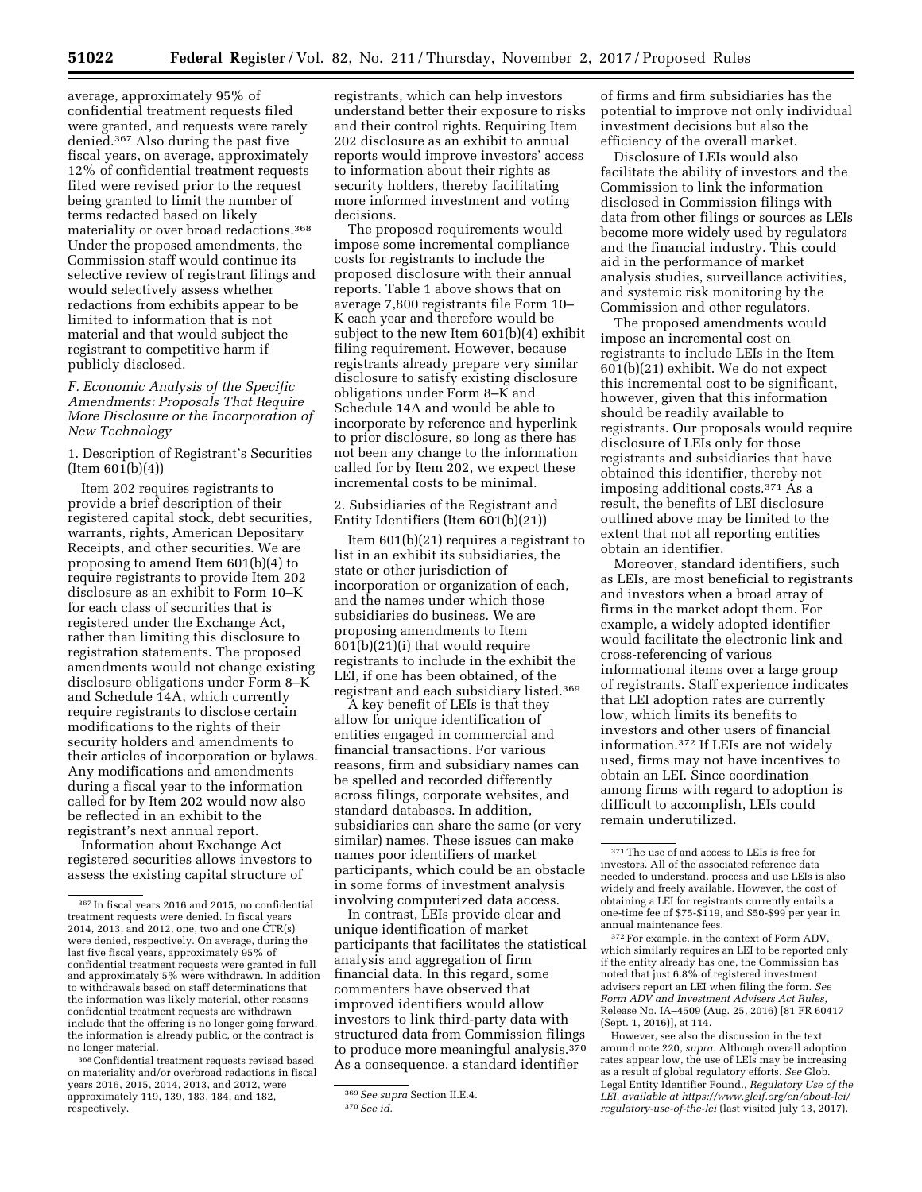average, approximately 95% of confidential treatment requests filed were granted, and requests were rarely denied.367 Also during the past five fiscal years, on average, approximately 12% of confidential treatment requests filed were revised prior to the request being granted to limit the number of terms redacted based on likely materiality or over broad redactions.368 Under the proposed amendments, the Commission staff would continue its selective review of registrant filings and would selectively assess whether redactions from exhibits appear to be limited to information that is not material and that would subject the registrant to competitive harm if publicly disclosed.

### *F. Economic Analysis of the Specific Amendments: Proposals That Require More Disclosure or the Incorporation of New Technology*

1. Description of Registrant's Securities  $(Item 601(b)(4))$ 

Item 202 requires registrants to provide a brief description of their registered capital stock, debt securities, warrants, rights, American Depositary Receipts, and other securities. We are proposing to amend Item 601(b)(4) to require registrants to provide Item 202 disclosure as an exhibit to Form 10–K for each class of securities that is registered under the Exchange Act, rather than limiting this disclosure to registration statements. The proposed amendments would not change existing disclosure obligations under Form 8–K and Schedule 14A, which currently require registrants to disclose certain modifications to the rights of their security holders and amendments to their articles of incorporation or bylaws. Any modifications and amendments during a fiscal year to the information called for by Item 202 would now also be reflected in an exhibit to the registrant's next annual report.

Information about Exchange Act registered securities allows investors to assess the existing capital structure of

registrants, which can help investors understand better their exposure to risks and their control rights. Requiring Item 202 disclosure as an exhibit to annual reports would improve investors' access to information about their rights as security holders, thereby facilitating more informed investment and voting decisions.

The proposed requirements would impose some incremental compliance costs for registrants to include the proposed disclosure with their annual reports. Table 1 above shows that on average 7,800 registrants file Form 10– K each year and therefore would be subject to the new Item 601(b)(4) exhibit filing requirement. However, because registrants already prepare very similar disclosure to satisfy existing disclosure obligations under Form 8–K and Schedule 14A and would be able to incorporate by reference and hyperlink to prior disclosure, so long as there has not been any change to the information called for by Item 202, we expect these incremental costs to be minimal.

2. Subsidiaries of the Registrant and Entity Identifiers (Item 601(b)(21))

Item 601(b)(21) requires a registrant to list in an exhibit its subsidiaries, the state or other jurisdiction of incorporation or organization of each, and the names under which those subsidiaries do business. We are proposing amendments to Item 601(b)(21)(i) that would require registrants to include in the exhibit the LEI, if one has been obtained, of the registrant and each subsidiary listed.369

A key benefit of LEIs is that they allow for unique identification of entities engaged in commercial and financial transactions. For various reasons, firm and subsidiary names can be spelled and recorded differently across filings, corporate websites, and standard databases. In addition, subsidiaries can share the same (or very similar) names. These issues can make names poor identifiers of market participants, which could be an obstacle in some forms of investment analysis involving computerized data access.

In contrast, LEIs provide clear and unique identification of market participants that facilitates the statistical analysis and aggregation of firm financial data. In this regard, some commenters have observed that improved identifiers would allow investors to link third-party data with structured data from Commission filings to produce more meaningful analysis.<sup>370</sup> As a consequence, a standard identifier

Disclosure of LEIs would also facilitate the ability of investors and the Commission to link the information disclosed in Commission filings with data from other filings or sources as LEIs become more widely used by regulators and the financial industry. This could aid in the performance of market analysis studies, surveillance activities, and systemic risk monitoring by the Commission and other regulators.

The proposed amendments would impose an incremental cost on registrants to include LEIs in the Item 601(b)(21) exhibit. We do not expect this incremental cost to be significant, however, given that this information should be readily available to registrants. Our proposals would require disclosure of LEIs only for those registrants and subsidiaries that have obtained this identifier, thereby not imposing additional costs.371 As a result, the benefits of LEI disclosure outlined above may be limited to the extent that not all reporting entities obtain an identifier.

Moreover, standard identifiers, such as LEIs, are most beneficial to registrants and investors when a broad array of firms in the market adopt them. For example, a widely adopted identifier would facilitate the electronic link and cross-referencing of various informational items over a large group of registrants. Staff experience indicates that LEI adoption rates are currently low, which limits its benefits to investors and other users of financial information.372 If LEIs are not widely used, firms may not have incentives to obtain an LEI. Since coordination among firms with regard to adoption is difficult to accomplish, LEIs could remain underutilized.

372For example, in the context of Form ADV, which similarly requires an LEI to be reported only if the entity already has one, the Commission has noted that just 6.8% of registered investment advisers report an LEI when filing the form. *See Form ADV and Investment Advisers Act Rules,*  Release No. IA–4509 (Aug. 25, 2016) [81 FR 60417 (Sept. 1, 2016)], at 114.

However, see also the discussion in the text around note 220, *supra.* Although overall adoption rates appear low, the use of LEIs may be increasing as a result of global regulatory efforts. *See* Glob. Legal Entity Identifier Found., *Regulatory Use of the LEI, available at [https://www.gleif.org/en/about-lei/](https://www.gleif.org/en/about-lei/regulatory-use-of-the-lei)  [regulatory-use-of-the-lei](https://www.gleif.org/en/about-lei/regulatory-use-of-the-lei)* (last visited July 13, 2017).

<sup>367</sup> In fiscal years 2016 and 2015, no confidential treatment requests were denied. In fiscal years 2014, 2013, and 2012, one, two and one CTR(s) were denied, respectively. On average, during the last five fiscal years, approximately 95% of confidential treatment requests were granted in full and approximately 5% were withdrawn. In addition to withdrawals based on staff determinations that the information was likely material, other reasons confidential treatment requests are withdrawn include that the offering is no longer going forward, the information is already public, or the contract is no longer material.

<sup>368</sup>Confidential treatment requests revised based on materiality and/or overbroad redactions in fiscal years 2016, 2015, 2014, 2013, and 2012, were approximately 119, 139, 183, 184, and 182, respectively.

<sup>369</sup>*See supra* Section II.E.4. 370*See id.* 

of firms and firm subsidiaries has the potential to improve not only individual investment decisions but also the efficiency of the overall market.

 $^{\rm 371}\rm{The}$  use of and access to LEIs is free for investors. All of the associated reference data needed to understand, process and use LEIs is also widely and freely available. However, the cost of obtaining a LEI for registrants currently entails a one-time fee of \$75-\$119, and \$50-\$99 per year in annual maintenance fees.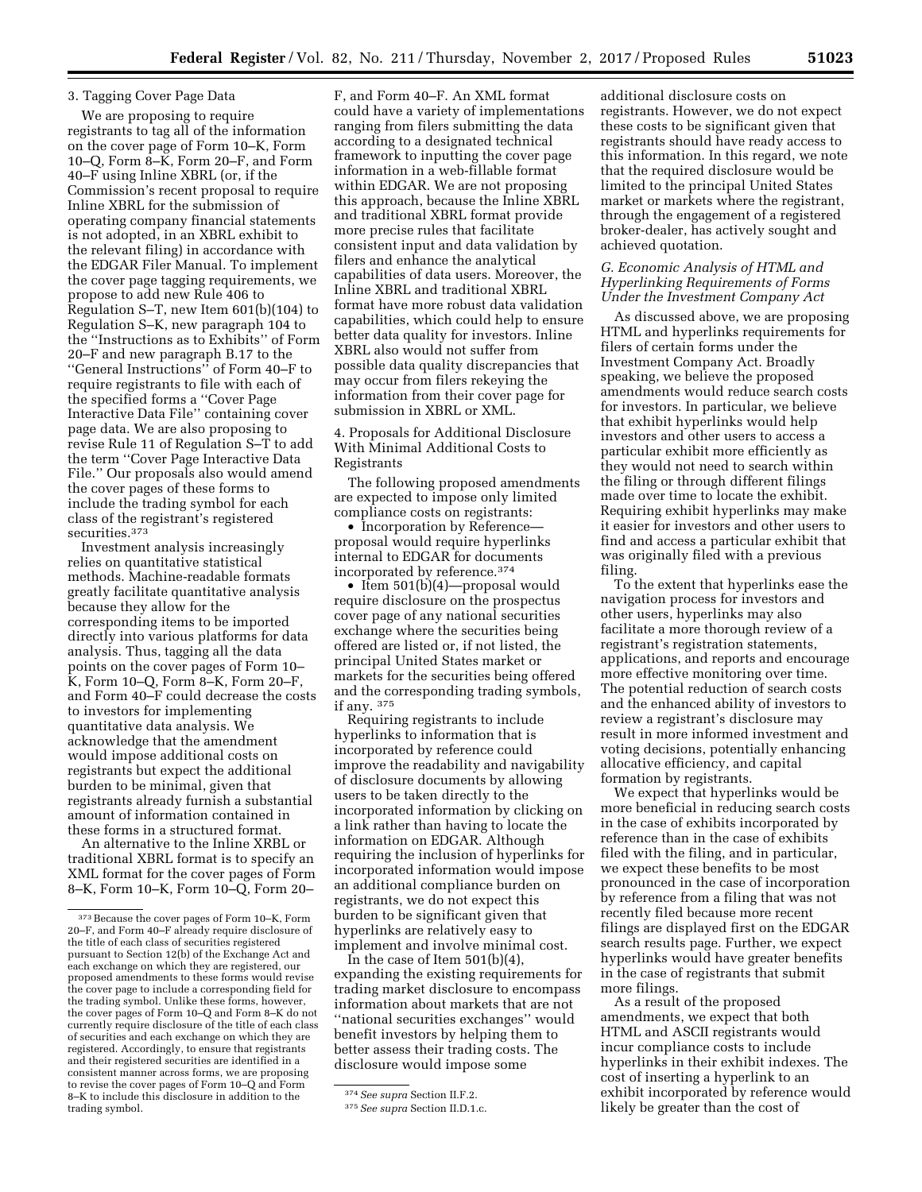### 3. Tagging Cover Page Data

We are proposing to require registrants to tag all of the information on the cover page of Form 10–K, Form 10–Q, Form 8–K, Form 20–F, and Form 40–F using Inline XBRL (or, if the Commission's recent proposal to require Inline XBRL for the submission of operating company financial statements is not adopted, in an XBRL exhibit to the relevant filing) in accordance with the EDGAR Filer Manual. To implement the cover page tagging requirements, we propose to add new Rule 406 to Regulation S–T, new Item 601(b)(104) to Regulation S–K, new paragraph 104 to the ''Instructions as to Exhibits'' of Form 20–F and new paragraph B.17 to the ''General Instructions'' of Form 40–F to require registrants to file with each of the specified forms a ''Cover Page Interactive Data File'' containing cover page data. We are also proposing to revise Rule 11 of Regulation S–T to add the term ''Cover Page Interactive Data File.'' Our proposals also would amend the cover pages of these forms to include the trading symbol for each class of the registrant's registered securities.373

Investment analysis increasingly relies on quantitative statistical methods. Machine-readable formats greatly facilitate quantitative analysis because they allow for the corresponding items to be imported directly into various platforms for data analysis. Thus, tagging all the data points on the cover pages of Form 10– K, Form 10–Q, Form 8–K, Form 20–F, and Form 40–F could decrease the costs to investors for implementing quantitative data analysis. We acknowledge that the amendment would impose additional costs on registrants but expect the additional burden to be minimal, given that registrants already furnish a substantial amount of information contained in these forms in a structured format.

An alternative to the Inline XRBL or traditional XBRL format is to specify an XML format for the cover pages of Form 8–K, Form 10–K, Form 10–Q, Form 20–

F, and Form 40–F. An XML format could have a variety of implementations ranging from filers submitting the data according to a designated technical framework to inputting the cover page information in a web-fillable format within EDGAR. We are not proposing this approach, because the Inline XBRL and traditional XBRL format provide more precise rules that facilitate consistent input and data validation by filers and enhance the analytical capabilities of data users. Moreover, the Inline XBRL and traditional XBRL format have more robust data validation capabilities, which could help to ensure better data quality for investors. Inline XBRL also would not suffer from possible data quality discrepancies that may occur from filers rekeying the information from their cover page for submission in XBRL or XML.

4. Proposals for Additional Disclosure With Minimal Additional Costs to Registrants

The following proposed amendments are expected to impose only limited compliance costs on registrants:

• Incorporation by Reference proposal would require hyperlinks internal to EDGAR for documents incorporated by reference.374

• Item 501(b)(4)—proposal would require disclosure on the prospectus cover page of any national securities exchange where the securities being offered are listed or, if not listed, the principal United States market or markets for the securities being offered and the corresponding trading symbols, if any. 375

Requiring registrants to include hyperlinks to information that is incorporated by reference could improve the readability and navigability of disclosure documents by allowing users to be taken directly to the incorporated information by clicking on a link rather than having to locate the information on EDGAR. Although requiring the inclusion of hyperlinks for incorporated information would impose an additional compliance burden on registrants, we do not expect this burden to be significant given that hyperlinks are relatively easy to implement and involve minimal cost.

In the case of Item 501(b)(4), expanding the existing requirements for trading market disclosure to encompass information about markets that are not ''national securities exchanges'' would benefit investors by helping them to better assess their trading costs. The disclosure would impose some

additional disclosure costs on registrants. However, we do not expect these costs to be significant given that registrants should have ready access to this information. In this regard, we note that the required disclosure would be limited to the principal United States market or markets where the registrant, through the engagement of a registered broker-dealer, has actively sought and achieved quotation.

#### *G. Economic Analysis of HTML and Hyperlinking Requirements of Forms Under the Investment Company Act*

As discussed above, we are proposing HTML and hyperlinks requirements for filers of certain forms under the Investment Company Act. Broadly speaking, we believe the proposed amendments would reduce search costs for investors. In particular, we believe that exhibit hyperlinks would help investors and other users to access a particular exhibit more efficiently as they would not need to search within the filing or through different filings made over time to locate the exhibit. Requiring exhibit hyperlinks may make it easier for investors and other users to find and access a particular exhibit that was originally filed with a previous filing.

To the extent that hyperlinks ease the navigation process for investors and other users, hyperlinks may also facilitate a more thorough review of a registrant's registration statements, applications, and reports and encourage more effective monitoring over time. The potential reduction of search costs and the enhanced ability of investors to review a registrant's disclosure may result in more informed investment and voting decisions, potentially enhancing allocative efficiency, and capital formation by registrants.

We expect that hyperlinks would be more beneficial in reducing search costs in the case of exhibits incorporated by reference than in the case of exhibits filed with the filing, and in particular, we expect these benefits to be most pronounced in the case of incorporation by reference from a filing that was not recently filed because more recent filings are displayed first on the EDGAR search results page. Further, we expect hyperlinks would have greater benefits in the case of registrants that submit more filings.

As a result of the proposed amendments, we expect that both HTML and ASCII registrants would incur compliance costs to include hyperlinks in their exhibit indexes. The cost of inserting a hyperlink to an exhibit incorporated by reference would likely be greater than the cost of

<sup>373</sup>Because the cover pages of Form 10–K, Form 20–F, and Form 40–F already require disclosure of the title of each class of securities registered pursuant to Section 12(b) of the Exchange Act and each exchange on which they are registered, our proposed amendments to these forms would revise the cover page to include a corresponding field for the trading symbol. Unlike these forms, however, the cover pages of Form 10–Q and Form 8–K do not currently require disclosure of the title of each class of securities and each exchange on which they are registered. Accordingly, to ensure that registrants and their registered securities are identified in a consistent manner across forms, we are proposing to revise the cover pages of Form 10–Q and Form 8–K to include this disclosure in addition to the trading symbol.

<sup>374</sup>*See supra* Section II.F.2.

<sup>375</sup>*See supra* Section II.D.1.c.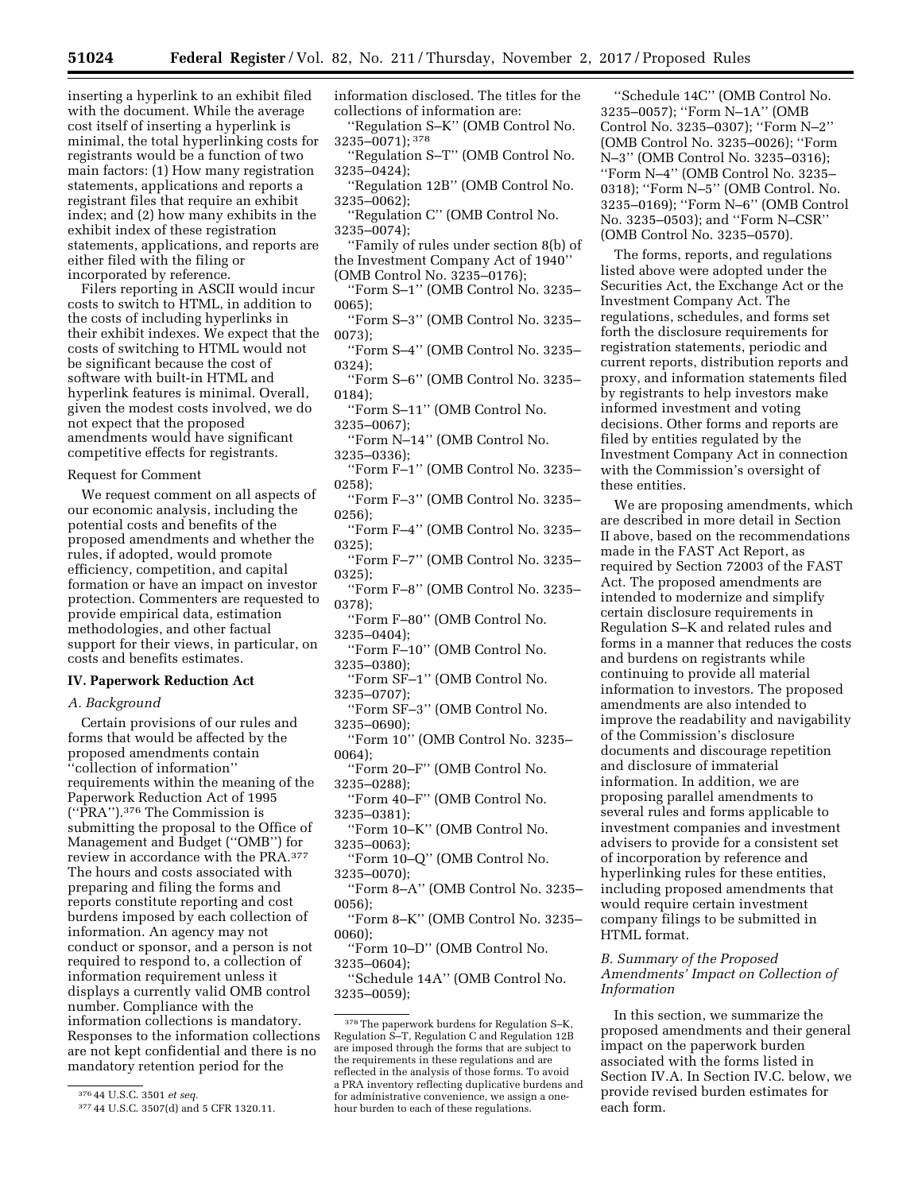inserting a hyperlink to an exhibit filed with the document. While the average cost itself of inserting a hyperlink is minimal, the total hyperlinking costs for registrants would be a function of two main factors: (1) How many registration statements, applications and reports a registrant files that require an exhibit index; and (2) how many exhibits in the exhibit index of these registration statements, applications, and reports are either filed with the filing or incorporated by reference.

Filers reporting in ASCII would incur costs to switch to HTML, in addition to the costs of including hyperlinks in their exhibit indexes. We expect that the costs of switching to HTML would not be significant because the cost of software with built-in HTML and hyperlink features is minimal. Overall, given the modest costs involved, we do not expect that the proposed amendments would have significant competitive effects for registrants.

#### Request for Comment

We request comment on all aspects of our economic analysis, including the potential costs and benefits of the proposed amendments and whether the rules, if adopted, would promote efficiency, competition, and capital formation or have an impact on investor protection. Commenters are requested to provide empirical data, estimation methodologies, and other factual support for their views, in particular, on costs and benefits estimates.

### **IV. Paperwork Reduction Act**

#### *A. Background*

Certain provisions of our rules and forms that would be affected by the proposed amendments contain ''collection of information'' requirements within the meaning of the Paperwork Reduction Act of 1995 (''PRA'').376 The Commission is submitting the proposal to the Office of Management and Budget (''OMB'') for review in accordance with the PRA.377 The hours and costs associated with preparing and filing the forms and reports constitute reporting and cost burdens imposed by each collection of information. An agency may not conduct or sponsor, and a person is not required to respond to, a collection of information requirement unless it displays a currently valid OMB control number. Compliance with the information collections is mandatory. Responses to the information collections are not kept confidential and there is no mandatory retention period for the

376 44 U.S.C. 3501 *et seq.* 

information disclosed. The titles for the collections of information are: ''Regulation S–K'' (OMB Control No.

3235–0071); 378

''Regulation S–T'' (OMB Control No. 3235–0424);

''Regulation 12B'' (OMB Control No. 3235–0062);

'Regulation C" (OMB Control No. 3235–0074);

''Family of rules under section 8(b) of the Investment Company Act of 1940'' (OMB Control No. 3235–0176);

''Form S–1'' (OMB Control No. 3235– 0065);

''Form S–3'' (OMB Control No. 3235– 0073);

''Form S–4'' (OMB Control No. 3235– 0324);

''Form S–6'' (OMB Control No. 3235– 0184);

''Form S–11'' (OMB Control No. 3235–0067);

''Form N–14'' (OMB Control No.

3235–0336);

''Form F–1'' (OMB Control No. 3235– 0258);

''Form F–3'' (OMB Control No. 3235– 0256);

''Form F–4'' (OMB Control No. 3235– 0325);

''Form F–7'' (OMB Control No. 3235– 0325);

''Form F–8'' (OMB Control No. 3235– 0378);

''Form F–80'' (OMB Control No. 3235–0404);

''Form F–10'' (OMB Control No. 3235–0380);

''Form SF–1'' (OMB Control No. 3235–0707);

''Form SF–3'' (OMB Control No. 3235–0690);

''Form 10'' (OMB Control No. 3235– 0064);

''Form 20–F'' (OMB Control No. 3235–0288);

''Form 40–F'' (OMB Control No. 3235–0381);

''Form 10–K'' (OMB Control No. 3235–0063);

''Form 10–Q'' (OMB Control No. 3235–0070);

''Form 8–A'' (OMB Control No. 3235– 0056);

''Form 8–K'' (OMB Control No. 3235– 0060);

''Form 10–D'' (OMB Control No. 3235–0604);

''Schedule 14A'' (OMB Control No. 3235–0059);

''Schedule 14C'' (OMB Control No. 3235–0057); ''Form N–1A'' (OMB Control No. 3235–0307); ''Form N–2'' (OMB Control No. 3235–0026); ''Form N–3'' (OMB Control No. 3235–0316); ''Form N–4'' (OMB Control No. 3235– 0318); ''Form N–5'' (OMB Control. No. 3235–0169); ''Form N–6'' (OMB Control No. 3235–0503); and ''Form N–CSR'' (OMB Control No. 3235–0570).

The forms, reports, and regulations listed above were adopted under the Securities Act, the Exchange Act or the Investment Company Act. The regulations, schedules, and forms set forth the disclosure requirements for registration statements, periodic and current reports, distribution reports and proxy, and information statements filed by registrants to help investors make informed investment and voting decisions. Other forms and reports are filed by entities regulated by the Investment Company Act in connection with the Commission's oversight of these entities.

We are proposing amendments, which are described in more detail in Section II above, based on the recommendations made in the FAST Act Report, as required by Section 72003 of the FAST Act. The proposed amendments are intended to modernize and simplify certain disclosure requirements in Regulation S–K and related rules and forms in a manner that reduces the costs and burdens on registrants while continuing to provide all material information to investors. The proposed amendments are also intended to improve the readability and navigability of the Commission's disclosure documents and discourage repetition and disclosure of immaterial information. In addition, we are proposing parallel amendments to several rules and forms applicable to investment companies and investment advisers to provide for a consistent set of incorporation by reference and hyperlinking rules for these entities, including proposed amendments that would require certain investment company filings to be submitted in HTML format.

# *B. Summary of the Proposed Amendments' Impact on Collection of Information*

In this section, we summarize the proposed amendments and their general impact on the paperwork burden associated with the forms listed in Section IV.A. In Section IV.C. below, we provide revised burden estimates for each form.

<sup>377</sup> 44 U.S.C. 3507(d) and 5 CFR 1320.11.

<sup>378</sup>The paperwork burdens for Regulation S–K, Regulation S–T, Regulation C and Regulation 12B are imposed through the forms that are subject to the requirements in these regulations and are reflected in the analysis of those forms. To avoid a PRA inventory reflecting duplicative burdens and for administrative convenience, we assign a onehour burden to each of these regulations.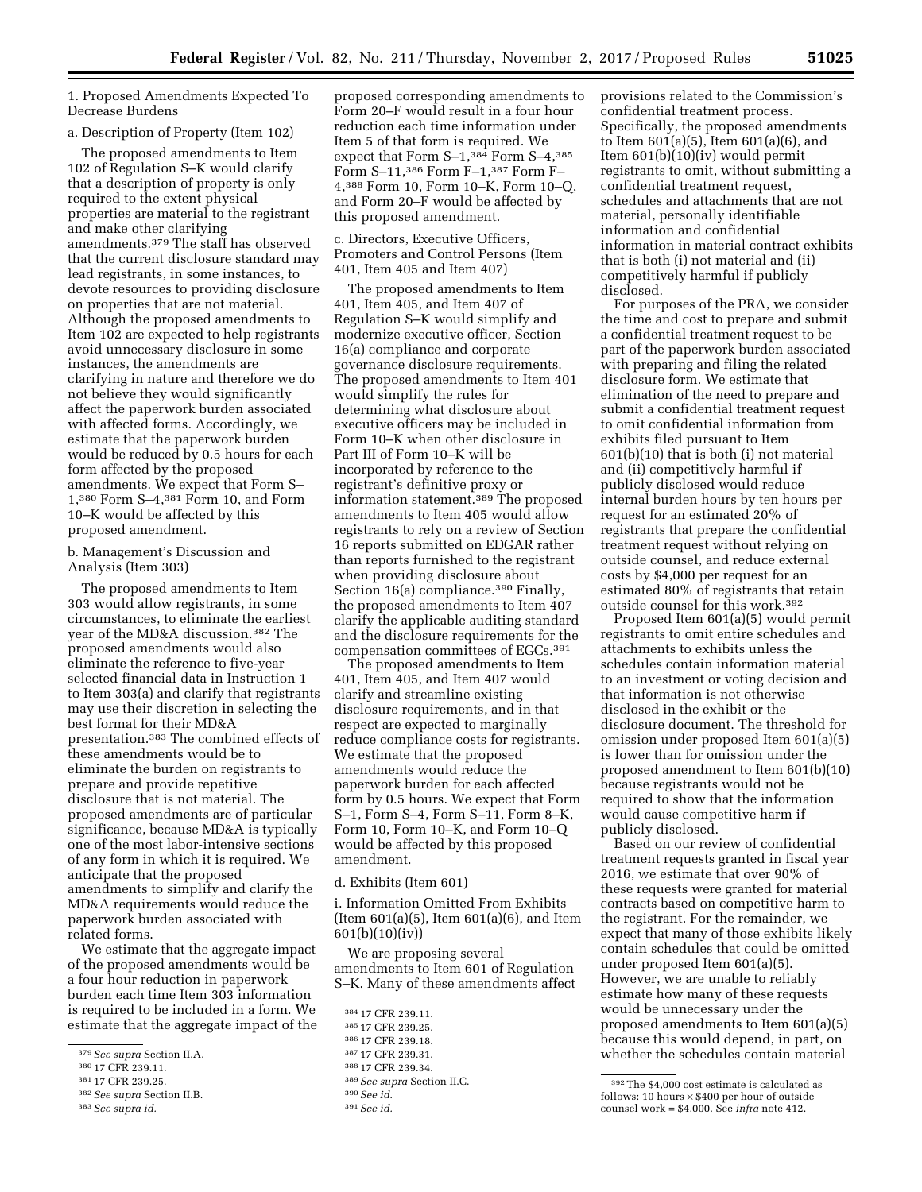1. Proposed Amendments Expected To Decrease Burdens

### a. Description of Property (Item 102)

The proposed amendments to Item 102 of Regulation S–K would clarify that a description of property is only required to the extent physical properties are material to the registrant and make other clarifying amendments.379 The staff has observed that the current disclosure standard may lead registrants, in some instances, to devote resources to providing disclosure on properties that are not material. Although the proposed amendments to Item 102 are expected to help registrants avoid unnecessary disclosure in some instances, the amendments are clarifying in nature and therefore we do not believe they would significantly affect the paperwork burden associated with affected forms. Accordingly, we estimate that the paperwork burden would be reduced by 0.5 hours for each form affected by the proposed amendments. We expect that Form S– 1,380 Form S–4,381 Form 10, and Form 10–K would be affected by this proposed amendment.

# b. Management's Discussion and Analysis (Item 303)

The proposed amendments to Item 303 would allow registrants, in some circumstances, to eliminate the earliest year of the MD&A discussion.382 The proposed amendments would also eliminate the reference to five-year selected financial data in Instruction 1 to Item 303(a) and clarify that registrants may use their discretion in selecting the best format for their MD&A presentation.383 The combined effects of these amendments would be to eliminate the burden on registrants to prepare and provide repetitive disclosure that is not material. The proposed amendments are of particular significance, because MD&A is typically one of the most labor-intensive sections of any form in which it is required. We anticipate that the proposed amendments to simplify and clarify the MD&A requirements would reduce the paperwork burden associated with related forms.

We estimate that the aggregate impact of the proposed amendments would be a four hour reduction in paperwork burden each time Item 303 information is required to be included in a form. We estimate that the aggregate impact of the

381 17 CFR 239.25.

383*See supra id.* 

proposed corresponding amendments to Form 20–F would result in a four hour reduction each time information under Item 5 of that form is required. We expect that Form S–1,384 Form S–4,385 Form S–11,386 Form F–1,387 Form F– 4,388 Form 10, Form 10–K, Form 10–Q, and Form 20–F would be affected by this proposed amendment.

# c. Directors, Executive Officers, Promoters and Control Persons (Item 401, Item 405 and Item 407)

The proposed amendments to Item 401, Item 405, and Item 407 of Regulation S–K would simplify and modernize executive officer, Section 16(a) compliance and corporate governance disclosure requirements. The proposed amendments to Item 401 would simplify the rules for determining what disclosure about executive officers may be included in Form 10–K when other disclosure in Part III of Form 10–K will be incorporated by reference to the registrant's definitive proxy or information statement.389 The proposed amendments to Item 405 would allow registrants to rely on a review of Section 16 reports submitted on EDGAR rather than reports furnished to the registrant when providing disclosure about Section 16(a) compliance.<sup>390</sup> Finally, the proposed amendments to Item 407 clarify the applicable auditing standard and the disclosure requirements for the compensation committees of EGCs.391

The proposed amendments to Item 401, Item 405, and Item 407 would clarify and streamline existing disclosure requirements, and in that respect are expected to marginally reduce compliance costs for registrants. We estimate that the proposed amendments would reduce the paperwork burden for each affected form by 0.5 hours. We expect that Form S–1, Form S–4, Form S–11, Form 8–K, Form 10, Form 10–K, and Form 10–Q would be affected by this proposed amendment.

#### d. Exhibits (Item 601)

i. Information Omitted From Exhibits (Item 601(a)(5), Item 601(a)(6), and Item 601(b)(10)(iv))

We are proposing several amendments to Item 601 of Regulation S–K. Many of these amendments affect provisions related to the Commission's confidential treatment process. Specifically, the proposed amendments to Item 601(a)(5), Item 601(a)(6), and Item 601(b)(10)(iv) would permit registrants to omit, without submitting a confidential treatment request, schedules and attachments that are not material, personally identifiable information and confidential information in material contract exhibits that is both (i) not material and (ii) competitively harmful if publicly disclosed.

For purposes of the PRA, we consider the time and cost to prepare and submit a confidential treatment request to be part of the paperwork burden associated with preparing and filing the related disclosure form. We estimate that elimination of the need to prepare and submit a confidential treatment request to omit confidential information from exhibits filed pursuant to Item 601(b)(10) that is both (i) not material and (ii) competitively harmful if publicly disclosed would reduce internal burden hours by ten hours per request for an estimated 20% of registrants that prepare the confidential treatment request without relying on outside counsel, and reduce external costs by \$4,000 per request for an estimated 80% of registrants that retain outside counsel for this work.392

Proposed Item 601(a)(5) would permit registrants to omit entire schedules and attachments to exhibits unless the schedules contain information material to an investment or voting decision and that information is not otherwise disclosed in the exhibit or the disclosure document. The threshold for omission under proposed Item 601(a)(5) is lower than for omission under the proposed amendment to Item 601(b)(10) because registrants would not be required to show that the information would cause competitive harm if publicly disclosed.

Based on our review of confidential treatment requests granted in fiscal year 2016, we estimate that over 90% of these requests were granted for material contracts based on competitive harm to the registrant. For the remainder, we expect that many of those exhibits likely contain schedules that could be omitted under proposed Item 601(a)(5). However, we are unable to reliably estimate how many of these requests would be unnecessary under the proposed amendments to Item 601(a)(5) because this would depend, in part, on whether the schedules contain material

<sup>379</sup>*See supra* Section II.A.

<sup>380</sup> 17 CFR 239.11.

<sup>382</sup>*See supra* Section II.B.

<sup>384</sup> 17 CFR 239.11.

<sup>385</sup> 17 CFR 239.25.

<sup>386</sup> 17 CFR 239.18.

<sup>387</sup> 17 CFR 239.31.

<sup>388</sup> 17 CFR 239.34.

<sup>389</sup>*See supra* Section II.C.

<sup>390</sup>*See id.* 

<sup>391</sup>*See id.* 

<sup>392</sup>The \$4,000 cost estimate is calculated as follows: 10 hours  $\times$  \$400 per hour of outside counsel work = \$4,000. See *infra* note 412.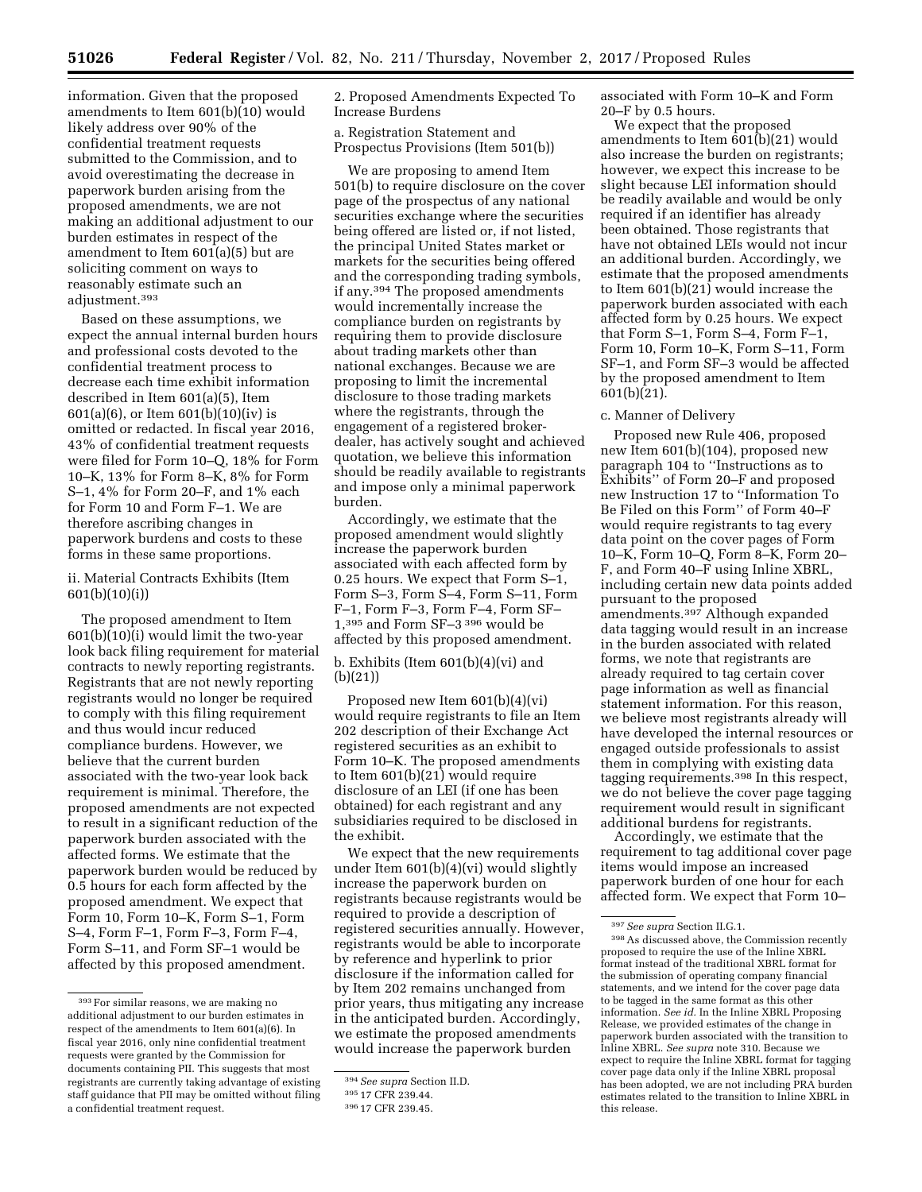information. Given that the proposed amendments to Item 601(b)(10) would likely address over 90% of the confidential treatment requests submitted to the Commission, and to avoid overestimating the decrease in paperwork burden arising from the proposed amendments, we are not making an additional adjustment to our burden estimates in respect of the amendment to Item 601(a)(5) but are soliciting comment on ways to reasonably estimate such an adjustment.393

Based on these assumptions, we expect the annual internal burden hours and professional costs devoted to the confidential treatment process to decrease each time exhibit information described in Item 601(a)(5), Item  $601(a)(6)$ , or Item  $601(b)(10)(iv)$  is omitted or redacted. In fiscal year 2016, 43% of confidential treatment requests were filed for Form 10–Q, 18% for Form 10–K, 13% for Form 8–K, 8% for Form S–1, 4% for Form 20–F, and 1% each for Form 10 and Form F–1. We are therefore ascribing changes in paperwork burdens and costs to these forms in these same proportions.

### ii. Material Contracts Exhibits (Item 601(b)(10)(i))

The proposed amendment to Item 601(b)(10)(i) would limit the two-year look back filing requirement for material contracts to newly reporting registrants. Registrants that are not newly reporting registrants would no longer be required to comply with this filing requirement and thus would incur reduced compliance burdens. However, we believe that the current burden associated with the two-year look back requirement is minimal. Therefore, the proposed amendments are not expected to result in a significant reduction of the paperwork burden associated with the affected forms. We estimate that the paperwork burden would be reduced by 0.5 hours for each form affected by the proposed amendment. We expect that Form 10, Form 10–K, Form S–1, Form S–4, Form F–1, Form F–3, Form F–4, Form S–11, and Form SF–1 would be affected by this proposed amendment.

2. Proposed Amendments Expected To Increase Burdens

a. Registration Statement and Prospectus Provisions (Item 501(b))

We are proposing to amend Item 501(b) to require disclosure on the cover page of the prospectus of any national securities exchange where the securities being offered are listed or, if not listed, the principal United States market or markets for the securities being offered and the corresponding trading symbols, if any.394 The proposed amendments would incrementally increase the compliance burden on registrants by requiring them to provide disclosure about trading markets other than national exchanges. Because we are proposing to limit the incremental disclosure to those trading markets where the registrants, through the engagement of a registered brokerdealer, has actively sought and achieved quotation, we believe this information should be readily available to registrants and impose only a minimal paperwork burden.

Accordingly, we estimate that the proposed amendment would slightly increase the paperwork burden associated with each affected form by 0.25 hours. We expect that Form S–1, Form S–3, Form S–4, Form S–11, Form F–1, Form F–3, Form F–4, Form SF– 1,395 and Form SF–3 396 would be affected by this proposed amendment.

# b. Exhibits (Item 601(b)(4)(vi) and (b)(21))

Proposed new Item 601(b)(4)(vi) would require registrants to file an Item 202 description of their Exchange Act registered securities as an exhibit to Form 10–K. The proposed amendments to Item 601(b)(21) would require disclosure of an LEI (if one has been obtained) for each registrant and any subsidiaries required to be disclosed in the exhibit.

We expect that the new requirements under Item 601(b)(4)(vi) would slightly increase the paperwork burden on registrants because registrants would be required to provide a description of registered securities annually. However, registrants would be able to incorporate by reference and hyperlink to prior disclosure if the information called for by Item 202 remains unchanged from prior years, thus mitigating any increase in the anticipated burden. Accordingly, we estimate the proposed amendments would increase the paperwork burden

associated with Form 10–K and Form 20–F by 0.5 hours.

We expect that the proposed amendments to Item 601(b)(21) would also increase the burden on registrants; however, we expect this increase to be slight because LEI information should be readily available and would be only required if an identifier has already been obtained. Those registrants that have not obtained LEIs would not incur an additional burden. Accordingly, we estimate that the proposed amendments to Item 601(b)(21) would increase the paperwork burden associated with each affected form by 0.25 hours. We expect that Form S–1, Form S–4, Form F–1, Form 10, Form 10–K, Form S–11, Form SF–1, and Form SF–3 would be affected by the proposed amendment to Item 601(b)(21).

#### c. Manner of Delivery

Proposed new Rule 406, proposed new Item 601(b)(104), proposed new paragraph 104 to ''Instructions as to Exhibits'' of Form 20–F and proposed new Instruction 17 to ''Information To Be Filed on this Form'' of Form 40–F would require registrants to tag every data point on the cover pages of Form 10–K, Form 10–Q, Form 8–K, Form 20– F, and Form 40–F using Inline XBRL, including certain new data points added pursuant to the proposed amendments.397 Although expanded data tagging would result in an increase in the burden associated with related forms, we note that registrants are already required to tag certain cover page information as well as financial statement information. For this reason, we believe most registrants already will have developed the internal resources or engaged outside professionals to assist them in complying with existing data tagging requirements.398 In this respect, we do not believe the cover page tagging requirement would result in significant additional burdens for registrants.

Accordingly, we estimate that the requirement to tag additional cover page items would impose an increased paperwork burden of one hour for each affected form. We expect that Form 10–

<sup>393</sup>For similar reasons, we are making no additional adjustment to our burden estimates in respect of the amendments to Item 601(a)(6). In fiscal year 2016, only nine confidential treatment requests were granted by the Commission for documents containing PII. This suggests that most registrants are currently taking advantage of existing staff guidance that PII may be omitted without filing a confidential treatment request.

<sup>394</sup>*See supra* Section II.D.

<sup>395</sup> 17 CFR 239.44.

<sup>396</sup> 17 CFR 239.45.

<sup>397</sup>*See supra* Section II.G.1.

<sup>398</sup>As discussed above, the Commission recently proposed to require the use of the Inline XBRL format instead of the traditional XBRL format for the submission of operating company financial statements, and we intend for the cover page data to be tagged in the same format as this other information. *See id.* In the Inline XBRL Proposing Release, we provided estimates of the change in paperwork burden associated with the transition to Inline XBRL. *See supra* note 310. Because we expect to require the Inline XBRL format for tagging cover page data only if the Inline XBRL proposal has been adopted, we are not including PRA burden estimates related to the transition to Inline XBRL in this release.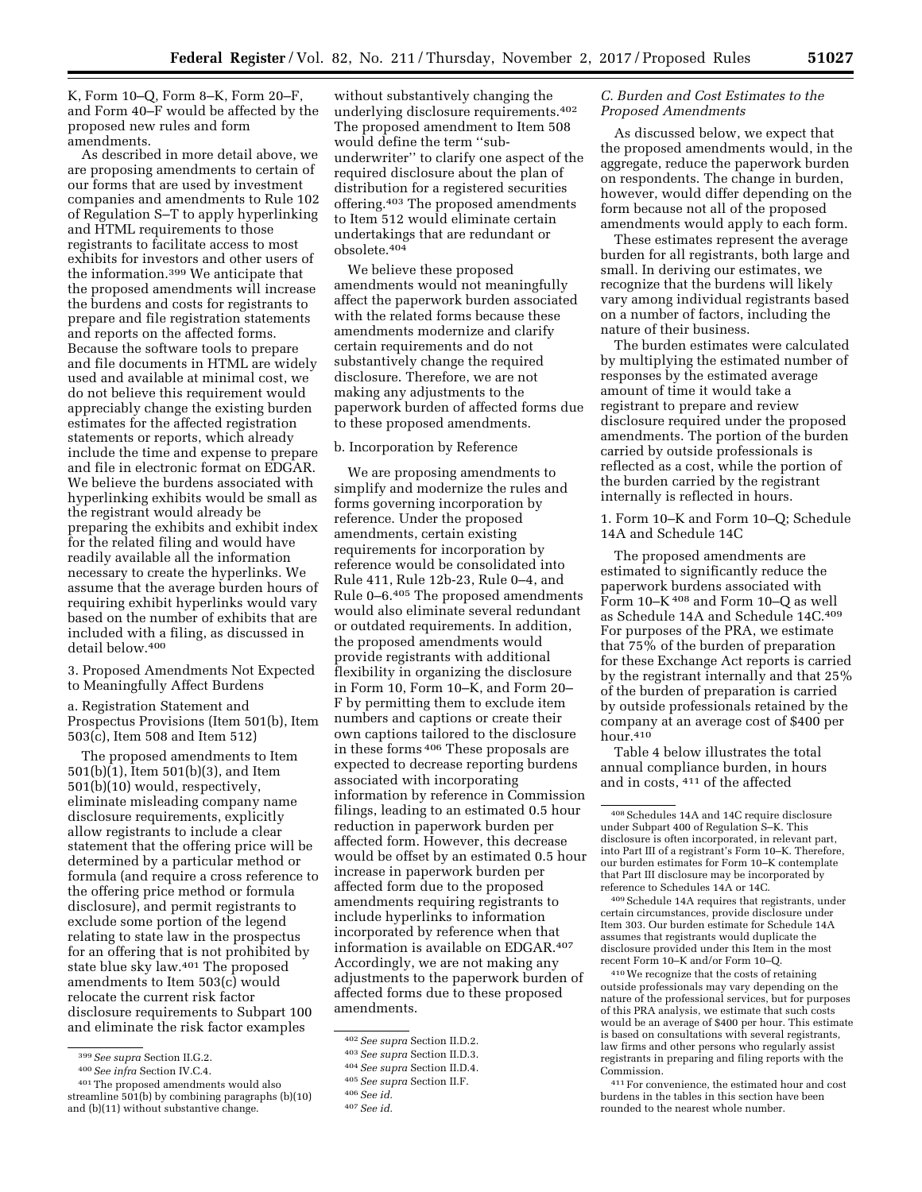K, Form 10–Q, Form 8–K, Form 20–F, and Form 40–F would be affected by the proposed new rules and form amendments.

As described in more detail above, we are proposing amendments to certain of our forms that are used by investment companies and amendments to Rule 102 of Regulation S–T to apply hyperlinking and HTML requirements to those registrants to facilitate access to most exhibits for investors and other users of the information.399 We anticipate that the proposed amendments will increase the burdens and costs for registrants to prepare and file registration statements and reports on the affected forms. Because the software tools to prepare and file documents in HTML are widely used and available at minimal cost, we do not believe this requirement would appreciably change the existing burden estimates for the affected registration statements or reports, which already include the time and expense to prepare and file in electronic format on EDGAR. We believe the burdens associated with hyperlinking exhibits would be small as the registrant would already be preparing the exhibits and exhibit index for the related filing and would have readily available all the information necessary to create the hyperlinks. We assume that the average burden hours of requiring exhibit hyperlinks would vary based on the number of exhibits that are included with a filing, as discussed in detail below.400

3. Proposed Amendments Not Expected to Meaningfully Affect Burdens

a. Registration Statement and Prospectus Provisions (Item 501(b), Item 503(c), Item 508 and Item 512)

The proposed amendments to Item 501(b)(1), Item 501(b)(3), and Item 501(b)(10) would, respectively, eliminate misleading company name disclosure requirements, explicitly allow registrants to include a clear statement that the offering price will be determined by a particular method or formula (and require a cross reference to the offering price method or formula disclosure), and permit registrants to exclude some portion of the legend relating to state law in the prospectus for an offering that is not prohibited by state blue sky law.401 The proposed amendments to Item 503(c) would relocate the current risk factor disclosure requirements to Subpart 100 and eliminate the risk factor examples

without substantively changing the underlying disclosure requirements.402 The proposed amendment to Item 508 would define the term ''subunderwriter'' to clarify one aspect of the required disclosure about the plan of distribution for a registered securities offering.403 The proposed amendments to Item 512 would eliminate certain undertakings that are redundant or obsolete.404

We believe these proposed amendments would not meaningfully affect the paperwork burden associated with the related forms because these amendments modernize and clarify certain requirements and do not substantively change the required disclosure. Therefore, we are not making any adjustments to the paperwork burden of affected forms due to these proposed amendments.

#### b. Incorporation by Reference

We are proposing amendments to simplify and modernize the rules and forms governing incorporation by reference. Under the proposed amendments, certain existing requirements for incorporation by reference would be consolidated into Rule 411, Rule 12b-23, Rule 0–4, and Rule 0–6.405 The proposed amendments would also eliminate several redundant or outdated requirements. In addition, the proposed amendments would provide registrants with additional flexibility in organizing the disclosure in Form 10, Form 10–K, and Form 20– F by permitting them to exclude item numbers and captions or create their own captions tailored to the disclosure in these forms 406 These proposals are expected to decrease reporting burdens associated with incorporating information by reference in Commission filings, leading to an estimated 0.5 hour reduction in paperwork burden per affected form. However, this decrease would be offset by an estimated 0.5 hour increase in paperwork burden per affected form due to the proposed amendments requiring registrants to include hyperlinks to information incorporated by reference when that information is available on EDGAR.407 Accordingly, we are not making any adjustments to the paperwork burden of affected forms due to these proposed amendments.

### *C. Burden and Cost Estimates to the Proposed Amendments*

As discussed below, we expect that the proposed amendments would, in the aggregate, reduce the paperwork burden on respondents. The change in burden, however, would differ depending on the form because not all of the proposed amendments would apply to each form.

These estimates represent the average burden for all registrants, both large and small. In deriving our estimates, we recognize that the burdens will likely vary among individual registrants based on a number of factors, including the nature of their business.

The burden estimates were calculated by multiplying the estimated number of responses by the estimated average amount of time it would take a registrant to prepare and review disclosure required under the proposed amendments. The portion of the burden carried by outside professionals is reflected as a cost, while the portion of the burden carried by the registrant internally is reflected in hours.

1. Form 10–K and Form 10–Q; Schedule 14A and Schedule 14C

The proposed amendments are estimated to significantly reduce the paperwork burdens associated with Form 10–K 408 and Form 10–Q as well as Schedule 14A and Schedule 14C.409 For purposes of the PRA, we estimate that 75% of the burden of preparation for these Exchange Act reports is carried by the registrant internally and that 25% of the burden of preparation is carried by outside professionals retained by the company at an average cost of \$400 per hour.<sup>410</sup>

Table 4 below illustrates the total annual compliance burden, in hours and in costs, 411 of the affected

409Schedule 14A requires that registrants, under certain circumstances, provide disclosure under Item 303. Our burden estimate for Schedule 14A assumes that registrants would duplicate the disclosure provided under this Item in the most recent Form 10–K and/or Form 10–Q.

410We recognize that the costs of retaining outside professionals may vary depending on the nature of the professional services, but for purposes of this PRA analysis, we estimate that such costs would be an average of \$400 per hour. This estimate is based on consultations with several registrants, law firms and other persons who regularly assist registrants in preparing and filing reports with the Commission.

411For convenience, the estimated hour and cost burdens in the tables in this section have been rounded to the nearest whole number.

<sup>399</sup>*See supra* Section II.G.2.

<sup>400</sup>*See infra* Section IV.C.4.

<sup>401</sup>The proposed amendments would also streamline 501(b) by combining paragraphs (b)(10) and (b)(11) without substantive change.

<sup>402</sup>*See supra* Section II.D.2.

<sup>403</sup>*See supra* Section II.D.3.

<sup>404</sup>*See supra* Section II.D.4.

<sup>405</sup>*See supra* Section II.F. 406*See id.* 

<sup>407</sup>*See id.* 

<sup>408</sup>Schedules 14A and 14C require disclosure under Subpart 400 of Regulation S–K. This disclosure is often incorporated, in relevant part, into Part III of a registrant's Form 10–K. Therefore, our burden estimates for Form 10–K contemplate that Part III disclosure may be incorporated by reference to Schedules 14A or 14C.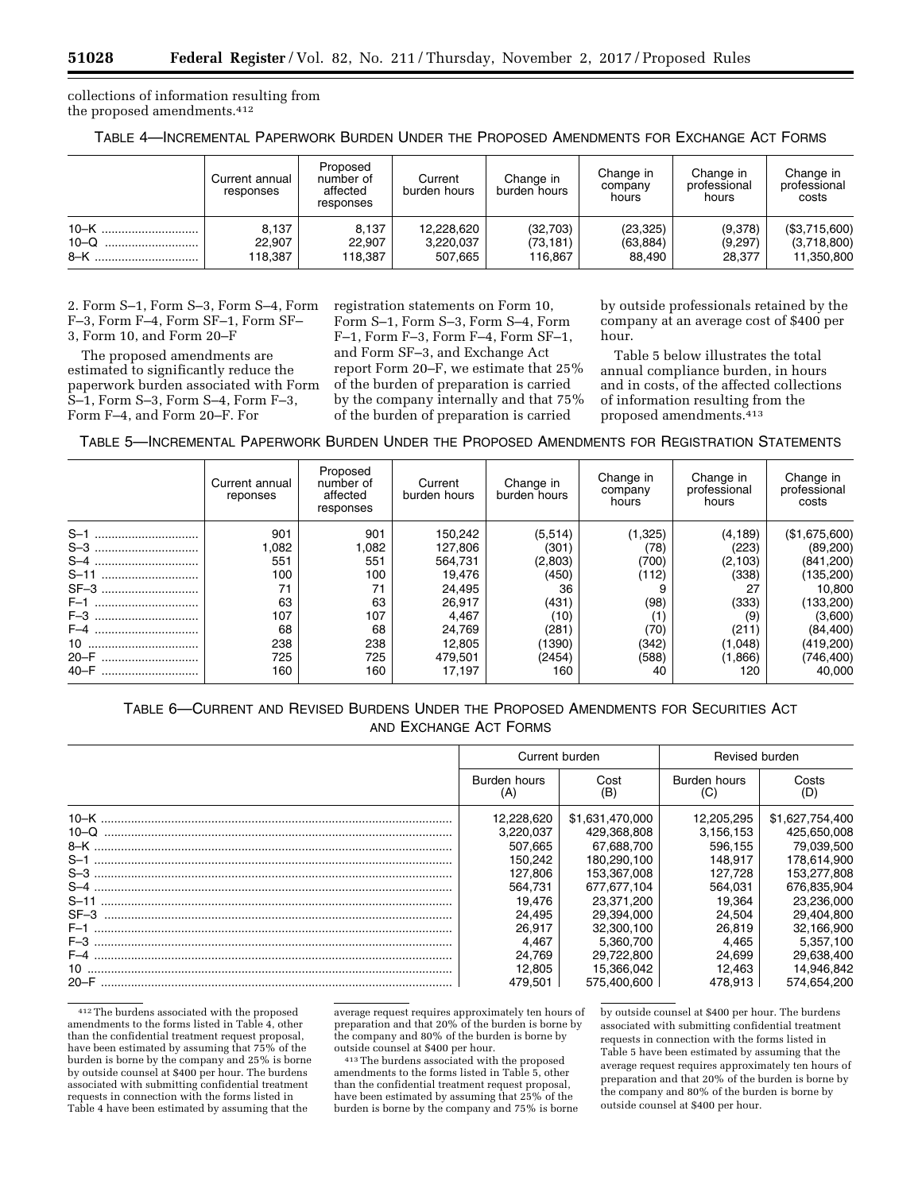collections of information resulting from the proposed amendments.412

|       | Current annual<br>responses | Proposed<br>number of<br>affected<br>responses | Current<br>burden hours | Change in<br>burden hours | Change in<br>company<br>hours | Change in<br>professional<br>hours | Change in<br>professional<br>costs |
|-------|-----------------------------|------------------------------------------------|-------------------------|---------------------------|-------------------------------|------------------------------------|------------------------------------|
|       | 8,137                       | 8.137                                          | 12,228,620              | (32,703)                  | (23, 325)                     | (9,378)                            | (\$3,715,600)                      |
|       | 22,907                      | 22,907                                         | 3,220,037               | (73,181)                  | (63, 884)                     | (9,297)                            | (3,718,800)                        |
| $8-K$ | 18.387                      | 118.387                                        | 507.665                 | 116.867                   | 88.490                        | 28.377                             | 11,350,800                         |

2. Form S–1, Form S–3, Form S–4, Form F–3, Form F–4, Form SF–1, Form SF– 3, Form 10, and Form 20–F

The proposed amendments are estimated to significantly reduce the paperwork burden associated with Form S–1, Form S–3, Form S–4, Form F–3, Form F–4, and Form 20–F. For

registration statements on Form 10, Form S–1, Form S–3, Form S–4, Form F–1, Form F–3, Form F–4, Form SF–1, and Form SF–3, and Exchange Act report Form 20–F, we estimate that 25% of the burden of preparation is carried by the company internally and that 75% of the burden of preparation is carried

by outside professionals retained by the company at an average cost of \$400 per hour.

Table 5 below illustrates the total annual compliance burden, in hours and in costs, of the affected collections of information resulting from the proposed amendments.413

TABLE 5—INCREMENTAL PAPERWORK BURDEN UNDER THE PROPOSED AMENDMENTS FOR REGISTRATION STATEMENTS

|           | Current annual<br>reponses | Proposed<br>number of<br>affected<br>responses | Current<br>burden hours | Change in<br>burden hours | Change in<br>company<br>hours | Change in<br>professional<br>hours | Change in<br>professional<br>costs |
|-----------|----------------------------|------------------------------------------------|-------------------------|---------------------------|-------------------------------|------------------------------------|------------------------------------|
| $S-1$     | 901                        | 901                                            | 150,242                 | (5,514)                   | (1,325)                       | (4, 189)                           | (\$1,675,600)                      |
| $S-3$<br> | 1,082                      | 1,082                                          | 127,806                 | (301)                     | (78)                          | (223)                              | (89,200)                           |
| S-4       | 551                        | 551                                            | 564,731                 | (2,803)                   | (700)                         | (2, 103)                           | (841, 200)                         |
| S-11      | 100                        | 100                                            | 19,476                  | (450)                     | (112)                         | (338)                              | (135,200)                          |
| SF-3      | 71                         | 71                                             | 24,495                  | 36                        |                               | 27                                 | 10,800                             |
| $F-1$<br> | 63                         | 63                                             | 26,917                  | (431)                     | (98)                          | (333)                              | (133,200)                          |
| F-3       | 107                        | 107                                            | 4,467                   | (10)                      | (1)                           | (9)                                | (3,600)                            |
| $F-4$<br> | 68                         | 68                                             | 24,769                  | (281)                     | (70)                          | (211)                              | (84, 400)                          |
|           | 238                        | 238                                            | 12.805                  | (1390)                    | (342)                         | (1,048)                            | (419,200)                          |
| 20-F      | 725                        | 725                                            | 479.501                 | (2454)                    | (588)                         | (1,866)                            | (746,400)                          |
| $40-F$    | 160                        | 160                                            | 17,197                  | 160                       | 40                            | 120                                | 40,000                             |

TABLE 6—CURRENT AND REVISED BURDENS UNDER THE PROPOSED AMENDMENTS FOR SECURITIES ACT AND EXCHANGE ACT FORMS

|      |                     | Current burden  | Revised burden      |                 |  |
|------|---------------------|-----------------|---------------------|-----------------|--|
|      | Burden hours<br>(A) | Cost<br>(B)     | Burden hours<br>(C) | Costs<br>(D)    |  |
|      | 12,228,620          | \$1,631,470,000 | 12.205.295          | \$1,627,754,400 |  |
| 10–Q | 3,220,037           | 429,368,808     | 3,156,153           | 425,650,008     |  |
|      | 507.665             | 67.688.700      | 596.155             | 79,039,500      |  |
|      | 150.242             | 180.290.100     | 148.917             | 178,614,900     |  |
|      | 127.806             | 153.367.008     | 127,728             | 153,277,808     |  |
|      | 564.731             | 677.677.104     | 564.031             | 676,835,904     |  |
|      | 19.476              | 23.371.200      | 19.364              | 23,236,000      |  |
|      | 24,495              | 29.394.000      | 24,504              | 29,404,800      |  |
|      | 26.917              | 32,300.100      | 26.819              | 32,166,900      |  |
|      | 4.467               | 5.360.700       | 4.465               | 5,357,100       |  |
|      | 24.769              | 29.722.800      | 24.699              | 29,638,400      |  |
|      | 12.805              | 15,366,042      | 12,463              | 14,946,842      |  |
|      | 479.501             | 575.400.600     | 478.913             | 574.654.200     |  |

412The burdens associated with the proposed amendments to the forms listed in Table 4, other than the confidential treatment request proposal, have been estimated by assuming that 75% of the burden is borne by the company and 25% is borne by outside counsel at \$400 per hour. The burdens associated with submitting confidential treatment requests in connection with the forms listed in Table 4 have been estimated by assuming that the

average request requires approximately ten hours of preparation and that 20% of the burden is borne by the company and 80% of the burden is borne by

<sup>413</sup> The burdens associated with the proposed amendments to the forms listed in Table 5, other than the confidential treatment request proposal, have been estimated by assuming that 25% of the burden is borne by the company and 75% is borne by outside counsel at \$400 per hour. The burdens associated with submitting confidential treatment requests in connection with the forms listed in Table 5 have been estimated by assuming that the average request requires approximately ten hours of preparation and that 20% of the burden is borne by the company and 80% of the burden is borne by outside counsel at \$400 per hour.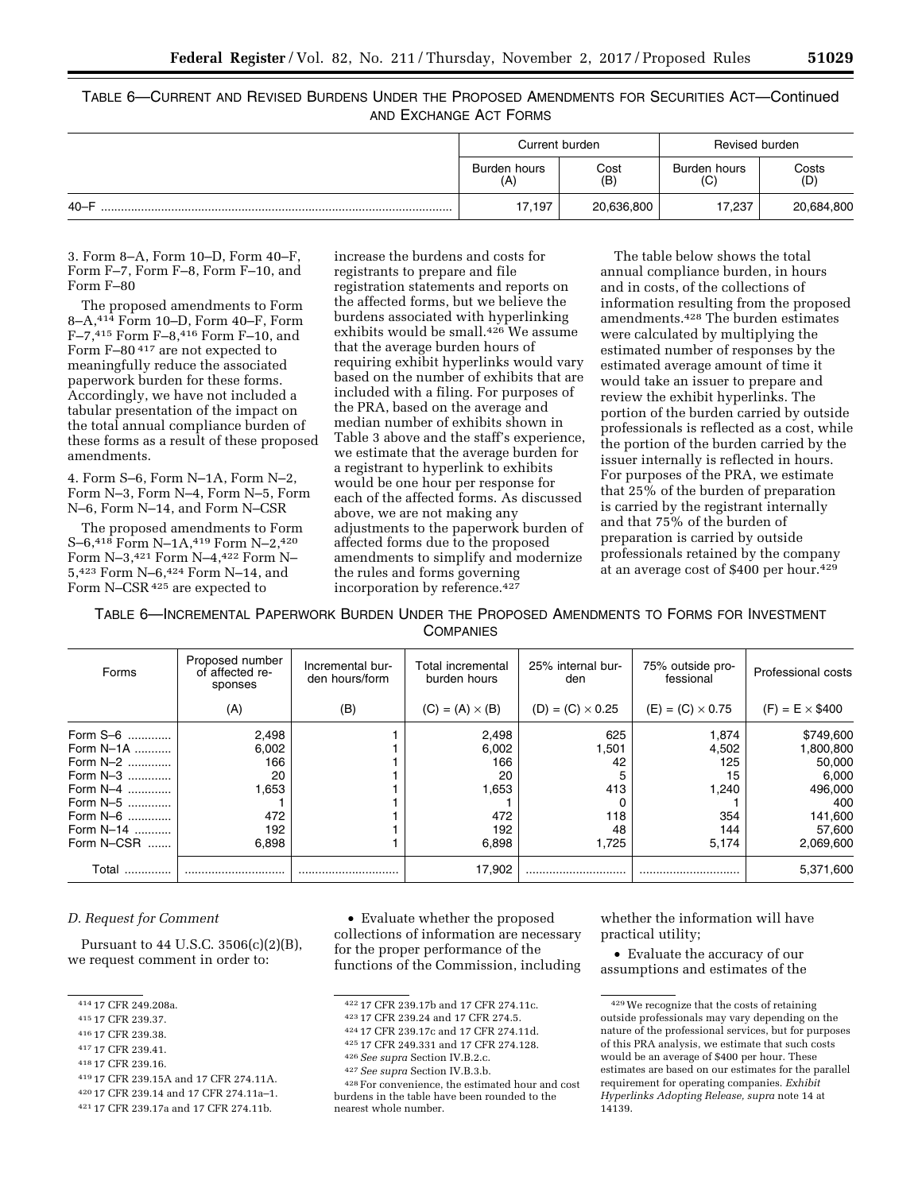|  |  |  |                        |  | TABLE 6—CURRENT AND REVISED BURDENS UNDER THE PROPOSED AMENDMENTS FOR SECURITIES ACT—Continued |
|--|--|--|------------------------|--|------------------------------------------------------------------------------------------------|
|  |  |  | AND EXCHANGE ACT FORMS |  |                                                                                                |

|        |                     | Current burden | Revised burden    |              |  |
|--------|---------------------|----------------|-------------------|--------------|--|
|        | Burden hours<br>(A) | Cost<br>(B)    | Burden hours<br>w | Costs<br>(D) |  |
| $40-F$ | 17.197              | 20,636,800     | 17.237            | 20,684,800   |  |

3. Form 8–A, Form 10–D, Form 40–F, Form F–7, Form F–8, Form F–10, and Form F–80

The proposed amendments to Form 8–A,414 Form 10–D, Form 40–F, Form F–7,415 Form F–8,416 Form F–10, and Form F–80 417 are not expected to meaningfully reduce the associated paperwork burden for these forms. Accordingly, we have not included a tabular presentation of the impact on the total annual compliance burden of these forms as a result of these proposed amendments.

4. Form S–6, Form N–1A, Form N–2, Form N–3, Form N–4, Form N–5, Form N–6, Form N–14, and Form N–CSR

The proposed amendments to Form S–6,418 Form N–1A,419 Form N–2,420 Form N–3,421 Form N–4,422 Form N– 5,423 Form N–6,424 Form N–14, and Form N–CSR 425 are expected to

increase the burdens and costs for registrants to prepare and file registration statements and reports on the affected forms, but we believe the burdens associated with hyperlinking exhibits would be small.<sup>426</sup> We assume that the average burden hours of requiring exhibit hyperlinks would vary based on the number of exhibits that are included with a filing. For purposes of the PRA, based on the average and median number of exhibits shown in Table 3 above and the staff's experience, we estimate that the average burden for a registrant to hyperlink to exhibits would be one hour per response for each of the affected forms. As discussed above, we are not making any adjustments to the paperwork burden of affected forms due to the proposed amendments to simplify and modernize the rules and forms governing incorporation by reference.<sup>427</sup>

The table below shows the total annual compliance burden, in hours and in costs, of the collections of information resulting from the proposed amendments.428 The burden estimates were calculated by multiplying the estimated number of responses by the estimated average amount of time it would take an issuer to prepare and review the exhibit hyperlinks. The portion of the burden carried by outside professionals is reflected as a cost, while the portion of the burden carried by the issuer internally is reflected in hours. For purposes of the PRA, we estimate that 25% of the burden of preparation is carried by the registrant internally and that 75% of the burden of preparation is carried by outside professionals retained by the company at an average cost of \$400 per hour.<sup>429</sup>

TABLE 6—INCREMENTAL PAPERWORK BURDEN UNDER THE PROPOSED AMENDMENTS TO FORMS FOR INVESTMENT **COMPANIES** 

| Forms      | Proposed number<br>of affected re-<br>sponses | Incremental bur-<br>den hours/form | Total incremental<br>burden hours | 25% internal bur-<br>den | 75% outside pro-<br>fessional | Professional costs    |
|------------|-----------------------------------------------|------------------------------------|-----------------------------------|--------------------------|-------------------------------|-----------------------|
|            | (A)                                           | (B)                                | $(C) = (A) \times (B)$            | $(D) = (C) \times 0.25$  | $(E) = (C) \times 0.75$       | $(F) = E \times $400$ |
| Form S-6   | 2,498                                         |                                    | 2,498                             | 625                      | 1,874                         | \$749,600             |
| Form N-1A  | 6,002                                         |                                    | 6,002                             | 1,501                    | 4,502                         | 1,800,800             |
| Form N-2   | 166                                           |                                    | 166                               | 42                       | 125                           | 50,000                |
| Form N-3   | 20                                            |                                    | 20                                |                          | 15                            | 6.000                 |
| Form N-4   | 1,653                                         |                                    | 1,653                             | 413                      | 1,240                         | 496,000               |
| Form N-5   |                                               |                                    |                                   |                          |                               | 400                   |
| Form N-6   | 472                                           |                                    | 472                               | 118                      | 354                           | 141,600               |
| Form N-14  | 192                                           |                                    | 192                               | 48                       | 144                           | 57.600                |
| Form N-CSR | 6,898                                         |                                    | 6,898                             | 1,725                    | 5,174                         | 2,069,600             |
| Total      |                                               |                                    | 17,902                            |                          |                               | 5,371,600             |

#### *D. Request for Comment*

Pursuant to 44 U.S.C. 3506(c)(2)(B), we request comment in order to:

- 418 17 CFR 239.16.
- 419 17 CFR 239.15A and 17 CFR 274.11A.

421 17 CFR 239.17a and 17 CFR 274.11b.

• Evaluate whether the proposed collections of information are necessary for the proper performance of the functions of the Commission, including

whether the information will have practical utility;

• Evaluate the accuracy of our assumptions and estimates of the

<sup>414</sup> 17 CFR 249.208a.

<sup>415</sup> 17 CFR 239.37.

<sup>416</sup> 17 CFR 239.38.

<sup>417</sup> 17 CFR 239.41.

<sup>420</sup> 17 CFR 239.14 and 17 CFR 274.11a–1.

 $^{422}$  17 CFR 239.17b and 17 CFR 274.11c.<br> $^{423}$  17 CFR 239.24 and 17 CFR 274.5.<br> $^{424}$  17 CFR 239.17c and 17 CFR 274.11d.<br> $^{425}$  17 CFR 249.331 and 17 CFR 274.128.<br> $^{425}$  5ee supra Section IV.B.2.c.<br> $^{425}$  5ee supr

<sup>428</sup>For convenience, the estimated hour and cost burdens in the table have been rounded to the nearest whole number.

<sup>429</sup>We recognize that the costs of retaining outside professionals may vary depending on the nature of the professional services, but for purposes of this PRA analysis, we estimate that such costs would be an average of \$400 per hour. These estimates are based on our estimates for the parallel requirement for operating companies. *Exhibit Hyperlinks Adopting Release, supra* note 14 at 14139.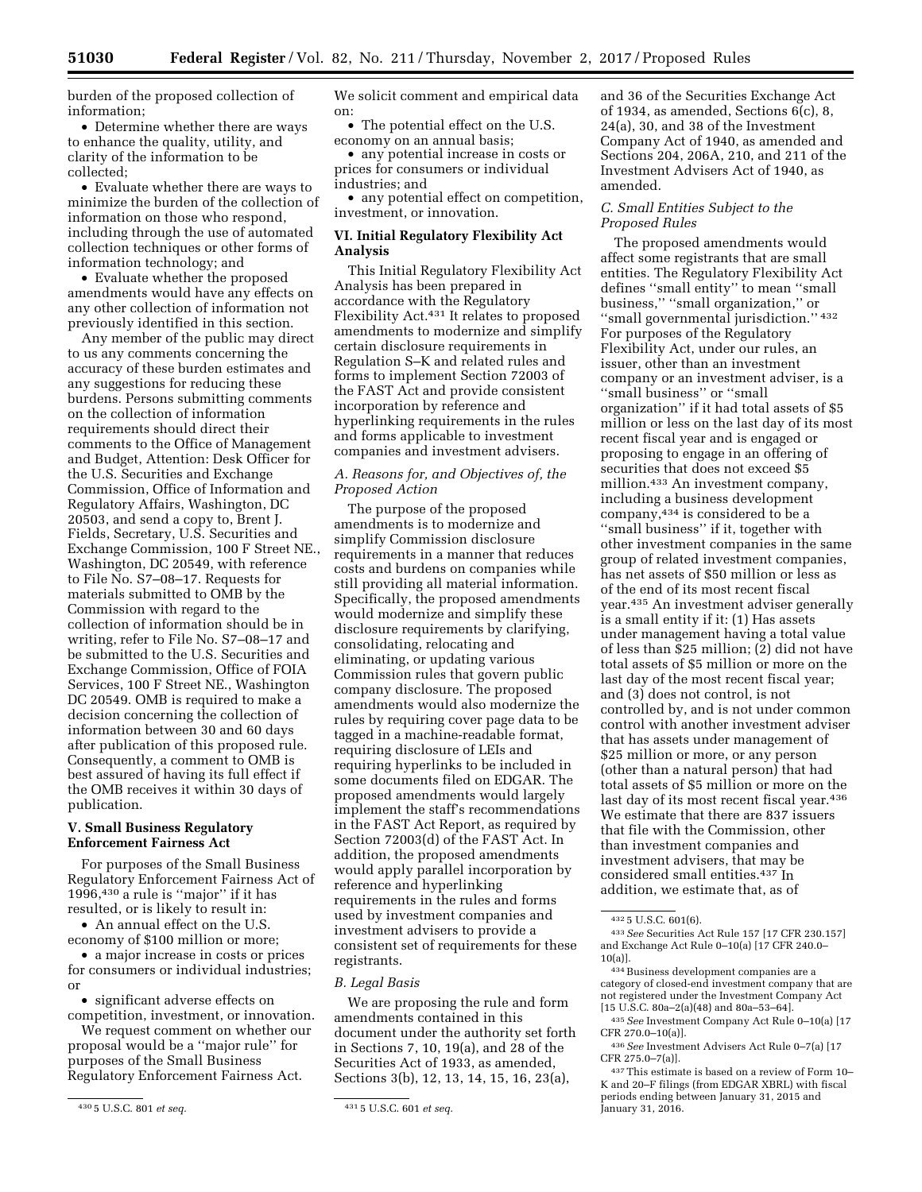burden of the proposed collection of information;

• Determine whether there are ways to enhance the quality, utility, and clarity of the information to be collected;

• Evaluate whether there are ways to minimize the burden of the collection of information on those who respond, including through the use of automated collection techniques or other forms of information technology; and

• Evaluate whether the proposed amendments would have any effects on any other collection of information not previously identified in this section.

Any member of the public may direct to us any comments concerning the accuracy of these burden estimates and any suggestions for reducing these burdens. Persons submitting comments on the collection of information requirements should direct their comments to the Office of Management and Budget, Attention: Desk Officer for the U.S. Securities and Exchange Commission, Office of Information and Regulatory Affairs, Washington, DC 20503, and send a copy to, Brent J. Fields, Secretary, U.S. Securities and Exchange Commission, 100 F Street NE., Washington, DC 20549, with reference to File No. S7–08–17. Requests for materials submitted to OMB by the Commission with regard to the collection of information should be in writing, refer to File No. S7–08–17 and be submitted to the U.S. Securities and Exchange Commission, Office of FOIA Services, 100 F Street NE., Washington DC 20549. OMB is required to make a decision concerning the collection of information between 30 and 60 days after publication of this proposed rule. Consequently, a comment to OMB is best assured of having its full effect if the OMB receives it within 30 days of publication.

# **V. Small Business Regulatory Enforcement Fairness Act**

For purposes of the Small Business Regulatory Enforcement Fairness Act of 1996,430 a rule is ''major'' if it has resulted, or is likely to result in:

• An annual effect on the U.S.

economy of \$100 million or more; • a major increase in costs or prices for consumers or individual industries; or

• significant adverse effects on competition, investment, or innovation.

We request comment on whether our proposal would be a ''major rule'' for purposes of the Small Business Regulatory Enforcement Fairness Act.

We solicit comment and empirical data on:

• The potential effect on the U.S. economy on an annual basis;

• any potential increase in costs or prices for consumers or individual industries; and

• any potential effect on competition, investment, or innovation.

# **VI. Initial Regulatory Flexibility Act Analysis**

This Initial Regulatory Flexibility Act Analysis has been prepared in accordance with the Regulatory Flexibility Act.431 It relates to proposed amendments to modernize and simplify certain disclosure requirements in Regulation S–K and related rules and forms to implement Section 72003 of the FAST Act and provide consistent incorporation by reference and hyperlinking requirements in the rules and forms applicable to investment companies and investment advisers.

# *A. Reasons for, and Objectives of, the Proposed Action*

The purpose of the proposed amendments is to modernize and simplify Commission disclosure requirements in a manner that reduces costs and burdens on companies while still providing all material information. Specifically, the proposed amendments would modernize and simplify these disclosure requirements by clarifying, consolidating, relocating and eliminating, or updating various Commission rules that govern public company disclosure. The proposed amendments would also modernize the rules by requiring cover page data to be tagged in a machine-readable format, requiring disclosure of LEIs and requiring hyperlinks to be included in some documents filed on EDGAR. The proposed amendments would largely implement the staff's recommendations in the FAST Act Report, as required by Section 72003(d) of the FAST Act. In addition, the proposed amendments would apply parallel incorporation by reference and hyperlinking requirements in the rules and forms used by investment companies and investment advisers to provide a consistent set of requirements for these registrants.

### *B. Legal Basis*

We are proposing the rule and form amendments contained in this document under the authority set forth in Sections 7, 10, 19(a), and 28 of the Securities Act of 1933, as amended, Sections 3(b), 12, 13, 14, 15, 16, 23(a),

and 36 of the Securities Exchange Act of 1934, as amended, Sections 6(c), 8, 24(a), 30, and 38 of the Investment Company Act of 1940, as amended and Sections 204, 206A, 210, and 211 of the Investment Advisers Act of 1940, as amended.

### *C. Small Entities Subject to the Proposed Rules*

The proposed amendments would affect some registrants that are small entities. The Regulatory Flexibility Act defines ''small entity'' to mean ''small business,'' ''small organization,'' or ''small governmental jurisdiction.'' 432 For purposes of the Regulatory Flexibility Act, under our rules, an issuer, other than an investment company or an investment adviser, is a ''small business'' or ''small organization'' if it had total assets of \$5 million or less on the last day of its most recent fiscal year and is engaged or proposing to engage in an offering of securities that does not exceed \$5 million.433 An investment company, including a business development company,434 is considered to be a ''small business'' if it, together with other investment companies in the same group of related investment companies, has net assets of \$50 million or less as of the end of its most recent fiscal year.435 An investment adviser generally is a small entity if it: (1) Has assets under management having a total value of less than \$25 million; (2) did not have total assets of \$5 million or more on the last day of the most recent fiscal year; and (3) does not control, is not controlled by, and is not under common control with another investment adviser that has assets under management of \$25 million or more, or any person (other than a natural person) that had total assets of \$5 million or more on the last day of its most recent fiscal year.436 We estimate that there are 837 issuers that file with the Commission, other than investment companies and investment advisers, that may be considered small entities.437 In addition, we estimate that, as of

434Business development companies are a category of closed-end investment company that are not registered under the Investment Company Act [15 U.S.C. 80a–2(a)(48) and 80a–53–64].

<sup>430</sup> 5 U.S.C. 801 *et seq.* 431 5 U.S.C. 601 *et seq.* 

<sup>432</sup> 5 U.S.C. 601(6).

<sup>433</sup>*See* Securities Act Rule 157 [17 CFR 230.157] and Exchange Act Rule 0–10(a) [17 CFR 240.0– 10(a)].

<sup>435</sup>*See* Investment Company Act Rule 0–10(a) [17 CFR 270.0–10(a)].

<sup>436</sup>*See* Investment Advisers Act Rule 0–7(a) [17 CFR 275.0–7(a)].

<sup>437</sup>This estimate is based on a review of Form 10– K and 20–F filings (from EDGAR XBRL) with fiscal periods ending between January 31, 2015 and January 31, 2016.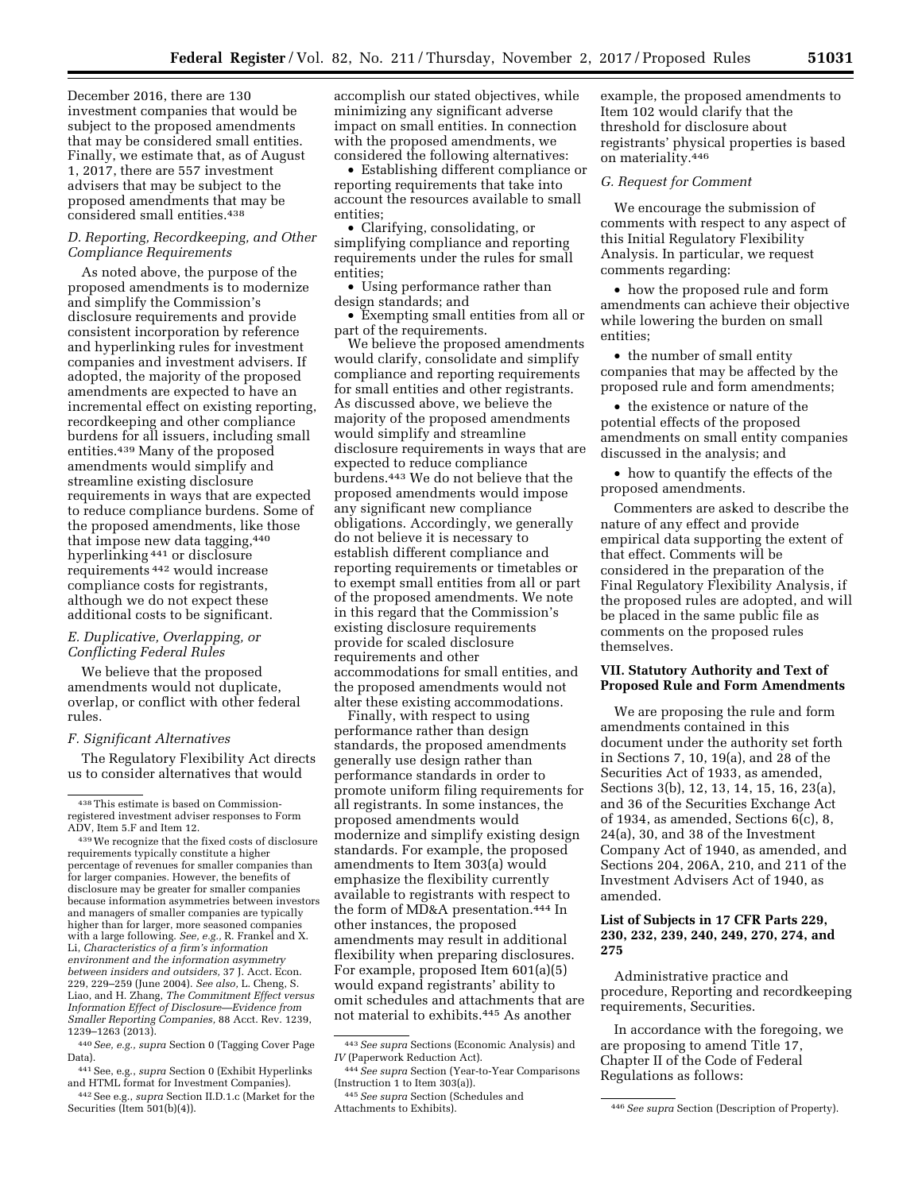December 2016, there are 130 investment companies that would be subject to the proposed amendments that may be considered small entities. Finally, we estimate that, as of August 1, 2017, there are 557 investment advisers that may be subject to the proposed amendments that may be considered small entities.438

# *D. Reporting, Recordkeeping, and Other Compliance Requirements*

As noted above, the purpose of the proposed amendments is to modernize and simplify the Commission's disclosure requirements and provide consistent incorporation by reference and hyperlinking rules for investment companies and investment advisers. If adopted, the majority of the proposed amendments are expected to have an incremental effect on existing reporting, recordkeeping and other compliance burdens for all issuers, including small entities.439 Many of the proposed amendments would simplify and streamline existing disclosure requirements in ways that are expected to reduce compliance burdens. Some of the proposed amendments, like those that impose new data tagging,440 hyperlinking 441 or disclosure requirements 442 would increase compliance costs for registrants, although we do not expect these additional costs to be significant.

# *E. Duplicative, Overlapping, or Conflicting Federal Rules*

We believe that the proposed amendments would not duplicate, overlap, or conflict with other federal rules.

#### *F. Significant Alternatives*

The Regulatory Flexibility Act directs us to consider alternatives that would

440*See, e.g., supra* Section 0 (Tagging Cover Page Data).

442See e.g., *supra* Section II.D.1.c (Market for the Securities (Item 501(b)(4)).

accomplish our stated objectives, while minimizing any significant adverse impact on small entities. In connection with the proposed amendments, we considered the following alternatives:

• Establishing different compliance or reporting requirements that take into account the resources available to small entities;

• Clarifying, consolidating, or simplifying compliance and reporting requirements under the rules for small

entities; • Using performance rather than design standards; and

• Exempting small entities from all or part of the requirements.

We believe the proposed amendments would clarify, consolidate and simplify compliance and reporting requirements for small entities and other registrants. As discussed above, we believe the majority of the proposed amendments would simplify and streamline disclosure requirements in ways that are expected to reduce compliance burdens.443 We do not believe that the proposed amendments would impose any significant new compliance obligations. Accordingly, we generally do not believe it is necessary to establish different compliance and reporting requirements or timetables or to exempt small entities from all or part of the proposed amendments. We note in this regard that the Commission's existing disclosure requirements provide for scaled disclosure requirements and other accommodations for small entities, and the proposed amendments would not alter these existing accommodations.

Finally, with respect to using performance rather than design standards, the proposed amendments generally use design rather than performance standards in order to promote uniform filing requirements for all registrants. In some instances, the proposed amendments would modernize and simplify existing design standards. For example, the proposed amendments to Item 303(a) would emphasize the flexibility currently available to registrants with respect to the form of MD&A presentation.444 In other instances, the proposed amendments may result in additional flexibility when preparing disclosures. For example, proposed Item 601(a)(5) would expand registrants' ability to omit schedules and attachments that are not material to exhibits.445 As another

example, the proposed amendments to Item 102 would clarify that the threshold for disclosure about registrants' physical properties is based on materiality.446

#### *G. Request for Comment*

We encourage the submission of comments with respect to any aspect of this Initial Regulatory Flexibility Analysis. In particular, we request comments regarding:

• how the proposed rule and form amendments can achieve their objective while lowering the burden on small entities;

• the number of small entity companies that may be affected by the proposed rule and form amendments;

• the existence or nature of the potential effects of the proposed amendments on small entity companies discussed in the analysis; and

• how to quantify the effects of the proposed amendments.

Commenters are asked to describe the nature of any effect and provide empirical data supporting the extent of that effect. Comments will be considered in the preparation of the Final Regulatory Flexibility Analysis, if the proposed rules are adopted, and will be placed in the same public file as comments on the proposed rules themselves.

### **VII. Statutory Authority and Text of Proposed Rule and Form Amendments**

We are proposing the rule and form amendments contained in this document under the authority set forth in Sections 7, 10, 19(a), and 28 of the Securities Act of 1933, as amended, Sections 3(b), 12, 13, 14, 15, 16, 23(a), and 36 of the Securities Exchange Act of 1934, as amended, Sections 6(c), 8, 24(a), 30, and 38 of the Investment Company Act of 1940, as amended, and Sections 204, 206A, 210, and 211 of the Investment Advisers Act of 1940, as amended.

# **List of Subjects in 17 CFR Parts 229, 230, 232, 239, 240, 249, 270, 274, and 275**

Administrative practice and procedure, Reporting and recordkeeping requirements, Securities.

In accordance with the foregoing, we are proposing to amend Title 17, Chapter II of the Code of Federal Regulations as follows:

<sup>438</sup>This estimate is based on Commissionregistered investment adviser responses to Form ADV, Item 5.F and Item 12.

<sup>439</sup>We recognize that the fixed costs of disclosure requirements typically constitute a higher percentage of revenues for smaller companies than for larger companies. However, the benefits of disclosure may be greater for smaller companies because information asymmetries between investors and managers of smaller companies are typically higher than for larger, more seasoned companies with a large following. *See, e.g.,* R. Frankel and X. Li, *Characteristics of a firm's information environment and the information asymmetry between insiders and outsiders,* 37 J. Acct. Econ. 229, 229–259 (June 2004). *See also,* L. Cheng, S. Liao, and H. Zhang, *The Commitment Effect versus Information Effect of Disclosure—Evidence from Smaller Reporting Companies,* 88 Acct. Rev. 1239, 1239–1263 (2013).

<sup>441</sup>See, e.g., *supra* Section 0 (Exhibit Hyperlinks and HTML format for Investment Companies).

<sup>443</sup>*See supra* Sections (Economic Analysis) and *IV* (Paperwork Reduction Act).

<sup>444</sup>*See supra* Section (Year-to-Year Comparisons (Instruction 1 to Item 303(a)).

<sup>445</sup>*See supra* Section (Schedules and

<sup>&</sup>lt;sup>446</sup> See supra Section (Description of Property).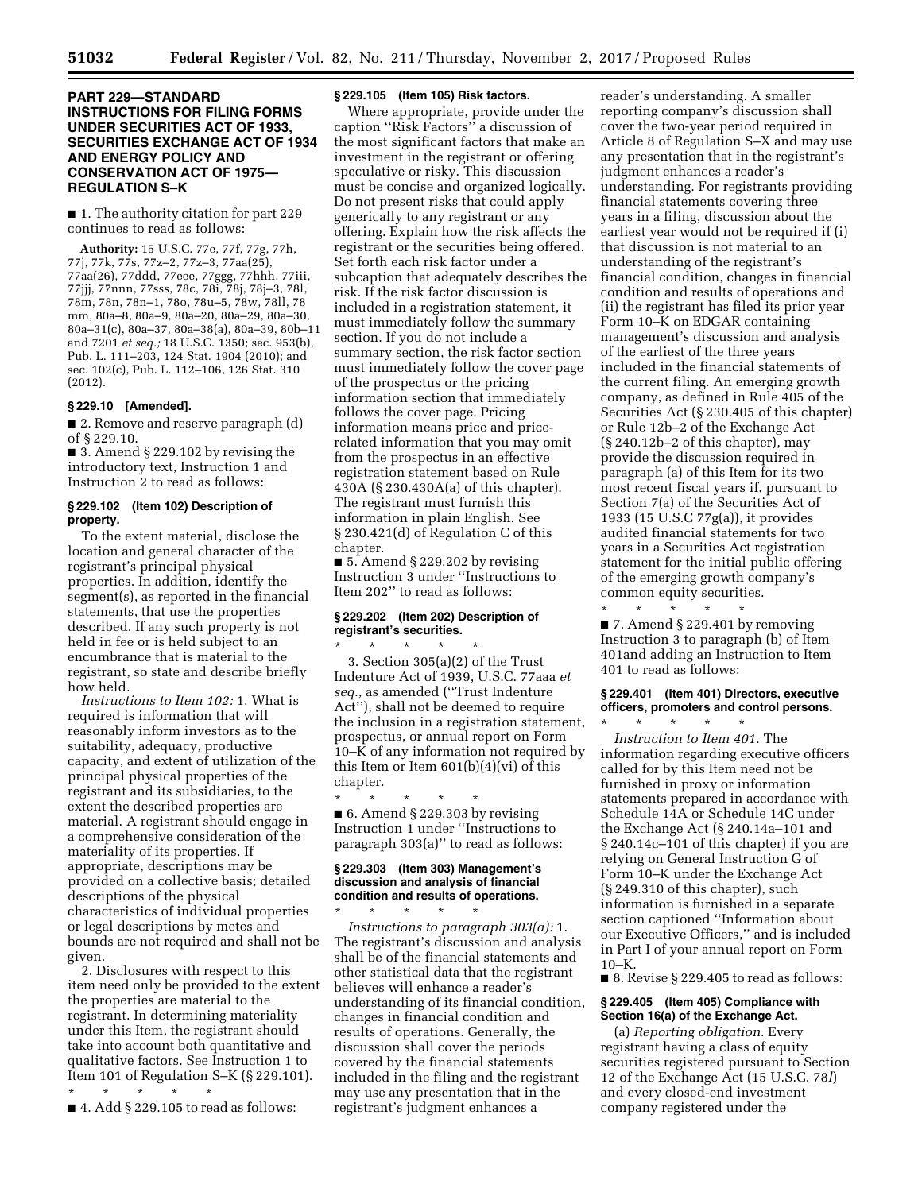### **PART 229—STANDARD INSTRUCTIONS FOR FILING FORMS UNDER SECURITIES ACT OF 1933, SECURITIES EXCHANGE ACT OF 1934 AND ENERGY POLICY AND CONSERVATION ACT OF 1975— REGULATION S–K**

■ 1. The authority citation for part 229 continues to read as follows:

**Authority:** 15 U.S.C. 77e, 77f, 77g, 77h, 77j, 77k, 77s, 77z–2, 77z–3, 77aa(25), 77aa(26), 77ddd, 77eee, 77ggg, 77hhh, 77iii, 77jjj, 77nnn, 77sss, 78c, 78i, 78j, 78j–3, 78l, 78m, 78n, 78n–1, 78o, 78u–5, 78w, 78ll, 78 mm, 80a–8, 80a–9, 80a–20, 80a–29, 80a–30, 80a–31(c), 80a–37, 80a–38(a), 80a–39, 80b–11 and 7201 *et seq.;* 18 U.S.C. 1350; sec. 953(b), Pub. L. 111–203, 124 Stat. 1904 (2010); and sec. 102(c), Pub. L. 112–106, 126 Stat. 310 (2012).

#### **§ 229.10 [Amended].**

■ 2. Remove and reserve paragraph (d) of § 229.10.

■ 3. Amend § 229.102 by revising the introductory text, Instruction 1 and Instruction 2 to read as follows:

#### **§ 229.102 (Item 102) Description of property.**

To the extent material, disclose the location and general character of the registrant's principal physical properties. In addition, identify the segment(s), as reported in the financial statements, that use the properties described. If any such property is not held in fee or is held subject to an encumbrance that is material to the registrant, so state and describe briefly how held.

*Instructions to Item 102:* 1. What is required is information that will reasonably inform investors as to the suitability, adequacy, productive capacity, and extent of utilization of the principal physical properties of the registrant and its subsidiaries, to the extent the described properties are material. A registrant should engage in a comprehensive consideration of the materiality of its properties. If appropriate, descriptions may be provided on a collective basis; detailed descriptions of the physical characteristics of individual properties or legal descriptions by metes and bounds are not required and shall not be given.

2. Disclosures with respect to this item need only be provided to the extent the properties are material to the registrant. In determining materiality under this Item, the registrant should take into account both quantitative and qualitative factors. See Instruction 1 to Item 101 of Regulation S–K (§ 229.101).

\* \* \* \* \*  $\blacksquare$  4. Add § 229.105 to read as follows:

#### **§ 229.105 (Item 105) Risk factors.**

Where appropriate, provide under the caption ''Risk Factors'' a discussion of the most significant factors that make an investment in the registrant or offering speculative or risky. This discussion must be concise and organized logically. Do not present risks that could apply generically to any registrant or any offering. Explain how the risk affects the registrant or the securities being offered. Set forth each risk factor under a subcaption that adequately describes the risk. If the risk factor discussion is included in a registration statement, it must immediately follow the summary section. If you do not include a summary section, the risk factor section must immediately follow the cover page of the prospectus or the pricing information section that immediately follows the cover page. Pricing information means price and pricerelated information that you may omit from the prospectus in an effective registration statement based on Rule 430A (§ 230.430A(a) of this chapter). The registrant must furnish this information in plain English. See § 230.421(d) of Regulation C of this chapter.

 $\blacksquare$  5. Amend § 229.202 by revising Instruction 3 under ''Instructions to Item 202'' to read as follows:

#### **§ 229.202 (Item 202) Description of registrant's securities.**  \* \* \* \* \*

3. Section 305(a)(2) of the Trust Indenture Act of 1939, U.S.C. 77aaa *et seq.,* as amended (''Trust Indenture Act''), shall not be deemed to require the inclusion in a registration statement, prospectus, or annual report on Form 10–K of any information not required by this Item or Item  $601(b)(4)(vi)$  of this chapter.

\* \* \* \* \*  $\blacksquare$  6. Amend § 229.303 by revising Instruction 1 under ''Instructions to paragraph 303(a)'' to read as follows:

#### **§ 229.303 (Item 303) Management's discussion and analysis of financial condition and results of operations.**

\* \* \* \* \*

*Instructions to paragraph 303(a):* 1. The registrant's discussion and analysis shall be of the financial statements and other statistical data that the registrant believes will enhance a reader's understanding of its financial condition, changes in financial condition and results of operations. Generally, the discussion shall cover the periods covered by the financial statements included in the filing and the registrant may use any presentation that in the registrant's judgment enhances a

reader's understanding. A smaller reporting company's discussion shall cover the two-year period required in Article 8 of Regulation S–X and may use any presentation that in the registrant's judgment enhances a reader's understanding. For registrants providing financial statements covering three years in a filing, discussion about the earliest year would not be required if (i) that discussion is not material to an understanding of the registrant's financial condition, changes in financial condition and results of operations and (ii) the registrant has filed its prior year Form 10–K on EDGAR containing management's discussion and analysis of the earliest of the three years included in the financial statements of the current filing. An emerging growth company, as defined in Rule 405 of the Securities Act (§ 230.405 of this chapter) or Rule 12b–2 of the Exchange Act (§ 240.12b–2 of this chapter), may provide the discussion required in paragraph (a) of this Item for its two most recent fiscal years if, pursuant to Section 7(a) of the Securities Act of 1933 (15 U.S.C 77g(a)), it provides audited financial statements for two years in a Securities Act registration statement for the initial public offering of the emerging growth company's common equity securities.

 $\blacksquare$  7. Amend § 229.401 by removing Instruction 3 to paragraph (b) of Item 401and adding an Instruction to Item 401 to read as follows:

\* \* \* \* \*

#### **§ 229.401 (Item 401) Directors, executive officers, promoters and control persons.**  \* \* \* \* \*

*Instruction to Item 401.* The information regarding executive officers called for by this Item need not be furnished in proxy or information statements prepared in accordance with Schedule 14A or Schedule 14C under the Exchange Act (§ 240.14a–101 and § 240.14c–101 of this chapter) if you are relying on General Instruction G of Form 10–K under the Exchange Act (§ 249.310 of this chapter), such information is furnished in a separate section captioned ''Information about our Executive Officers,'' and is included in Part I of your annual report on Form 10–K.

■ 8. Revise § 229.405 to read as follows:

#### **§ 229.405 (Item 405) Compliance with Section 16(a) of the Exchange Act.**

(a) *Reporting obligation.* Every registrant having a class of equity securities registered pursuant to Section 12 of the Exchange Act (15 U.S.C. 78*l*) and every closed-end investment company registered under the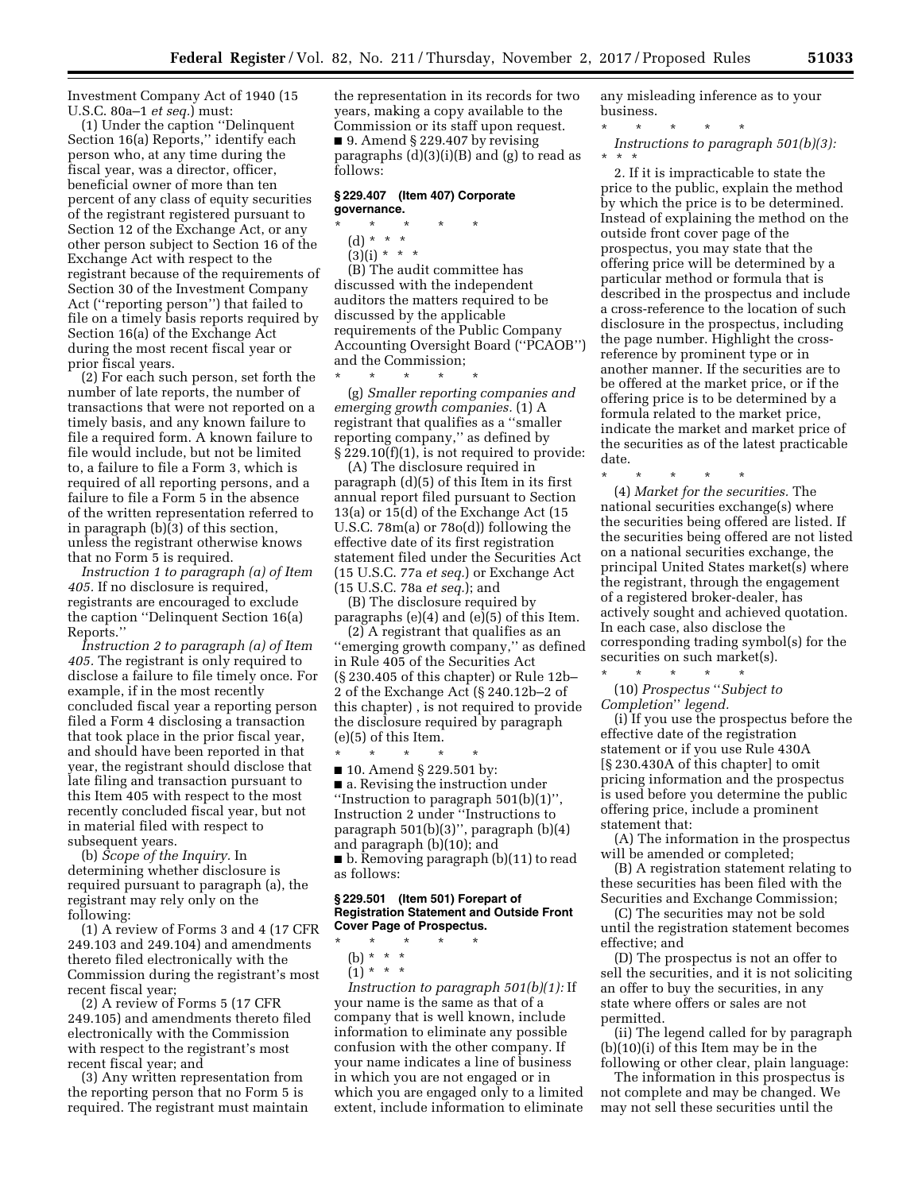Investment Company Act of 1940 (15 U.S.C. 80a–1 *et seq.*) must:

(1) Under the caption ''Delinquent Section 16(a) Reports,'' identify each person who, at any time during the fiscal year, was a director, officer, beneficial owner of more than ten percent of any class of equity securities of the registrant registered pursuant to Section 12 of the Exchange Act, or any other person subject to Section 16 of the Exchange Act with respect to the registrant because of the requirements of Section 30 of the Investment Company Act (''reporting person'') that failed to file on a timely basis reports required by Section 16(a) of the Exchange Act during the most recent fiscal year or prior fiscal years.

(2) For each such person, set forth the number of late reports, the number of transactions that were not reported on a timely basis, and any known failure to file a required form. A known failure to file would include, but not be limited to, a failure to file a Form 3, which is required of all reporting persons, and a failure to file a Form 5 in the absence of the written representation referred to in paragraph (b)(3) of this section, unless the registrant otherwise knows that no Form 5 is required.

*Instruction 1 to paragraph (a) of Item 405.* If no disclosure is required, registrants are encouraged to exclude the caption ''Delinquent Section 16(a) Reports.''

*Instruction 2 to paragraph (a) of Item 405.* The registrant is only required to disclose a failure to file timely once. For example, if in the most recently concluded fiscal year a reporting person filed a Form 4 disclosing a transaction that took place in the prior fiscal year, and should have been reported in that year, the registrant should disclose that late filing and transaction pursuant to this Item 405 with respect to the most recently concluded fiscal year, but not in material filed with respect to subsequent years.

(b) *Scope of the Inquiry.* In determining whether disclosure is required pursuant to paragraph (a), the registrant may rely only on the following:

(1) A review of Forms 3 and 4 (17 CFR 249.103 and 249.104) and amendments thereto filed electronically with the Commission during the registrant's most recent fiscal year;

(2) A review of Forms 5 (17 CFR 249.105) and amendments thereto filed electronically with the Commission with respect to the registrant's most recent fiscal year; and

(3) Any written representation from the reporting person that no Form 5 is required. The registrant must maintain the representation in its records for two years, making a copy available to the Commission or its staff upon request. ■ 9. Amend § 229.407 by revising paragraphs (d)(3)(i)(B) and (g) to read as follows:

### **§ 229.407 (Item 407) Corporate governance.**

- \* \* \* \* \*
- (d) \* \* \*
- $(3)(i) * * * *$

(B) The audit committee has discussed with the independent auditors the matters required to be discussed by the applicable requirements of the Public Company Accounting Oversight Board (''PCAOB'') and the Commission;

\* \* \* \* \* (g) *Smaller reporting companies and emerging growth companies.* (1) A registrant that qualifies as a ''smaller reporting company,'' as defined by § 229.10(f)(1), is not required to provide:

(A) The disclosure required in paragraph (d)(5) of this Item in its first annual report filed pursuant to Section 13(a) or 15(d) of the Exchange Act (15 U.S.C. 78m(a) or 78o(d)) following the effective date of its first registration statement filed under the Securities Act (15 U.S.C. 77a *et seq.*) or Exchange Act (15 U.S.C. 78a *et seq.*); and

(B) The disclosure required by paragraphs (e)(4) and (e)(5) of this Item.

(2) A registrant that qualifies as an ''emerging growth company,'' as defined in Rule 405 of the Securities Act (§ 230.405 of this chapter) or Rule 12b– 2 of the Exchange Act (§ 240.12b–2 of this chapter) , is not required to provide the disclosure required by paragraph (e)(5) of this Item.

\* \* \* \* \* ■ 10. Amend § 229.501 by: ■ a. Revising the instruction under ''Instruction to paragraph 501(b)(1)'', Instruction 2 under ''Instructions to

paragraph 501(b)(3)'', paragraph (b)(4) and paragraph (b)(10); and ■ b. Removing paragraph (b)(11) to read

as follows:

#### **§ 229.501 (Item 501) Forepart of Registration Statement and Outside Front Cover Page of Prospectus.**

- \* \* \* \* \*
- (b) \* \* \*
- $(1) * * * *$

*Instruction to paragraph 501(b)(1):* If your name is the same as that of a company that is well known, include information to eliminate any possible confusion with the other company. If your name indicates a line of business in which you are not engaged or in which you are engaged only to a limited extent, include information to eliminate

any misleading inference as to your business.

\* \* \* \* \* *Instructions to paragraph 501(b)(3):* 

\* \* \*

2*.* If it is impracticable to state the price to the public, explain the method by which the price is to be determined. Instead of explaining the method on the outside front cover page of the prospectus, you may state that the offering price will be determined by a particular method or formula that is described in the prospectus and include a cross-reference to the location of such disclosure in the prospectus, including the page number. Highlight the crossreference by prominent type or in another manner. If the securities are to be offered at the market price, or if the offering price is to be determined by a formula related to the market price, indicate the market and market price of the securities as of the latest practicable date.

\* \* \* \* \* (4) *Market for the securities.* The national securities exchange(s) where the securities being offered are listed. If the securities being offered are not listed on a national securities exchange, the principal United States market(s) where the registrant, through the engagement of a registered broker-dealer, has actively sought and achieved quotation. In each case, also disclose the corresponding trading symbol(s) for the securities on such market(s). \* \* \* \* \*

(10) *Prospectus* ''*Subject to Completion*'' *legend.* 

(i) If you use the prospectus before the effective date of the registration statement or if you use Rule 430A [§ 230.430A of this chapter] to omit pricing information and the prospectus is used before you determine the public offering price, include a prominent statement that:

(A) The information in the prospectus will be amended or completed;

(B) A registration statement relating to these securities has been filed with the Securities and Exchange Commission;

(C) The securities may not be sold until the registration statement becomes effective; and

(D) The prospectus is not an offer to sell the securities, and it is not soliciting an offer to buy the securities, in any state where offers or sales are not permitted.

(ii) The legend called for by paragraph (b)(10)(i) of this Item may be in the following or other clear, plain language:

The information in this prospectus is not complete and may be changed. We may not sell these securities until the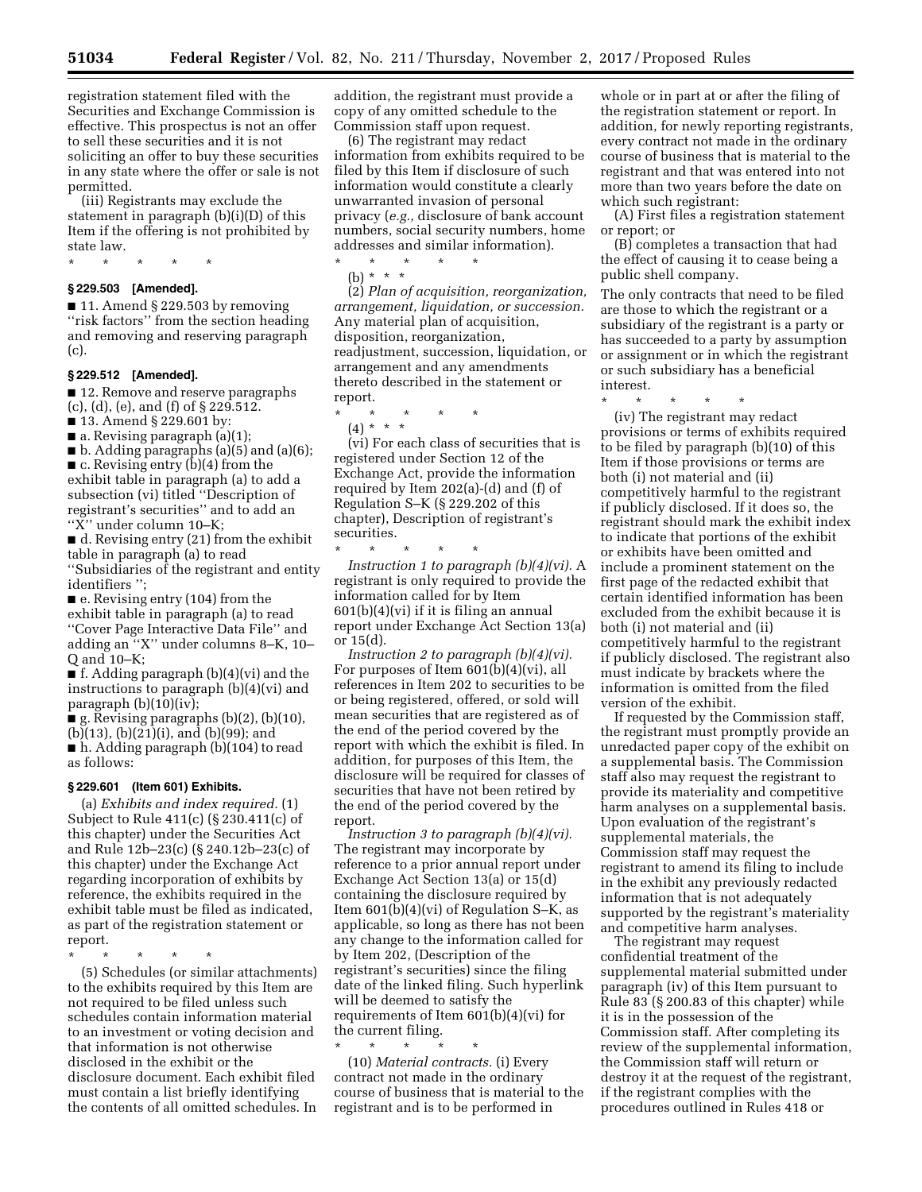registration statement filed with the Securities and Exchange Commission is effective. This prospectus is not an offer to sell these securities and it is not soliciting an offer to buy these securities in any state where the offer or sale is not permitted.

(iii) Registrants may exclude the statement in paragraph (b)(i)(D) of this Item if the offering is not prohibited by state law.

\* \* \* \* \*

# **§ 229.503 [Amended].**

 $\blacksquare$  11. Amend § 229.503 by removing "risk factors" from the section heading and removing and reserving paragraph (c).

### **§ 229.512 [Amended].**

■ 12. Remove and reserve paragraphs (c), (d), (e), and (f) of § 229.512. ■ 13. Amend § 229.601 by:

- $\blacksquare$  a. Revising paragraph (a)(1);
- 

■ b. Adding paragraphs (a)(5) and (a)(6); ■ c. Revising entry (b)(4) from the exhibit table in paragraph (a) to add a subsection (vi) titled ''Description of registrant's securities'' and to add an ''X'' under column 10–K;

 $\blacksquare$  d. Revising entry (21) from the exhibit table in paragraph (a) to read ''Subsidiaries of the registrant and entity identifiers '';

■ e. Revising entry (104) from the exhibit table in paragraph (a) to read ''Cover Page Interactive Data File'' and adding an ''X'' under columns 8–K, 10– Q and 10–K;

■ f. Adding paragraph (b)(4)(vi) and the instructions to paragraph (b)(4)(vi) and paragraph (b)(10)(iv);

 $\blacksquare$  g. Revising paragraphs (b)(2), (b)(10), (b)(13), (b)(21)(i), and (b)(99); and ■ h. Adding paragraph (b)(104) to read as follows:

### **§ 229.601 (Item 601) Exhibits.**

(a) *Exhibits and index required.* (1) Subject to Rule 411(c) (§ 230.411(c) of this chapter) under the Securities Act and Rule 12b–23(c) (§ 240.12b–23(c) of this chapter) under the Exchange Act regarding incorporation of exhibits by reference, the exhibits required in the exhibit table must be filed as indicated, as part of the registration statement or report.

\* \* \* \* \*

(5) Schedules (or similar attachments) to the exhibits required by this Item are not required to be filed unless such schedules contain information material to an investment or voting decision and that information is not otherwise disclosed in the exhibit or the disclosure document. Each exhibit filed must contain a list briefly identifying the contents of all omitted schedules. In

addition, the registrant must provide a copy of any omitted schedule to the Commission staff upon request.

(6) The registrant may redact information from exhibits required to be filed by this Item if disclosure of such information would constitute a clearly unwarranted invasion of personal privacy (*e.g.,* disclosure of bank account numbers, social security numbers, home addresses and similar information).

- \* \* \* \* \*
	- (b) \* \* \*

(2) *Plan of acquisition, reorganization, arrangement, liquidation, or succession.*  Any material plan of acquisition, disposition, reorganization, readjustment, succession, liquidation, or arrangement and any amendments thereto described in the statement or report.

\* \* \* \* \*

(4) \* \* \*

(vi) For each class of securities that is registered under Section 12 of the Exchange Act, provide the information required by Item 202(a)-(d) and (f) of Regulation S–K (§ 229.202 of this chapter), Description of registrant's securities.

\* \* \* \* \* *Instruction 1 to paragraph (b)(4)(vi).* A registrant is only required to provide the information called for by Item 601(b)(4)(vi) if it is filing an annual report under Exchange Act Section 13(a) or 15(d).

*Instruction 2 to paragraph (b)(4)(vi).*  For purposes of Item 601(b)(4)(vi), all references in Item 202 to securities to be or being registered, offered, or sold will mean securities that are registered as of the end of the period covered by the report with which the exhibit is filed. In addition, for purposes of this Item, the disclosure will be required for classes of securities that have not been retired by the end of the period covered by the report.

*Instruction 3 to paragraph (b)(4)(vi).*  The registrant may incorporate by reference to a prior annual report under Exchange Act Section 13(a) or 15(d) containing the disclosure required by Item 601(b)(4)(vi) of Regulation S–K, as applicable, so long as there has not been any change to the information called for by Item 202, (Description of the registrant's securities) since the filing date of the linked filing. Such hyperlink will be deemed to satisfy the requirements of Item 601(b)(4)(vi) for the current filing.

\* \* \* \* \* (10) *Material contracts.* (i) Every contract not made in the ordinary course of business that is material to the registrant and is to be performed in

whole or in part at or after the filing of the registration statement or report. In addition, for newly reporting registrants, every contract not made in the ordinary course of business that is material to the registrant and that was entered into not more than two years before the date on which such registrant:

(A) First files a registration statement or report; or

(B) completes a transaction that had the effect of causing it to cease being a public shell company.

The only contracts that need to be filed are those to which the registrant or a subsidiary of the registrant is a party or has succeeded to a party by assumption or assignment or in which the registrant or such subsidiary has a beneficial interest.

\* \* \* \* \* (iv) The registrant may redact provisions or terms of exhibits required to be filed by paragraph (b)(10) of this Item if those provisions or terms are both (i) not material and (ii) competitively harmful to the registrant if publicly disclosed. If it does so, the registrant should mark the exhibit index to indicate that portions of the exhibit or exhibits have been omitted and include a prominent statement on the first page of the redacted exhibit that certain identified information has been excluded from the exhibit because it is both (i) not material and (ii) competitively harmful to the registrant if publicly disclosed. The registrant also must indicate by brackets where the information is omitted from the filed version of the exhibit.

If requested by the Commission staff, the registrant must promptly provide an unredacted paper copy of the exhibit on a supplemental basis. The Commission staff also may request the registrant to provide its materiality and competitive harm analyses on a supplemental basis. Upon evaluation of the registrant's supplemental materials, the Commission staff may request the registrant to amend its filing to include in the exhibit any previously redacted information that is not adequately supported by the registrant's materiality and competitive harm analyses.

The registrant may request confidential treatment of the supplemental material submitted under paragraph (iv) of this Item pursuant to Rule 83 (§ 200.83 of this chapter) while it is in the possession of the Commission staff. After completing its review of the supplemental information, the Commission staff will return or destroy it at the request of the registrant, if the registrant complies with the procedures outlined in Rules 418 or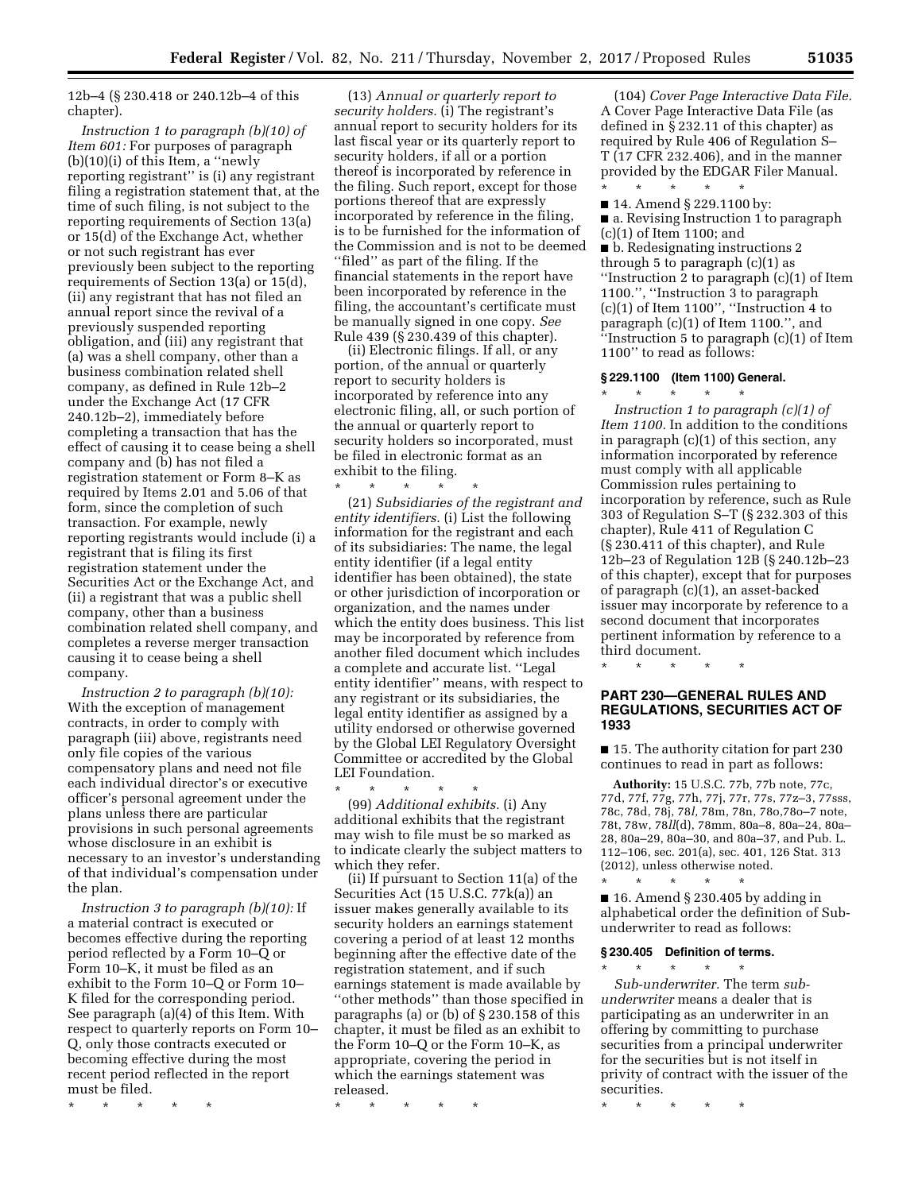12b–4 (§ 230.418 or 240.12b–4 of this chapter).

*Instruction 1 to paragraph (b)(10) of Item 601:* For purposes of paragraph (b)(10)(i) of this Item, a ''newly reporting registrant'' is (i) any registrant filing a registration statement that, at the time of such filing, is not subject to the reporting requirements of Section 13(a) or 15(d) of the Exchange Act, whether or not such registrant has ever previously been subject to the reporting requirements of Section 13(a) or 15(d), (ii) any registrant that has not filed an annual report since the revival of a previously suspended reporting obligation, and (iii) any registrant that (a) was a shell company, other than a business combination related shell company, as defined in Rule 12b–2 under the Exchange Act (17 CFR 240.12b–2), immediately before completing a transaction that has the effect of causing it to cease being a shell company and (b) has not filed a registration statement or Form 8–K as required by Items 2.01 and 5.06 of that form, since the completion of such transaction. For example, newly reporting registrants would include (i) a registrant that is filing its first registration statement under the Securities Act or the Exchange Act, and (ii) a registrant that was a public shell company, other than a business combination related shell company, and completes a reverse merger transaction causing it to cease being a shell company.

*Instruction 2 to paragraph (b)(10):*  With the exception of management contracts, in order to comply with paragraph (iii) above, registrants need only file copies of the various compensatory plans and need not file each individual director's or executive officer's personal agreement under the plans unless there are particular provisions in such personal agreements whose disclosure in an exhibit is necessary to an investor's understanding of that individual's compensation under the plan.

*Instruction 3 to paragraph (b)(10):* If a material contract is executed or becomes effective during the reporting period reflected by a Form 10–Q or Form 10–K, it must be filed as an exhibit to the Form 10–Q or Form 10– K filed for the corresponding period. See paragraph (a)(4) of this Item. With respect to quarterly reports on Form 10– Q, only those contracts executed or becoming effective during the most recent period reflected in the report must be filed.

\* \* \* \* \*

(13) *Annual or quarterly report to security holders.* (i) The registrant's annual report to security holders for its last fiscal year or its quarterly report to security holders, if all or a portion thereof is incorporated by reference in the filing. Such report, except for those portions thereof that are expressly incorporated by reference in the filing, is to be furnished for the information of the Commission and is not to be deemed ''filed'' as part of the filing. If the financial statements in the report have been incorporated by reference in the filing, the accountant's certificate must be manually signed in one copy. *See*  Rule 439 (§ 230.439 of this chapter).

(ii) Electronic filings. If all, or any portion, of the annual or quarterly report to security holders is incorporated by reference into any electronic filing, all, or such portion of the annual or quarterly report to security holders so incorporated, must be filed in electronic format as an exhibit to the filing.

\* \* \* \* \* (21) *Subsidiaries of the registrant and entity identifiers.* (i) List the following information for the registrant and each of its subsidiaries: The name, the legal entity identifier (if a legal entity identifier has been obtained), the state or other jurisdiction of incorporation or organization, and the names under which the entity does business. This list may be incorporated by reference from another filed document which includes a complete and accurate list. ''Legal entity identifier'' means, with respect to any registrant or its subsidiaries, the legal entity identifier as assigned by a utility endorsed or otherwise governed by the Global LEI Regulatory Oversight Committee or accredited by the Global LEI Foundation.

\* \* \* \* \* (99) *Additional exhibits.* (i) Any additional exhibits that the registrant may wish to file must be so marked as to indicate clearly the subject matters to which they refer.

(ii) If pursuant to Section 11(a) of the Securities Act (15 U.S.C. 77k(a)) an issuer makes generally available to its security holders an earnings statement covering a period of at least 12 months beginning after the effective date of the registration statement, and if such earnings statement is made available by ''other methods'' than those specified in paragraphs (a) or (b) of § 230.158 of this chapter, it must be filed as an exhibit to the Form 10–Q or the Form 10–K, as appropriate, covering the period in which the earnings statement was released.

\* \* \* \* \*

(104) *Cover Page Interactive Data File.*  A Cover Page Interactive Data File (as defined in § 232.11 of this chapter) as required by Rule 406 of Regulation S– T (17 CFR 232.406), and in the manner provided by the EDGAR Filer Manual.

\* \* \* \* \* ■ 14. Amend § 229.1100 by: ■ a. Revising Instruction 1 to paragraph (c)(1) of Item 1100; and ■ b. Redesignating instructions 2 through  $5$  to paragraph  $(c)(1)$  as ''Instruction 2 to paragraph (c)(1) of Item 1100.'', ''Instruction 3 to paragraph  $(c)(1)$  of Item 1100", "Instruction 4 to paragraph (c)(1) of Item 1100.'', and ''Instruction 5 to paragraph (c)(1) of Item 1100'' to read as follows:

#### **§ 229.1100 (Item 1100) General.**  \* \* \* \* \*

*Instruction 1 to paragraph (c)(1) of Item 1100.* In addition to the conditions in paragraph (c)(1) of this section, any information incorporated by reference must comply with all applicable Commission rules pertaining to incorporation by reference, such as Rule 303 of Regulation S–T (§ 232.303 of this chapter), Rule 411 of Regulation C (§ 230.411 of this chapter), and Rule 12b–23 of Regulation 12B (§ 240.12b–23 of this chapter), except that for purposes of paragraph (c)(1), an asset-backed issuer may incorporate by reference to a second document that incorporates pertinent information by reference to a third document.

\* \* \* \* \*

# **PART 230—GENERAL RULES AND REGULATIONS, SECURITIES ACT OF 1933**

■ 15. The authority citation for part 230 continues to read in part as follows:

**Authority:** 15 U.S.C. 77b, 77b note, 77c, 77d, 77f, 77g, 77h, 77j, 77r, 77s, 77z–3, 77sss, 78c, 78d, 78j, 78*l,* 78m, 78n, 78o,78o–7 note, 78t, 78w, 78*ll*(d), 78mm, 80a–8, 80a–24, 80a– 28, 80a–29, 80a–30, and 80a–37, and Pub. L. 112–106, sec. 201(a), sec. 401, 126 Stat. 313 (2012), unless otherwise noted. \* \* \* \* \*

 $\blacksquare$  16. Amend § 230.405 by adding in alphabetical order the definition of Subunderwriter to read as follows:

### **§ 230.405 Definition of terms.**

\* \* \* \* \* *Sub-underwriter.* The term *subunderwriter* means a dealer that is participating as an underwriter in an offering by committing to purchase securities from a principal underwriter for the securities but is not itself in privity of contract with the issuer of the securities.

\* \* \* \* \*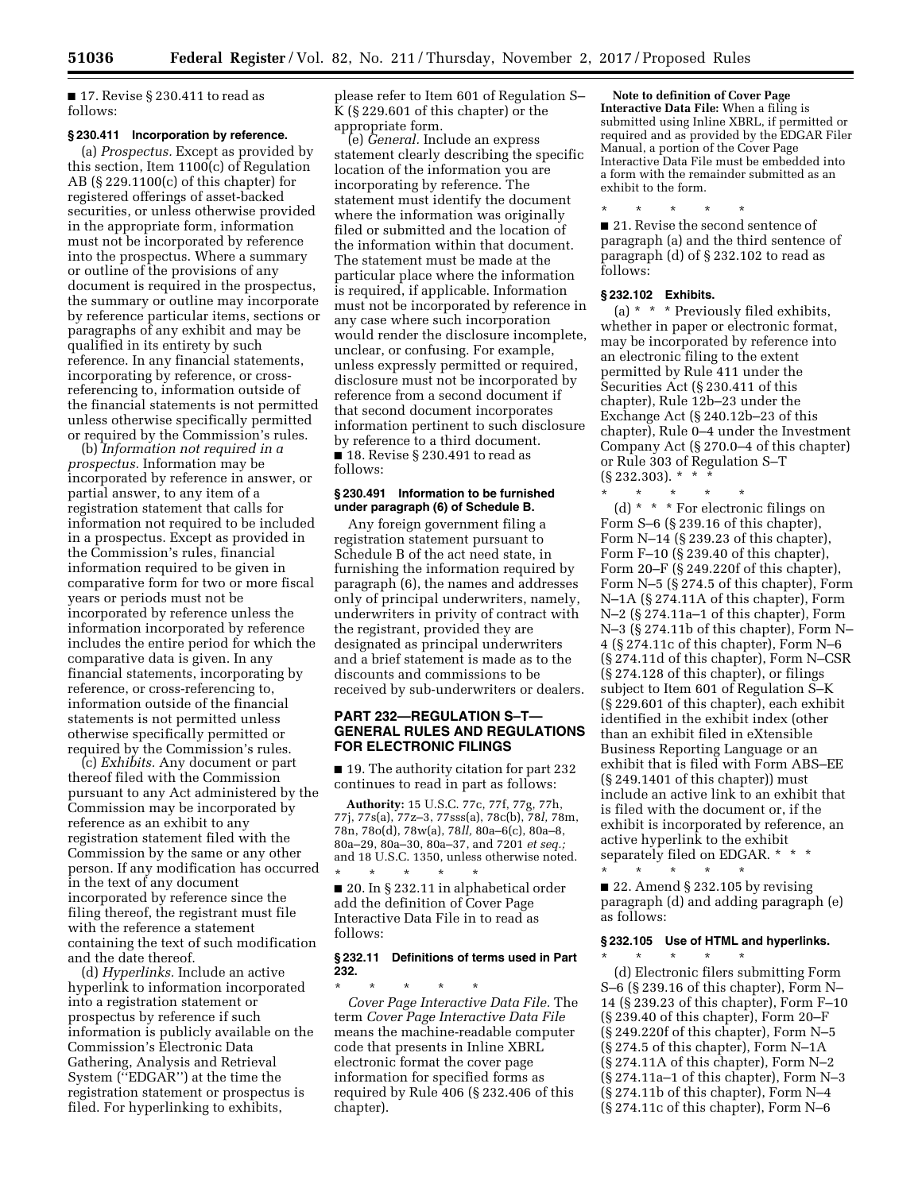■ 17. Revise § 230.411 to read as follows:

#### **§ 230.411 Incorporation by reference.**

(a) *Prospectus.* Except as provided by this section, Item 1100(c) of Regulation AB (§ 229.1100(c) of this chapter) for registered offerings of asset-backed securities, or unless otherwise provided in the appropriate form, information must not be incorporated by reference into the prospectus. Where a summary or outline of the provisions of any document is required in the prospectus, the summary or outline may incorporate by reference particular items, sections or paragraphs of any exhibit and may be qualified in its entirety by such reference. In any financial statements, incorporating by reference, or crossreferencing to, information outside of the financial statements is not permitted unless otherwise specifically permitted or required by the Commission's rules.

(b) *Information not required in a prospectus.* Information may be incorporated by reference in answer, or partial answer, to any item of a registration statement that calls for information not required to be included in a prospectus. Except as provided in the Commission's rules, financial information required to be given in comparative form for two or more fiscal years or periods must not be incorporated by reference unless the information incorporated by reference includes the entire period for which the comparative data is given. In any financial statements, incorporating by reference, or cross-referencing to, information outside of the financial statements is not permitted unless otherwise specifically permitted or required by the Commission's rules.

(c) *Exhibits.* Any document or part thereof filed with the Commission pursuant to any Act administered by the Commission may be incorporated by reference as an exhibit to any registration statement filed with the Commission by the same or any other person. If any modification has occurred in the text of any document incorporated by reference since the filing thereof, the registrant must file with the reference a statement containing the text of such modification and the date thereof.

(d) *Hyperlinks.* Include an active hyperlink to information incorporated into a registration statement or prospectus by reference if such information is publicly available on the Commission's Electronic Data Gathering, Analysis and Retrieval System (''EDGAR'') at the time the registration statement or prospectus is filed. For hyperlinking to exhibits,

please refer to Item 601 of Regulation S– K (§ 229.601 of this chapter) or the appropriate form.

(e) *General.* Include an express statement clearly describing the specific location of the information you are incorporating by reference. The statement must identify the document where the information was originally filed or submitted and the location of the information within that document. The statement must be made at the particular place where the information is required, if applicable. Information must not be incorporated by reference in any case where such incorporation would render the disclosure incomplete, unclear, or confusing. For example, unless expressly permitted or required, disclosure must not be incorporated by reference from a second document if that second document incorporates information pertinent to such disclosure by reference to a third document. ■ 18. Revise § 230.491 to read as follows:

#### **§ 230.491 Information to be furnished under paragraph (6) of Schedule B.**

Any foreign government filing a registration statement pursuant to Schedule B of the act need state, in furnishing the information required by paragraph (6), the names and addresses only of principal underwriters, namely, underwriters in privity of contract with the registrant, provided they are designated as principal underwriters and a brief statement is made as to the discounts and commissions to be received by sub-underwriters or dealers.

# **PART 232—REGULATION S–T— GENERAL RULES AND REGULATIONS FOR ELECTRONIC FILINGS**

■ 19. The authority citation for part 232 continues to read in part as follows:

**Authority:** 15 U.S.C. 77c, 77f, 77g, 77h, 77j, 77s(a), 77z–3, 77sss(a), 78c(b), 78*l,* 78m, 78n, 78o(d), 78w(a), 78*ll,* 80a–6(c), 80a–8, 80a–29, 80a–30, 80a–37, and 7201 *et seq.;*  and 18 U.S.C. 1350, unless otherwise noted. \* \* \* \* \*

■ 20. In § 232.11 in alphabetical order add the definition of Cover Page Interactive Data File in to read as follows:

### **§ 232.11 Definitions of terms used in Part 232.**

\* \* \* \* \* *Cover Page Interactive Data File.* The term *Cover Page Interactive Data File*  means the machine-readable computer code that presents in Inline XBRL electronic format the cover page information for specified forms as required by Rule 406 (§ 232.406 of this chapter).

**Note to definition of Cover Page Interactive Data File:** When a filing is submitted using Inline XBRL, if permitted or required and as provided by the EDGAR Filer Manual, a portion of the Cover Page Interactive Data File must be embedded into a form with the remainder submitted as an exhibit to the form.

\* \* \* \* \* ■ 21. Revise the second sentence of paragraph (a) and the third sentence of paragraph (d) of § 232.102 to read as follows:

# **§ 232.102 Exhibits.**

(a) \* \* \* Previously filed exhibits, whether in paper or electronic format, may be incorporated by reference into an electronic filing to the extent permitted by Rule 411 under the Securities Act (§ 230.411 of this chapter), Rule 12b–23 under the Exchange Act (§ 240.12b–23 of this chapter), Rule 0–4 under the Investment Company Act (§ 270.0–4 of this chapter) or Rule 303 of Regulation S–T  $(S$  232.303). \* \* \*

\* \* \* \* \* (d) \* \* \* For electronic filings on Form S–6 (§ 239.16 of this chapter), Form N–14 (§ 239.23 of this chapter), Form F–10 (§ 239.40 of this chapter), Form 20–F (§ 249.220f of this chapter), Form N–5 (§ 274.5 of this chapter), Form N–1A (§ 274.11A of this chapter), Form N–2 (§ 274.11a–1 of this chapter), Form N–3 (§ 274.11b of this chapter), Form N– 4 (§ 274.11c of this chapter), Form N–6 (§ 274.11d of this chapter), Form N–CSR (§ 274.128 of this chapter), or filings subject to Item 601 of Regulation S–K (§ 229.601 of this chapter), each exhibit identified in the exhibit index (other than an exhibit filed in eXtensible Business Reporting Language or an exhibit that is filed with Form ABS–EE (§ 249.1401 of this chapter)) must include an active link to an exhibit that is filed with the document or, if the exhibit is incorporated by reference, an active hyperlink to the exhibit separately filed on EDGAR. \* \* \*

\* \* \* \* \* ■ 22. Amend § 232.105 by revising paragraph (d) and adding paragraph (e) as follows:

#### **§ 232.105 Use of HTML and hyperlinks.**

\* \* \* \* \*

(d) Electronic filers submitting Form S–6 (§ 239.16 of this chapter), Form N– 14 (§ 239.23 of this chapter), Form F–10 (§ 239.40 of this chapter), Form 20–F (§ 249.220f of this chapter), Form N–5 (§ 274.5 of this chapter), Form N–1A (§ 274.11A of this chapter), Form N–2 (§ 274.11a–1 of this chapter), Form N–3 (§ 274.11b of this chapter), Form N–4 (§ 274.11c of this chapter), Form N–6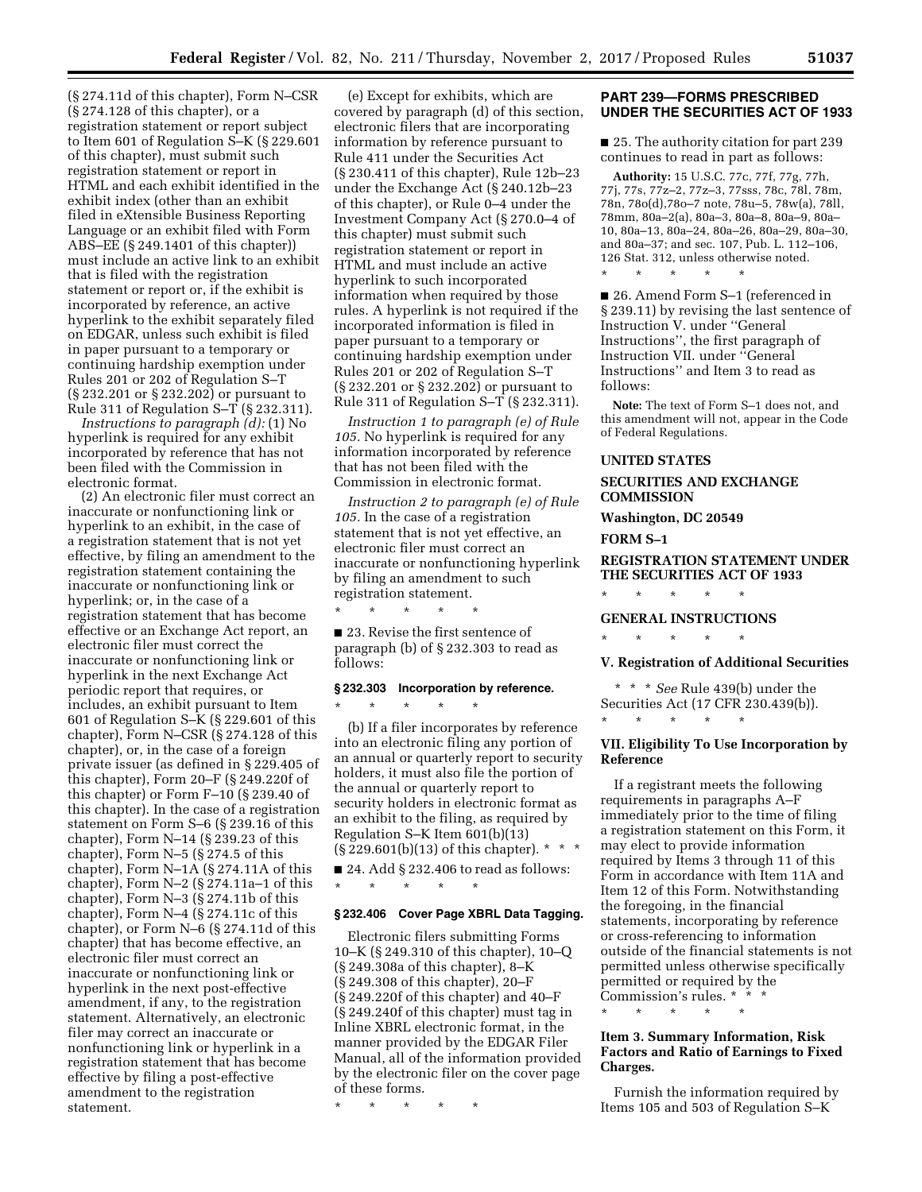(§ 274.11d of this chapter), Form N–CSR (§ 274.128 of this chapter), or a registration statement or report subject to Item 601 of Regulation S–K (§ 229.601 of this chapter), must submit such registration statement or report in HTML and each exhibit identified in the exhibit index (other than an exhibit filed in eXtensible Business Reporting Language or an exhibit filed with Form ABS–EE (§ 249.1401 of this chapter)) must include an active link to an exhibit that is filed with the registration statement or report or, if the exhibit is incorporated by reference, an active hyperlink to the exhibit separately filed on EDGAR, unless such exhibit is filed in paper pursuant to a temporary or continuing hardship exemption under Rules 201 or 202 of Regulation S–T (§ 232.201 or § 232.202) or pursuant to Rule 311 of Regulation S–T (§ 232.311).

*Instructions to paragraph (d):* (1) No hyperlink is required for any exhibit incorporated by reference that has not been filed with the Commission in electronic format.

(2) An electronic filer must correct an inaccurate or nonfunctioning link or hyperlink to an exhibit, in the case of a registration statement that is not yet effective, by filing an amendment to the registration statement containing the inaccurate or nonfunctioning link or hyperlink; or, in the case of a registration statement that has become effective or an Exchange Act report, an electronic filer must correct the inaccurate or nonfunctioning link or hyperlink in the next Exchange Act periodic report that requires, or includes, an exhibit pursuant to Item 601 of Regulation S–K (§ 229.601 of this chapter), Form N–CSR (§ 274.128 of this chapter), or, in the case of a foreign private issuer (as defined in § 229.405 of this chapter), Form 20–F (§ 249.220f of this chapter) or Form F–10 (§ 239.40 of this chapter). In the case of a registration statement on Form S–6 (§ 239.16 of this chapter), Form N–14 (§ 239.23 of this chapter), Form N–5 (§ 274.5 of this chapter), Form N–1A (§ 274.11A of this chapter), Form N–2 (§ 274.11a–1 of this chapter), Form N–3 (§ 274.11b of this chapter), Form N–4 (§ 274.11c of this chapter), or Form N–6 (§ 274.11d of this chapter) that has become effective, an electronic filer must correct an inaccurate or nonfunctioning link or hyperlink in the next post-effective amendment, if any, to the registration statement. Alternatively, an electronic filer may correct an inaccurate or nonfunctioning link or hyperlink in a registration statement that has become effective by filing a post-effective amendment to the registration statement.

(e) Except for exhibits, which are covered by paragraph (d) of this section, electronic filers that are incorporating information by reference pursuant to Rule 411 under the Securities Act (§ 230.411 of this chapter), Rule 12b–23 under the Exchange Act (§ 240.12b–23 of this chapter), or Rule 0–4 under the Investment Company Act (§ 270.0–4 of this chapter) must submit such registration statement or report in HTML and must include an active hyperlink to such incorporated information when required by those rules. A hyperlink is not required if the incorporated information is filed in paper pursuant to a temporary or continuing hardship exemption under Rules 201 or 202 of Regulation S–T (§ 232.201 or § 232.202) or pursuant to Rule 311 of Regulation S–T (§ 232.311).

*Instruction 1 to paragraph (e) of Rule 105.* No hyperlink is required for any information incorporated by reference that has not been filed with the Commission in electronic format.

*Instruction 2 to paragraph (e) of Rule 105.* In the case of a registration statement that is not yet effective, an electronic filer must correct an inaccurate or nonfunctioning hyperlink by filing an amendment to such registration statement.

■ 23. Revise the first sentence of paragraph (b) of § 232.303 to read as follows:

\* \* \* \* \*

\* \* \* \* \*

#### **§ 232.303 Incorporation by reference.**

(b) If a filer incorporates by reference into an electronic filing any portion of an annual or quarterly report to security holders, it must also file the portion of the annual or quarterly report to security holders in electronic format as an exhibit to the filing, as required by Regulation S–K Item 601(b)(13) (§ 229.601(b)(13) of this chapter). \* \* \*

■ 24. Add § 232.406 to read as follows: \* \* \* \* \*

#### **§ 232.406 Cover Page XBRL Data Tagging.**

Electronic filers submitting Forms 10–K (§ 249.310 of this chapter), 10–Q (§ 249.308a of this chapter), 8–K (§ 249.308 of this chapter), 20–F (§ 249.220f of this chapter) and 40–F (§ 249.240f of this chapter) must tag in Inline XBRL electronic format, in the manner provided by the EDGAR Filer Manual, all of the information provided by the electronic filer on the cover page of these forms.

\* \* \* \* \*

#### **PART 239—FORMS PRESCRIBED UNDER THE SECURITIES ACT OF 1933**

■ 25. The authority citation for part 239 continues to read in part as follows:

**Authority:** 15 U.S.C. 77c, 77f, 77g, 77h, 77j, 77s, 77z–2, 77z–3, 77sss, 78c, 78l, 78m, 78n, 78o(d),78o–7 note, 78u–5, 78w(a), 78ll, 78mm, 80a–2(a), 80a–3, 80a–8, 80a–9, 80a– 10, 80a–13, 80a–24, 80a–26, 80a–29, 80a–30, and 80a–37; and sec. 107, Pub. L. 112–106, 126 Stat. 312, unless otherwise noted. \* \* \* \* \*

■ 26. Amend Form S-1 (referenced in § 239.11) by revising the last sentence of Instruction V. under ''General Instructions'', the first paragraph of Instruction VII. under "General Instructions'' and Item 3 to read as follows:

**Note:** The text of Form S–1 does not, and this amendment will not, appear in the Code of Federal Regulations.

## **UNITED STATES**

**SECURITIES AND EXCHANGE COMMISSION** 

#### **Washington, DC 20549**

**FORM S–1** 

**REGISTRATION STATEMENT UNDER THE SECURITIES ACT OF 1933** 

\* \* \* \* \*

### **GENERAL INSTRUCTIONS**

\* \* \* \* \*

### **V. Registration of Additional Securities**

\* \* \* *See* Rule 439(b) under the Securities Act (17 CFR 230.439(b)). \* \* \* \* \*

### **VII. Eligibility To Use Incorporation by Reference**

If a registrant meets the following requirements in paragraphs A–F immediately prior to the time of filing a registration statement on this Form, it may elect to provide information required by Items 3 through 11 of this Form in accordance with Item 11A and Item 12 of this Form. Notwithstanding the foregoing, in the financial statements, incorporating by reference or cross-referencing to information outside of the financial statements is not permitted unless otherwise specifically permitted or required by the Commission's rules. \* \* \*

\* \* \* \* \*

# **Item 3. Summary Information, Risk Factors and Ratio of Earnings to Fixed Charges.**

Furnish the information required by Items 105 and 503 of Regulation S–K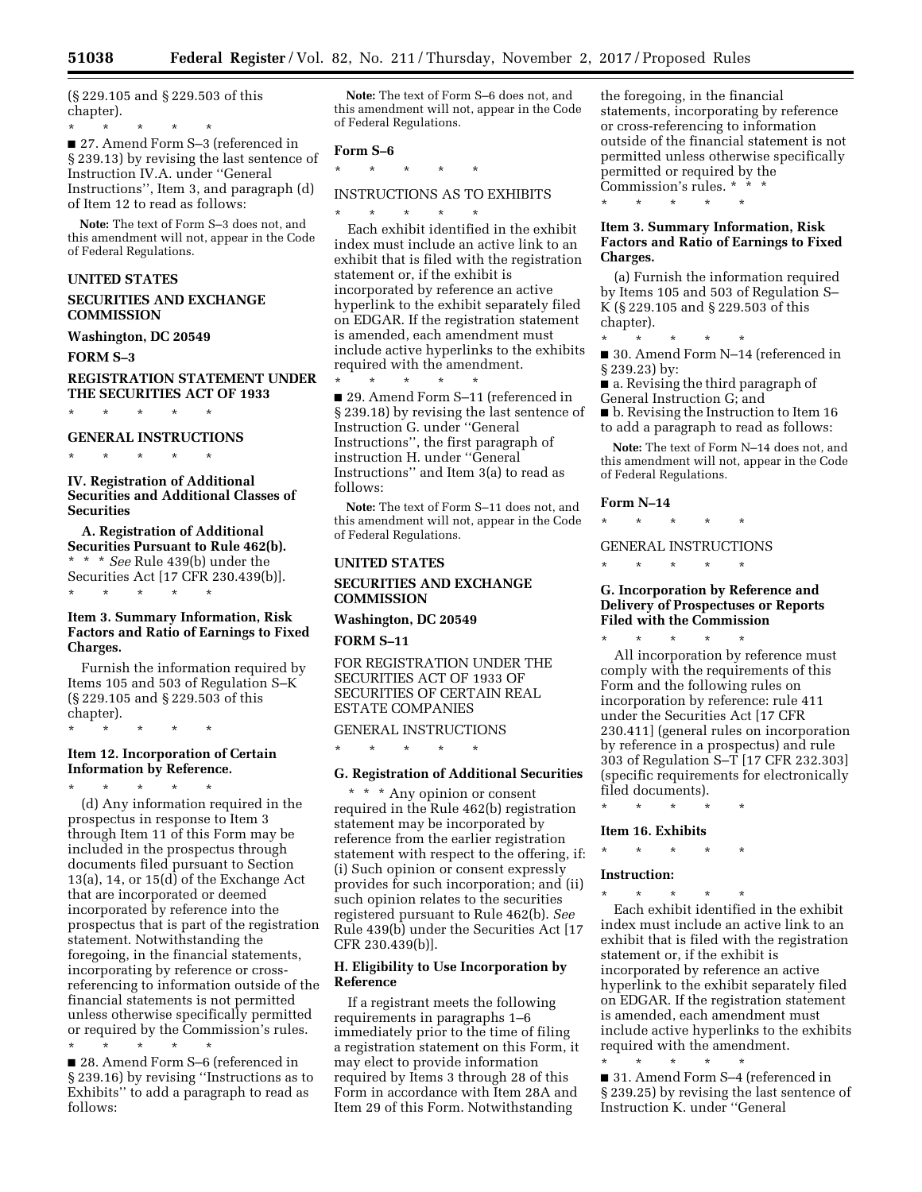(§ 229.105 and § 229.503 of this chapter).

\* \* \* \* \* ■ 27. Amend Form S–3 (referenced in § 239.13) by revising the last sentence of Instruction IV.A. under ''General Instructions'', Item 3, and paragraph (d) of Item 12 to read as follows:

**Note:** The text of Form S–3 does not, and this amendment will not, appear in the Code of Federal Regulations.

### **UNITED STATES**

# **SECURITIES AND EXCHANGE COMMISSION**

**Washington, DC 20549** 

**FORM S–3** 

# **REGISTRATION STATEMENT UNDER THE SECURITIES ACT OF 1933**

\* \* \* \* \*

# **GENERAL INSTRUCTIONS**

\* \* \* \* \*

**IV. Registration of Additional Securities and Additional Classes of Securities** 

**A. Registration of Additional Securities Pursuant to Rule 462(b).**  \* \* \* *See* Rule 439(b) under the Securities Act [17 CFR 230.439(b)]. \* \* \* \* \*

### **Item 3. Summary Information, Risk Factors and Ratio of Earnings to Fixed Charges.**

Furnish the information required by Items 105 and 503 of Regulation S–K (§ 229.105 and § 229.503 of this chapter).

\* \* \* \* \*

#### **Item 12. Incorporation of Certain Information by Reference.**

\* \* \* \* \*

(d) Any information required in the prospectus in response to Item 3 through Item 11 of this Form may be included in the prospectus through documents filed pursuant to Section 13(a), 14, or 15(d) of the Exchange Act that are incorporated or deemed incorporated by reference into the prospectus that is part of the registration statement. Notwithstanding the foregoing, in the financial statements, incorporating by reference or crossreferencing to information outside of the financial statements is not permitted unless otherwise specifically permitted or required by the Commission's rules.

\* \* \* \* \* ■ 28. Amend Form S–6 (referenced in § 239.16) by revising ''Instructions as to Exhibits'' to add a paragraph to read as follows:

**Note:** The text of Form S–6 does not, and this amendment will not, appear in the Code of Federal Regulations.

### **Form S–6**

\* \* \* \* \*

#### INSTRUCTIONS AS TO EXHIBITS

\* \* \* \* \* Each exhibit identified in the exhibit index must include an active link to an exhibit that is filed with the registration statement or, if the exhibit is incorporated by reference an active hyperlink to the exhibit separately filed on EDGAR. If the registration statement is amended, each amendment must include active hyperlinks to the exhibits required with the amendment.

\* \* \* \* \* ■ 29. Amend Form S–11 (referenced in § 239.18) by revising the last sentence of Instruction G. under ''General Instructions'', the first paragraph of instruction H. under ''General Instructions'' and Item 3(a) to read as follows:

**Note:** The text of Form S–11 does not, and this amendment will not, appear in the Code of Federal Regulations.

# **UNITED STATES**

# **SECURITIES AND EXCHANGE COMMISSION**

**Washington, DC 20549** 

#### **FORM S–11**

FOR REGISTRATION UNDER THE SECURITIES ACT OF 1933 OF SECURITIES OF CERTAIN REAL ESTATE COMPANIES

# GENERAL INSTRUCTIONS

\* \* \* \* \*

#### **G. Registration of Additional Securities**

\* \* \* Any opinion or consent required in the Rule 462(b) registration statement may be incorporated by reference from the earlier registration statement with respect to the offering, if: (i) Such opinion or consent expressly provides for such incorporation; and (ii) such opinion relates to the securities registered pursuant to Rule 462(b). *See*  Rule 439(b) under the Securities Act [17 CFR 230.439(b)].

### **H. Eligibility to Use Incorporation by Reference**

If a registrant meets the following requirements in paragraphs 1–6 immediately prior to the time of filing a registration statement on this Form, it may elect to provide information required by Items 3 through 28 of this Form in accordance with Item 28A and Item 29 of this Form. Notwithstanding

the foregoing, in the financial statements, incorporating by reference or cross-referencing to information outside of the financial statement is not permitted unless otherwise specifically permitted or required by the Commission's rules. \* \* \*

\* \* \* \* \*

# **Item 3. Summary Information, Risk Factors and Ratio of Earnings to Fixed Charges.**

(a) Furnish the information required by Items 105 and 503 of Regulation S– K (§ 229.105 and § 229.503 of this chapter).

\* \* \* \* \*

- 30. Amend Form N–14 (referenced in § 239.23) by:
- a. Revising the third paragraph of
- General Instruction G; and

■ b. Revising the Instruction to Item 16 to add a paragraph to read as follows:

**Note:** The text of Form N–14 does not, and this amendment will not, appear in the Code of Federal Regulations.

#### **Form N–14**

\* \* \* \* \*

GENERAL INSTRUCTIONS

\* \* \* \* \*

#### **G. Incorporation by Reference and Delivery of Prospectuses or Reports Filed with the Commission**

\* \* \* \* \* All incorporation by reference must comply with the requirements of this Form and the following rules on incorporation by reference: rule 411 under the Securities Act [17 CFR 230.411] (general rules on incorporation by reference in a prospectus) and rule 303 of Regulation S–T [17 CFR 232.303] (specific requirements for electronically filed documents).

\* \* \* \* \*

## **Item 16. Exhibits**

\* \* \* \* \*

#### **Instruction:**

\* \* \* \* \* Each exhibit identified in the exhibit index must include an active link to an exhibit that is filed with the registration statement or, if the exhibit is incorporated by reference an active hyperlink to the exhibit separately filed on EDGAR. If the registration statement is amended, each amendment must include active hyperlinks to the exhibits required with the amendment.

\* \* \* \* \* ■ 31. Amend Form S–4 (referenced in § 239.25) by revising the last sentence of Instruction K. under ''General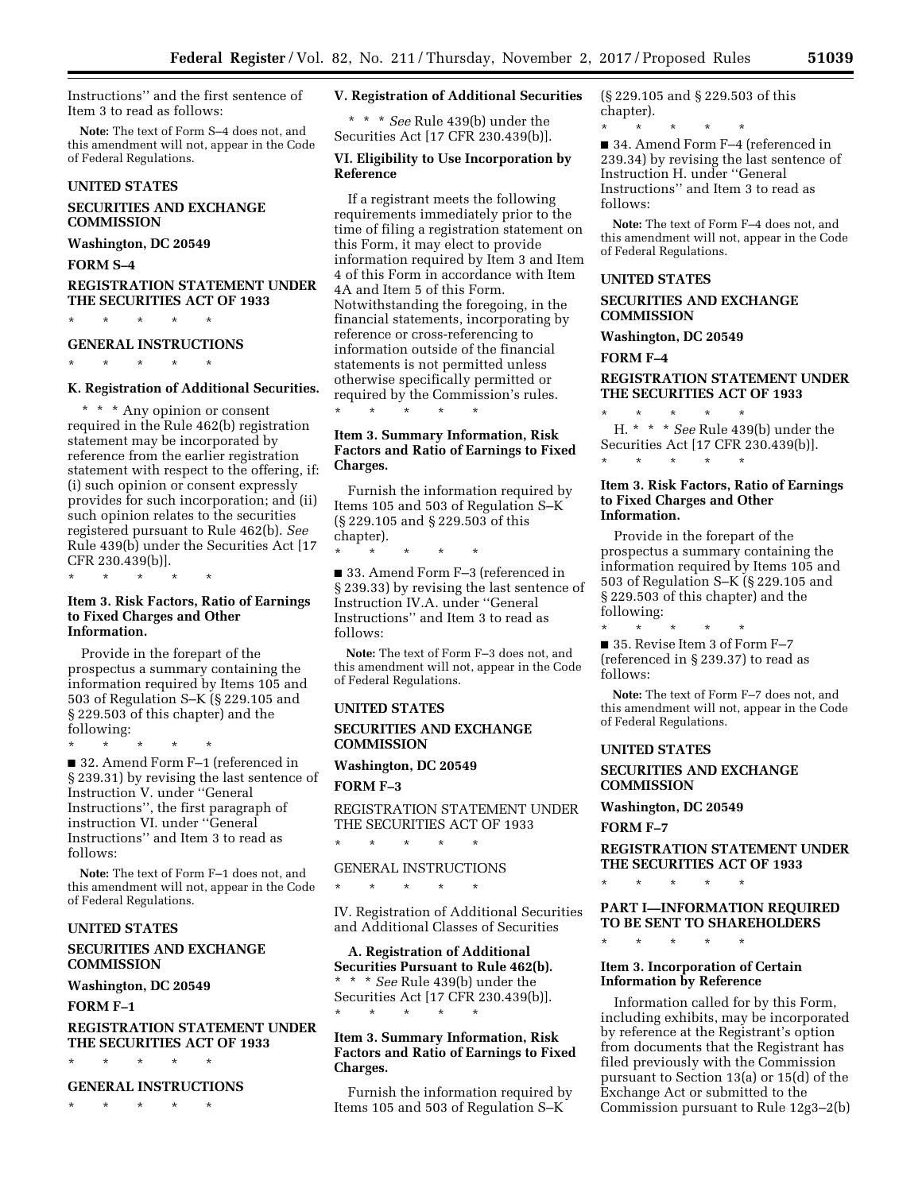Instructions'' and the first sentence of Item 3 to read as follows:

**Note:** The text of Form S–4 does not, and this amendment will not, appear in the Code of Federal Regulations.

#### **UNITED STATES**

# **SECURITIES AND EXCHANGE COMMISSION**

# **Washington, DC 20549**

**FORM S–4** 

# **REGISTRATION STATEMENT UNDER THE SECURITIES ACT OF 1933**

\* \* \* \* \*

# **GENERAL INSTRUCTIONS**

\* \* \* \* \*

#### **K. Registration of Additional Securities.**

\* \* \* Any opinion or consent required in the Rule 462(b) registration statement may be incorporated by reference from the earlier registration statement with respect to the offering, if: (i) such opinion or consent expressly provides for such incorporation; and (ii) such opinion relates to the securities registered pursuant to Rule 462(b). *See*  Rule 439(b) under the Securities Act [17 CFR 230.439(b)].

\* \* \* \* \*

### **Item 3. Risk Factors, Ratio of Earnings to Fixed Charges and Other Information.**

Provide in the forepart of the prospectus a summary containing the information required by Items 105 and 503 of Regulation S–K (§ 229.105 and § 229.503 of this chapter) and the following:

\* \* \* \* \* ■ 32. Amend Form F-1 (referenced in § 239.31) by revising the last sentence of Instruction V. under ''General Instructions'', the first paragraph of instruction VI. under ''General Instructions'' and Item 3 to read as follows:

**Note:** The text of Form F–1 does not, and this amendment will not, appear in the Code of Federal Regulations.

#### **UNITED STATES**

# **SECURITIES AND EXCHANGE COMMISSION**

**Washington, DC 20549** 

#### **FORM F–1**

#### **REGISTRATION STATEMENT UNDER THE SECURITIES ACT OF 1933**

\* \* \* \* \*

# **GENERAL INSTRUCTIONS**

\* \* \* \* \*

#### **V. Registration of Additional Securities**

\* \* \* *See* Rule 439(b) under the Securities Act [17 CFR 230.439(b)].

### **VI. Eligibility to Use Incorporation by Reference**

If a registrant meets the following requirements immediately prior to the time of filing a registration statement on this Form, it may elect to provide information required by Item 3 and Item 4 of this Form in accordance with Item 4A and Item 5 of this Form. Notwithstanding the foregoing, in the financial statements, incorporating by reference or cross-referencing to information outside of the financial statements is not permitted unless otherwise specifically permitted or required by the Commission's rules. \* \* \* \* \*

# **Item 3. Summary Information, Risk Factors and Ratio of Earnings to Fixed Charges.**

Furnish the information required by Items 105 and 503 of Regulation S–K (§ 229.105 and § 229.503 of this chapter).

\* \* \* \* \*

■ 33. Amend Form F-3 (referenced in § 239.33) by revising the last sentence of Instruction IV.A. under ''General Instructions'' and Item 3 to read as follows:

**Note:** The text of Form F–3 does not, and this amendment will not, appear in the Code of Federal Regulations.

# **UNITED STATES**

### **SECURITIES AND EXCHANGE COMMISSION**

**Washington, DC 20549** 

# **FORM F–3**

REGISTRATION STATEMENT UNDER THE SECURITIES ACT OF 1933

#### \* \* \* \* \*

### GENERAL INSTRUCTIONS

\* \* \* \* \*

IV. Registration of Additional Securities and Additional Classes of Securities

### **A. Registration of Additional**

**Securities Pursuant to Rule 462(b).**  \* \* \* *See* Rule 439(b) under the Securities Act [17 CFR 230.439(b)]. \* \* \* \* \*

# **Item 3. Summary Information, Risk Factors and Ratio of Earnings to Fixed Charges.**

Furnish the information required by Items 105 and 503 of Regulation S–K

(§ 229.105 and § 229.503 of this chapter).

\* \* \* \* \* ■ 34. Amend Form F-4 (referenced in 239.34) by revising the last sentence of Instruction H. under ''General Instructions'' and Item 3 to read as follows:

**Note:** The text of Form F–4 does not, and this amendment will not, appear in the Code of Federal Regulations.

### **UNITED STATES**

# **SECURITIES AND EXCHANGE COMMISSION**

#### **Washington, DC 20549**

#### **FORM F–4**

# **REGISTRATION STATEMENT UNDER THE SECURITIES ACT OF 1933**

\* \* \* \* \* H. \* \* \* *See* Rule 439(b) under the Securities Act [17 CFR 230.439(b)]. \* \* \* \* \*

#### **Item 3. Risk Factors, Ratio of Earnings to Fixed Charges and Other Information.**

Provide in the forepart of the prospectus a summary containing the information required by Items 105 and 503 of Regulation S–K (§ 229.105 and § 229.503 of this chapter) and the following:

\* \* \* \* \* ■ 35. Revise Item 3 of Form F–7 (referenced in § 239.37) to read as follows:

**Note:** The text of Form F–7 does not, and this amendment will not, appear in the Code of Federal Regulations.

#### **UNITED STATES**

# **SECURITIES AND EXCHANGE COMMISSION**

**Washington, DC 20549** 

#### **FORM F–7**

**REGISTRATION STATEMENT UNDER THE SECURITIES ACT OF 1933** 

\* \* \* \* \*

# **PART I—INFORMATION REQUIRED TO BE SENT TO SHAREHOLDERS**

\* \* \* \* \*

# **Item 3. Incorporation of Certain Information by Reference**

Information called for by this Form, including exhibits, may be incorporated by reference at the Registrant's option from documents that the Registrant has filed previously with the Commission pursuant to Section 13(a) or 15(d) of the Exchange Act or submitted to the Commission pursuant to Rule 12g3–2(b)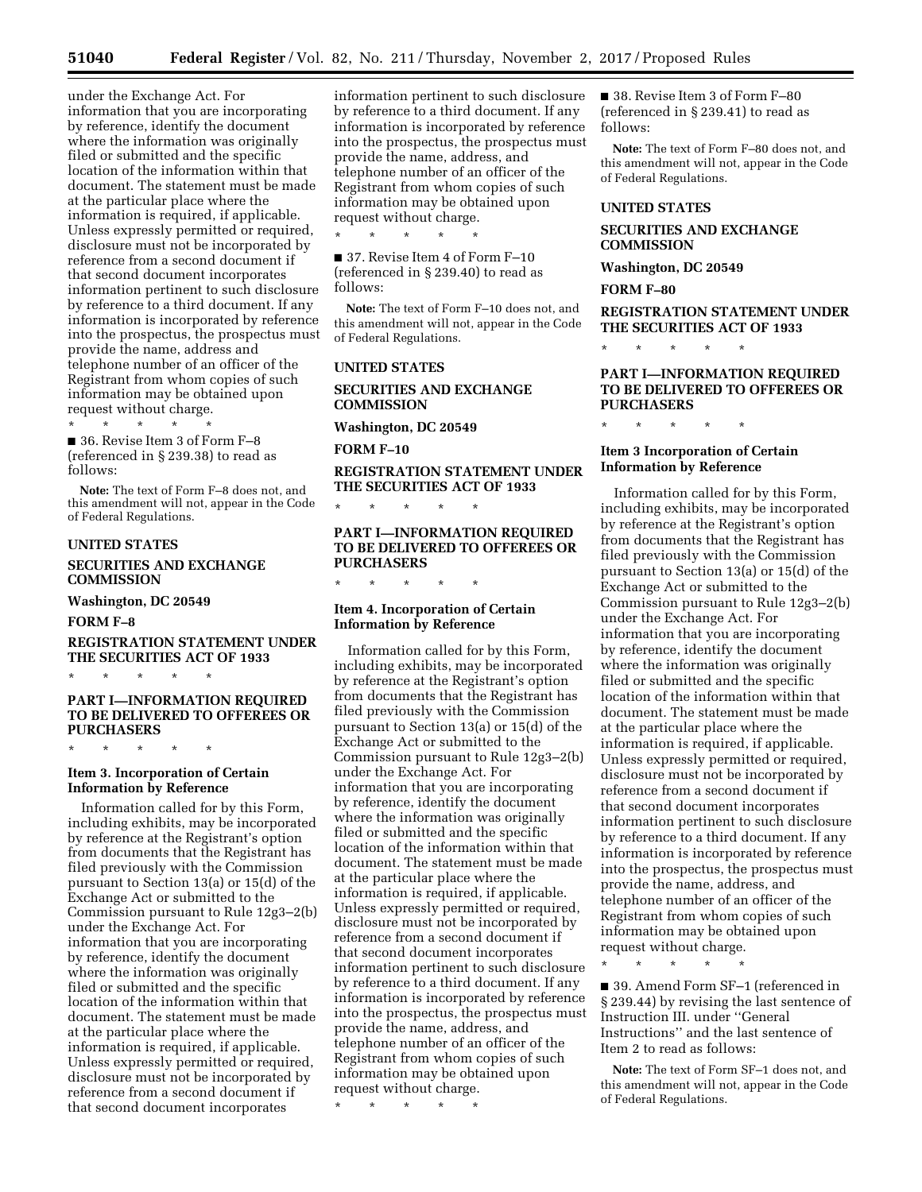under the Exchange Act. For information that you are incorporating by reference, identify the document where the information was originally filed or submitted and the specific location of the information within that document. The statement must be made at the particular place where the information is required, if applicable. Unless expressly permitted or required, disclosure must not be incorporated by reference from a second document if that second document incorporates information pertinent to such disclosure by reference to a third document. If any information is incorporated by reference into the prospectus, the prospectus must provide the name, address and telephone number of an officer of the Registrant from whom copies of such information may be obtained upon request without charge. \* \* \* \* \*

■ 36. Revise Item 3 of Form F–8 (referenced in § 239.38) to read as follows:

**Note:** The text of Form F–8 does not, and this amendment will not, appear in the Code of Federal Regulations.

#### **UNITED STATES**

### **SECURITIES AND EXCHANGE COMMISSION**

**Washington, DC 20549** 

#### **FORM F–8**

# **REGISTRATION STATEMENT UNDER THE SECURITIES ACT OF 1933**

\* \* \* \* \* **PART I—INFORMATION REQUIRED TO BE DELIVERED TO OFFEREES OR** 

**PURCHASERS**  \* \* \* \* \*

#### **Item 3. Incorporation of Certain Information by Reference**

Information called for by this Form, including exhibits, may be incorporated by reference at the Registrant's option from documents that the Registrant has filed previously with the Commission pursuant to Section 13(a) or 15(d) of the Exchange Act or submitted to the Commission pursuant to Rule 12g3–2(b) under the Exchange Act. For information that you are incorporating by reference, identify the document where the information was originally filed or submitted and the specific location of the information within that document. The statement must be made at the particular place where the information is required, if applicable. Unless expressly permitted or required, disclosure must not be incorporated by reference from a second document if that second document incorporates

information pertinent to such disclosure by reference to a third document. If any information is incorporated by reference into the prospectus, the prospectus must provide the name, address, and telephone number of an officer of the Registrant from whom copies of such information may be obtained upon request without charge.

\* \* \* \* \*

■ 37. Revise Item 4 of Form F–10 (referenced in § 239.40) to read as follows:

**Note:** The text of Form F–10 does not, and this amendment will not, appear in the Code of Federal Regulations.

#### **UNITED STATES**

# **SECURITIES AND EXCHANGE COMMISSION**

**Washington, DC 20549** 

\* \* \* \* \*

**FORM F–10** 

# **REGISTRATION STATEMENT UNDER THE SECURITIES ACT OF 1933**

# **PART I—INFORMATION REQUIRED TO BE DELIVERED TO OFFEREES OR PURCHASERS**

\* \* \* \* \*

### **Item 4. Incorporation of Certain Information by Reference**

Information called for by this Form, including exhibits, may be incorporated by reference at the Registrant's option from documents that the Registrant has filed previously with the Commission pursuant to Section 13(a) or 15(d) of the Exchange Act or submitted to the Commission pursuant to Rule 12g3–2(b) under the Exchange Act. For information that you are incorporating by reference, identify the document where the information was originally filed or submitted and the specific location of the information within that document. The statement must be made at the particular place where the information is required, if applicable. Unless expressly permitted or required, disclosure must not be incorporated by reference from a second document if that second document incorporates information pertinent to such disclosure by reference to a third document. If any information is incorporated by reference into the prospectus, the prospectus must provide the name, address, and telephone number of an officer of the Registrant from whom copies of such information may be obtained upon request without charge.

\* \* \* \* \*

■ 38. Revise Item 3 of Form F–80 (referenced in § 239.41) to read as follows:

**Note:** The text of Form F–80 does not, and this amendment will not, appear in the Code of Federal Regulations.

### **UNITED STATES**

# **SECURITIES AND EXCHANGE COMMISSION**

**Washington, DC 20549** 

**FORM F–80** 

**REGISTRATION STATEMENT UNDER THE SECURITIES ACT OF 1933** 

\* \* \* \* \*

# **PART I—INFORMATION REQUIRED TO BE DELIVERED TO OFFEREES OR PURCHASERS**

\* \* \* \* \*

### **Item 3 Incorporation of Certain Information by Reference**

Information called for by this Form, including exhibits, may be incorporated by reference at the Registrant's option from documents that the Registrant has filed previously with the Commission pursuant to Section 13(a) or 15(d) of the Exchange Act or submitted to the Commission pursuant to Rule 12g3–2(b) under the Exchange Act. For information that you are incorporating by reference, identify the document where the information was originally filed or submitted and the specific location of the information within that document. The statement must be made at the particular place where the information is required, if applicable. Unless expressly permitted or required, disclosure must not be incorporated by reference from a second document if that second document incorporates information pertinent to such disclosure by reference to a third document. If any information is incorporated by reference into the prospectus, the prospectus must provide the name, address, and telephone number of an officer of the Registrant from whom copies of such information may be obtained upon request without charge.

\* \* \* \* \*

■ 39. Amend Form SF-1 (referenced in § 239.44) by revising the last sentence of Instruction III. under ''General Instructions'' and the last sentence of Item 2 to read as follows:

**Note:** The text of Form SF–1 does not, and this amendment will not, appear in the Code of Federal Regulations.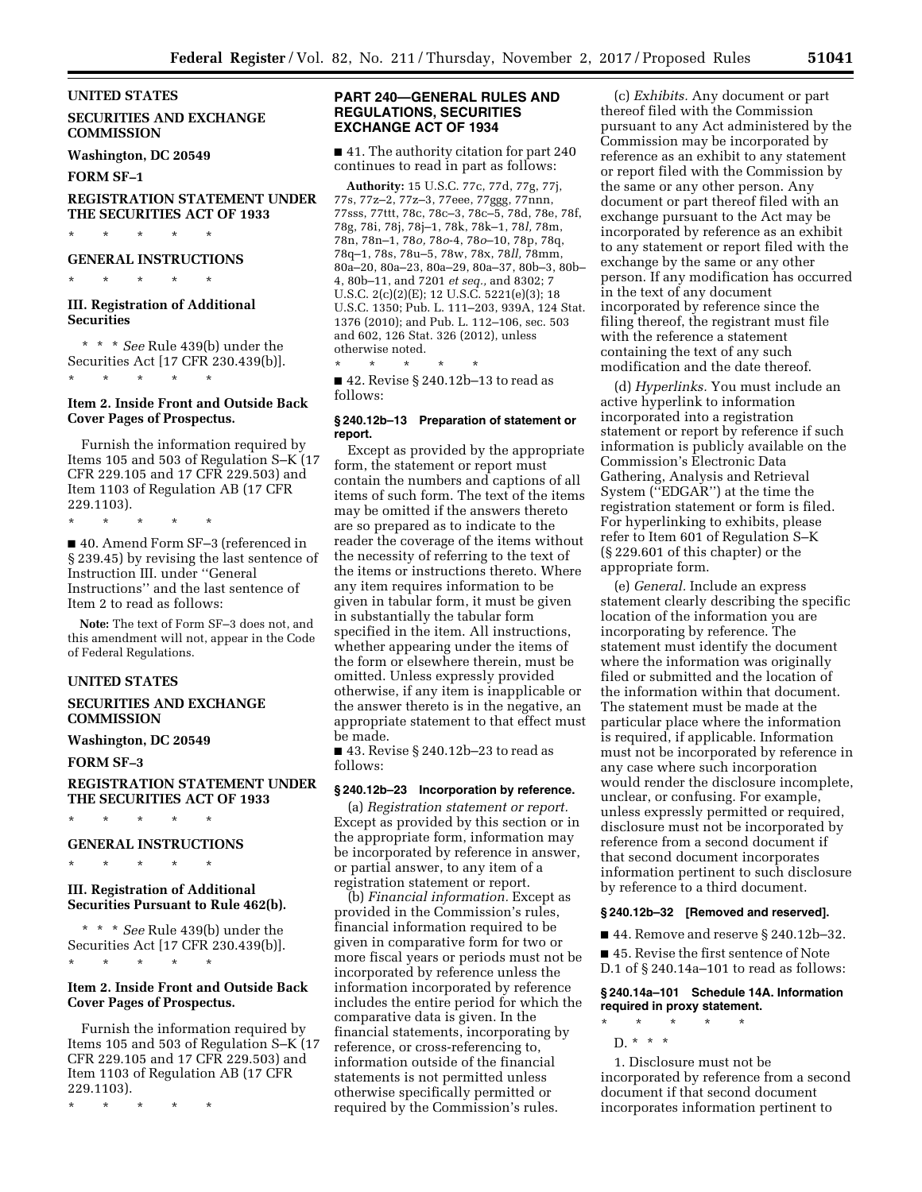#### **UNITED STATES**

### **SECURITIES AND EXCHANGE COMMISSION**

#### **Washington, DC 20549**

#### **FORM SF–1**

# **REGISTRATION STATEMENT UNDER THE SECURITIES ACT OF 1933**

\* \* \* \* \*

# **GENERAL INSTRUCTIONS**

\* \* \* \* \*

### **III. Registration of Additional Securities**

\* \* \* *See* Rule 439(b) under the Securities Act [17 CFR 230.439(b)]. \* \* \* \* \*

# **Item 2. Inside Front and Outside Back Cover Pages of Prospectus.**

Furnish the information required by Items 105 and 503 of Regulation S–K (17 CFR 229.105 and 17 CFR 229.503) and Item 1103 of Regulation AB (17 CFR 229.1103).

\* \* \* \* \*

■ 40. Amend Form SF-3 (referenced in § 239.45) by revising the last sentence of Instruction III. under ''General Instructions'' and the last sentence of Item 2 to read as follows:

**Note:** The text of Form SF–3 does not, and this amendment will not, appear in the Code of Federal Regulations.

# **UNITED STATES**

# **SECURITIES AND EXCHANGE COMMISSION**

#### **Washington, DC 20549**

**FORM SF–3** 

# **REGISTRATION STATEMENT UNDER THE SECURITIES ACT OF 1933**

\* \* \* \* \*

# **GENERAL INSTRUCTIONS**

\* \* \* \* \*

### **III. Registration of Additional Securities Pursuant to Rule 462(b).**

\* \* \* *See* Rule 439(b) under the Securities Act [17 CFR 230.439(b)]. \* \* \* \* \*

### **Item 2. Inside Front and Outside Back Cover Pages of Prospectus.**

Furnish the information required by Items 105 and 503 of Regulation S–K (17 CFR 229.105 and 17 CFR 229.503) and Item 1103 of Regulation AB (17 CFR 229.1103).

\* \* \* \* \*

#### **PART 240—GENERAL RULES AND REGULATIONS, SECURITIES EXCHANGE ACT OF 1934**

■ 41. The authority citation for part 240 continues to read in part as follows:

**Authority:** 15 U.S.C. 77c, 77d, 77g, 77j, 77s, 77z–2, 77z–3, 77eee, 77ggg, 77nnn, 77sss, 77ttt, 78c, 78c–3, 78c–5, 78d, 78e, 78f, 78g, 78i, 78j, 78j–1, 78k, 78k–1, 78*l,* 78m, 78n, 78n–1, 78*o,* 78*o*-4, 78*o*–10, 78p, 78q, 78q–1, 78s, 78u–5, 78w, 78x, 78*ll,* 78mm, 80a–20, 80a–23, 80a–29, 80a–37, 80b–3, 80b– 4, 80b–11, and 7201 *et seq.,* and 8302; 7 U.S.C. 2(c)(2)(E); 12 U.S.C. 5221(e)(3); 18 U.S.C. 1350; Pub. L. 111–203, 939A, 124 Stat. 1376 (2010); and Pub. L. 112–106, sec. 503 and 602, 126 Stat. 326 (2012), unless otherwise noted.

\* \* \* \* \*  $\blacksquare$  42. Revise § 240.12b-13 to read as follows:

#### **§ 240.12b–13 Preparation of statement or report.**

Except as provided by the appropriate form, the statement or report must contain the numbers and captions of all items of such form. The text of the items may be omitted if the answers thereto are so prepared as to indicate to the reader the coverage of the items without the necessity of referring to the text of the items or instructions thereto. Where any item requires information to be given in tabular form, it must be given in substantially the tabular form specified in the item. All instructions, whether appearing under the items of the form or elsewhere therein, must be omitted. Unless expressly provided otherwise, if any item is inapplicable or the answer thereto is in the negative, an appropriate statement to that effect must be made.

■ 43. Revise § 240.12b–23 to read as follows:

# **§ 240.12b–23 Incorporation by reference.**

(a) *Registration statement or report.*  Except as provided by this section or in the appropriate form, information may be incorporated by reference in answer, or partial answer, to any item of a registration statement or report.

(b) *Financial information.* Except as provided in the Commission's rules, financial information required to be given in comparative form for two or more fiscal years or periods must not be incorporated by reference unless the information incorporated by reference includes the entire period for which the comparative data is given. In the financial statements, incorporating by reference, or cross-referencing to, information outside of the financial statements is not permitted unless otherwise specifically permitted or required by the Commission's rules.

(c) *Exhibits.* Any document or part thereof filed with the Commission pursuant to any Act administered by the Commission may be incorporated by reference as an exhibit to any statement or report filed with the Commission by the same or any other person. Any document or part thereof filed with an exchange pursuant to the Act may be incorporated by reference as an exhibit to any statement or report filed with the exchange by the same or any other person. If any modification has occurred in the text of any document incorporated by reference since the filing thereof, the registrant must file with the reference a statement containing the text of any such modification and the date thereof.

(d) *Hyperlinks.* You must include an active hyperlink to information incorporated into a registration statement or report by reference if such information is publicly available on the Commission's Electronic Data Gathering, Analysis and Retrieval System (''EDGAR'') at the time the registration statement or form is filed. For hyperlinking to exhibits, please refer to Item 601 of Regulation S–K (§ 229.601 of this chapter) or the appropriate form.

(e) *General.* Include an express statement clearly describing the specific location of the information you are incorporating by reference. The statement must identify the document where the information was originally filed or submitted and the location of the information within that document. The statement must be made at the particular place where the information is required, if applicable. Information must not be incorporated by reference in any case where such incorporation would render the disclosure incomplete, unclear, or confusing. For example, unless expressly permitted or required, disclosure must not be incorporated by reference from a second document if that second document incorporates information pertinent to such disclosure by reference to a third document.

#### **§ 240.12b–32 [Removed and reserved].**

■ 44. Remove and reserve § 240.12b-32.

■ 45. Revise the first sentence of Note D.1 of § 240.14a–101 to read as follows:

# **§ 240.14a–101 Schedule 14A. Information required in proxy statement.**

\* \* \* \* \* D. \* \* \*

1. Disclosure must not be incorporated by reference from a second document if that second document incorporates information pertinent to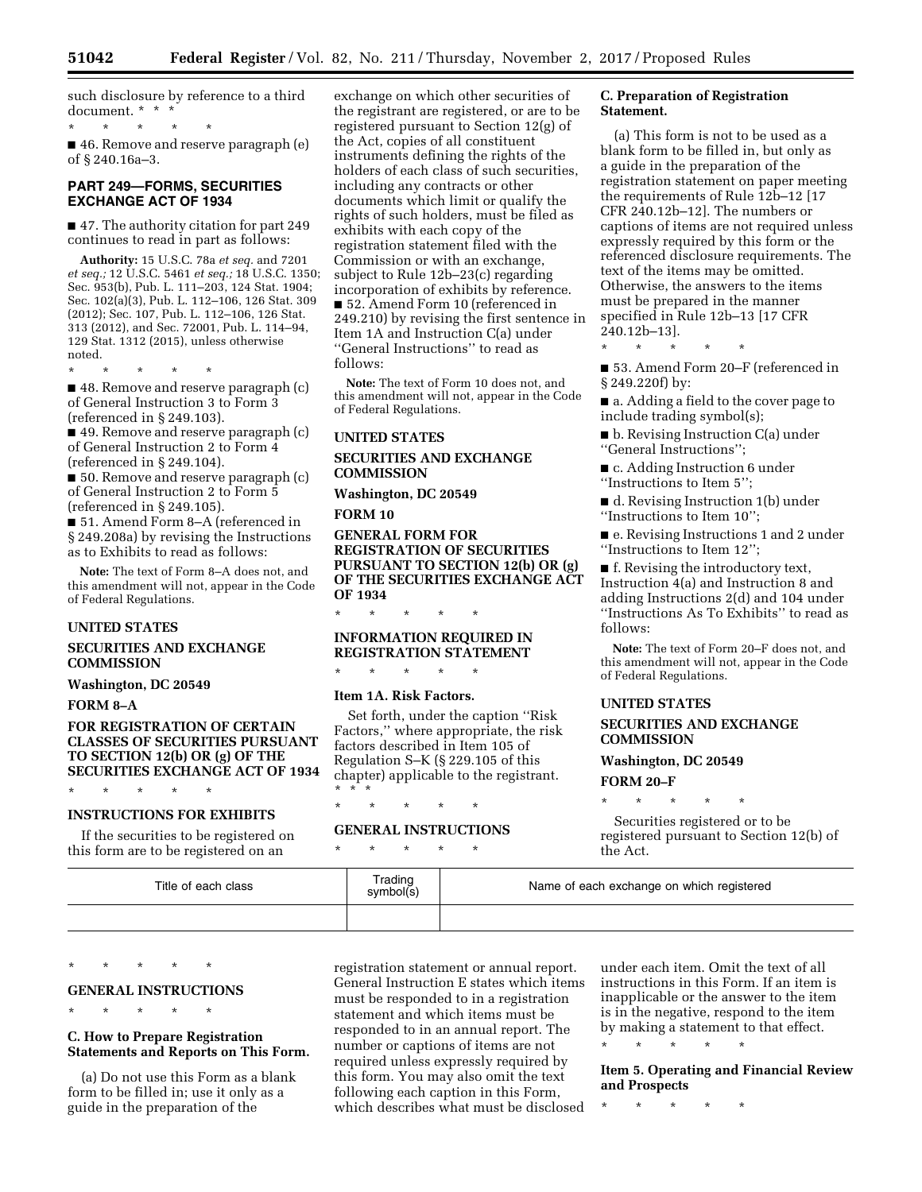such disclosure by reference to a third document. \* \* \*

\* \* \* \* \*

■ 46. Remove and reserve paragraph (e) of § 240.16a–3.

# **PART 249—FORMS, SECURITIES EXCHANGE ACT OF 1934**

■ 47. The authority citation for part 249 continues to read in part as follows:

**Authority:** 15 U.S.C. 78a *et seq.* and 7201 *et seq.;* 12 U.S.C. 5461 *et seq.;* 18 U.S.C. 1350; Sec. 953(b), Pub. L. 111–203, 124 Stat. 1904; Sec. 102(a)(3), Pub. L. 112–106, 126 Stat. 309 (2012); Sec. 107, Pub. L. 112–106, 126 Stat. 313 (2012), and Sec. 72001, Pub. L. 114–94, 129 Stat. 1312 (2015), unless otherwise noted.

\* \* \* \* \*

■ 48. Remove and reserve paragraph (c) of General Instruction 3 to Form 3 (referenced in § 249.103).

■ 49. Remove and reserve paragraph (c) of General Instruction 2 to Form 4 (referenced in § 249.104).

■ 50. Remove and reserve paragraph (c) of General Instruction 2 to Form 5 (referenced in § 249.105).

■ 51. Amend Form 8–A (referenced in § 249.208a) by revising the Instructions as to Exhibits to read as follows:

**Note:** The text of Form 8–A does not, and this amendment will not, appear in the Code of Federal Regulations.

# **UNITED STATES**

# **SECURITIES AND EXCHANGE COMMISSION**

**Washington, DC 20549** 

**FORM 8–A** 

# **FOR REGISTRATION OF CERTAIN CLASSES OF SECURITIES PURSUANT TO SECTION 12(b) OR (g) OF THE SECURITIES EXCHANGE ACT OF 1934**

\* \* \* \* \*

# **INSTRUCTIONS FOR EXHIBITS**

If the securities to be registered on this form are to be registered on an

exchange on which other securities of the registrant are registered, or are to be registered pursuant to Section 12(g) of the Act, copies of all constituent instruments defining the rights of the holders of each class of such securities, including any contracts or other documents which limit or qualify the rights of such holders, must be filed as exhibits with each copy of the registration statement filed with the Commission or with an exchange, subject to Rule 12b–23(c) regarding incorporation of exhibits by reference. ■ 52. Amend Form 10 (referenced in 249.210) by revising the first sentence in Item 1A and Instruction C(a) under ''General Instructions'' to read as follows:

**Note:** The text of Form 10 does not, and this amendment will not, appear in the Code of Federal Regulations.

# **UNITED STATES**

**SECURITIES AND EXCHANGE COMMISSION** 

### **Washington, DC 20549**

**FORM 10** 

**GENERAL FORM FOR REGISTRATION OF SECURITIES PURSUANT TO SECTION 12(b) OR (g) OF THE SECURITIES EXCHANGE ACT OF 1934** 

\* \* \* \* \*

# **INFORMATION REQUIRED IN REGISTRATION STATEMENT**

\* \* \* \* \*

# **Item 1A. Risk Factors.**

Set forth, under the caption ''Risk Factors,'' where appropriate, the risk factors described in Item 105 of Regulation S–K (§ 229.105 of this chapter) applicable to the registrant. \* \* \*

# \* \* \* \* \*

# **GENERAL INSTRUCTIONS**

\* \* \* \* \*

# **C. Preparation of Registration Statement.**

(a) This form is not to be used as a blank form to be filled in, but only as a guide in the preparation of the registration statement on paper meeting the requirements of Rule 12b–12 [17 CFR 240.12b–12]. The numbers or captions of items are not required unless expressly required by this form or the referenced disclosure requirements. The text of the items may be omitted. Otherwise, the answers to the items must be prepared in the manner specified in Rule 12b–13 [17 CFR 240.12b–13].

\* \* \* \* \*

■ 53. Amend Form 20–F (referenced in § 249.220f) by:

■ a. Adding a field to the cover page to include trading symbol(s);

■ b. Revising Instruction C(a) under ''General Instructions'';

■ c. Adding Instruction 6 under ''Instructions to Item 5'';

■ d. Revising Instruction 1(b) under ''Instructions to Item 10'';

■ e. Revising Instructions 1 and 2 under ''Instructions to Item 12'';

 $\blacksquare$  f. Revising the introductory text, Instruction 4(a) and Instruction 8 and adding Instructions 2(d) and 104 under ''Instructions As To Exhibits'' to read as follows:

**Note:** The text of Form 20–F does not, and this amendment will not, appear in the Code of Federal Regulations.

# **UNITED STATES**

# **SECURITIES AND EXCHANGE COMMISSION**

#### **Washington, DC 20549**

\* \* \* \* \*

**FORM 20–F** 

Securities registered or to be registered pursuant to Section 12(b) of the Act.

| Title of each class | Trading<br>symbol(s) | Name of each exchange on which registered |
|---------------------|----------------------|-------------------------------------------|
|                     |                      |                                           |

\* \* \* \* \*

#### **GENERAL INSTRUCTIONS**

\* \* \* \* \*

# **C. How to Prepare Registration Statements and Reports on This Form.**

(a) Do not use this Form as a blank form to be filled in; use it only as a guide in the preparation of the

registration statement or annual report. General Instruction E states which items must be responded to in a registration statement and which items must be responded to in an annual report. The number or captions of items are not required unless expressly required by this form. You may also omit the text following each caption in this Form, which describes what must be disclosed

under each item. Omit the text of all instructions in this Form. If an item is inapplicable or the answer to the item is in the negative, respond to the item by making a statement to that effect.

\* \* \* \* \*

**Item 5. Operating and Financial Review and Prospects** 

\* \* \* \* \*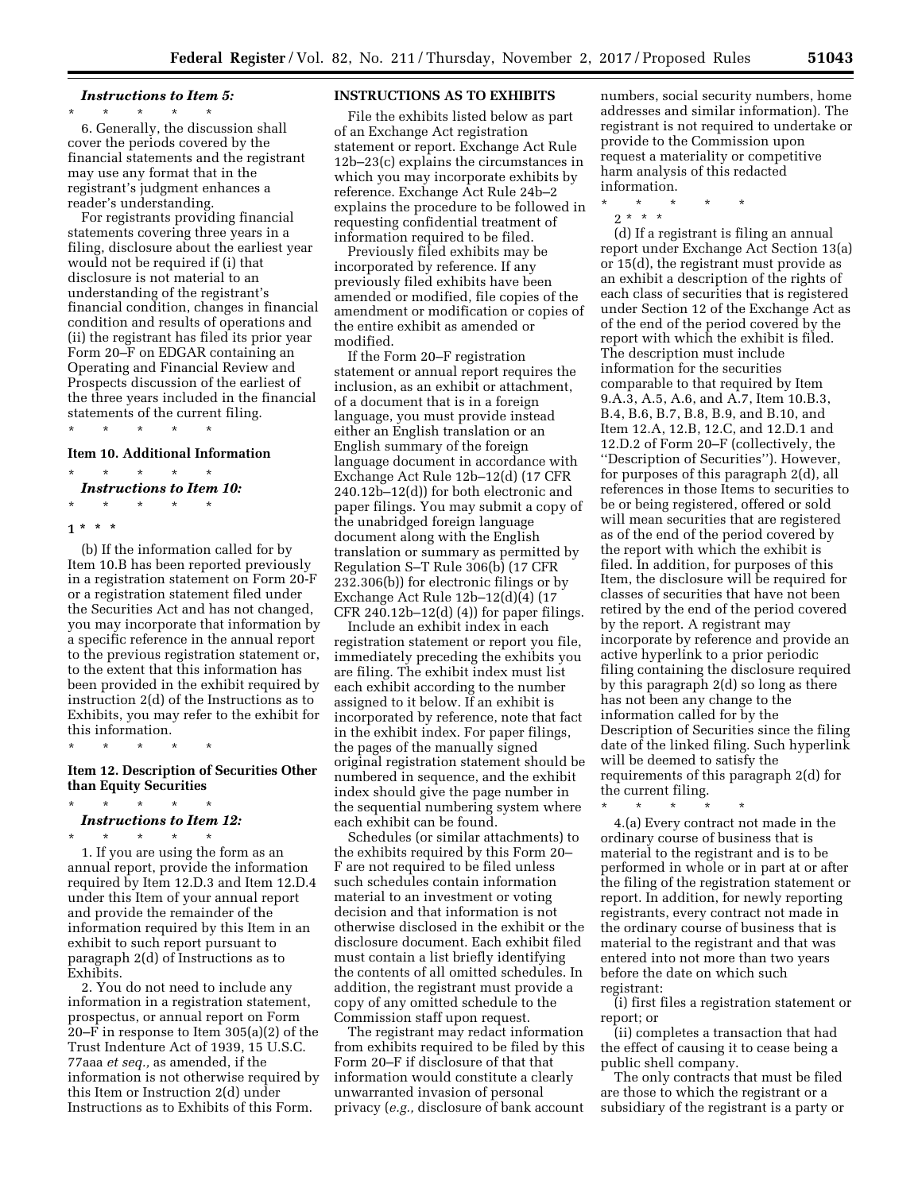#### *Instructions to Item 5:*

\* \* \* \* \* 6. Generally, the discussion shall cover the periods covered by the financial statements and the registrant may use any format that in the registrant's judgment enhances a reader's understanding.

For registrants providing financial statements covering three years in a filing, disclosure about the earliest year would not be required if (i) that disclosure is not material to an understanding of the registrant's financial condition, changes in financial condition and results of operations and (ii) the registrant has filed its prior year Form 20–F on EDGAR containing an Operating and Financial Review and Prospects discussion of the earliest of the three years included in the financial statements of the current filing.

\* \* \* \* \*

# **Item 10. Additional Information**

\* \* \* \* \* *Instructions to Item 10:*  \* \* \* \* \*

**1 \* \* \*** 

(b) If the information called for by Item 10.B has been reported previously in a registration statement on Form 20-F or a registration statement filed under the Securities Act and has not changed, you may incorporate that information by a specific reference in the annual report to the previous registration statement or, to the extent that this information has been provided in the exhibit required by instruction 2(d) of the Instructions as to Exhibits, you may refer to the exhibit for this information.

\* \* \* \* \*

# **Item 12. Description of Securities Other than Equity Securities**

\* \* \* \* \* *Instructions to Item 12:* 

\* \* \* \* \*

1. If you are using the form as an annual report, provide the information required by Item 12.D.3 and Item 12.D.4 under this Item of your annual report and provide the remainder of the information required by this Item in an exhibit to such report pursuant to paragraph 2(d) of Instructions as to Exhibits.

2. You do not need to include any information in a registration statement, prospectus, or annual report on Form 20–F in response to Item 305(a)(2) of the Trust Indenture Act of 1939, 15 U.S.C. 77aaa *et seq.,* as amended, if the information is not otherwise required by this Item or Instruction 2(d) under Instructions as to Exhibits of this Form.

### **INSTRUCTIONS AS TO EXHIBITS**

File the exhibits listed below as part of an Exchange Act registration statement or report. Exchange Act Rule 12b–23(c) explains the circumstances in which you may incorporate exhibits by reference. Exchange Act Rule 24b–2 explains the procedure to be followed in requesting confidential treatment of information required to be filed.

Previously filed exhibits may be incorporated by reference. If any previously filed exhibits have been amended or modified, file copies of the amendment or modification or copies of the entire exhibit as amended or modified.

If the Form 20–F registration statement or annual report requires the inclusion, as an exhibit or attachment, of a document that is in a foreign language, you must provide instead either an English translation or an English summary of the foreign language document in accordance with Exchange Act Rule 12b–12(d) (17 CFR 240.12b–12(d)) for both electronic and paper filings. You may submit a copy of the unabridged foreign language document along with the English translation or summary as permitted by Regulation S–T Rule 306(b) (17 CFR 232.306(b)) for electronic filings or by Exchange Act Rule 12b–12(d)(4) (17 CFR 240.12 $b-12(d)$  (4)) for paper filings.

Include an exhibit index in each registration statement or report you file, immediately preceding the exhibits you are filing. The exhibit index must list each exhibit according to the number assigned to it below. If an exhibit is incorporated by reference, note that fact in the exhibit index. For paper filings, the pages of the manually signed original registration statement should be numbered in sequence, and the exhibit index should give the page number in the sequential numbering system where each exhibit can be found.

Schedules (or similar attachments) to the exhibits required by this Form 20– F are not required to be filed unless such schedules contain information material to an investment or voting decision and that information is not otherwise disclosed in the exhibit or the disclosure document. Each exhibit filed must contain a list briefly identifying the contents of all omitted schedules. In addition, the registrant must provide a copy of any omitted schedule to the Commission staff upon request.

The registrant may redact information from exhibits required to be filed by this Form 20–F if disclosure of that that information would constitute a clearly unwarranted invasion of personal privacy (*e.g.,* disclosure of bank account

numbers, social security numbers, home addresses and similar information). The registrant is not required to undertake or provide to the Commission upon request a materiality or competitive harm analysis of this redacted information.

- \* \* \* \* \*
	- 2 \* \* \*

(d) If a registrant is filing an annual report under Exchange Act Section 13(a) or 15(d), the registrant must provide as an exhibit a description of the rights of each class of securities that is registered under Section 12 of the Exchange Act as of the end of the period covered by the report with which the exhibit is filed. The description must include information for the securities comparable to that required by Item 9.A.3, A.5, A.6, and A.7, Item 10.B.3, B.4, B.6, B.7, B.8, B.9, and B.10, and Item 12.A, 12.B, 12.C, and 12.D.1 and 12.D.2 of Form 20–F (collectively, the ''Description of Securities''). However, for purposes of this paragraph 2(d), all references in those Items to securities to be or being registered, offered or sold will mean securities that are registered as of the end of the period covered by the report with which the exhibit is filed. In addition, for purposes of this Item, the disclosure will be required for classes of securities that have not been retired by the end of the period covered by the report. A registrant may incorporate by reference and provide an active hyperlink to a prior periodic filing containing the disclosure required by this paragraph 2(d) so long as there has not been any change to the information called for by the Description of Securities since the filing date of the linked filing. Such hyperlink will be deemed to satisfy the requirements of this paragraph 2(d) for the current filing.

\* \* \* \* \*

4.(a) Every contract not made in the ordinary course of business that is material to the registrant and is to be performed in whole or in part at or after the filing of the registration statement or report. In addition, for newly reporting registrants, every contract not made in the ordinary course of business that is material to the registrant and that was entered into not more than two years before the date on which such registrant:

(i) first files a registration statement or report; or

(ii) completes a transaction that had the effect of causing it to cease being a public shell company.

The only contracts that must be filed are those to which the registrant or a subsidiary of the registrant is a party or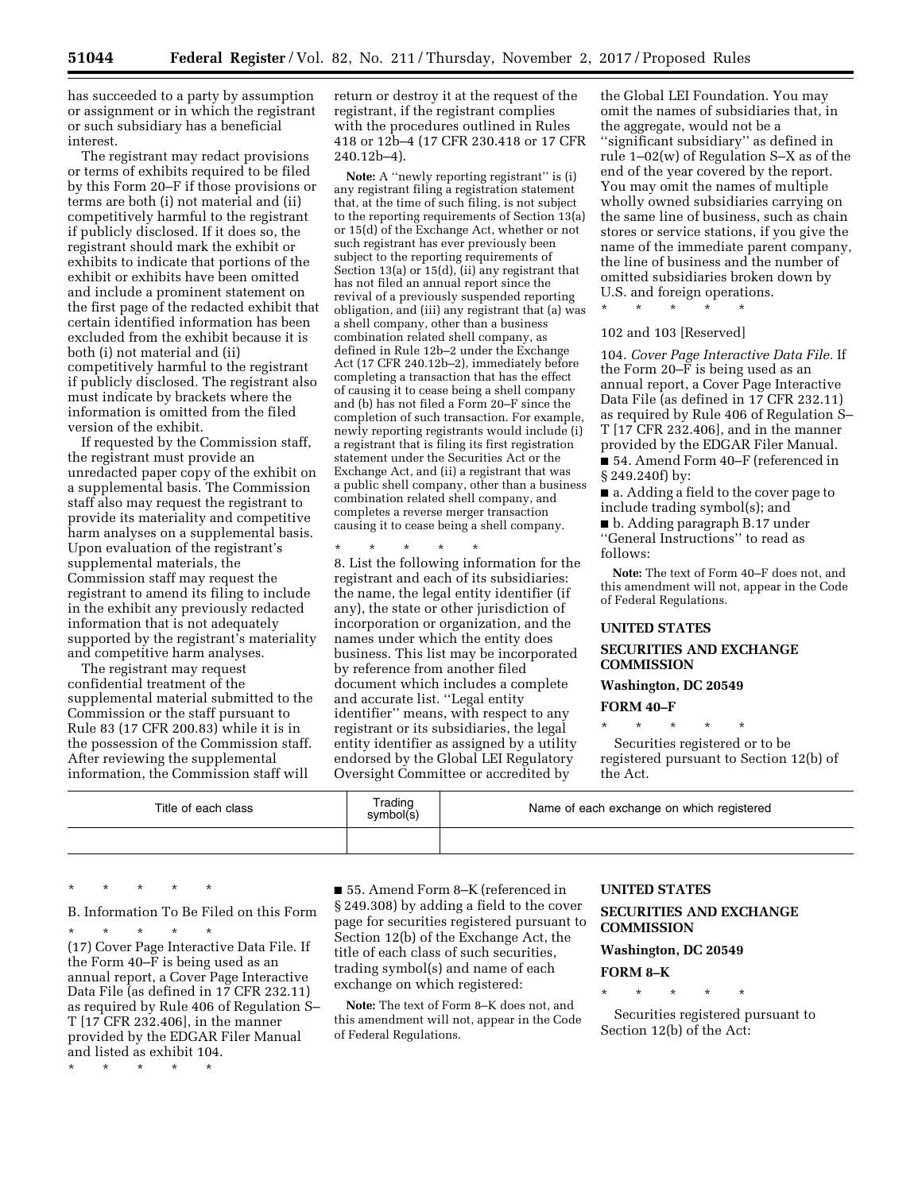has succeeded to a party by assumption or assignment or in which the registrant or such subsidiary has a beneficial interest.

The registrant may redact provisions or terms of exhibits required to be filed by this Form 20–F if those provisions or terms are both (i) not material and (ii) competitively harmful to the registrant if publicly disclosed. If it does so, the registrant should mark the exhibit or exhibits to indicate that portions of the exhibit or exhibits have been omitted and include a prominent statement on the first page of the redacted exhibit that certain identified information has been excluded from the exhibit because it is both (i) not material and (ii) competitively harmful to the registrant if publicly disclosed. The registrant also must indicate by brackets where the information is omitted from the filed version of the exhibit.

If requested by the Commission staff, the registrant must provide an unredacted paper copy of the exhibit on a supplemental basis. The Commission staff also may request the registrant to provide its materiality and competitive harm analyses on a supplemental basis. Upon evaluation of the registrant's supplemental materials, the Commission staff may request the registrant to amend its filing to include in the exhibit any previously redacted information that is not adequately supported by the registrant's materiality and competitive harm analyses.

The registrant may request confidential treatment of the supplemental material submitted to the Commission or the staff pursuant to Rule 83 (17 CFR 200.83) while it is in the possession of the Commission staff. After reviewing the supplemental information, the Commission staff will

return or destroy it at the request of the registrant, if the registrant complies with the procedures outlined in Rules 418 or 12b–4 (17 CFR 230.418 or 17 CFR 240.12b–4).

**Note:** A ''newly reporting registrant'' is (i) any registrant filing a registration statement that, at the time of such filing, is not subject to the reporting requirements of Section 13(a) or 15(d) of the Exchange Act, whether or not such registrant has ever previously been subject to the reporting requirements of Section 13(a) or 15(d), (ii) any registrant that has not filed an annual report since the revival of a previously suspended reporting obligation, and (iii) any registrant that (a) was a shell company, other than a business combination related shell company, as defined in Rule 12b–2 under the Exchange Act (17 CFR 240.12b–2), immediately before completing a transaction that has the effect of causing it to cease being a shell company and (b) has not filed a Form 20–F since the completion of such transaction. For example, newly reporting registrants would include (i) a registrant that is filing its first registration statement under the Securities Act or the Exchange Act, and (ii) a registrant that was a public shell company, other than a business combination related shell company, and completes a reverse merger transaction causing it to cease being a shell company.

\* \* \* \* \*

8. List the following information for the registrant and each of its subsidiaries: the name, the legal entity identifier (if any), the state or other jurisdiction of incorporation or organization, and the names under which the entity does business. This list may be incorporated by reference from another filed document which includes a complete and accurate list. ''Legal entity identifier'' means, with respect to any registrant or its subsidiaries, the legal entity identifier as assigned by a utility endorsed by the Global LEI Regulatory Oversight Committee or accredited by

the Global LEI Foundation. You may omit the names of subsidiaries that, in the aggregate, would not be a ''significant subsidiary'' as defined in rule 1–02(w) of Regulation S–X as of the end of the year covered by the report. You may omit the names of multiple wholly owned subsidiaries carrying on the same line of business, such as chain stores or service stations, if you give the name of the immediate parent company, the line of business and the number of omitted subsidiaries broken down by U.S. and foreign operations.

\* \* \* \* \*

### 102 and 103 [Reserved]

104. *Cover Page Interactive Data File.* If the Form 20–F is being used as an annual report, a Cover Page Interactive Data File (as defined in 17 CFR 232.11) as required by Rule 406 of Regulation S– T [17 CFR 232.406], and in the manner provided by the EDGAR Filer Manual.

■ 54. Amend Form 40–F (referenced in § 249.240f) by:

■ a. Adding a field to the cover page to include trading symbol(s); and

■ b. Adding paragraph B.17 under ''General Instructions'' to read as follows:

**Note:** The text of Form 40–F does not, and this amendment will not, appear in the Code of Federal Regulations.

### **UNITED STATES**

# **SECURITIES AND EXCHANGE COMMISSION**

# **Washington, DC 20549**

# **FORM 40–F**

\* \* \* \* \* Securities registered or to be registered pursuant to Section 12(b) of the Act.

| Title of each class | Trading<br>symbol(s) | Name of each exchange on which registered |
|---------------------|----------------------|-------------------------------------------|
|                     |                      |                                           |

\* \* \* \* \*

B. Information To Be Filed on this Form

\* \* \* \* \* (17) Cover Page Interactive Data File. If the Form 40–F is being used as an annual report, a Cover Page Interactive Data File (as defined in 17 CFR 232.11) as required by Rule 406 of Regulation S– T [17 CFR 232.406], in the manner provided by the EDGAR Filer Manual and listed as exhibit 104.

\* \* \* \* \*

■ 55. Amend Form 8–K (referenced in § 249.308) by adding a field to the cover page for securities registered pursuant to Section 12(b) of the Exchange Act, the title of each class of such securities, trading symbol(s) and name of each exchange on which registered:

**Note:** The text of Form 8–K does not, and this amendment will not, appear in the Code of Federal Regulations.

## **UNITED STATES**

# **SECURITIES AND EXCHANGE COMMISSION**

# **Washington, DC 20549**

#### **FORM 8–K**

\* \* \* \* \*

Securities registered pursuant to Section 12(b) of the Act: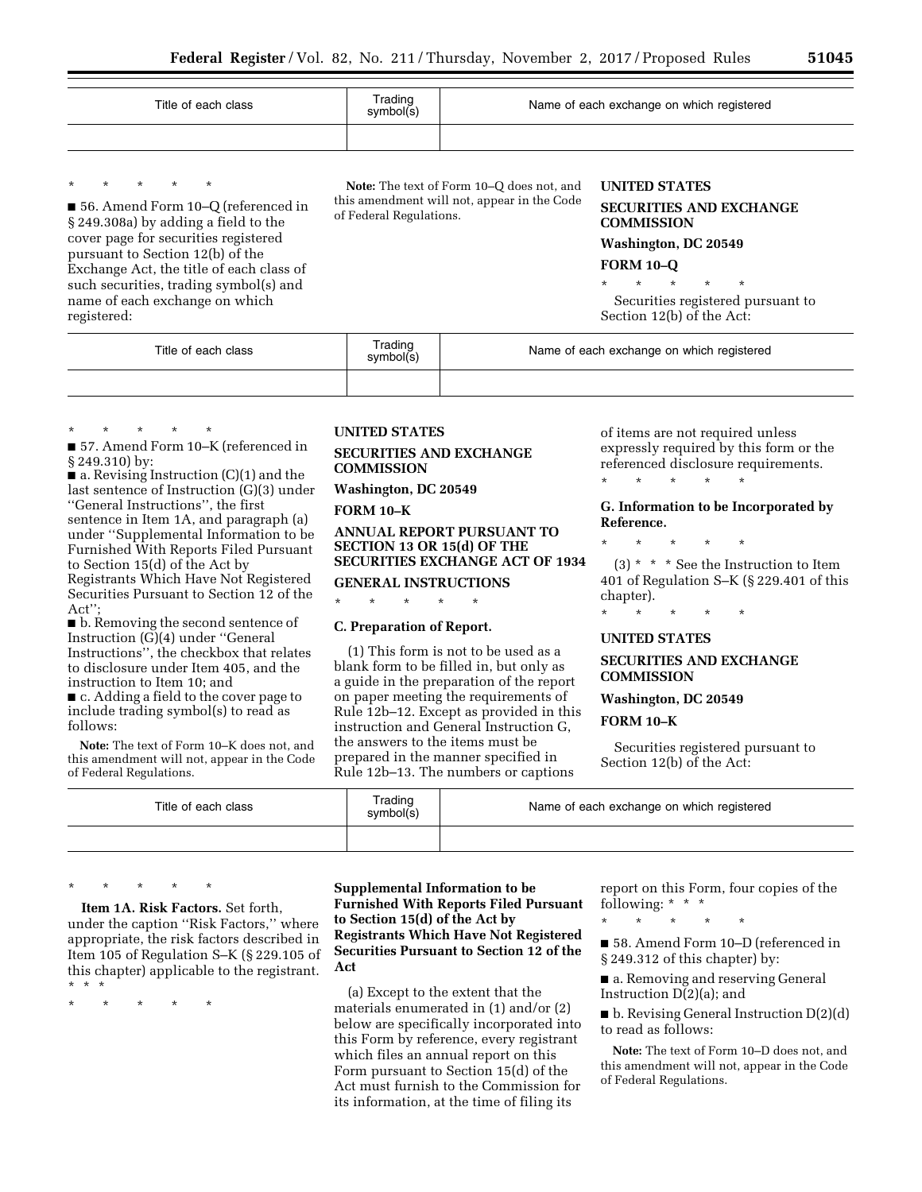| Title of each class | Trading<br>symbol(s) | Name of each exchange on which registered |
|---------------------|----------------------|-------------------------------------------|
|                     |                      |                                           |

# \* \* \* \* \*

■ 56. Amend Form 10–Q (referenced in § 249.308a) by adding a field to the cover page for securities registered pursuant to Section 12(b) of the Exchange Act, the title of each class of such securities, trading symbol(s) and name of each exchange on which registered:

**Note:** The text of Form 10–Q does not, and this amendment will not, appear in the Code of Federal Regulations.

### **UNITED STATES**

# **SECURITIES AND EXCHANGE COMMISSION**

### **Washington, DC 20549**

**FORM 10–Q** 

\* \* \* \* \* Securities registered pursuant to Section 12(b) of the Act:

| Title of each class | rading<br>symbol(s) | Name of each exchange on which registered |
|---------------------|---------------------|-------------------------------------------|
|                     |                     |                                           |

\* \* \* \* \* ■ 57. Amend Form 10–K (referenced in

§ 249.310) by: ■ a. Revising Instruction (C)(1) and the

last sentence of Instruction (G)(3) under ''General Instructions'', the first

sentence in Item 1A, and paragraph (a) under ''Supplemental Information to be Furnished With Reports Filed Pursuant to Section 15(d) of the Act by Registrants Which Have Not Registered

Securities Pursuant to Section 12 of the Act'';

■ b. Removing the second sentence of Instruction (G)(4) under ''General Instructions'', the checkbox that relates to disclosure under Item 405, and the instruction to Item 10; and ■ c. Adding a field to the cover page to include trading symbol(s) to read as follows:

**Note:** The text of Form 10–K does not, and this amendment will not, appear in the Code of Federal Regulations.

# **UNITED STATES**

# **SECURITIES AND EXCHANGE COMMISSION**

**Washington, DC 20549** 

**FORM 10–K** 

# **ANNUAL REPORT PURSUANT TO SECTION 13 OR 15(d) OF THE SECURITIES EXCHANGE ACT OF 1934**

# **GENERAL INSTRUCTIONS**

\* \* \* \* \*

# **C. Preparation of Report.**

(1) This form is not to be used as a blank form to be filled in, but only as a guide in the preparation of the report on paper meeting the requirements of Rule 12b–12. Except as provided in this instruction and General Instruction G, the answers to the items must be prepared in the manner specified in Rule 12b–13. The numbers or captions

of items are not required unless expressly required by this form or the referenced disclosure requirements.

\* \* \* \* \*

# **G. Information to be Incorporated by Reference.**

\* \* \* \* \*

 $(3)$  \* \* \* See the Instruction to Item 401 of Regulation S–K (§ 229.401 of this chapter).

\* \* \* \* \*

# **UNITED STATES**

# **SECURITIES AND EXCHANGE COMMISSION**

# **Washington, DC 20549**

### **FORM 10–K**

Securities registered pursuant to Section 12(b) of the Act:

| Title of each class | -rading<br>symbol(s) | Name of each exchange on which registered |
|---------------------|----------------------|-------------------------------------------|
|                     |                      |                                           |

\* \* \* \* \*

**Item 1A. Risk Factors.** Set forth, under the caption ''Risk Factors,'' where appropriate, the risk factors described in Item 105 of Regulation S–K (§ 229.105 of this chapter) applicable to the registrant. \* \* \*

\* \* \* \* \*

**Supplemental Information to be Furnished With Reports Filed Pursuant to Section 15(d) of the Act by Registrants Which Have Not Registered Securities Pursuant to Section 12 of the Act** 

(a) Except to the extent that the materials enumerated in (1) and/or (2) below are specifically incorporated into this Form by reference, every registrant which files an annual report on this Form pursuant to Section 15(d) of the Act must furnish to the Commission for its information, at the time of filing its

report on this Form, four copies of the following: \* \* \*

\* \* \* \* \*

■ 58. Amend Form 10–D (referenced in § 249.312 of this chapter) by:

■ a. Removing and reserving General Instruction D(2)(a); and

■ b. Revising General Instruction D(2)(d) to read as follows:

**Note:** The text of Form 10–D does not, and this amendment will not, appear in the Code of Federal Regulations.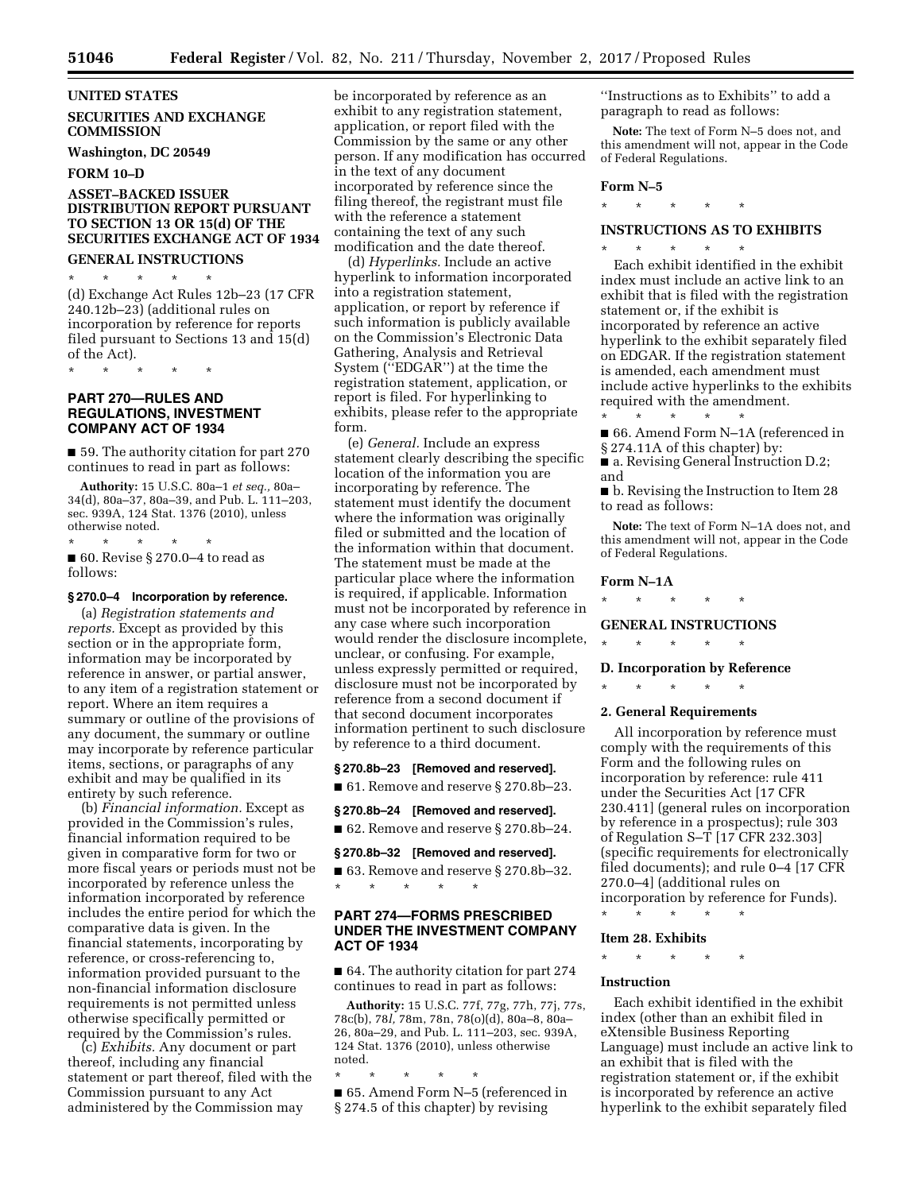# **UNITED STATES**

**SECURITIES AND EXCHANGE COMMISSION** 

**Washington, DC 20549** 

#### **FORM 10–D**

# **ASSET–BACKED ISSUER DISTRIBUTION REPORT PURSUANT TO SECTION 13 OR 15(d) OF THE SECURITIES EXCHANGE ACT OF 1934 GENERAL INSTRUCTIONS**

\* \* \* \* \* (d) Exchange Act Rules 12b–23 (17 CFR 240.12b–23) (additional rules on incorporation by reference for reports filed pursuant to Sections 13 and 15(d) of the Act).

\* \* \* \* \*

### **PART 270—RULES AND REGULATIONS, INVESTMENT COMPANY ACT OF 1934**

■ 59. The authority citation for part 270 continues to read in part as follows:

**Authority:** 15 U.S.C. 80a–1 *et seq.,* 80a– 34(d), 80a–37, 80a–39, and Pub. L. 111–203, sec. 939A, 124 Stat. 1376 (2010), unless otherwise noted.

\* \* \* \* \* ■ 60. Revise § 270.0–4 to read as follows:

#### **§ 270.0–4 Incorporation by reference.**

(a) *Registration statements and reports.* Except as provided by this section or in the appropriate form, information may be incorporated by reference in answer, or partial answer, to any item of a registration statement or report. Where an item requires a summary or outline of the provisions of any document, the summary or outline may incorporate by reference particular items, sections, or paragraphs of any exhibit and may be qualified in its entirety by such reference.

(b) *Financial information.* Except as provided in the Commission's rules, financial information required to be given in comparative form for two or more fiscal years or periods must not be incorporated by reference unless the information incorporated by reference includes the entire period for which the comparative data is given. In the financial statements, incorporating by reference, or cross-referencing to, information provided pursuant to the non-financial information disclosure requirements is not permitted unless otherwise specifically permitted or required by the Commission's rules.

(c) *Exhibits.* Any document or part thereof, including any financial statement or part thereof, filed with the Commission pursuant to any Act administered by the Commission may

be incorporated by reference as an exhibit to any registration statement, application, or report filed with the Commission by the same or any other person. If any modification has occurred in the text of any document incorporated by reference since the filing thereof, the registrant must file with the reference a statement containing the text of any such modification and the date thereof.

(d) *Hyperlinks.* Include an active hyperlink to information incorporated into a registration statement, application, or report by reference if such information is publicly available on the Commission's Electronic Data Gathering, Analysis and Retrieval System (''EDGAR'') at the time the registration statement, application, or report is filed. For hyperlinking to exhibits, please refer to the appropriate form.

(e) *General.* Include an express statement clearly describing the specific location of the information you are incorporating by reference. The statement must identify the document where the information was originally filed or submitted and the location of the information within that document. The statement must be made at the particular place where the information is required, if applicable. Information must not be incorporated by reference in any case where such incorporation would render the disclosure incomplete, unclear, or confusing. For example, unless expressly permitted or required, disclosure must not be incorporated by reference from a second document if that second document incorporates information pertinent to such disclosure by reference to a third document.

#### **§ 270.8b–23 [Removed and reserved].**

■ 61. Remove and reserve § 270.8b–23.

**§ 270.8b–24 [Removed and reserved].** 

■ 62. Remove and reserve § 270.8b-24.

# **§ 270.8b–32 [Removed and reserved].**

■ 63. Remove and reserve § 270.8b–32. \* \* \* \* \*

### **PART 274—FORMS PRESCRIBED UNDER THE INVESTMENT COMPANY ACT OF 1934**

■ 64. The authority citation for part 274 continues to read in part as follows:

**Authority:** 15 U.S.C. 77f, 77g, 77h, 77j, 77s, 78c(b), 78*l,* 78m, 78n, 78(o)(d), 80a–8, 80a– 26, 80a–29, and Pub. L. 111–203, sec. 939A, 124 Stat. 1376 (2010), unless otherwise noted.

\* \* \* \* \* ■ 65. Amend Form N-5 (referenced in § 274.5 of this chapter) by revising

''Instructions as to Exhibits'' to add a paragraph to read as follows:

**Note:** The text of Form N–5 does not, and this amendment will not, appear in the Code of Federal Regulations.

#### **Form N–5**

\* \* \* \* \*

# **INSTRUCTIONS AS TO EXHIBITS**

\* \* \* \* \* Each exhibit identified in the exhibit index must include an active link to an exhibit that is filed with the registration statement or, if the exhibit is incorporated by reference an active hyperlink to the exhibit separately filed on EDGAR. If the registration statement is amended, each amendment must include active hyperlinks to the exhibits required with the amendment.

\* \* \* \* \* ■ 66. Amend Form N–1A (referenced in § 274.11A of this chapter) by:

■ a. Revising General Instruction D.2; and

■ b. Revising the Instruction to Item 28 to read as follows:

**Note:** The text of Form N–1A does not, and this amendment will not, appear in the Code of Federal Regulations.

### **Form N–1A**

\* \* \* \* \*

# **GENERAL INSTRUCTIONS**

\* \* \* \* \*

# **D. Incorporation by Reference**

\* \* \* \* \*

# **2. General Requirements**

All incorporation by reference must comply with the requirements of this Form and the following rules on incorporation by reference: rule 411 under the Securities Act [17 CFR 230.411] (general rules on incorporation by reference in a prospectus); rule 303 of Regulation S–T [17 CFR 232.303] (specific requirements for electronically filed documents); and rule 0–4 [17 CFR 270.0–4] (additional rules on incorporation by reference for Funds).

\* \* \* \* \*

### **Item 28. Exhibits**

\* \* \* \* \*

# **Instruction**

Each exhibit identified in the exhibit index (other than an exhibit filed in eXtensible Business Reporting Language) must include an active link to an exhibit that is filed with the registration statement or, if the exhibit is incorporated by reference an active hyperlink to the exhibit separately filed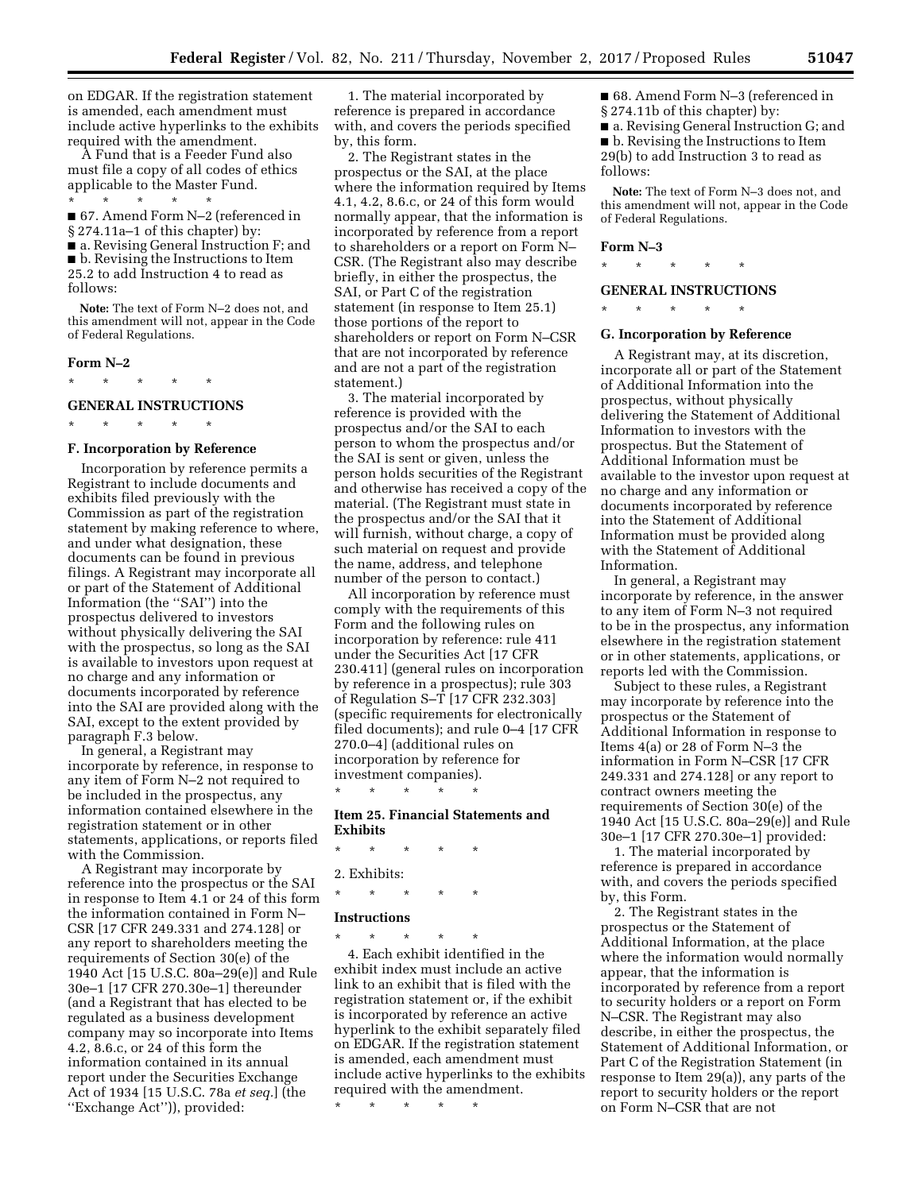on EDGAR. If the registration statement is amended, each amendment must include active hyperlinks to the exhibits required with the amendment.

A Fund that is a Feeder Fund also must file a copy of all codes of ethics applicable to the Master Fund. \* \* \* \* \*

■ 67. Amend Form N–2 (referenced in § 274.11a–1 of this chapter) by: ■ a. Revising General Instruction F; and ■ b. Revising the Instructions to Item 25.2 to add Instruction 4 to read as follows:

**Note:** The text of Form N–2 does not, and this amendment will not, appear in the Code of Federal Regulations.

### **Form N–2**

# \* \* \* \* \* **GENERAL INSTRUCTIONS**

\* \* \* \* \*

#### **F. Incorporation by Reference**

Incorporation by reference permits a Registrant to include documents and exhibits filed previously with the Commission as part of the registration statement by making reference to where, and under what designation, these documents can be found in previous filings. A Registrant may incorporate all or part of the Statement of Additional Information (the ''SAI'') into the prospectus delivered to investors without physically delivering the SAI with the prospectus, so long as the SAI is available to investors upon request at no charge and any information or documents incorporated by reference into the SAI are provided along with the SAI, except to the extent provided by paragraph F.3 below.

In general, a Registrant may incorporate by reference, in response to any item of Form N–2 not required to be included in the prospectus, any information contained elsewhere in the registration statement or in other statements, applications, or reports filed with the Commission.

A Registrant may incorporate by reference into the prospectus or the SAI in response to Item 4.1 or 24 of this form the information contained in Form N– CSR [17 CFR 249.331 and 274.128] or any report to shareholders meeting the requirements of Section 30(e) of the 1940 Act [15 U.S.C. 80a–29(e)] and Rule 30e–1 [17 CFR 270.30e–1] thereunder (and a Registrant that has elected to be regulated as a business development company may so incorporate into Items 4.2, 8.6.c, or 24 of this form the information contained in its annual report under the Securities Exchange Act of 1934 [15 U.S.C. 78a *et seq.*] (the ''Exchange Act'')), provided:

1. The material incorporated by reference is prepared in accordance with, and covers the periods specified by, this form.

2. The Registrant states in the prospectus or the SAI, at the place where the information required by Items 4.1, 4.2, 8.6.c, or 24 of this form would normally appear, that the information is incorporated by reference from a report to shareholders or a report on Form N– CSR. (The Registrant also may describe briefly, in either the prospectus, the SAI, or Part C of the registration statement (in response to Item 25.1) those portions of the report to shareholders or report on Form N–CSR that are not incorporated by reference and are not a part of the registration statement.)

3. The material incorporated by reference is provided with the prospectus and/or the SAI to each person to whom the prospectus and/or the SAI is sent or given, unless the person holds securities of the Registrant and otherwise has received a copy of the material. (The Registrant must state in the prospectus and/or the SAI that it will furnish, without charge, a copy of such material on request and provide the name, address, and telephone number of the person to contact.)

All incorporation by reference must comply with the requirements of this Form and the following rules on incorporation by reference: rule 411 under the Securities Act [17 CFR 230.411] (general rules on incorporation by reference in a prospectus); rule 303 of Regulation S–T [17 CFR 232.303] (specific requirements for electronically filed documents); and rule 0–4 [17 CFR 270.0–4] (additional rules on incorporation by reference for investment companies).

#### **Item 25. Financial Statements and Exhibits**

\* \* \* \* \*

\* \* \* \* \*

### 2. Exhibits:

\* \* \* \* \*

**Instructions** 

\* \* \* \* \* 4. Each exhibit identified in the exhibit index must include an active link to an exhibit that is filed with the registration statement or, if the exhibit is incorporated by reference an active hyperlink to the exhibit separately filed on EDGAR. If the registration statement is amended, each amendment must include active hyperlinks to the exhibits required with the amendment.

\* \* \* \* \*

■ 68. Amend Form N–3 (referenced in § 274.11b of this chapter) by:

- a. Revising General Instruction G; and
- b. Revising the Instructions to Item

29(b) to add Instruction 3 to read as follows:

**Note:** The text of Form N–3 does not, and this amendment will not, appear in the Code of Federal Regulations.

#### **Form N–3**

\* \* \* \* \*

**GENERAL INSTRUCTIONS** 

\* \* \* \* \*

#### **G. Incorporation by Reference**

A Registrant may, at its discretion, incorporate all or part of the Statement of Additional Information into the prospectus, without physically delivering the Statement of Additional Information to investors with the prospectus. But the Statement of Additional Information must be available to the investor upon request at no charge and any information or documents incorporated by reference into the Statement of Additional Information must be provided along with the Statement of Additional Information.

In general, a Registrant may incorporate by reference, in the answer to any item of Form N–3 not required to be in the prospectus, any information elsewhere in the registration statement or in other statements, applications, or reports led with the Commission.

Subject to these rules, a Registrant may incorporate by reference into the prospectus or the Statement of Additional Information in response to Items 4(a) or 28 of Form N–3 the information in Form N–CSR [17 CFR 249.331 and 274.128] or any report to contract owners meeting the requirements of Section 30(e) of the 1940 Act [15 U.S.C. 80a–29(e)] and Rule 30e–1 [17 CFR 270.30e–1] provided:

1. The material incorporated by reference is prepared in accordance with, and covers the periods specified by, this Form.

2. The Registrant states in the prospectus or the Statement of Additional Information, at the place where the information would normally appear, that the information is incorporated by reference from a report to security holders or a report on Form N–CSR. The Registrant may also describe, in either the prospectus, the Statement of Additional Information, or Part C of the Registration Statement (in response to Item 29(a)), any parts of the report to security holders or the report on Form N–CSR that are not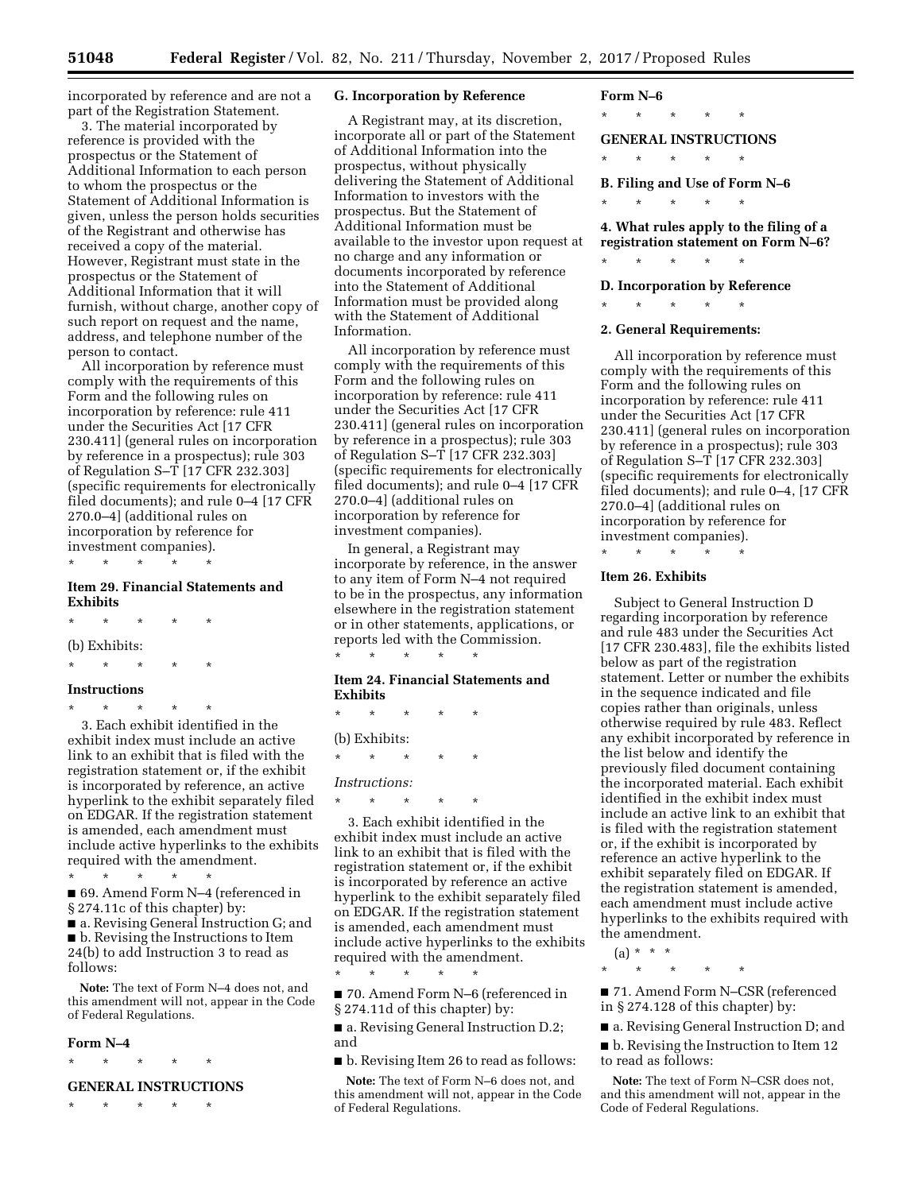incorporated by reference and are not a part of the Registration Statement.

3. The material incorporated by reference is provided with the prospectus or the Statement of Additional Information to each person to whom the prospectus or the Statement of Additional Information is given, unless the person holds securities of the Registrant and otherwise has received a copy of the material. However, Registrant must state in the prospectus or the Statement of Additional Information that it will furnish, without charge, another copy of such report on request and the name, address, and telephone number of the person to contact.

All incorporation by reference must comply with the requirements of this Form and the following rules on incorporation by reference: rule 411 under the Securities Act [17 CFR 230.411] (general rules on incorporation by reference in a prospectus); rule 303 of Regulation S–T [17 CFR 232.303] (specific requirements for electronically filed documents); and rule 0–4 [17 CFR 270.0–4] (additional rules on incorporation by reference for investment companies).

\* \* \* \* \* **Item 29. Financial Statements and** 

**Exhibits**  \* \* \* \* \*

(b) Exhibits:

\* \* \* \* \*

#### **Instructions**

\* \* \* \* \*

3. Each exhibit identified in the exhibit index must include an active link to an exhibit that is filed with the registration statement or, if the exhibit is incorporated by reference, an active hyperlink to the exhibit separately filed on EDGAR. If the registration statement is amended, each amendment must include active hyperlinks to the exhibits required with the amendment.

\* \* \* \* \* ■ 69. Amend Form N-4 (referenced in § 274.11c of this chapter) by: ■ a. Revising General Instruction G; and

■ b. Revising the Instructions to Item 24(b) to add Instruction 3 to read as follows:

**Note:** The text of Form N–4 does not, and this amendment will not, appear in the Code of Federal Regulations.

#### **Form N–4**

\* \* \* \* \*

#### **GENERAL INSTRUCTIONS**

\* \* \* \* \*

#### **G. Incorporation by Reference**

A Registrant may, at its discretion, incorporate all or part of the Statement of Additional Information into the prospectus, without physically delivering the Statement of Additional Information to investors with the prospectus. But the Statement of Additional Information must be available to the investor upon request at no charge and any information or documents incorporated by reference into the Statement of Additional Information must be provided along with the Statement of Additional Information.

All incorporation by reference must comply with the requirements of this Form and the following rules on incorporation by reference: rule 411 under the Securities Act [17 CFR 230.411] (general rules on incorporation by reference in a prospectus); rule 303 of Regulation S–T [17 CFR 232.303] (specific requirements for electronically filed documents); and rule 0–4 [17 CFR 270.0–4] (additional rules on incorporation by reference for investment companies).

In general, a Registrant may incorporate by reference, in the answer to any item of Form N–4 not required to be in the prospectus, any information elsewhere in the registration statement or in other statements, applications, or reports led with the Commission. \* \* \* \* \*

### **Item 24. Financial Statements and Exhibits**

\* \* \* \* \*

(b) Exhibits:

\* \* \* \* \*

*Instructions:* 

\* \* \* \* \*

\* \* \* \* \*

3. Each exhibit identified in the exhibit index must include an active link to an exhibit that is filed with the registration statement or, if the exhibit is incorporated by reference an active hyperlink to the exhibit separately filed on EDGAR. If the registration statement is amended, each amendment must include active hyperlinks to the exhibits required with the amendment.

■ 70. Amend Form N–6 (referenced in § 274.11d of this chapter) by:

■ a. Revising General Instruction D.2; and

■ b. Revising Item 26 to read as follows:

**Note:** The text of Form N–6 does not, and this amendment will not, appear in the Code of Federal Regulations.

#### **Form N–6**

\* \* \* \* \*

**GENERAL INSTRUCTIONS** 

\* \* \* \* \*

**B. Filing and Use of Form N–6** 

\* \* \* \* \*

**4. What rules apply to the filing of a registration statement on Form N–6?**  \* \* \* \* \*

#### **D. Incorporation by Reference**

\* \* \* \* \*

#### **2. General Requirements:**

All incorporation by reference must comply with the requirements of this Form and the following rules on incorporation by reference: rule 411 under the Securities Act [17 CFR 230.411] (general rules on incorporation by reference in a prospectus); rule 303 of Regulation S–T [17 CFR 232.303] (specific requirements for electronically filed documents); and rule 0–4, [17 CFR 270.0–4] (additional rules on incorporation by reference for investment companies).

\* \* \* \* \*

# **Item 26. Exhibits**

Subject to General Instruction D regarding incorporation by reference and rule 483 under the Securities Act [17 CFR 230.483], file the exhibits listed below as part of the registration statement. Letter or number the exhibits in the sequence indicated and file copies rather than originals, unless otherwise required by rule 483. Reflect any exhibit incorporated by reference in the list below and identify the previously filed document containing the incorporated material. Each exhibit identified in the exhibit index must include an active link to an exhibit that is filed with the registration statement or, if the exhibit is incorporated by reference an active hyperlink to the exhibit separately filed on EDGAR. If the registration statement is amended, each amendment must include active hyperlinks to the exhibits required with the amendment.

 $(a) * * * *$ 

\* \* \* \* \*

■ 71. Amend Form N–CSR (referenced in § 274.128 of this chapter) by:

■ a. Revising General Instruction D; and

■ b. Revising the Instruction to Item 12 to read as follows:

**Note:** The text of Form N–CSR does not, and this amendment will not, appear in the Code of Federal Regulations.